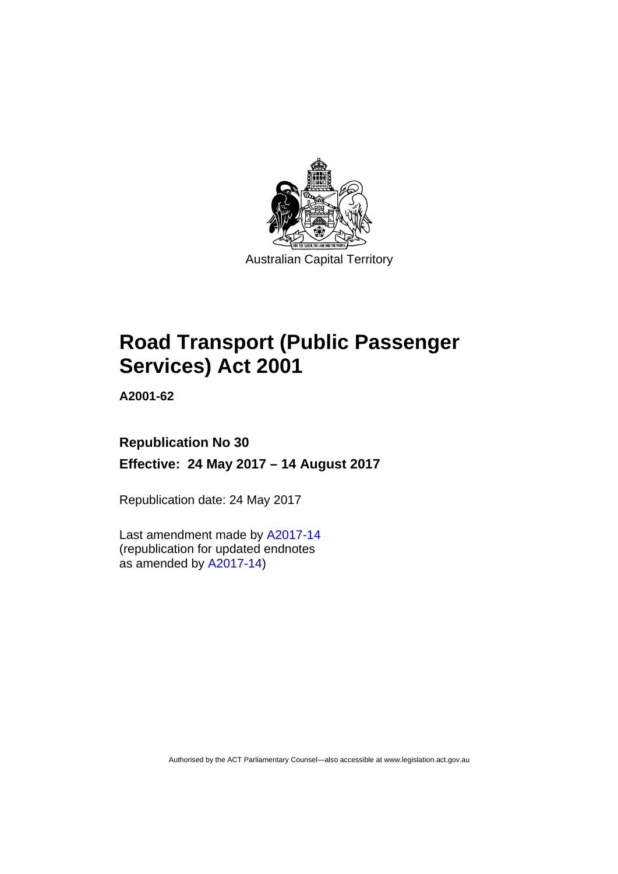

# **Road Transport (Public Passenger Services) Act 2001**

**A2001-62** 

## **Republication No 30 Effective: 24 May 2017 – 14 August 2017**

Republication date: 24 May 2017

Last amendment made by [A2017-14](http://www.legislation.act.gov.au/a/2017-14/default.asp) (republication for updated endnotes as amended by [A2017-14](http://www.legislation.act.gov.au/a/2017-14/default.asp))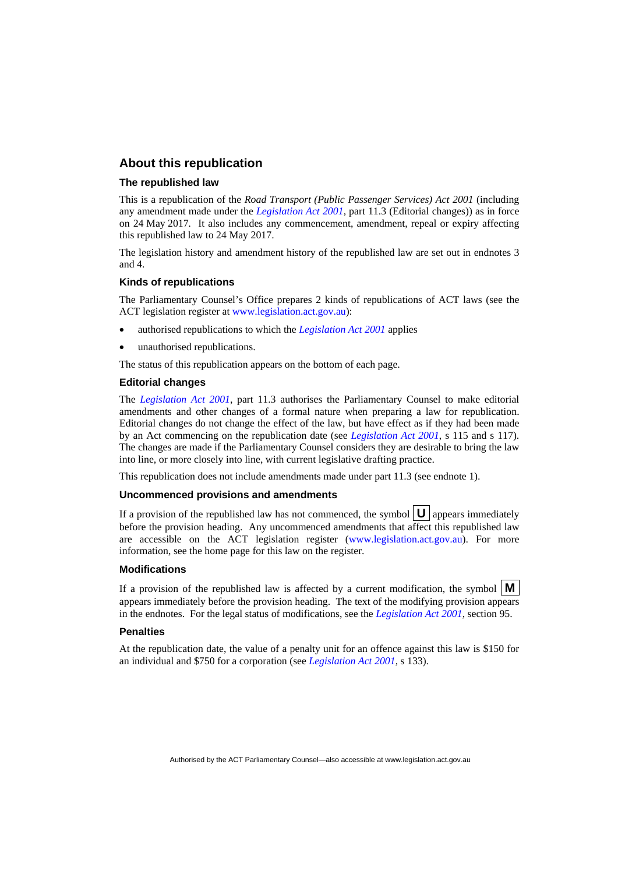### **About this republication**

#### **The republished law**

This is a republication of the *Road Transport (Public Passenger Services) Act 2001* (including any amendment made under the *[Legislation Act 2001](http://www.legislation.act.gov.au/a/2001-14)*, part 11.3 (Editorial changes)) as in force on 24 May 2017*.* It also includes any commencement, amendment, repeal or expiry affecting this republished law to 24 May 2017.

The legislation history and amendment history of the republished law are set out in endnotes 3 and 4.

#### **Kinds of republications**

The Parliamentary Counsel's Office prepares 2 kinds of republications of ACT laws (see the ACT legislation register at [www.legislation.act.gov.au](http://www.legislation.act.gov.au/)):

- authorised republications to which the *[Legislation Act 2001](http://www.legislation.act.gov.au/a/2001-14)* applies
- unauthorised republications.

The status of this republication appears on the bottom of each page.

#### **Editorial changes**

The *[Legislation Act 2001](http://www.legislation.act.gov.au/a/2001-14)*, part 11.3 authorises the Parliamentary Counsel to make editorial amendments and other changes of a formal nature when preparing a law for republication. Editorial changes do not change the effect of the law, but have effect as if they had been made by an Act commencing on the republication date (see *[Legislation Act 2001](http://www.legislation.act.gov.au/a/2001-14)*, s 115 and s 117). The changes are made if the Parliamentary Counsel considers they are desirable to bring the law into line, or more closely into line, with current legislative drafting practice.

This republication does not include amendments made under part 11.3 (see endnote 1).

#### **Uncommenced provisions and amendments**

If a provision of the republished law has not commenced, the symbol  $\mathbf{U}$  appears immediately before the provision heading. Any uncommenced amendments that affect this republished law are accessible on the ACT legislation register [\(www.legislation.act.gov.au\)](http://www.legislation.act.gov.au/). For more information, see the home page for this law on the register.

#### **Modifications**

If a provision of the republished law is affected by a current modification, the symbol  $\mathbf{M}$ appears immediately before the provision heading. The text of the modifying provision appears in the endnotes. For the legal status of modifications, see the *[Legislation Act 2001](http://www.legislation.act.gov.au/a/2001-14)*, section 95.

#### **Penalties**

At the republication date, the value of a penalty unit for an offence against this law is \$150 for an individual and \$750 for a corporation (see *[Legislation Act 2001](http://www.legislation.act.gov.au/a/2001-14)*, s 133).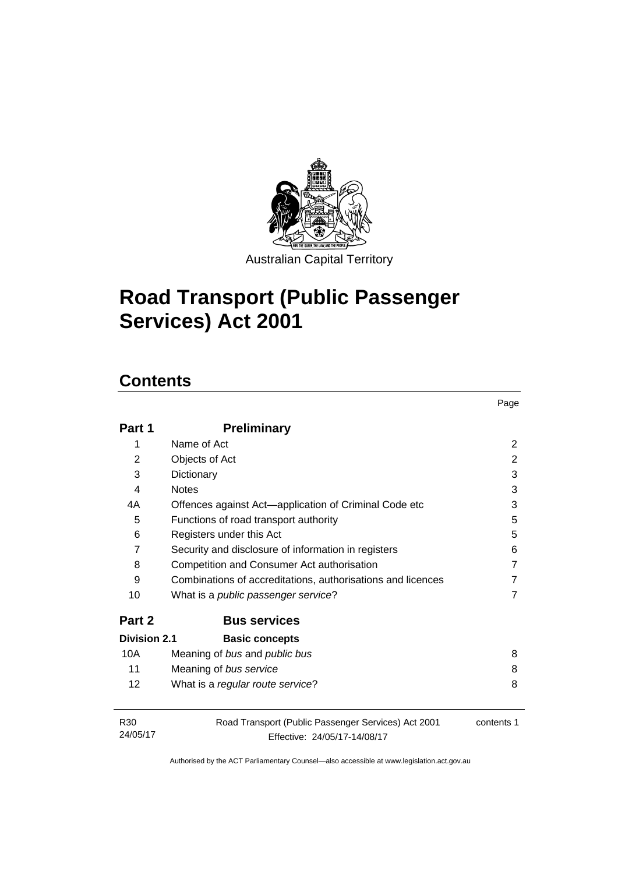

# **Road Transport (Public Passenger Services) Act 2001**

## **Contents**

| Part 1                      | <b>Preliminary</b>                                                                  |            |
|-----------------------------|-------------------------------------------------------------------------------------|------------|
| 1                           | Name of Act                                                                         | 2          |
| $\overline{2}$              | Objects of Act                                                                      | 2          |
| 3                           | Dictionary                                                                          | 3          |
| 4                           | <b>Notes</b>                                                                        | 3          |
| 4A                          | Offences against Act—application of Criminal Code etc                               | 3          |
| 5                           | Functions of road transport authority                                               | 5          |
| 6                           | Registers under this Act                                                            | 5          |
| $\overline{7}$              | Security and disclosure of information in registers                                 | 6          |
| 8                           | Competition and Consumer Act authorisation                                          | 7          |
| 9                           | Combinations of accreditations, authorisations and licences                         | 7          |
| 10                          | What is a <i>public passenger service</i> ?                                         | 7          |
| Part 2                      | <b>Bus services</b>                                                                 |            |
| Division 2.1                | <b>Basic concepts</b>                                                               |            |
| 10A                         | Meaning of bus and public bus                                                       | 8          |
| 11                          | Meaning of bus service                                                              | 8          |
| 12                          | What is a regular route service?                                                    | 8          |
| R <sub>30</sub><br>24/05/17 | Road Transport (Public Passenger Services) Act 2001<br>Effective: 24/05/17-14/08/17 | contents 1 |

Page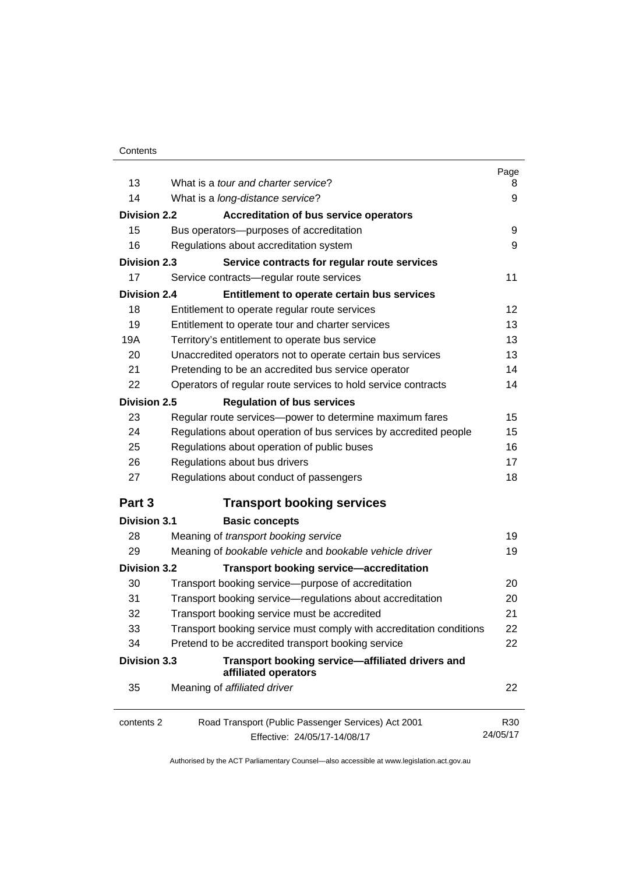| 13                  | What is a tour and charter service?                                                 | Page                        |
|---------------------|-------------------------------------------------------------------------------------|-----------------------------|
| 14                  |                                                                                     | 8<br>9                      |
|                     | What is a long-distance service?                                                    |                             |
| <b>Division 2.2</b> | <b>Accreditation of bus service operators</b>                                       |                             |
| 15                  | Bus operators--- purposes of accreditation                                          | 9                           |
| 16                  | Regulations about accreditation system                                              | 9                           |
| <b>Division 2.3</b> | Service contracts for regular route services                                        |                             |
| 17                  | Service contracts-regular route services                                            | 11                          |
| <b>Division 2.4</b> | Entitlement to operate certain bus services                                         |                             |
| 18                  | Entitlement to operate regular route services                                       | 12                          |
| 19                  | Entitlement to operate tour and charter services                                    | 13                          |
| 19A                 | Territory's entitlement to operate bus service                                      | 13                          |
| 20                  | Unaccredited operators not to operate certain bus services                          | 13                          |
| 21                  | Pretending to be an accredited bus service operator                                 | 14                          |
| 22                  | Operators of regular route services to hold service contracts                       | 14                          |
| Division 2.5        | <b>Regulation of bus services</b>                                                   |                             |
| 23                  | Regular route services-power to determine maximum fares                             | 15                          |
| 24                  | Regulations about operation of bus services by accredited people                    | 15                          |
| 25                  | Regulations about operation of public buses                                         | 16                          |
| 26                  | Regulations about bus drivers                                                       | 17                          |
| 27                  | Regulations about conduct of passengers                                             | 18                          |
| Part 3              | <b>Transport booking services</b>                                                   |                             |
| <b>Division 3.1</b> | <b>Basic concepts</b>                                                               |                             |
| 28                  | Meaning of transport booking service                                                | 19                          |
| 29                  | Meaning of bookable vehicle and bookable vehicle driver                             | 19                          |
| <b>Division 3.2</b> | <b>Transport booking service-accreditation</b>                                      |                             |
| 30                  | Transport booking service-purpose of accreditation                                  | 20                          |
| 31                  | Transport booking service-regulations about accreditation                           | 20                          |
| 32                  | Transport booking service must be accredited                                        | 21                          |
| 33                  | Transport booking service must comply with accreditation conditions                 | 22                          |
| 34                  | Pretend to be accredited transport booking service                                  | 22                          |
| <b>Division 3.3</b> | Transport booking service-affiliated drivers and<br>affiliated operators            |                             |
| 35                  | Meaning of affiliated driver                                                        | 22                          |
| contents 2          | Road Transport (Public Passenger Services) Act 2001<br>Effective: 24/05/17-14/08/17 | R <sub>30</sub><br>24/05/17 |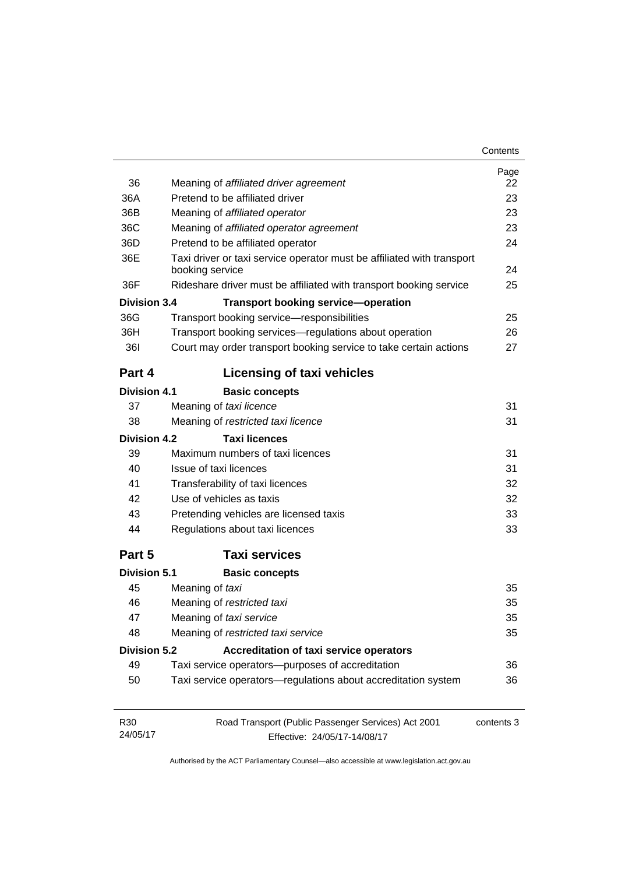| Contents |
|----------|
|----------|

|                     |                                                                                           | Page       |
|---------------------|-------------------------------------------------------------------------------------------|------------|
| 36                  | Meaning of affiliated driver agreement                                                    | 22         |
| 36A                 | Pretend to be affiliated driver                                                           | 23         |
| 36B                 | Meaning of affiliated operator                                                            | 23         |
| 36C                 | Meaning of affiliated operator agreement                                                  | 23         |
| 36D                 | Pretend to be affiliated operator                                                         | 24         |
| 36E                 | Taxi driver or taxi service operator must be affiliated with transport<br>booking service | 24         |
| 36F                 | Rideshare driver must be affiliated with transport booking service                        | 25         |
| Division 3.4        | <b>Transport booking service-operation</b>                                                |            |
| 36G                 | Transport booking service-responsibilities                                                | 25         |
| 36H                 | Transport booking services-regulations about operation                                    | 26         |
| <b>361</b>          | Court may order transport booking service to take certain actions                         | 27         |
| Part 4              | <b>Licensing of taxi vehicles</b>                                                         |            |
| <b>Division 4.1</b> | <b>Basic concepts</b>                                                                     |            |
| 37                  | Meaning of taxi licence                                                                   | 31         |
| 38                  | Meaning of restricted taxi licence                                                        | 31         |
| Division 4.2        | <b>Taxi licences</b>                                                                      |            |
| 39                  | Maximum numbers of taxi licences                                                          | 31         |
| 40                  | Issue of taxi licences                                                                    | 31         |
| 41                  | Transferability of taxi licences                                                          | 32         |
| 42                  | Use of vehicles as taxis                                                                  | 32         |
| 43                  | Pretending vehicles are licensed taxis                                                    | 33         |
| 44                  | Regulations about taxi licences                                                           | 33         |
| Part 5              | <b>Taxi services</b>                                                                      |            |
| <b>Division 5.1</b> | <b>Basic concepts</b>                                                                     |            |
| 45                  | Meaning of taxi                                                                           | 35         |
| 46                  | Meaning of restricted taxi                                                                | 35         |
| 47                  | Meaning of taxi service                                                                   | 35         |
| 48                  | Meaning of restricted taxi service                                                        | 35         |
| <b>Division 5.2</b> | Accreditation of taxi service operators                                                   |            |
| 49                  | Taxi service operators-purposes of accreditation                                          | 36         |
| 50                  | Taxi service operators-regulations about accreditation system                             | 36         |
| R30                 | Road Transport (Public Passenger Services) Act 2001                                       | contents 3 |
| 24/05/17            | Effective: 24/05/17-14/08/17                                                              |            |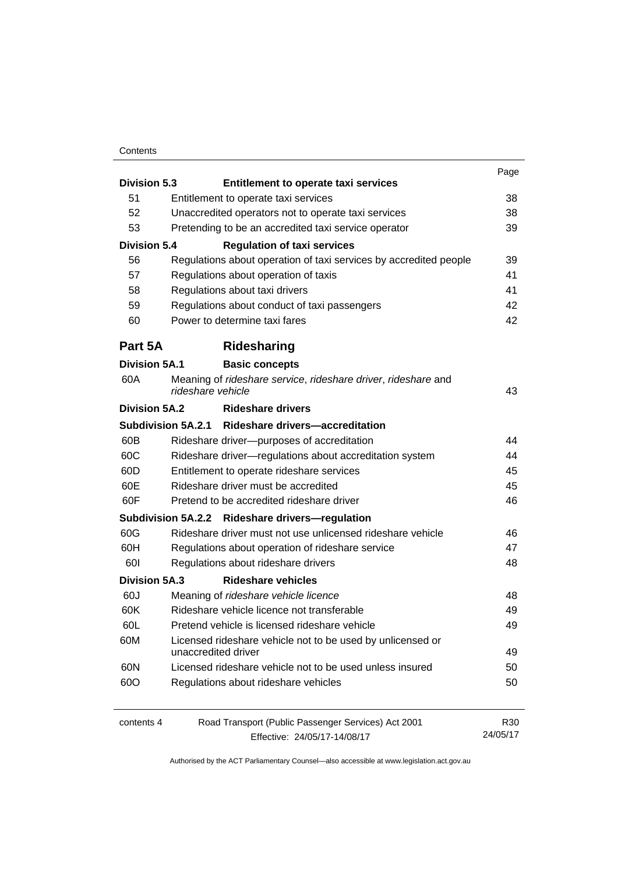#### **Contents**

|                      |                                                                   | Page            |
|----------------------|-------------------------------------------------------------------|-----------------|
| <b>Division 5.3</b>  | <b>Entitlement to operate taxi services</b>                       |                 |
| 51                   | Entitlement to operate taxi services                              | 38              |
| 52                   | Unaccredited operators not to operate taxi services               | 38              |
| 53                   | Pretending to be an accredited taxi service operator              | 39              |
| <b>Division 5.4</b>  | <b>Regulation of taxi services</b>                                |                 |
| 56                   | Regulations about operation of taxi services by accredited people | 39              |
| 57                   | Regulations about operation of taxis                              | 41              |
| 58                   | Regulations about taxi drivers                                    | 41              |
| 59                   | Regulations about conduct of taxi passengers                      | 42              |
| 60                   | Power to determine taxi fares                                     | 42              |
| Part 5A              | Ridesharing                                                       |                 |
| <b>Division 5A.1</b> | <b>Basic concepts</b>                                             |                 |
| 60A                  | Meaning of rideshare service, rideshare driver, rideshare and     |                 |
| Division 5A.2        | rideshare vehicle<br><b>Rideshare drivers</b>                     | 43              |
|                      |                                                                   |                 |
|                      | Subdivision 5A.2.1 Rideshare drivers-accreditation                |                 |
| 60B                  | Rideshare driver--purposes of accreditation                       | 44              |
| 60C                  | Rideshare driver-regulations about accreditation system           | 44              |
| 60D                  | Entitlement to operate rideshare services                         | 45              |
| 60E                  | Rideshare driver must be accredited                               | 45              |
| 60F                  | Pretend to be accredited rideshare driver                         | 46              |
|                      | Subdivision 5A.2.2 Rideshare drivers-regulation                   |                 |
| 60G                  | Rideshare driver must not use unlicensed rideshare vehicle        | 46              |
| 60H                  | Regulations about operation of rideshare service                  | 47              |
| 60I                  | Regulations about rideshare drivers                               | 48              |
| <b>Division 5A.3</b> | <b>Rideshare vehicles</b>                                         |                 |
| 60J                  | Meaning of rideshare vehicle licence                              | 48              |
| 60K                  | Rideshare vehicle licence not transferable                        | 49              |
| 60L                  | Pretend vehicle is licensed rideshare vehicle                     | 49              |
| 60M                  | Licensed rideshare vehicle not to be used by unlicensed or        |                 |
|                      | unaccredited driver                                               | 49              |
| 60N                  | Licensed rideshare vehicle not to be used unless insured          | 50              |
| 60O                  | Regulations about rideshare vehicles                              | 50              |
| contents 4           | Road Transport (Public Passenger Services) Act 2001               | R <sub>30</sub> |
|                      | Effective: 24/05/17-14/08/17                                      | 24/05/17        |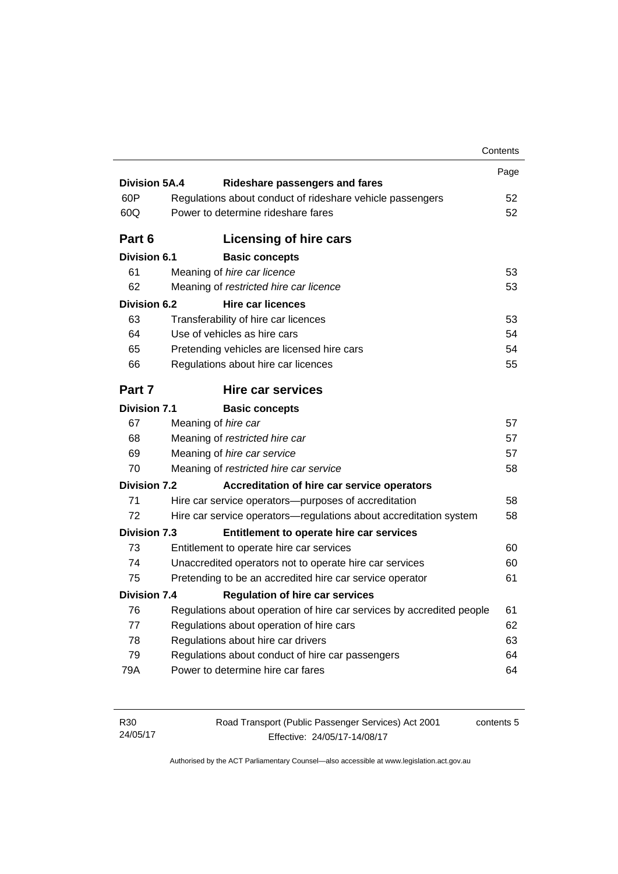|                      |                                                                       | Contents |
|----------------------|-----------------------------------------------------------------------|----------|
|                      |                                                                       | Page     |
| <b>Division 5A.4</b> | Rideshare passengers and fares                                        |          |
| 60P                  | Regulations about conduct of rideshare vehicle passengers             | 52       |
| 60Q                  | Power to determine rideshare fares                                    | 52       |
| Part 6               | Licensing of hire cars                                                |          |
| <b>Division 6.1</b>  | <b>Basic concepts</b>                                                 |          |
| 61                   | Meaning of hire car licence                                           | 53       |
| 62                   | Meaning of restricted hire car licence                                | 53       |
| <b>Division 6.2</b>  | Hire car licences                                                     |          |
| 63                   | Transferability of hire car licences                                  | 53       |
| 64                   | Use of vehicles as hire cars                                          | 54       |
| 65                   | Pretending vehicles are licensed hire cars                            | 54       |
| 66                   | Regulations about hire car licences                                   | 55       |
| Part 7               | <b>Hire car services</b>                                              |          |
| <b>Division 7.1</b>  | <b>Basic concepts</b>                                                 |          |
| 67                   | Meaning of hire car                                                   | 57       |
| 68                   | Meaning of restricted hire car                                        | 57       |
| 69                   | Meaning of hire car service                                           | 57       |
| 70                   | Meaning of restricted hire car service                                | 58       |
| <b>Division 7.2</b>  | Accreditation of hire car service operators                           |          |
| 71                   | Hire car service operators—purposes of accreditation                  | 58       |
| 72                   | Hire car service operators-regulations about accreditation system     | 58       |
| <b>Division 7.3</b>  | Entitlement to operate hire car services                              |          |
| 73                   | Entitlement to operate hire car services                              | 60       |
| 74                   | Unaccredited operators not to operate hire car services               | 60       |
| 75                   | Pretending to be an accredited hire car service operator              | 61       |
| <b>Division 7.4</b>  | <b>Regulation of hire car services</b>                                |          |
|                      | Regulations about operation of hire car services by accredited people | 61       |
| 76                   |                                                                       | 62       |
| 77                   | Regulations about operation of hire cars                              |          |
| 78                   | Regulations about hire car drivers                                    |          |
| 79                   | Regulations about conduct of hire car passengers                      | 63<br>64 |

| R30      | Road Transport (Public Passenger Services) Act 2001 | contents 5 |
|----------|-----------------------------------------------------|------------|
| 24/05/17 | Effective: 24/05/17-14/08/17                        |            |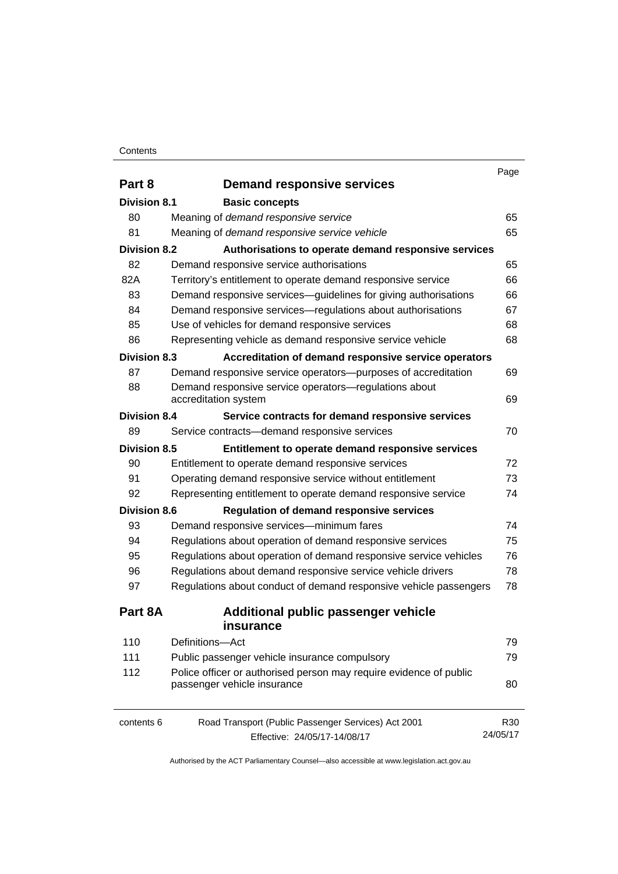#### **Contents**

| Part 8              | <b>Demand responsive services</b>                                  |                 |
|---------------------|--------------------------------------------------------------------|-----------------|
| Division 8.1        | <b>Basic concepts</b>                                              |                 |
| 80                  | Meaning of demand responsive service                               | 65              |
| 81                  | Meaning of demand responsive service vehicle                       | 65              |
| <b>Division 8.2</b> | Authorisations to operate demand responsive services               |                 |
| 82                  | Demand responsive service authorisations                           | 65              |
| 82A                 | Territory's entitlement to operate demand responsive service       | 66              |
| 83                  | Demand responsive services-guidelines for giving authorisations    | 66              |
| 84                  | Demand responsive services—regulations about authorisations        | 67              |
| 85                  | Use of vehicles for demand responsive services                     | 68              |
| 86                  | Representing vehicle as demand responsive service vehicle          | 68              |
| <b>Division 8.3</b> | Accreditation of demand responsive service operators               |                 |
| 87                  | Demand responsive service operators-purposes of accreditation      | 69              |
| 88                  | Demand responsive service operators-regulations about              |                 |
|                     | accreditation system                                               | 69              |
| <b>Division 8.4</b> | Service contracts for demand responsive services                   |                 |
| 89                  | Service contracts-demand responsive services                       | 70              |
| <b>Division 8.5</b> | Entitlement to operate demand responsive services                  |                 |
| 90                  | Entitlement to operate demand responsive services                  | 72              |
| 91                  | Operating demand responsive service without entitlement            | 73              |
| 92                  | Representing entitlement to operate demand responsive service      | 74              |
| <b>Division 8.6</b> | <b>Regulation of demand responsive services</b>                    |                 |
| 93                  | Demand responsive services-minimum fares                           | 74              |
| 94                  | Regulations about operation of demand responsive services          | 75              |
| 95                  | Regulations about operation of demand responsive service vehicles  | 76              |
| 96                  | Regulations about demand responsive service vehicle drivers        | 78              |
| 97                  | Regulations about conduct of demand responsive vehicle passengers  | 78              |
| Part 8A             | <b>Additional public passenger vehicle</b>                         |                 |
|                     | insurance                                                          |                 |
| 110                 | Definitions-Act                                                    | 79              |
| 111                 | Public passenger vehicle insurance compulsory                      | 79              |
| 112                 | Police officer or authorised person may require evidence of public |                 |
|                     | passenger vehicle insurance                                        | 80              |
| contents 6          | Road Transport (Public Passenger Services) Act 2001                | R <sub>30</sub> |
|                     | Effective: 24/05/17-14/08/17                                       | 24/05/17        |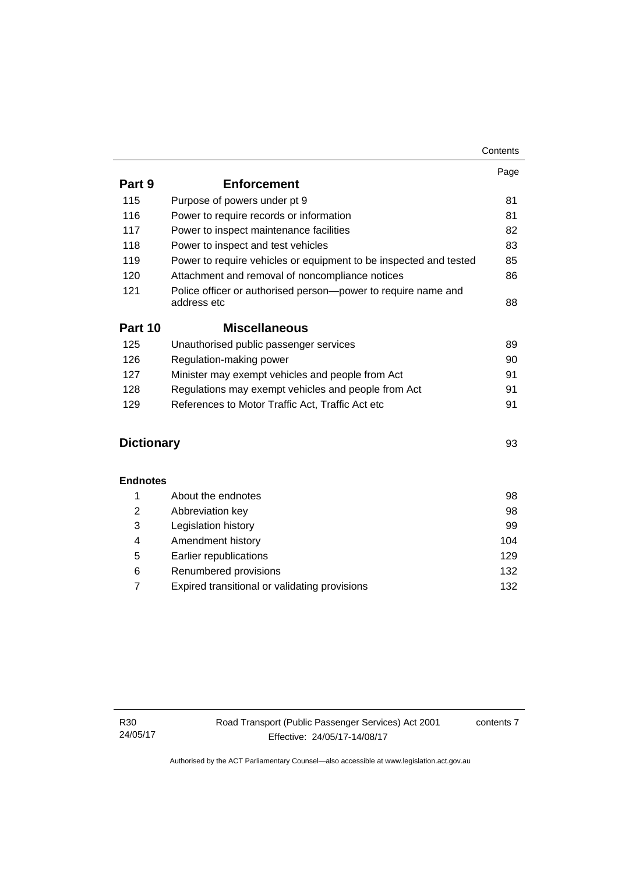|                   |                                                                              | Page |
|-------------------|------------------------------------------------------------------------------|------|
| Part 9            | <b>Enforcement</b>                                                           |      |
| 115               | Purpose of powers under pt 9                                                 | 81   |
| 116               | Power to require records or information                                      | 81   |
| 117               | Power to inspect maintenance facilities                                      | 82   |
| 118               | Power to inspect and test vehicles                                           | 83   |
| 119               | Power to require vehicles or equipment to be inspected and tested            | 85   |
| 120               | Attachment and removal of noncompliance notices                              | 86   |
| 121               | Police officer or authorised person-power to require name and<br>address etc | 88   |
| Part 10           | <b>Miscellaneous</b>                                                         |      |
| 125               | Unauthorised public passenger services                                       | 89   |
| 126               | Regulation-making power                                                      | 90   |
| 127               | Minister may exempt vehicles and people from Act                             | 91   |
| 128               | Regulations may exempt vehicles and people from Act                          | 91   |
| 129               | References to Motor Traffic Act, Traffic Act etc                             | 91   |
| <b>Dictionary</b> |                                                                              | 93   |
| <b>Endnotes</b>   |                                                                              |      |
| 1                 | About the endnotes                                                           | 98   |
| 2                 | Abbreviation key                                                             | 98   |
| 3                 | Legislation history                                                          | 99   |
| 4                 | Amendment history                                                            | 104  |
| 5                 | Earlier republications                                                       | 129  |
| 6                 | Renumbered provisions                                                        | 132  |

7 [Expired transitional or validating provisions 132](#page-141-1)

contents 7

**Contents**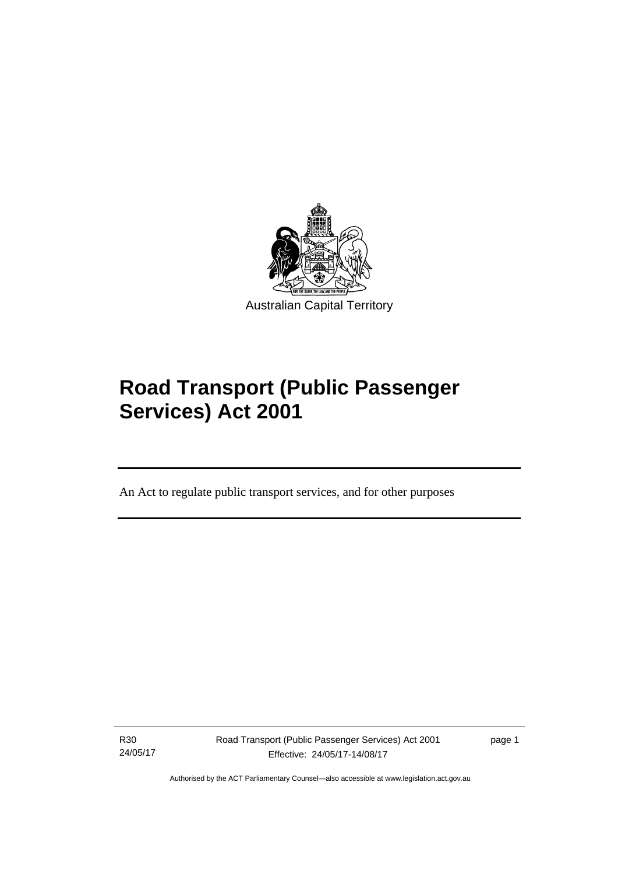

# **Road Transport (Public Passenger Services) Act 2001**

An Act to regulate public transport services, and for other purposes

R30 24/05/17

l

Road Transport (Public Passenger Services) Act 2001 Effective: 24/05/17-14/08/17

page 1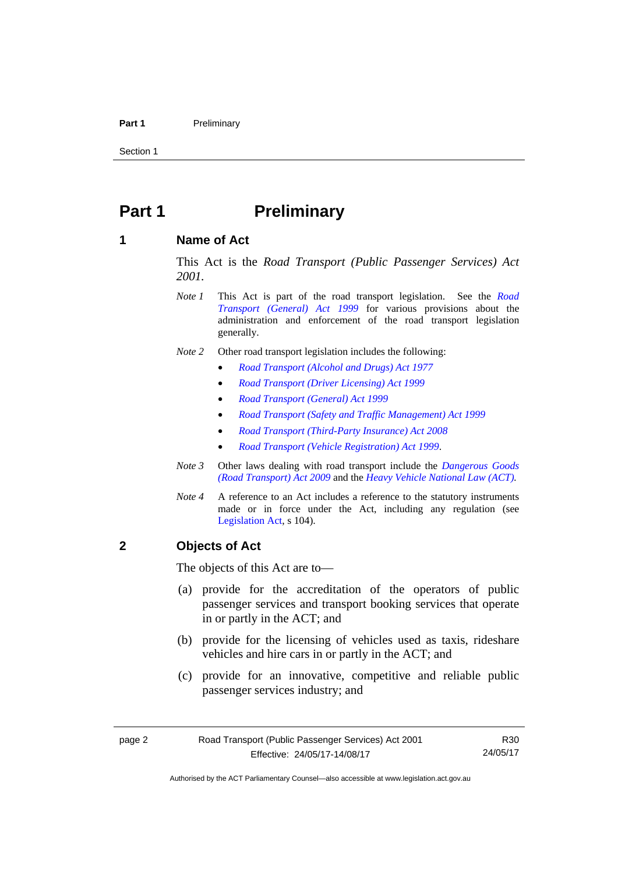#### Part 1 **Preliminary**

Section 1

### <span id="page-11-0"></span>**Part 1** Preliminary

### <span id="page-11-1"></span>**1 Name of Act**

This Act is the *Road Transport (Public Passenger Services) Act 2001.* 

- *Note 1* This Act is part of the road transport legislation. See the *[Road](http://www.legislation.act.gov.au/a/1999-77)  [Transport \(General\) Act 1999](http://www.legislation.act.gov.au/a/1999-77)* for various provisions about the administration and enforcement of the road transport legislation generally.
- *Note 2* Other road transport legislation includes the following:
	- *[Road Transport \(Alcohol and Drugs\) Act 1977](http://www.legislation.act.gov.au/a/1977-17)*
	- *[Road Transport \(Driver Licensing\) Act 1999](http://www.legislation.act.gov.au/a/1999-78)*
	- *[Road Transport \(General\) Act 1999](http://www.legislation.act.gov.au/a/1999-77)*
	- *[Road Transport \(Safety and Traffic Management\) Act 1999](http://www.legislation.act.gov.au/a/1999-80)*
	- *[Road Transport \(Third-Party Insurance\) Act 2008](http://www.legislation.act.gov.au/a/2008-1)*
	- *[Road Transport \(Vehicle Registration\) Act 1999](http://www.legislation.act.gov.au/a/1999-81)*.
- *Note 3* Other laws dealing with road transport include the *[Dangerous Goods](http://www.legislation.act.gov.au/a/2009-34)  [\(Road Transport\) Act 2009](http://www.legislation.act.gov.au/a/2009-34)* and the *[Heavy Vehicle National Law \(ACT\).](http://www.legislation.act.gov.au/a/db_49155/default.asp)*
- *Note 4* A reference to an Act includes a reference to the statutory instruments made or in force under the Act, including any regulation (see [Legislation Act,](http://www.legislation.act.gov.au/a/2001-14) s 104).

### <span id="page-11-2"></span>**2 Objects of Act**

The objects of this Act are to—

- (a) provide for the accreditation of the operators of public passenger services and transport booking services that operate in or partly in the ACT; and
- (b) provide for the licensing of vehicles used as taxis, rideshare vehicles and hire cars in or partly in the ACT; and
- (c) provide for an innovative, competitive and reliable public passenger services industry; and

R30 24/05/17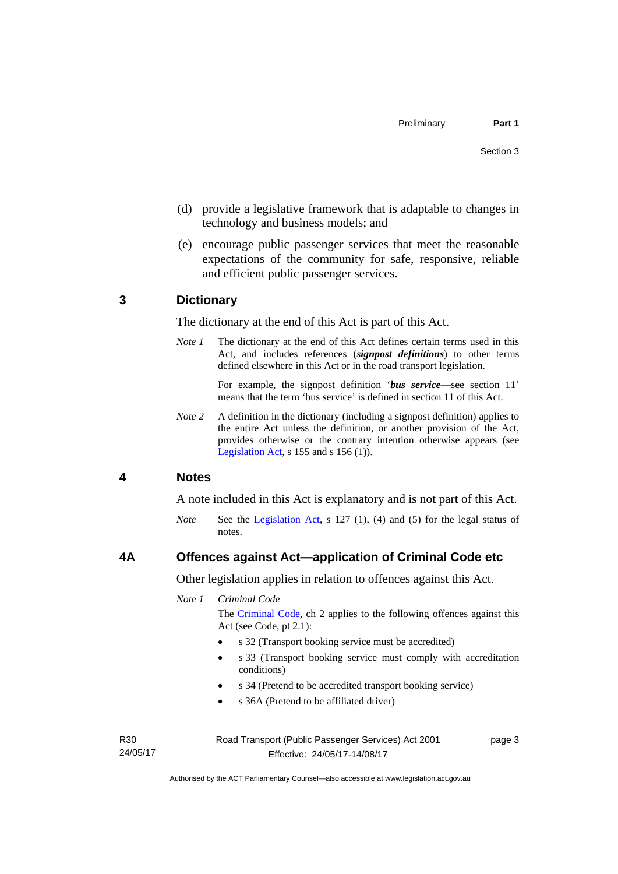- (d) provide a legislative framework that is adaptable to changes in technology and business models; and
- (e) encourage public passenger services that meet the reasonable expectations of the community for safe, responsive, reliable and efficient public passenger services.

### <span id="page-12-0"></span>**3 Dictionary**

The dictionary at the end of this Act is part of this Act.

*Note 1* The dictionary at the end of this Act defines certain terms used in this Act, and includes references (*signpost definitions*) to other terms defined elsewhere in this Act or in the road transport legislation.

> For example, the signpost definition '*bus service*—see section 11' means that the term 'bus service' is defined in section 11 of this Act.

*Note 2* A definition in the dictionary (including a signpost definition) applies to the entire Act unless the definition, or another provision of the Act, provides otherwise or the contrary intention otherwise appears (see [Legislation Act,](http://www.legislation.act.gov.au/a/2001-14) s  $155$  and s  $156$  (1)).

### <span id="page-12-1"></span>**4 Notes**

A note included in this Act is explanatory and is not part of this Act.

*Note* See the [Legislation Act](http://www.legislation.act.gov.au/a/2001-14), s 127 (1), (4) and (5) for the legal status of notes.

### <span id="page-12-2"></span>**4A Offences against Act—application of Criminal Code etc**

Other legislation applies in relation to offences against this Act.

*Note 1 Criminal Code*

The [Criminal Code](http://www.legislation.act.gov.au/a/2002-51), ch 2 applies to the following offences against this Act (see Code, pt 2.1):

- s 32 (Transport booking service must be accredited)
- s 33 (Transport booking service must comply with accreditation conditions)
- s 34 (Pretend to be accredited transport booking service)
- s 36A (Pretend to be affiliated driver)

R30 24/05/17 Road Transport (Public Passenger Services) Act 2001 Effective: 24/05/17-14/08/17

page 3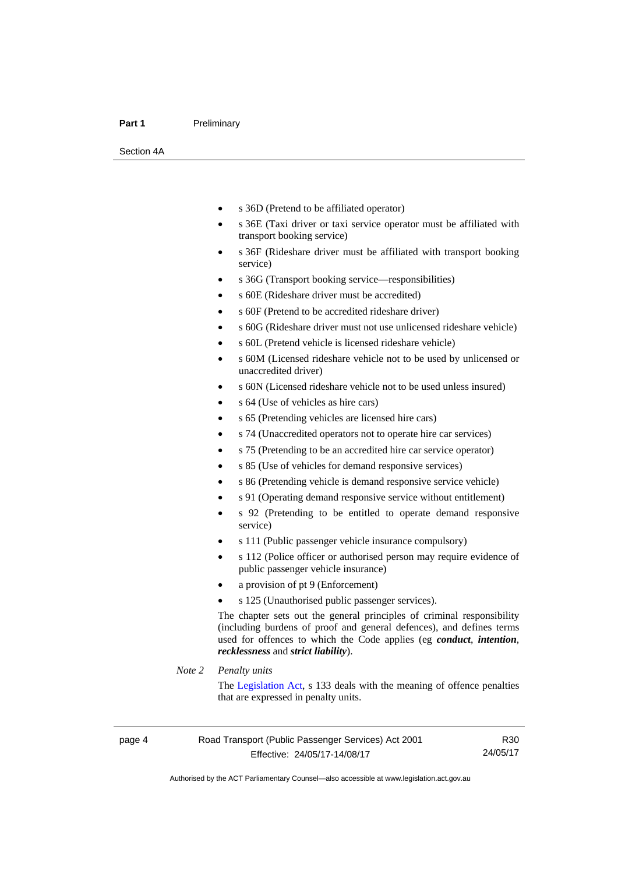#### Part 1 **Preliminary**

Section 4A

- s 36D (Pretend to be affiliated operator)
- s 36E (Taxi driver or taxi service operator must be affiliated with transport booking service)
- s 36F (Rideshare driver must be affiliated with transport booking service)
- s 36G (Transport booking service—responsibilities)
- s 60E (Rideshare driver must be accredited)
- s 60F (Pretend to be accredited rideshare driver)
- s 60G (Rideshare driver must not use unlicensed rideshare vehicle)
- s 60L (Pretend vehicle is licensed rideshare vehicle)
- s 60M (Licensed rideshare vehicle not to be used by unlicensed or unaccredited driver)
- s 60N (Licensed rideshare vehicle not to be used unless insured)
- s 64 (Use of vehicles as hire cars)
- s 65 (Pretending vehicles are licensed hire cars)
- s 74 (Unaccredited operators not to operate hire car services)
- s 75 (Pretending to be an accredited hire car service operator)
- s 85 (Use of vehicles for demand responsive services)
- s 86 (Pretending vehicle is demand responsive service vehicle)
- s 91 (Operating demand responsive service without entitlement)
- s 92 (Pretending to be entitled to operate demand responsive service)
- s 111 (Public passenger vehicle insurance compulsory)
- s 112 (Police officer or authorised person may require evidence of public passenger vehicle insurance)
- a provision of pt 9 (Enforcement)
- s 125 (Unauthorised public passenger services).

The chapter sets out the general principles of criminal responsibility (including burdens of proof and general defences), and defines terms used for offences to which the Code applies (eg *conduct*, *intention*, *recklessness* and *strict liability*).

#### *Note 2 Penalty units*

The [Legislation Act](http://www.legislation.act.gov.au/a/2001-14), s 133 deals with the meaning of offence penalties that are expressed in penalty units.

R30 24/05/17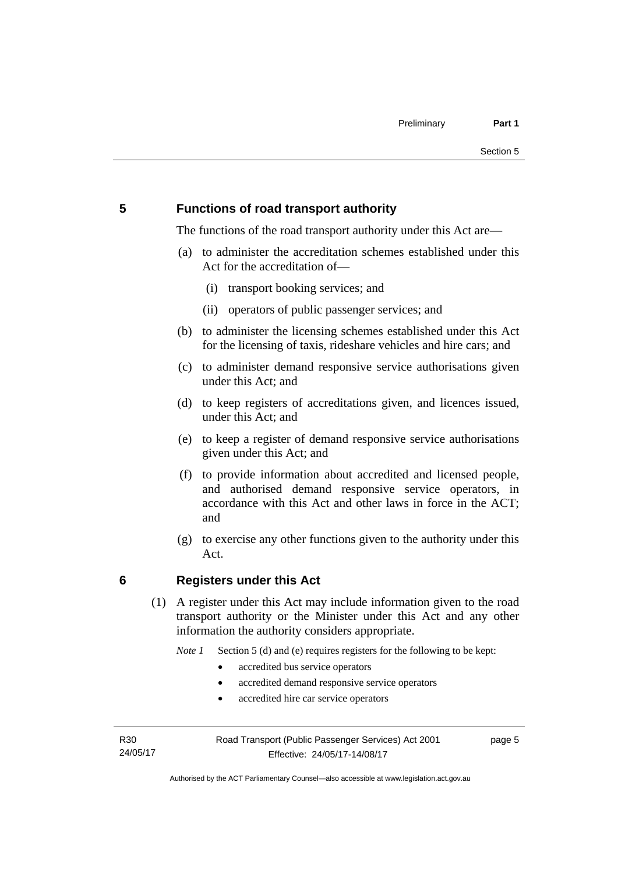### <span id="page-14-0"></span>**5 Functions of road transport authority**

The functions of the road transport authority under this Act are—

- (a) to administer the accreditation schemes established under this Act for the accreditation of—
	- (i) transport booking services; and
	- (ii) operators of public passenger services; and
- (b) to administer the licensing schemes established under this Act for the licensing of taxis, rideshare vehicles and hire cars; and
- (c) to administer demand responsive service authorisations given under this Act; and
- (d) to keep registers of accreditations given, and licences issued, under this Act; and
- (e) to keep a register of demand responsive service authorisations given under this Act; and
- (f) to provide information about accredited and licensed people, and authorised demand responsive service operators, in accordance with this Act and other laws in force in the ACT; and
- (g) to exercise any other functions given to the authority under this Act.

### <span id="page-14-1"></span>**6 Registers under this Act**

(1) A register under this Act may include information given to the road transport authority or the Minister under this Act and any other information the authority considers appropriate.

*Note 1* Section 5 (d) and (e) requires registers for the following to be kept:

- accredited bus service operators
- accredited demand responsive service operators
- accredited hire car service operators

R30 24/05/17 Road Transport (Public Passenger Services) Act 2001 Effective: 24/05/17-14/08/17

page 5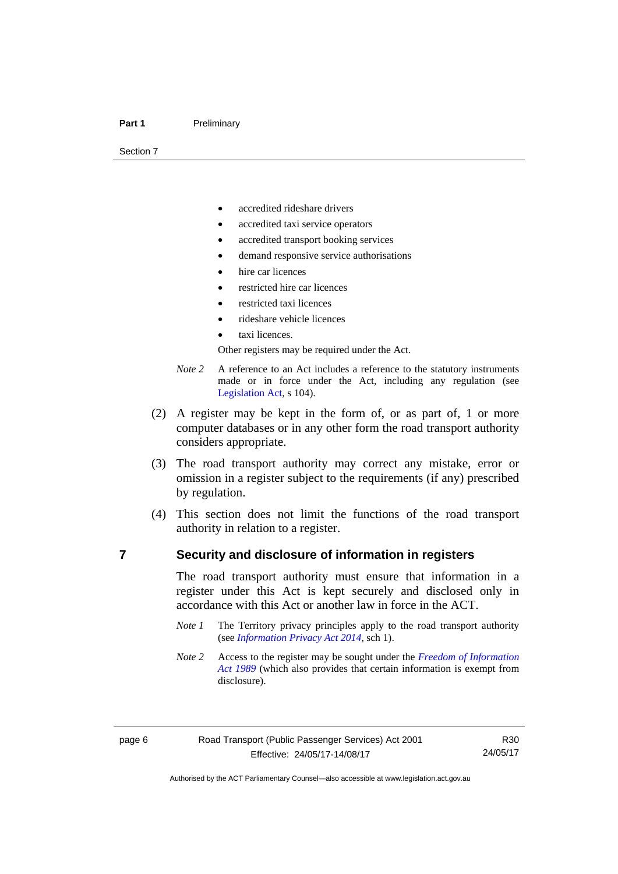#### Part 1 **Preliminary**

Section 7

- accredited rideshare drivers
- accredited taxi service operators
- accredited transport booking services
- demand responsive service authorisations
- hire car licences
- restricted hire car licences
- restricted taxi licences
- rideshare vehicle licences
- taxi licences.

Other registers may be required under the Act.

- *Note 2* A reference to an Act includes a reference to the statutory instruments made or in force under the Act, including any regulation (see [Legislation Act,](http://www.legislation.act.gov.au/a/2001-14) s 104).
- (2) A register may be kept in the form of, or as part of, 1 or more computer databases or in any other form the road transport authority considers appropriate.
- (3) The road transport authority may correct any mistake, error or omission in a register subject to the requirements (if any) prescribed by regulation.
- (4) This section does not limit the functions of the road transport authority in relation to a register.

### <span id="page-15-0"></span>**7 Security and disclosure of information in registers**

The road transport authority must ensure that information in a register under this Act is kept securely and disclosed only in accordance with this Act or another law in force in the ACT.

- *Note 1* The Territory privacy principles apply to the road transport authority (see *[Information Privacy Act 2014](http://www.legislation.act.gov.au/a/2014-24/default.asp)*, sch 1).
- *Note 2* Access to the register may be sought under the *[Freedom of Information](http://www.legislation.act.gov.au/a/alt_a1989-46co)  [Act 1989](http://www.legislation.act.gov.au/a/alt_a1989-46co)* (which also provides that certain information is exempt from disclosure).

R30 24/05/17

Authorised by the ACT Parliamentary Counsel—also accessible at www.legislation.act.gov.au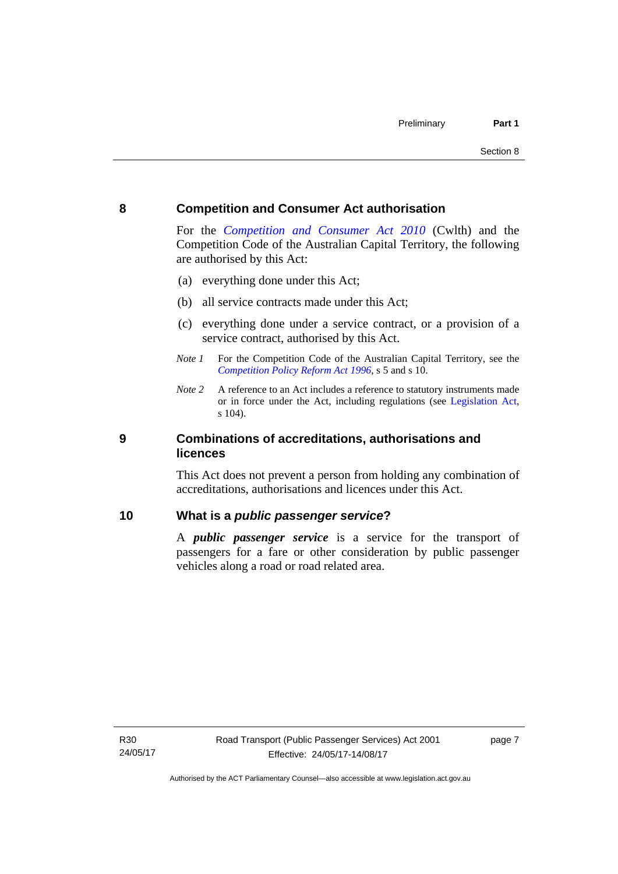### <span id="page-16-0"></span>**8 Competition and Consumer Act authorisation**

For the *[Competition and Consumer Act 2010](http://www.comlaw.gov.au/Details/C2013C00004)* (Cwlth) and the Competition Code of the Australian Capital Territory, the following are authorised by this Act:

- (a) everything done under this Act;
- (b) all service contracts made under this Act;
- (c) everything done under a service contract, or a provision of a service contract, authorised by this Act.
- *Note 1* For the Competition Code of the Australian Capital Territory, see the *[Competition Policy Reform Act 1996](http://www.legislation.act.gov.au/a/1996-21)*, s 5 and s 10.
- *Note 2* A reference to an Act includes a reference to statutory instruments made or in force under the Act, including regulations (see [Legislation Act,](http://www.legislation.act.gov.au/a/2001-14) s 104).

### <span id="page-16-1"></span>**9 Combinations of accreditations, authorisations and licences**

This Act does not prevent a person from holding any combination of accreditations, authorisations and licences under this Act.

### <span id="page-16-2"></span>**10 What is a** *public passenger service***?**

A *public passenger service* is a service for the transport of passengers for a fare or other consideration by public passenger vehicles along a road or road related area.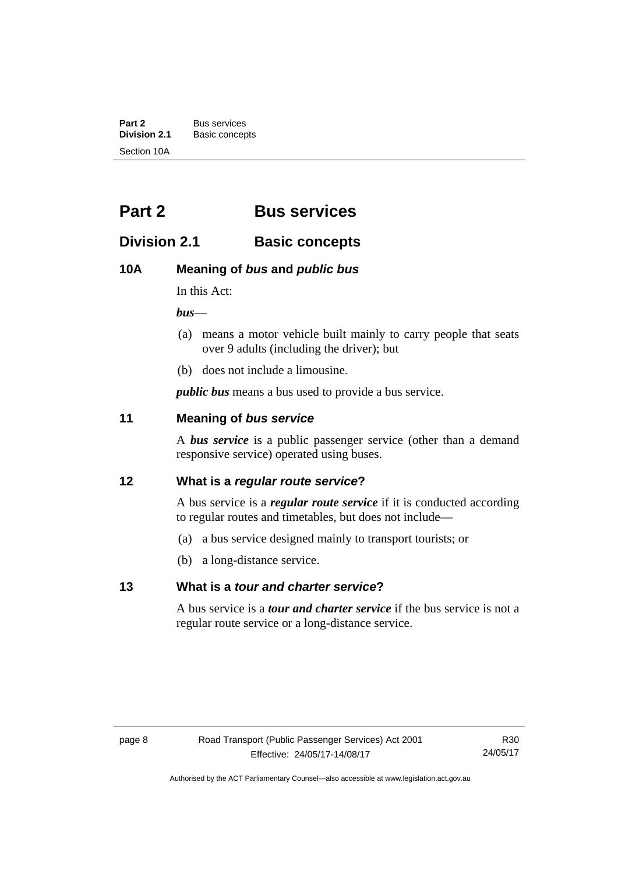**Part 2** Bus services<br> **Division 2.1** Basic concer **Division 2.1** Basic concepts Section 10A

## <span id="page-17-0"></span>**Part 2 Bus services**

### <span id="page-17-1"></span>**Division 2.1 Basic concepts**

### <span id="page-17-2"></span>**10A Meaning of** *bus* **and** *public bus*

In this Act:

*bus*—

- (a) means a motor vehicle built mainly to carry people that seats over 9 adults (including the driver); but
- (b) does not include a limousine.

*public bus* means a bus used to provide a bus service.

### <span id="page-17-3"></span>**11 Meaning of** *bus service*

A *bus service* is a public passenger service (other than a demand responsive service) operated using buses.

### <span id="page-17-4"></span>**12 What is a** *regular route service***?**

A bus service is a *regular route service* if it is conducted according to regular routes and timetables, but does not include—

- (a) a bus service designed mainly to transport tourists; or
- (b) a long-distance service.

### <span id="page-17-5"></span>**13 What is a** *tour and charter service***?**

A bus service is a *tour and charter service* if the bus service is not a regular route service or a long-distance service.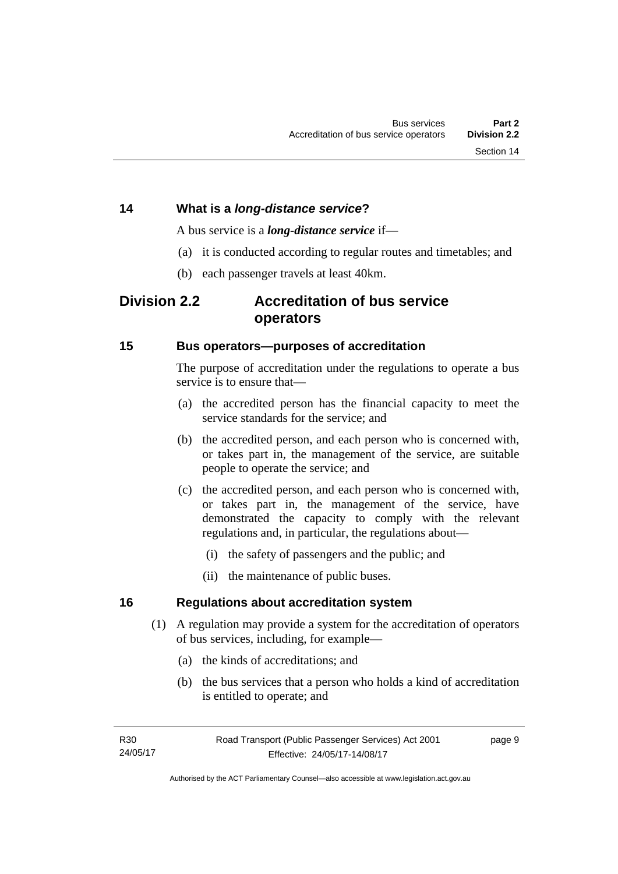### <span id="page-18-0"></span>**14 What is a** *long-distance service***?**

A bus service is a *long-distance service* if—

- (a) it is conducted according to regular routes and timetables; and
- (b) each passenger travels at least 40km.

### <span id="page-18-1"></span>**Division 2.2 Accreditation of bus service operators**

### <span id="page-18-2"></span>**15 Bus operators—purposes of accreditation**

The purpose of accreditation under the regulations to operate a bus service is to ensure that-

- (a) the accredited person has the financial capacity to meet the service standards for the service; and
- (b) the accredited person, and each person who is concerned with, or takes part in, the management of the service, are suitable people to operate the service; and
- (c) the accredited person, and each person who is concerned with, or takes part in, the management of the service, have demonstrated the capacity to comply with the relevant regulations and, in particular, the regulations about—
	- (i) the safety of passengers and the public; and
	- (ii) the maintenance of public buses.

### <span id="page-18-3"></span>**16 Regulations about accreditation system**

- (1) A regulation may provide a system for the accreditation of operators of bus services, including, for example—
	- (a) the kinds of accreditations; and
	- (b) the bus services that a person who holds a kind of accreditation is entitled to operate; and

page 9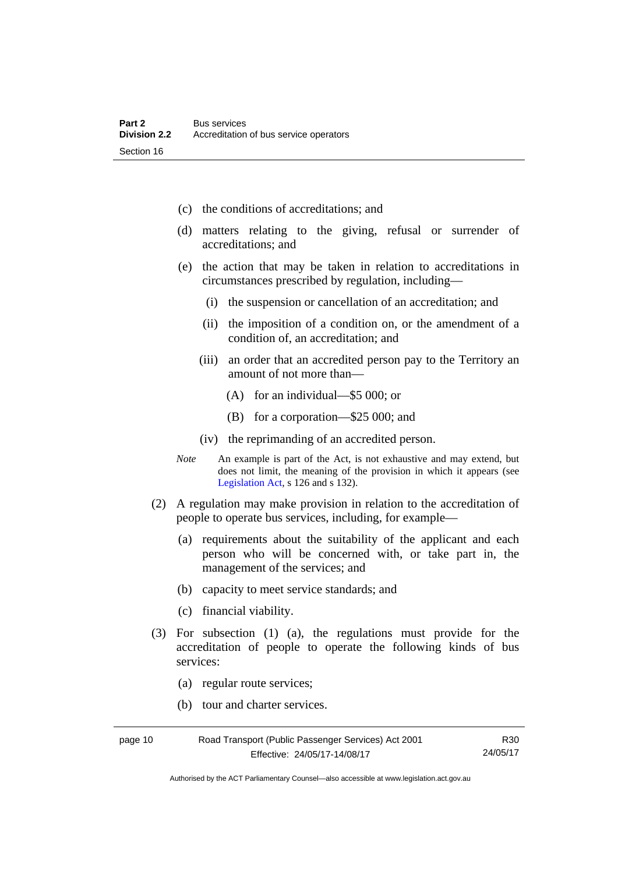- (c) the conditions of accreditations; and
- (d) matters relating to the giving, refusal or surrender of accreditations; and
- (e) the action that may be taken in relation to accreditations in circumstances prescribed by regulation, including—
	- (i) the suspension or cancellation of an accreditation; and
	- (ii) the imposition of a condition on, or the amendment of a condition of, an accreditation; and
	- (iii) an order that an accredited person pay to the Territory an amount of not more than—
		- (A) for an individual—\$5 000; or
		- (B) for a corporation—\$25 000; and
	- (iv) the reprimanding of an accredited person.
- *Note* An example is part of the Act, is not exhaustive and may extend, but does not limit, the meaning of the provision in which it appears (see [Legislation Act,](http://www.legislation.act.gov.au/a/2001-14) s 126 and s 132).
- (2) A regulation may make provision in relation to the accreditation of people to operate bus services, including, for example—
	- (a) requirements about the suitability of the applicant and each person who will be concerned with, or take part in, the management of the services; and
	- (b) capacity to meet service standards; and
	- (c) financial viability.
- (3) For subsection (1) (a), the regulations must provide for the accreditation of people to operate the following kinds of bus services:
	- (a) regular route services;
	- (b) tour and charter services.

| page 10 | Road Transport (Public Passenger Services) Act 2001 | R <sub>30</sub> |
|---------|-----------------------------------------------------|-----------------|
|         | Effective: 24/05/17-14/08/17                        | 24/05/17        |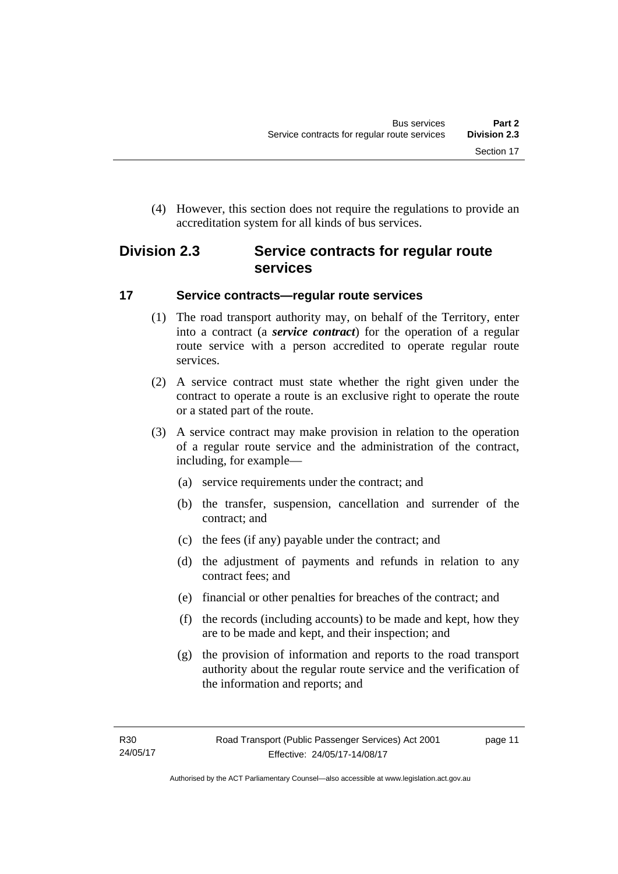(4) However, this section does not require the regulations to provide an accreditation system for all kinds of bus services.

### <span id="page-20-0"></span>**Division 2.3 Service contracts for regular route services**

### <span id="page-20-1"></span>**17 Service contracts—regular route services**

- (1) The road transport authority may, on behalf of the Territory, enter into a contract (a *service contract*) for the operation of a regular route service with a person accredited to operate regular route services.
- (2) A service contract must state whether the right given under the contract to operate a route is an exclusive right to operate the route or a stated part of the route.
- (3) A service contract may make provision in relation to the operation of a regular route service and the administration of the contract, including, for example—
	- (a) service requirements under the contract; and
	- (b) the transfer, suspension, cancellation and surrender of the contract; and
	- (c) the fees (if any) payable under the contract; and
	- (d) the adjustment of payments and refunds in relation to any contract fees; and
	- (e) financial or other penalties for breaches of the contract; and
	- (f) the records (including accounts) to be made and kept, how they are to be made and kept, and their inspection; and
	- (g) the provision of information and reports to the road transport authority about the regular route service and the verification of the information and reports; and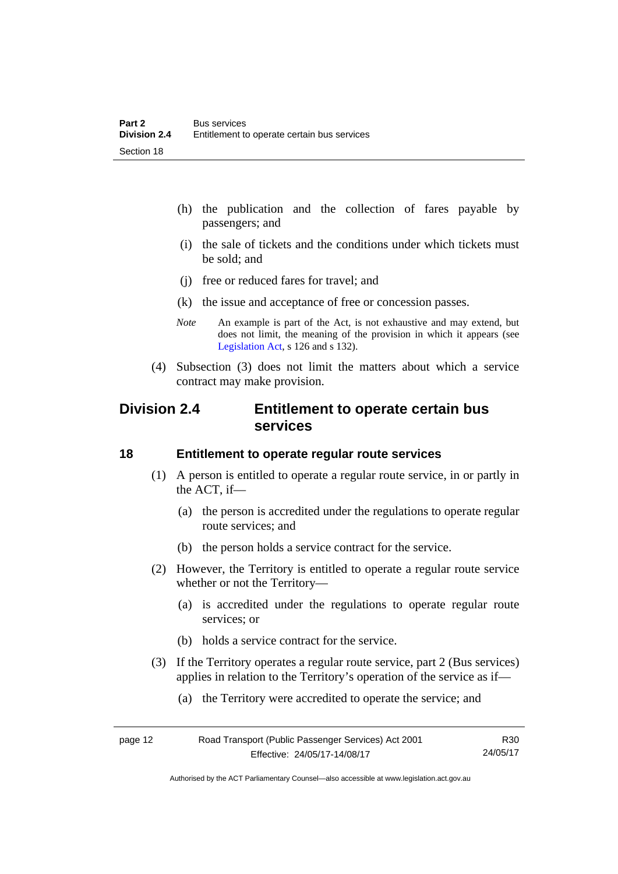- (h) the publication and the collection of fares payable by passengers; and
- (i) the sale of tickets and the conditions under which tickets must be sold; and
- (j) free or reduced fares for travel; and
- (k) the issue and acceptance of free or concession passes.
- *Note* An example is part of the Act, is not exhaustive and may extend, but does not limit, the meaning of the provision in which it appears (see [Legislation Act,](http://www.legislation.act.gov.au/a/2001-14) s 126 and s 132).
- (4) Subsection (3) does not limit the matters about which a service contract may make provision.

### <span id="page-21-0"></span>**Division 2.4 Entitlement to operate certain bus services**

### <span id="page-21-1"></span>**18 Entitlement to operate regular route services**

- (1) A person is entitled to operate a regular route service, in or partly in the ACT, if—
	- (a) the person is accredited under the regulations to operate regular route services; and
	- (b) the person holds a service contract for the service.
- (2) However, the Territory is entitled to operate a regular route service whether or not the Territory—
	- (a) is accredited under the regulations to operate regular route services; or
	- (b) holds a service contract for the service.
- (3) If the Territory operates a regular route service, part 2 (Bus services) applies in relation to the Territory's operation of the service as if—
	- (a) the Territory were accredited to operate the service; and

| page 12 | Road Transport (Public Passenger Services) Act 2001 | R30      |
|---------|-----------------------------------------------------|----------|
|         | Effective: 24/05/17-14/08/17                        | 24/05/17 |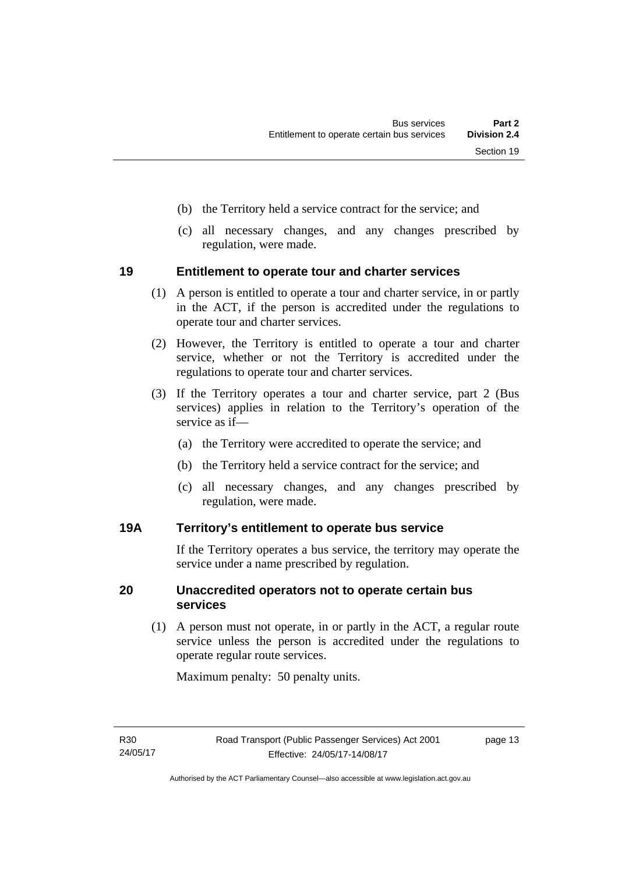- (b) the Territory held a service contract for the service; and
- (c) all necessary changes, and any changes prescribed by regulation, were made.

### <span id="page-22-0"></span>**19 Entitlement to operate tour and charter services**

- (1) A person is entitled to operate a tour and charter service, in or partly in the ACT, if the person is accredited under the regulations to operate tour and charter services.
- (2) However, the Territory is entitled to operate a tour and charter service, whether or not the Territory is accredited under the regulations to operate tour and charter services.
- (3) If the Territory operates a tour and charter service, part 2 (Bus services) applies in relation to the Territory's operation of the service as if—
	- (a) the Territory were accredited to operate the service; and
	- (b) the Territory held a service contract for the service; and
	- (c) all necessary changes, and any changes prescribed by regulation, were made.

### <span id="page-22-1"></span>**19A Territory's entitlement to operate bus service**

If the Territory operates a bus service, the territory may operate the service under a name prescribed by regulation.

### <span id="page-22-2"></span>**20 Unaccredited operators not to operate certain bus services**

(1) A person must not operate, in or partly in the ACT, a regular route service unless the person is accredited under the regulations to operate regular route services.

Maximum penalty: 50 penalty units.

page 13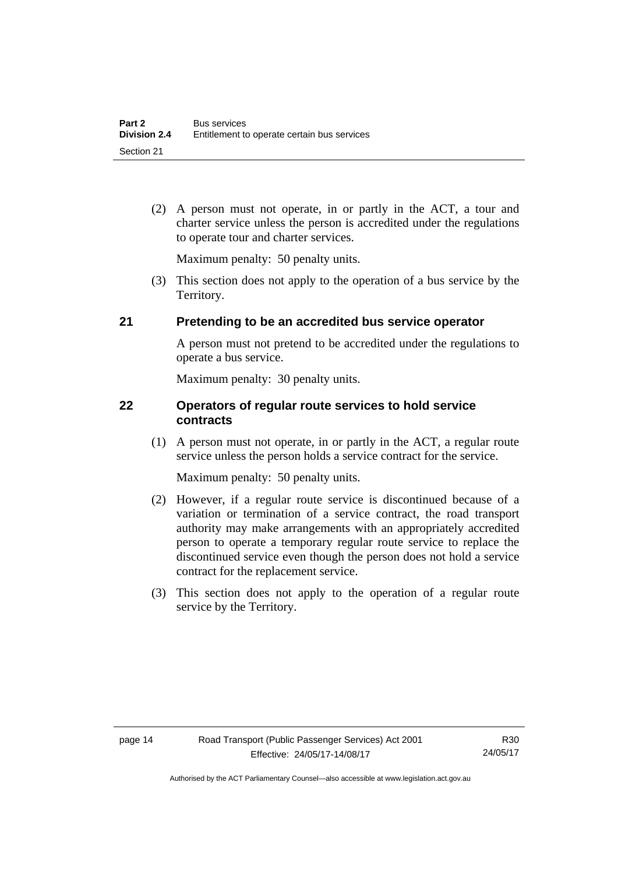(2) A person must not operate, in or partly in the ACT, a tour and charter service unless the person is accredited under the regulations to operate tour and charter services.

Maximum penalty: 50 penalty units.

 (3) This section does not apply to the operation of a bus service by the Territory.

### <span id="page-23-0"></span>**21 Pretending to be an accredited bus service operator**

A person must not pretend to be accredited under the regulations to operate a bus service.

Maximum penalty: 30 penalty units.

### <span id="page-23-1"></span>**22 Operators of regular route services to hold service contracts**

(1) A person must not operate, in or partly in the ACT, a regular route service unless the person holds a service contract for the service.

Maximum penalty: 50 penalty units.

- (2) However, if a regular route service is discontinued because of a variation or termination of a service contract, the road transport authority may make arrangements with an appropriately accredited person to operate a temporary regular route service to replace the discontinued service even though the person does not hold a service contract for the replacement service.
- (3) This section does not apply to the operation of a regular route service by the Territory.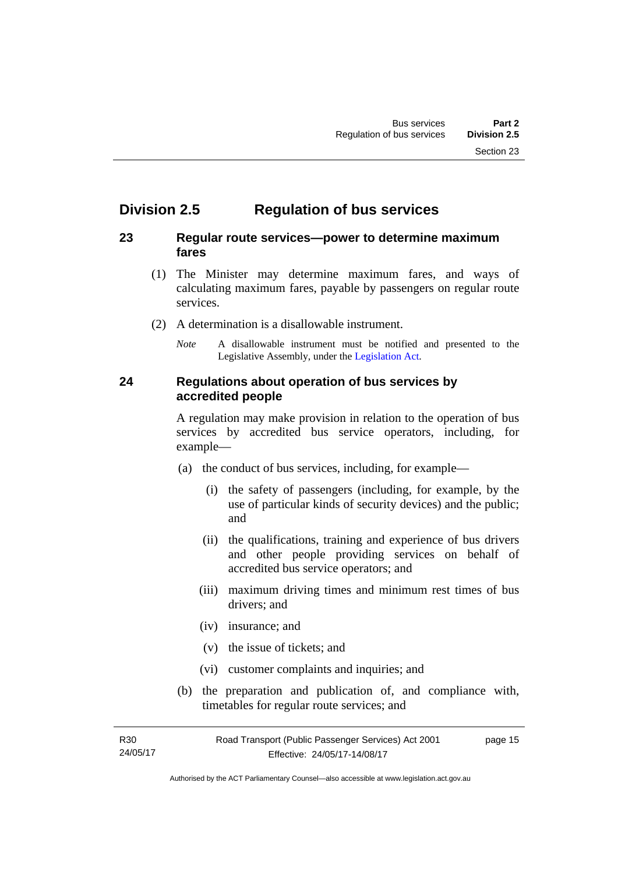### <span id="page-24-0"></span>**Division 2.5 Regulation of bus services**

### <span id="page-24-1"></span>**23 Regular route services—power to determine maximum fares**

- (1) The Minister may determine maximum fares, and ways of calculating maximum fares, payable by passengers on regular route services.
- (2) A determination is a disallowable instrument.
	- *Note* A disallowable instrument must be notified and presented to the Legislative Assembly, under the [Legislation Act.](http://www.legislation.act.gov.au/a/2001-14)

### <span id="page-24-2"></span>**24 Regulations about operation of bus services by accredited people**

A regulation may make provision in relation to the operation of bus services by accredited bus service operators, including, for example—

- (a) the conduct of bus services, including, for example—
	- (i) the safety of passengers (including, for example, by the use of particular kinds of security devices) and the public; and
	- (ii) the qualifications, training and experience of bus drivers and other people providing services on behalf of accredited bus service operators; and
	- (iii) maximum driving times and minimum rest times of bus drivers; and
	- (iv) insurance; and
	- (v) the issue of tickets; and
	- (vi) customer complaints and inquiries; and
- (b) the preparation and publication of, and compliance with, timetables for regular route services; and

R30 24/05/17 page 15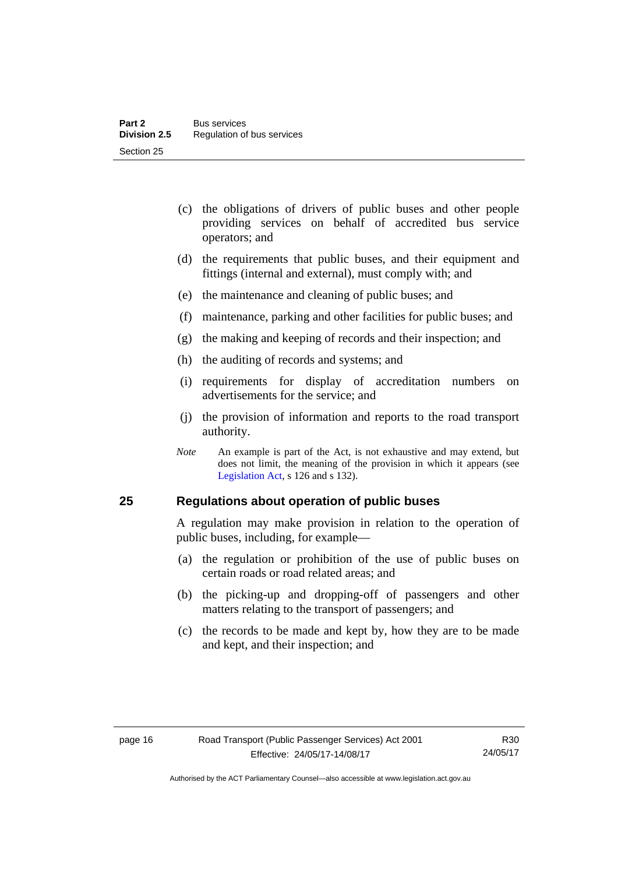- (c) the obligations of drivers of public buses and other people providing services on behalf of accredited bus service operators; and
- (d) the requirements that public buses, and their equipment and fittings (internal and external), must comply with; and
- (e) the maintenance and cleaning of public buses; and
- (f) maintenance, parking and other facilities for public buses; and
- (g) the making and keeping of records and their inspection; and
- (h) the auditing of records and systems; and
- (i) requirements for display of accreditation numbers on advertisements for the service; and
- (j) the provision of information and reports to the road transport authority.
- *Note* An example is part of the Act, is not exhaustive and may extend, but does not limit, the meaning of the provision in which it appears (see [Legislation Act,](http://www.legislation.act.gov.au/a/2001-14) s 126 and s 132).

### <span id="page-25-0"></span>**25 Regulations about operation of public buses**

A regulation may make provision in relation to the operation of public buses, including, for example—

- (a) the regulation or prohibition of the use of public buses on certain roads or road related areas; and
- (b) the picking-up and dropping-off of passengers and other matters relating to the transport of passengers; and
- (c) the records to be made and kept by, how they are to be made and kept, and their inspection; and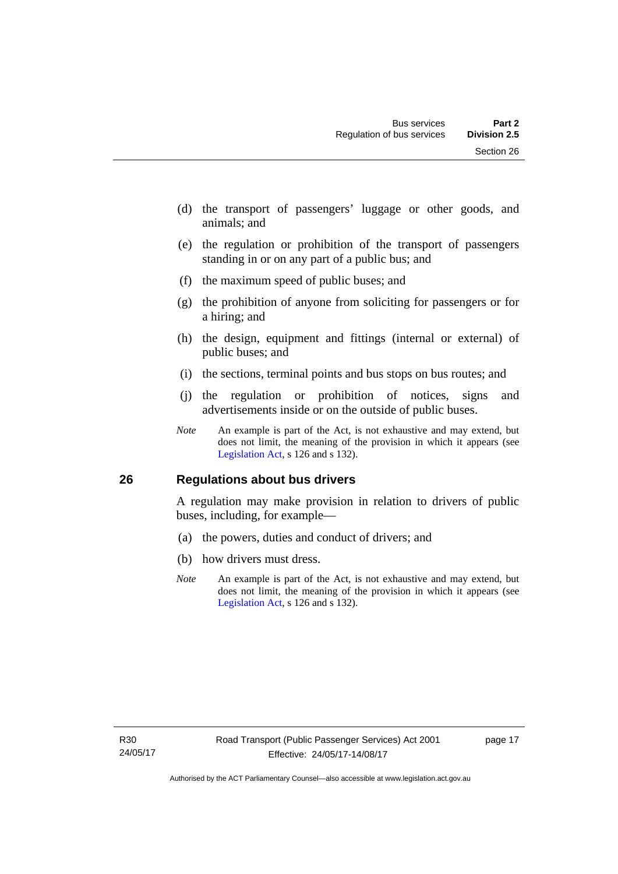- (d) the transport of passengers' luggage or other goods, and animals; and
- (e) the regulation or prohibition of the transport of passengers standing in or on any part of a public bus; and
- (f) the maximum speed of public buses; and
- (g) the prohibition of anyone from soliciting for passengers or for a hiring; and
- (h) the design, equipment and fittings (internal or external) of public buses; and
- (i) the sections, terminal points and bus stops on bus routes; and
- (j) the regulation or prohibition of notices, signs and advertisements inside or on the outside of public buses.
- *Note* An example is part of the Act, is not exhaustive and may extend, but does not limit, the meaning of the provision in which it appears (see [Legislation Act,](http://www.legislation.act.gov.au/a/2001-14) s 126 and s 132).

### <span id="page-26-0"></span>**26 Regulations about bus drivers**

A regulation may make provision in relation to drivers of public buses, including, for example—

- (a) the powers, duties and conduct of drivers; and
- (b) how drivers must dress.
- *Note* An example is part of the Act, is not exhaustive and may extend, but does not limit, the meaning of the provision in which it appears (see [Legislation Act,](http://www.legislation.act.gov.au/a/2001-14) s 126 and s 132).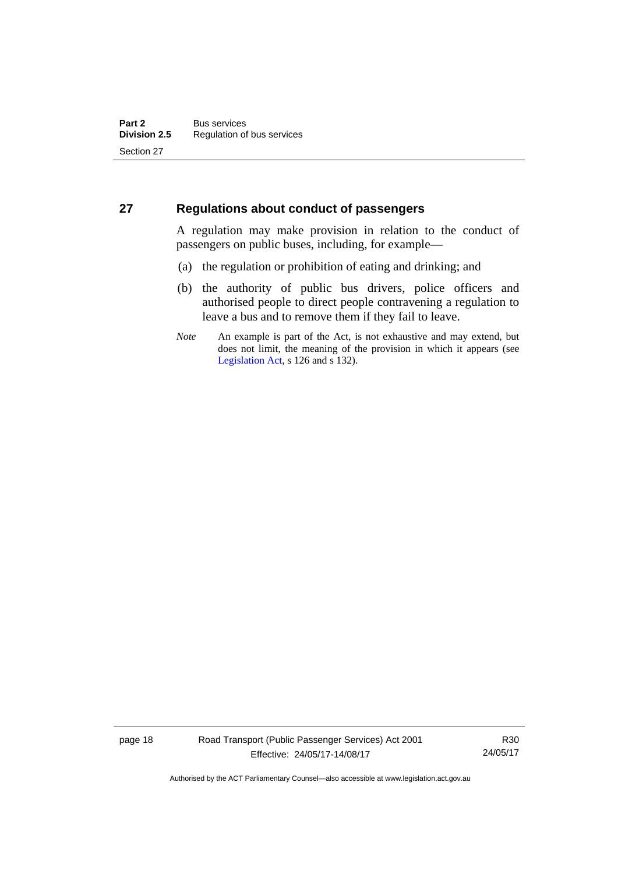### <span id="page-27-0"></span>**27 Regulations about conduct of passengers**

A regulation may make provision in relation to the conduct of passengers on public buses, including, for example—

- (a) the regulation or prohibition of eating and drinking; and
- (b) the authority of public bus drivers, police officers and authorised people to direct people contravening a regulation to leave a bus and to remove them if they fail to leave.
- *Note* An example is part of the Act, is not exhaustive and may extend, but does not limit, the meaning of the provision in which it appears (see [Legislation Act,](http://www.legislation.act.gov.au/a/2001-14) s 126 and s 132).

page 18 Road Transport (Public Passenger Services) Act 2001 Effective: 24/05/17-14/08/17

R30 24/05/17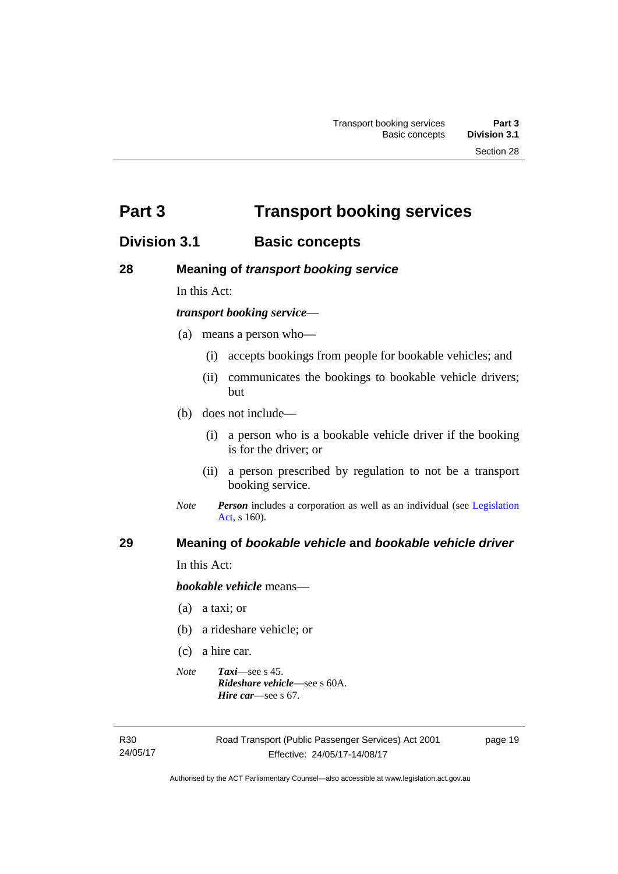<span id="page-28-0"></span>**Part 3 Transport booking services** 

### <span id="page-28-1"></span>**Division 3.1 Basic concepts**

### <span id="page-28-2"></span>**28 Meaning of** *transport booking service*

In this Act:

### *transport booking service*—

- (a) means a person who—
	- (i) accepts bookings from people for bookable vehicles; and
	- (ii) communicates the bookings to bookable vehicle drivers; but
- (b) does not include—
	- (i) a person who is a bookable vehicle driver if the booking is for the driver; or
	- (ii) a person prescribed by regulation to not be a transport booking service.
- *Note Person* includes a corporation as well as an individual (see [Legislation](http://www.legislation.act.gov.au/a/2001-14)  [Act](http://www.legislation.act.gov.au/a/2001-14), s 160).

### <span id="page-28-3"></span>**29 Meaning of** *bookable vehicle* **and** *bookable vehicle driver*

In this Act:

*bookable vehicle* means—

- (a) a taxi; or
- (b) a rideshare vehicle; or
- (c) a hire car.
- *Note Taxi*—see s 45. *Rideshare vehicle*—see s 60A. *Hire car*—see s 67.

R30 24/05/17 page 19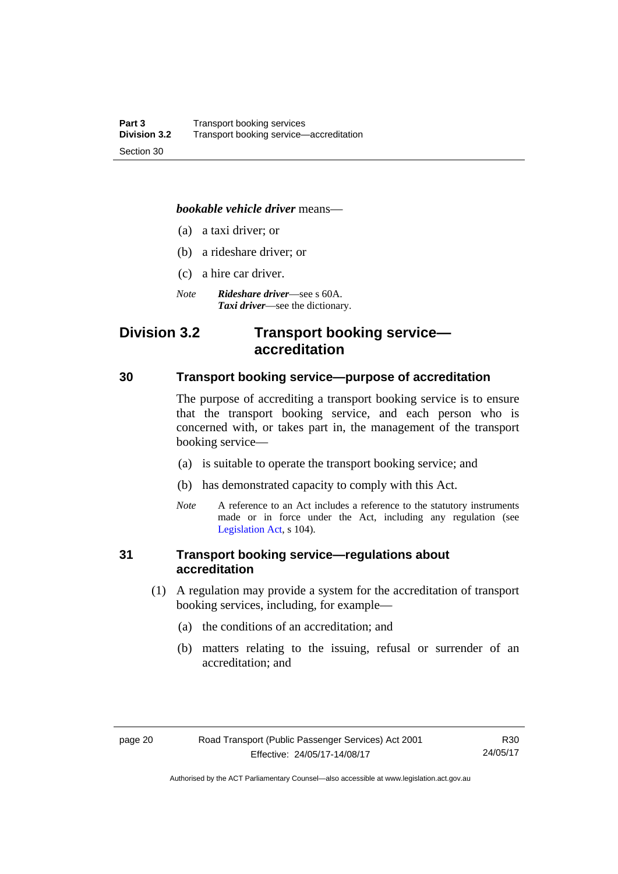### *bookable vehicle driver* means—

- (a) a taxi driver; or
- (b) a rideshare driver; or
- (c) a hire car driver.
- *Note Rideshare driver*—see s 60A. *Taxi driver*—see the dictionary.

### <span id="page-29-0"></span>**Division 3.2 Transport booking service accreditation**

### <span id="page-29-1"></span>**30 Transport booking service—purpose of accreditation**

The purpose of accrediting a transport booking service is to ensure that the transport booking service, and each person who is concerned with, or takes part in, the management of the transport booking service—

- (a) is suitable to operate the transport booking service; and
- (b) has demonstrated capacity to comply with this Act.
- *Note* A reference to an Act includes a reference to the statutory instruments made or in force under the Act, including any regulation (see [Legislation Act,](http://www.legislation.act.gov.au/a/2001-14) s 104).

### <span id="page-29-2"></span>**31 Transport booking service—regulations about accreditation**

- (1) A regulation may provide a system for the accreditation of transport booking services, including, for example—
	- (a) the conditions of an accreditation; and
	- (b) matters relating to the issuing, refusal or surrender of an accreditation; and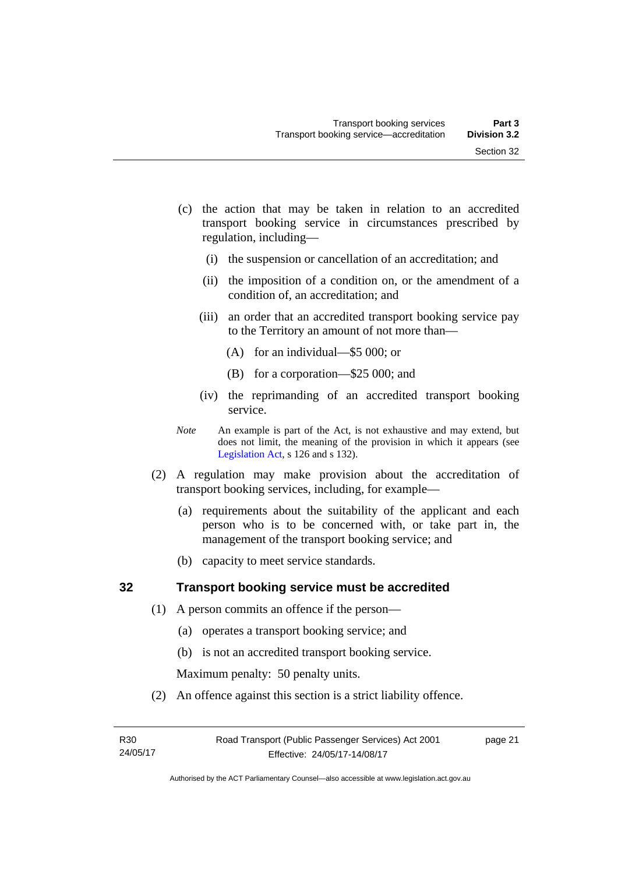- (c) the action that may be taken in relation to an accredited transport booking service in circumstances prescribed by regulation, including—
	- (i) the suspension or cancellation of an accreditation; and
	- (ii) the imposition of a condition on, or the amendment of a condition of, an accreditation; and
	- (iii) an order that an accredited transport booking service pay to the Territory an amount of not more than—
		- (A) for an individual—\$5 000; or
		- (B) for a corporation—\$25 000; and
	- (iv) the reprimanding of an accredited transport booking service.
- *Note* An example is part of the Act, is not exhaustive and may extend, but does not limit, the meaning of the provision in which it appears (see [Legislation Act,](http://www.legislation.act.gov.au/a/2001-14) s 126 and s 132).
- (2) A regulation may make provision about the accreditation of transport booking services, including, for example—
	- (a) requirements about the suitability of the applicant and each person who is to be concerned with, or take part in, the management of the transport booking service; and
	- (b) capacity to meet service standards.

### <span id="page-30-0"></span>**32 Transport booking service must be accredited**

- (1) A person commits an offence if the person—
	- (a) operates a transport booking service; and
	- (b) is not an accredited transport booking service.

Maximum penalty: 50 penalty units.

(2) An offence against this section is a strict liability offence.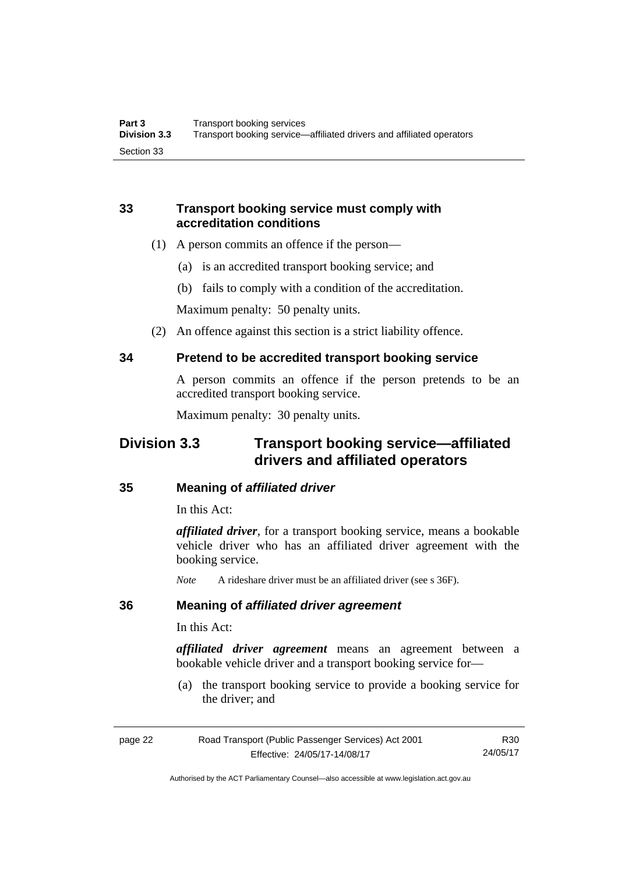### <span id="page-31-0"></span>**33 Transport booking service must comply with accreditation conditions**

- (1) A person commits an offence if the person—
	- (a) is an accredited transport booking service; and
	- (b) fails to comply with a condition of the accreditation.

Maximum penalty: 50 penalty units.

(2) An offence against this section is a strict liability offence.

### <span id="page-31-1"></span>**34 Pretend to be accredited transport booking service**

A person commits an offence if the person pretends to be an accredited transport booking service.

Maximum penalty: 30 penalty units.

### <span id="page-31-2"></span>**Division 3.3 Transport booking service—affiliated drivers and affiliated operators**

### <span id="page-31-3"></span>**35 Meaning of** *affiliated driver*

In this Act:

*affiliated driver*, for a transport booking service, means a bookable vehicle driver who has an affiliated driver agreement with the booking service.

*Note* A rideshare driver must be an affiliated driver (see s 36F).

### <span id="page-31-4"></span>**36 Meaning of** *affiliated driver agreement*

In this Act:

*affiliated driver agreement* means an agreement between a bookable vehicle driver and a transport booking service for—

 (a) the transport booking service to provide a booking service for the driver; and

| page 22 | Road Transport (Public Passenger Services) Act 2001 | R30      |
|---------|-----------------------------------------------------|----------|
|         | Effective: 24/05/17-14/08/17                        | 24/05/17 |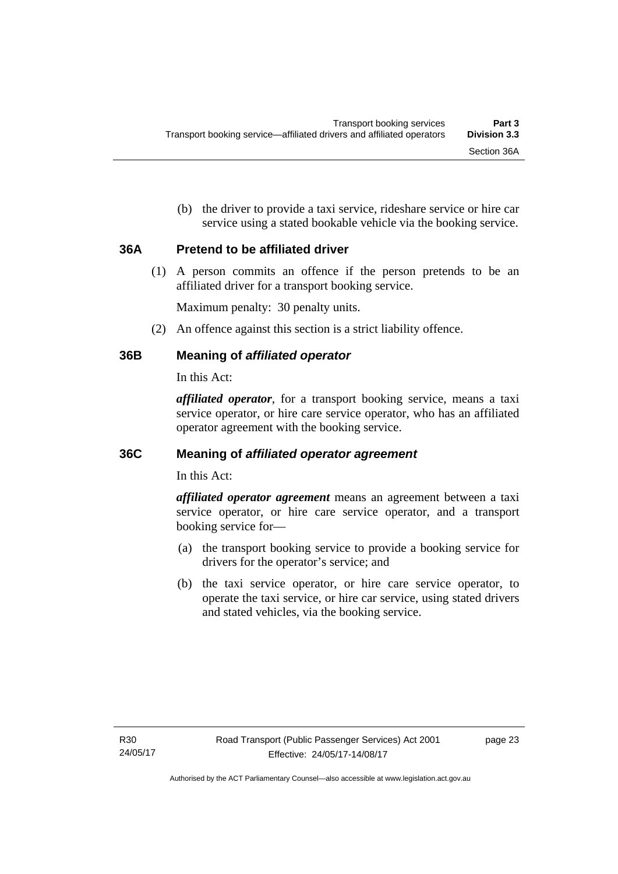(b) the driver to provide a taxi service, rideshare service or hire car service using a stated bookable vehicle via the booking service.

### <span id="page-32-0"></span>**36A Pretend to be affiliated driver**

(1) A person commits an offence if the person pretends to be an affiliated driver for a transport booking service.

Maximum penalty: 30 penalty units.

(2) An offence against this section is a strict liability offence.

### <span id="page-32-1"></span>**36B Meaning of** *affiliated operator*

In this Act:

*affiliated operator*, for a transport booking service, means a taxi service operator, or hire care service operator, who has an affiliated operator agreement with the booking service.

### <span id="page-32-2"></span>**36C Meaning of** *affiliated operator agreement*

In this Act:

*affiliated operator agreement* means an agreement between a taxi service operator, or hire care service operator, and a transport booking service for—

- (a) the transport booking service to provide a booking service for drivers for the operator's service; and
- (b) the taxi service operator, or hire care service operator, to operate the taxi service, or hire car service, using stated drivers and stated vehicles, via the booking service.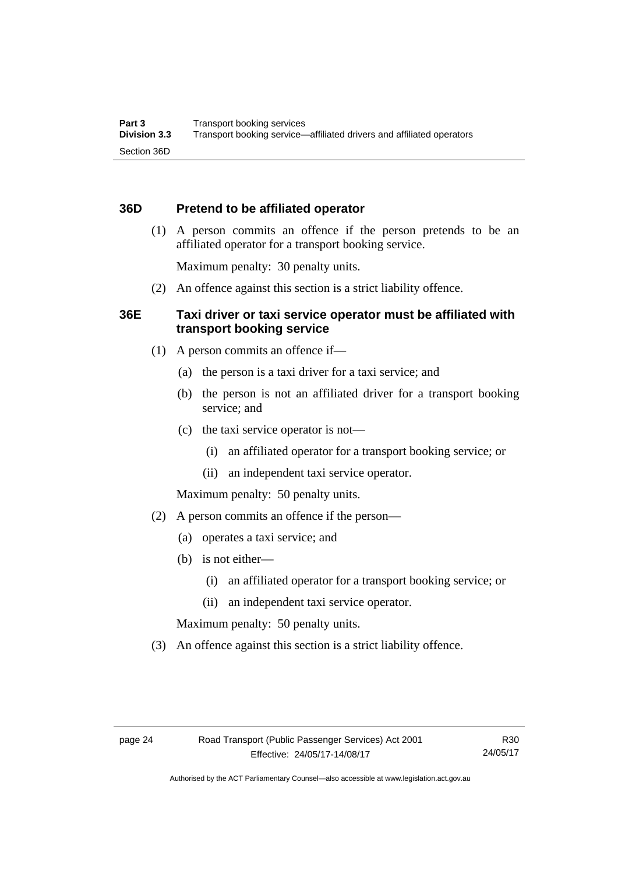### <span id="page-33-0"></span>**36D Pretend to be affiliated operator**

 (1) A person commits an offence if the person pretends to be an affiliated operator for a transport booking service.

Maximum penalty: 30 penalty units.

(2) An offence against this section is a strict liability offence.

### <span id="page-33-1"></span>**36E Taxi driver or taxi service operator must be affiliated with transport booking service**

- (1) A person commits an offence if—
	- (a) the person is a taxi driver for a taxi service; and
	- (b) the person is not an affiliated driver for a transport booking service; and
	- (c) the taxi service operator is not—
		- (i) an affiliated operator for a transport booking service; or
		- (ii) an independent taxi service operator.

Maximum penalty: 50 penalty units.

- (2) A person commits an offence if the person—
	- (a) operates a taxi service; and
	- (b) is not either—
		- (i) an affiliated operator for a transport booking service; or
		- (ii) an independent taxi service operator.

Maximum penalty: 50 penalty units.

(3) An offence against this section is a strict liability offence.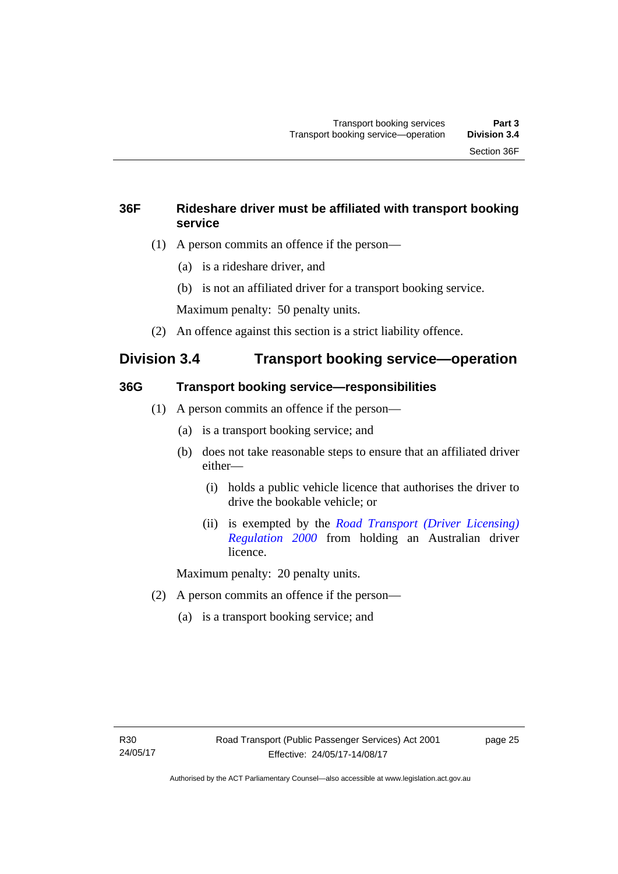### <span id="page-34-0"></span>**36F Rideshare driver must be affiliated with transport booking service**

- (1) A person commits an offence if the person—
	- (a) is a rideshare driver, and
	- (b) is not an affiliated driver for a transport booking service.

Maximum penalty: 50 penalty units.

(2) An offence against this section is a strict liability offence.

### <span id="page-34-1"></span>**Division 3.4 Transport booking service—operation**

### <span id="page-34-2"></span>**36G Transport booking service—responsibilities**

- (1) A person commits an offence if the person—
	- (a) is a transport booking service; and
	- (b) does not take reasonable steps to ensure that an affiliated driver either—
		- (i) holds a public vehicle licence that authorises the driver to drive the bookable vehicle; or
		- (ii) is exempted by the *[Road Transport \(Driver Licensing\)](http://www.legislation.act.gov.au/sl/2000-14)  [Regulation 2000](http://www.legislation.act.gov.au/sl/2000-14)* from holding an Australian driver licence.

Maximum penalty: 20 penalty units.

- (2) A person commits an offence if the person—
	- (a) is a transport booking service; and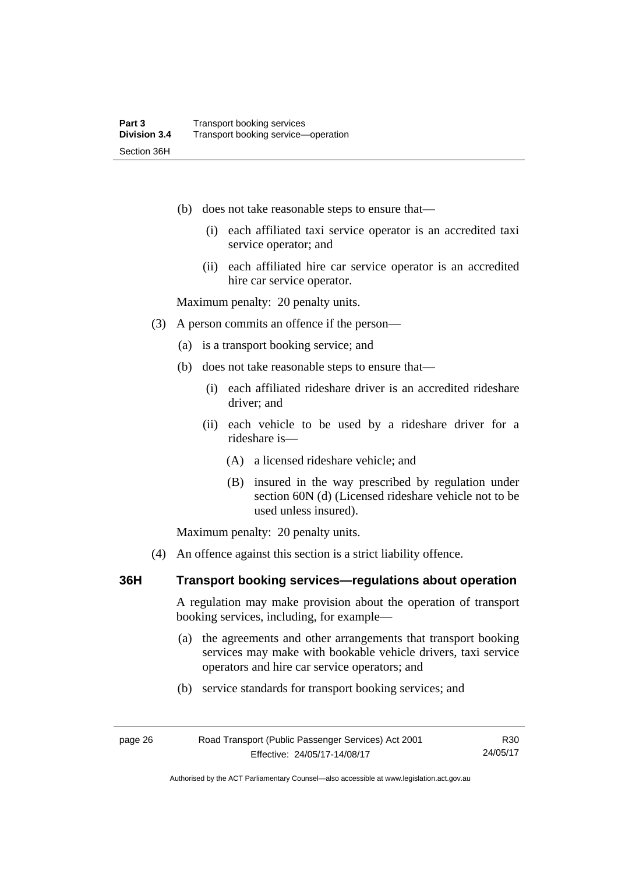- (b) does not take reasonable steps to ensure that—
	- (i) each affiliated taxi service operator is an accredited taxi service operator; and
	- (ii) each affiliated hire car service operator is an accredited hire car service operator.

Maximum penalty: 20 penalty units.

- (3) A person commits an offence if the person—
	- (a) is a transport booking service; and
	- (b) does not take reasonable steps to ensure that—
		- (i) each affiliated rideshare driver is an accredited rideshare driver; and
		- (ii) each vehicle to be used by a rideshare driver for a rideshare is—
			- (A) a licensed rideshare vehicle; and
			- (B) insured in the way prescribed by regulation under section 60N (d) (Licensed rideshare vehicle not to be used unless insured).

Maximum penalty: 20 penalty units.

(4) An offence against this section is a strict liability offence.

### <span id="page-35-0"></span>**36H Transport booking services—regulations about operation**

A regulation may make provision about the operation of transport booking services, including, for example—

- (a) the agreements and other arrangements that transport booking services may make with bookable vehicle drivers, taxi service operators and hire car service operators; and
- (b) service standards for transport booking services; and

Authorised by the ACT Parliamentary Counsel—also accessible at www.legislation.act.gov.au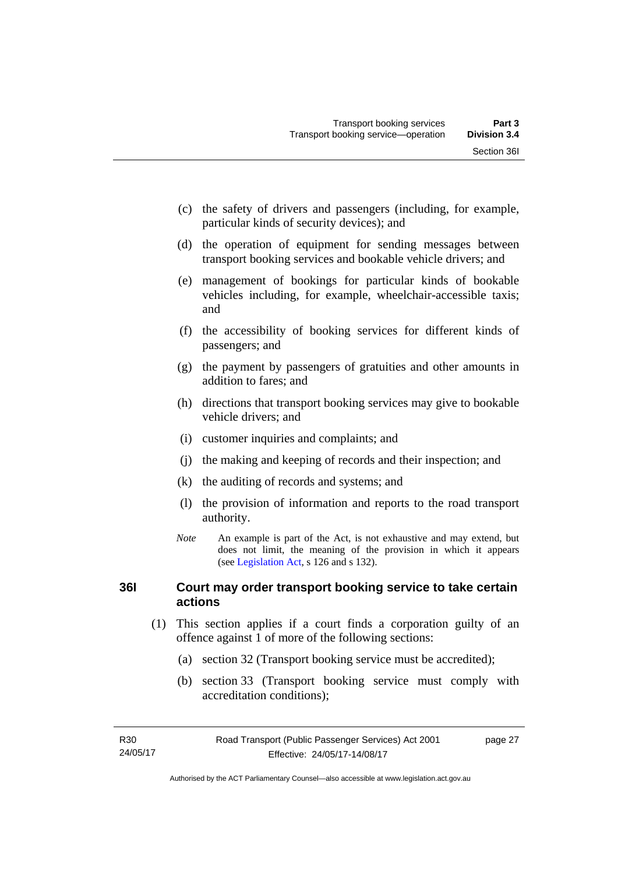- (c) the safety of drivers and passengers (including, for example, particular kinds of security devices); and
- (d) the operation of equipment for sending messages between transport booking services and bookable vehicle drivers; and
- (e) management of bookings for particular kinds of bookable vehicles including, for example, wheelchair-accessible taxis; and
- (f) the accessibility of booking services for different kinds of passengers; and
- (g) the payment by passengers of gratuities and other amounts in addition to fares; and
- (h) directions that transport booking services may give to bookable vehicle drivers; and
- (i) customer inquiries and complaints; and
- (j) the making and keeping of records and their inspection; and
- (k) the auditing of records and systems; and
- (l) the provision of information and reports to the road transport authority.
- *Note* An example is part of the Act, is not exhaustive and may extend, but does not limit, the meaning of the provision in which it appears (see [Legislation Act,](http://www.legislation.act.gov.au/a/2001-14) s 126 and s 132).

# **36I Court may order transport booking service to take certain actions**

- (1) This section applies if a court finds a corporation guilty of an offence against 1 of more of the following sections:
	- (a) section 32 (Transport booking service must be accredited);
	- (b) section 33 (Transport booking service must comply with accreditation conditions);

page 27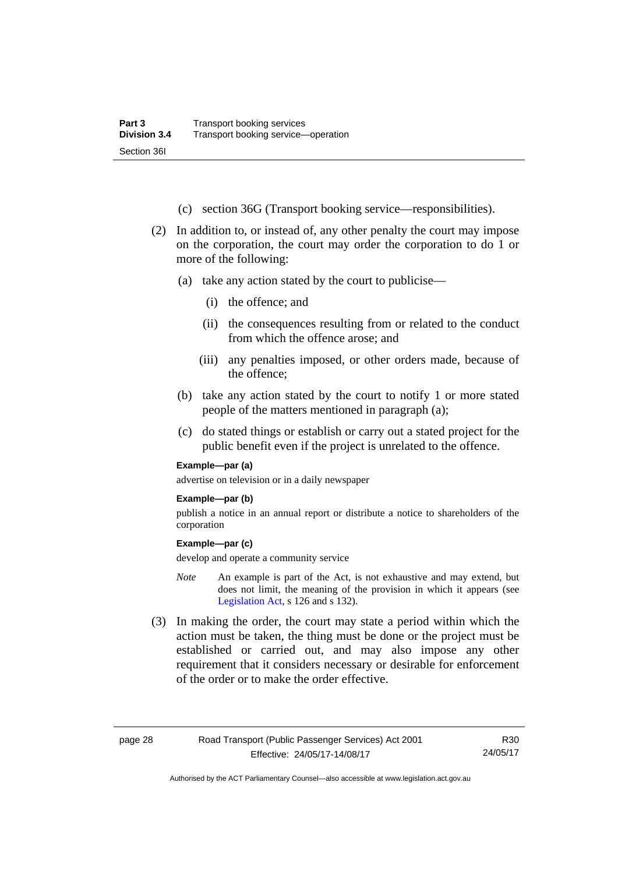- (c) section 36G (Transport booking service—responsibilities).
- (2) In addition to, or instead of, any other penalty the court may impose on the corporation, the court may order the corporation to do 1 or more of the following:
	- (a) take any action stated by the court to publicise—
		- (i) the offence; and
		- (ii) the consequences resulting from or related to the conduct from which the offence arose; and
		- (iii) any penalties imposed, or other orders made, because of the offence;
	- (b) take any action stated by the court to notify 1 or more stated people of the matters mentioned in paragraph (a);
	- (c) do stated things or establish or carry out a stated project for the public benefit even if the project is unrelated to the offence.

#### **Example—par (a)**

advertise on television or in a daily newspaper

#### **Example—par (b)**

publish a notice in an annual report or distribute a notice to shareholders of the corporation

#### **Example—par (c)**

develop and operate a community service

- *Note* An example is part of the Act, is not exhaustive and may extend, but does not limit, the meaning of the provision in which it appears (see [Legislation Act,](http://www.legislation.act.gov.au/a/2001-14) s 126 and s 132).
- (3) In making the order, the court may state a period within which the action must be taken, the thing must be done or the project must be established or carried out, and may also impose any other requirement that it considers necessary or desirable for enforcement of the order or to make the order effective.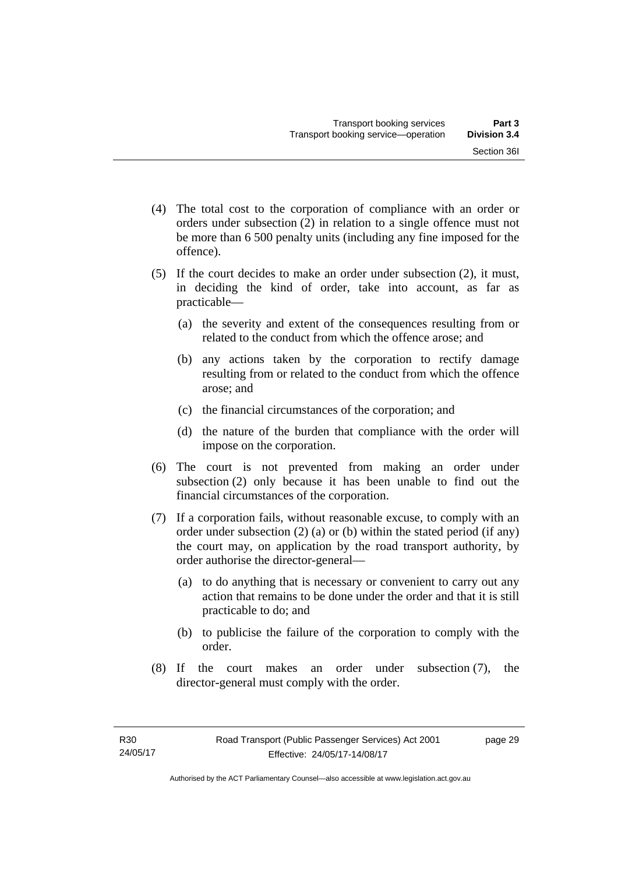- (4) The total cost to the corporation of compliance with an order or orders under subsection (2) in relation to a single offence must not be more than 6 500 penalty units (including any fine imposed for the offence).
- (5) If the court decides to make an order under subsection (2), it must, in deciding the kind of order, take into account, as far as practicable—
	- (a) the severity and extent of the consequences resulting from or related to the conduct from which the offence arose; and
	- (b) any actions taken by the corporation to rectify damage resulting from or related to the conduct from which the offence arose; and
	- (c) the financial circumstances of the corporation; and
	- (d) the nature of the burden that compliance with the order will impose on the corporation.
- (6) The court is not prevented from making an order under subsection (2) only because it has been unable to find out the financial circumstances of the corporation.
- (7) If a corporation fails, without reasonable excuse, to comply with an order under subsection (2) (a) or (b) within the stated period (if any) the court may, on application by the road transport authority, by order authorise the director-general—
	- (a) to do anything that is necessary or convenient to carry out any action that remains to be done under the order and that it is still practicable to do; and
	- (b) to publicise the failure of the corporation to comply with the order.
- (8) If the court makes an order under subsection (7), the director-general must comply with the order.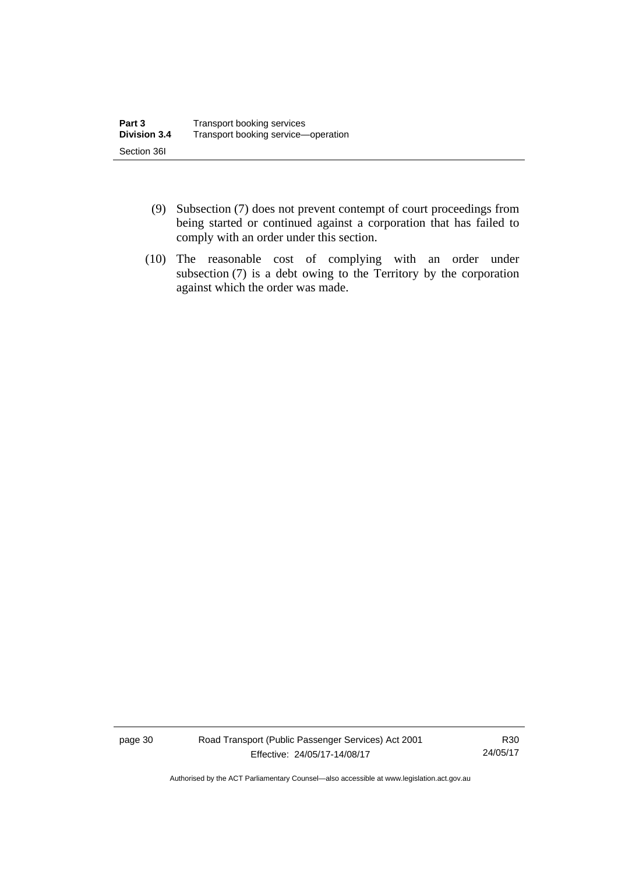- (9) Subsection (7) does not prevent contempt of court proceedings from being started or continued against a corporation that has failed to comply with an order under this section.
- (10) The reasonable cost of complying with an order under subsection (7) is a debt owing to the Territory by the corporation against which the order was made.

page 30 Road Transport (Public Passenger Services) Act 2001 Effective: 24/05/17-14/08/17

R30 24/05/17

Authorised by the ACT Parliamentary Counsel—also accessible at www.legislation.act.gov.au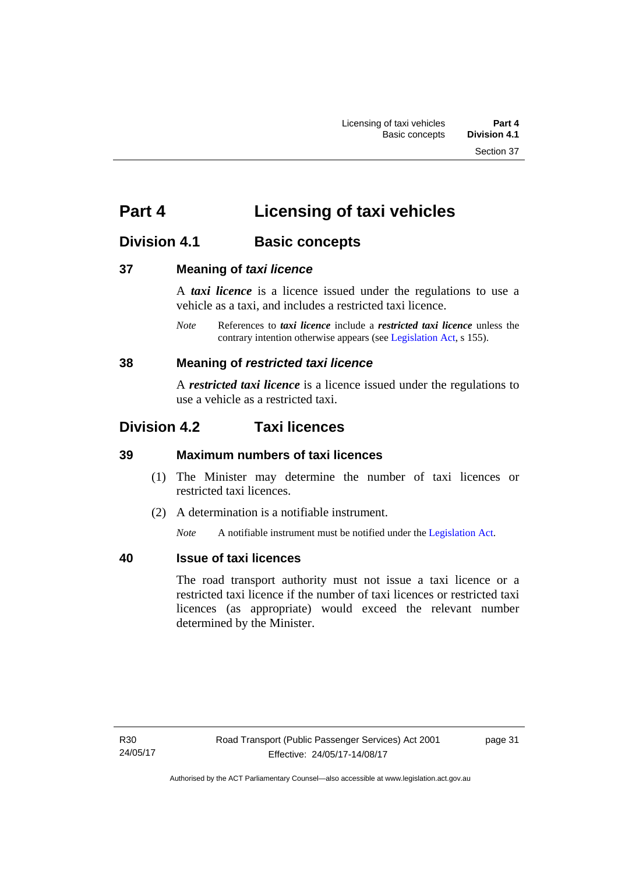# **Part 4 Licensing of taxi vehicles**

# **Division 4.1 Basic concepts**

# **37 Meaning of** *taxi licence*

A *taxi licence* is a licence issued under the regulations to use a vehicle as a taxi, and includes a restricted taxi licence.

*Note* References to *taxi licence* include a *restricted taxi licence* unless the contrary intention otherwise appears (see [Legislation Act,](http://www.legislation.act.gov.au/a/2001-14) s 155).

# **38 Meaning of** *restricted taxi licence*

A *restricted taxi licence* is a licence issued under the regulations to use a vehicle as a restricted taxi.

# **Division 4.2 Taxi licences**

# **39 Maximum numbers of taxi licences**

- (1) The Minister may determine the number of taxi licences or restricted taxi licences.
- (2) A determination is a notifiable instrument.

*Note* A notifiable instrument must be notified under the [Legislation Act](http://www.legislation.act.gov.au/a/2001-14).

# **40 Issue of taxi licences**

The road transport authority must not issue a taxi licence or a restricted taxi licence if the number of taxi licences or restricted taxi licences (as appropriate) would exceed the relevant number determined by the Minister.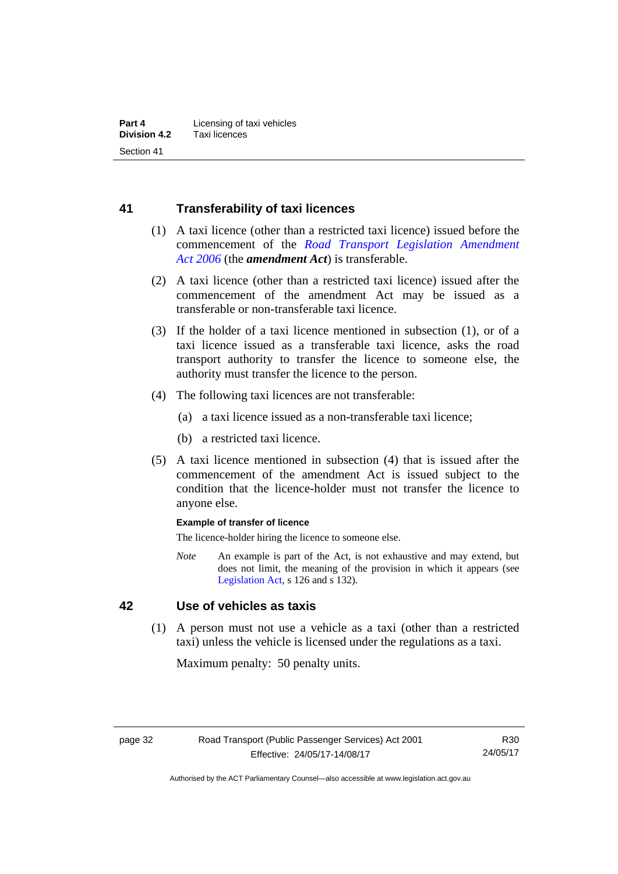# **41 Transferability of taxi licences**

- (1) A taxi licence (other than a restricted taxi licence) issued before the commencement of the *[Road Transport Legislation Amendment](http://www.legislation.act.gov.au/a/2006-26)  [Act 2006](http://www.legislation.act.gov.au/a/2006-26)* (the *amendment Act*) is transferable.
- (2) A taxi licence (other than a restricted taxi licence) issued after the commencement of the amendment Act may be issued as a transferable or non-transferable taxi licence.
- (3) If the holder of a taxi licence mentioned in subsection (1), or of a taxi licence issued as a transferable taxi licence, asks the road transport authority to transfer the licence to someone else, the authority must transfer the licence to the person.
- (4) The following taxi licences are not transferable:
	- (a) a taxi licence issued as a non-transferable taxi licence;
	- (b) a restricted taxi licence.
- (5) A taxi licence mentioned in subsection (4) that is issued after the commencement of the amendment Act is issued subject to the condition that the licence-holder must not transfer the licence to anyone else.

#### **Example of transfer of licence**

The licence-holder hiring the licence to someone else.

*Note* An example is part of the Act, is not exhaustive and may extend, but does not limit, the meaning of the provision in which it appears (see [Legislation Act,](http://www.legislation.act.gov.au/a/2001-14) s 126 and s 132).

# **42 Use of vehicles as taxis**

 (1) A person must not use a vehicle as a taxi (other than a restricted taxi) unless the vehicle is licensed under the regulations as a taxi.

Maximum penalty: 50 penalty units.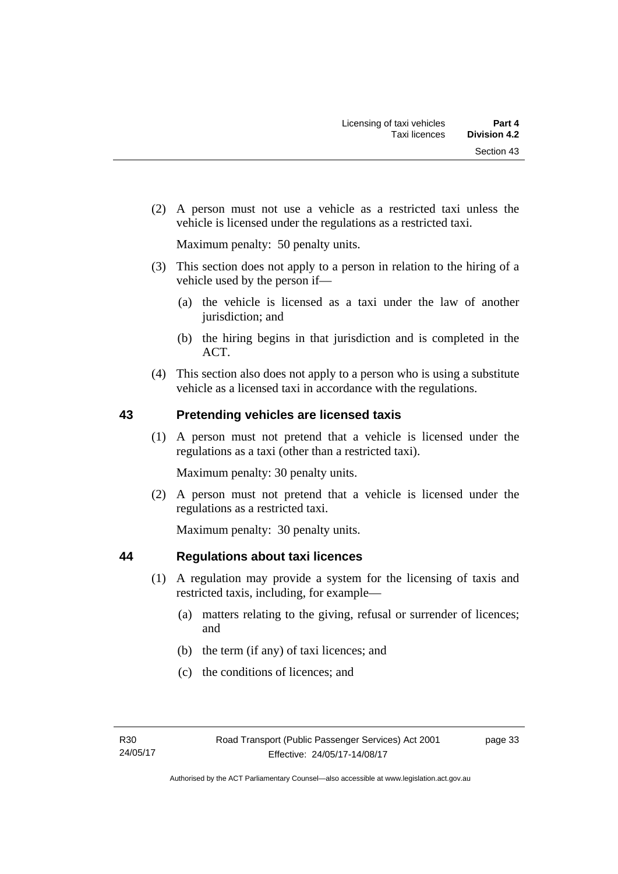(2) A person must not use a vehicle as a restricted taxi unless the vehicle is licensed under the regulations as a restricted taxi.

Maximum penalty: 50 penalty units.

- (3) This section does not apply to a person in relation to the hiring of a vehicle used by the person if—
	- (a) the vehicle is licensed as a taxi under the law of another jurisdiction; and
	- (b) the hiring begins in that jurisdiction and is completed in the ACT.
- (4) This section also does not apply to a person who is using a substitute vehicle as a licensed taxi in accordance with the regulations.

# **43 Pretending vehicles are licensed taxis**

(1) A person must not pretend that a vehicle is licensed under the regulations as a taxi (other than a restricted taxi).

Maximum penalty: 30 penalty units.

 (2) A person must not pretend that a vehicle is licensed under the regulations as a restricted taxi.

Maximum penalty: 30 penalty units.

# **44 Regulations about taxi licences**

- (1) A regulation may provide a system for the licensing of taxis and restricted taxis, including, for example—
	- (a) matters relating to the giving, refusal or surrender of licences; and
	- (b) the term (if any) of taxi licences; and
	- (c) the conditions of licences; and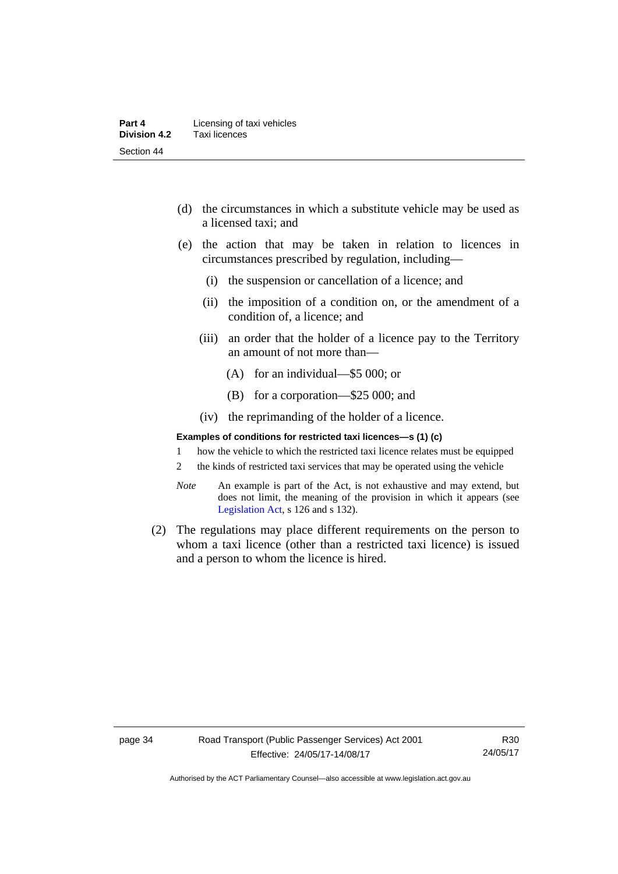- (d) the circumstances in which a substitute vehicle may be used as a licensed taxi; and
- (e) the action that may be taken in relation to licences in circumstances prescribed by regulation, including—
	- (i) the suspension or cancellation of a licence; and
	- (ii) the imposition of a condition on, or the amendment of a condition of, a licence; and
	- (iii) an order that the holder of a licence pay to the Territory an amount of not more than—
		- (A) for an individual—\$5 000; or
		- (B) for a corporation—\$25 000; and
	- (iv) the reprimanding of the holder of a licence.

#### **Examples of conditions for restricted taxi licences—s (1) (c)**

- 1 how the vehicle to which the restricted taxi licence relates must be equipped
- 2 the kinds of restricted taxi services that may be operated using the vehicle
- *Note* An example is part of the Act, is not exhaustive and may extend, but does not limit, the meaning of the provision in which it appears (see [Legislation Act,](http://www.legislation.act.gov.au/a/2001-14) s 126 and s 132).
- (2) The regulations may place different requirements on the person to whom a taxi licence (other than a restricted taxi licence) is issued and a person to whom the licence is hired.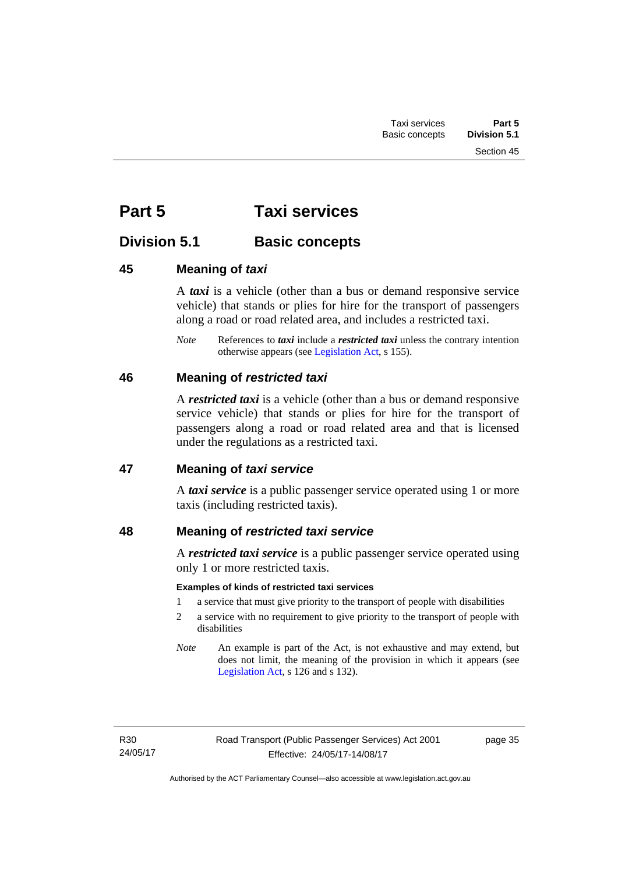# **Part 5 Taxi services**

# **Division 5.1 Basic concepts**

# **45 Meaning of** *taxi*

A *taxi* is a vehicle (other than a bus or demand responsive service vehicle) that stands or plies for hire for the transport of passengers along a road or road related area, and includes a restricted taxi.

*Note* References to *taxi* include a *restricted taxi* unless the contrary intention otherwise appears (see [Legislation Act,](http://www.legislation.act.gov.au/a/2001-14) s 155).

# **46 Meaning of** *restricted taxi*

A *restricted taxi* is a vehicle (other than a bus or demand responsive service vehicle) that stands or plies for hire for the transport of passengers along a road or road related area and that is licensed under the regulations as a restricted taxi.

# **47 Meaning of** *taxi service*

A *taxi service* is a public passenger service operated using 1 or more taxis (including restricted taxis).

# **48 Meaning of** *restricted taxi service*

A *restricted taxi service* is a public passenger service operated using only 1 or more restricted taxis.

# **Examples of kinds of restricted taxi services**

- 1 a service that must give priority to the transport of people with disabilities
- 2 a service with no requirement to give priority to the transport of people with disabilities
- *Note* An example is part of the Act, is not exhaustive and may extend, but does not limit, the meaning of the provision in which it appears (see [Legislation Act,](http://www.legislation.act.gov.au/a/2001-14) s 126 and s 132).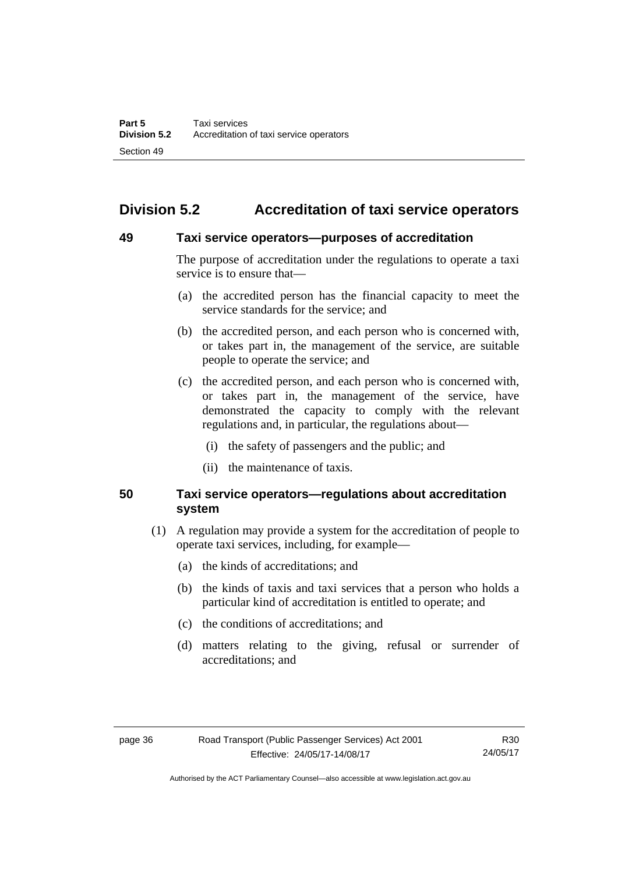# **Division 5.2 Accreditation of taxi service operators**

### **49 Taxi service operators—purposes of accreditation**

The purpose of accreditation under the regulations to operate a taxi service is to ensure that—

- (a) the accredited person has the financial capacity to meet the service standards for the service; and
- (b) the accredited person, and each person who is concerned with, or takes part in, the management of the service, are suitable people to operate the service; and
- (c) the accredited person, and each person who is concerned with, or takes part in, the management of the service, have demonstrated the capacity to comply with the relevant regulations and, in particular, the regulations about—
	- (i) the safety of passengers and the public; and
	- (ii) the maintenance of taxis.

# **50 Taxi service operators—regulations about accreditation system**

- (1) A regulation may provide a system for the accreditation of people to operate taxi services, including, for example—
	- (a) the kinds of accreditations; and
	- (b) the kinds of taxis and taxi services that a person who holds a particular kind of accreditation is entitled to operate; and
	- (c) the conditions of accreditations; and
	- (d) matters relating to the giving, refusal or surrender of accreditations; and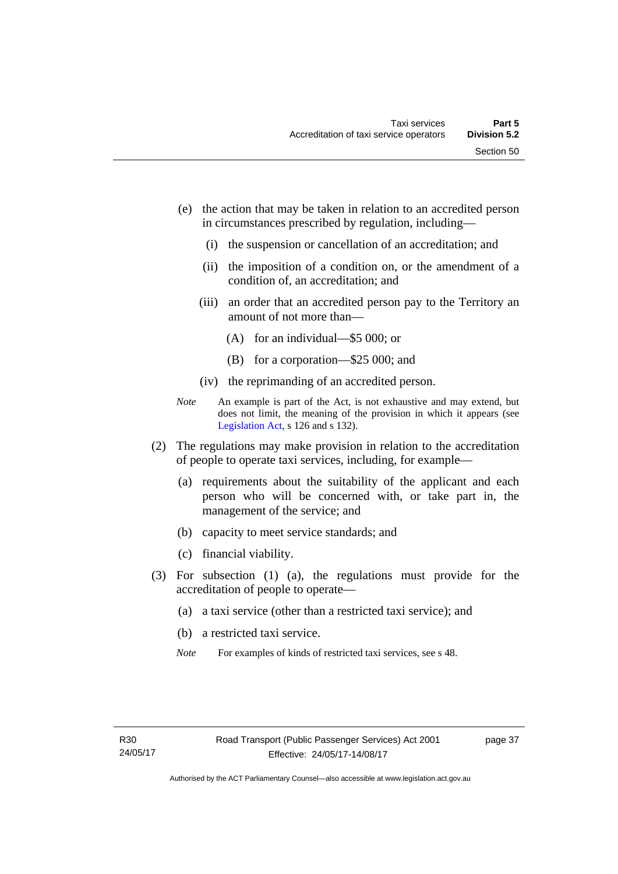- (e) the action that may be taken in relation to an accredited person in circumstances prescribed by regulation, including—
	- (i) the suspension or cancellation of an accreditation; and
	- (ii) the imposition of a condition on, or the amendment of a condition of, an accreditation; and
	- (iii) an order that an accredited person pay to the Territory an amount of not more than—
		- (A) for an individual—\$5 000; or
		- (B) for a corporation—\$25 000; and
	- (iv) the reprimanding of an accredited person.
- *Note* An example is part of the Act, is not exhaustive and may extend, but does not limit, the meaning of the provision in which it appears (see [Legislation Act,](http://www.legislation.act.gov.au/a/2001-14) s 126 and s 132).
- (2) The regulations may make provision in relation to the accreditation of people to operate taxi services, including, for example—
	- (a) requirements about the suitability of the applicant and each person who will be concerned with, or take part in, the management of the service; and
	- (b) capacity to meet service standards; and
	- (c) financial viability.
- (3) For subsection (1) (a), the regulations must provide for the accreditation of people to operate—
	- (a) a taxi service (other than a restricted taxi service); and
	- (b) a restricted taxi service.
	- *Note* For examples of kinds of restricted taxi services, see s 48.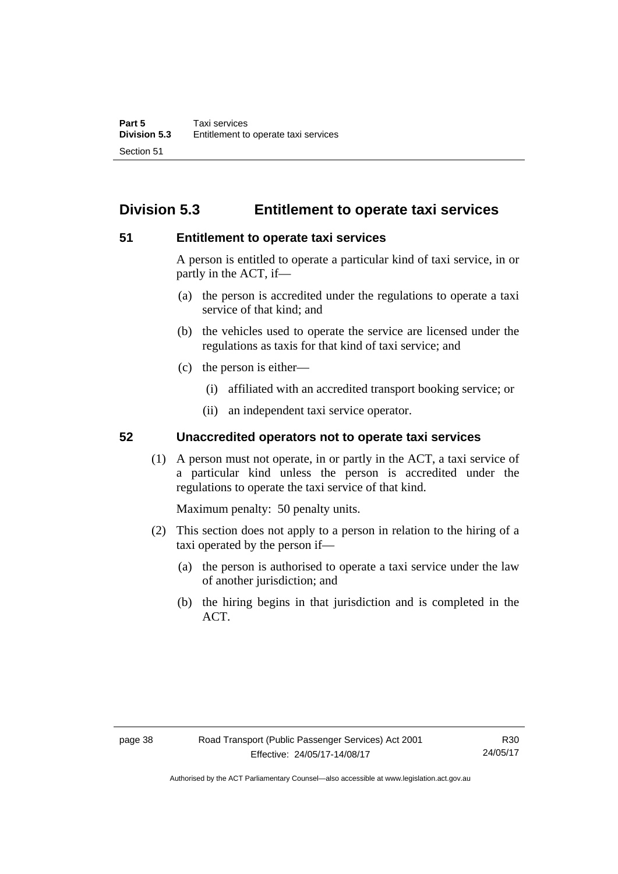# **Division 5.3 Entitlement to operate taxi services**

# **51 Entitlement to operate taxi services**

A person is entitled to operate a particular kind of taxi service, in or partly in the ACT, if—

- (a) the person is accredited under the regulations to operate a taxi service of that kind; and
- (b) the vehicles used to operate the service are licensed under the regulations as taxis for that kind of taxi service; and
- (c) the person is either—
	- (i) affiliated with an accredited transport booking service; or
	- (ii) an independent taxi service operator.

# **52 Unaccredited operators not to operate taxi services**

(1) A person must not operate, in or partly in the ACT, a taxi service of a particular kind unless the person is accredited under the regulations to operate the taxi service of that kind.

Maximum penalty: 50 penalty units.

- (2) This section does not apply to a person in relation to the hiring of a taxi operated by the person if—
	- (a) the person is authorised to operate a taxi service under the law of another jurisdiction; and
	- (b) the hiring begins in that jurisdiction and is completed in the ACT.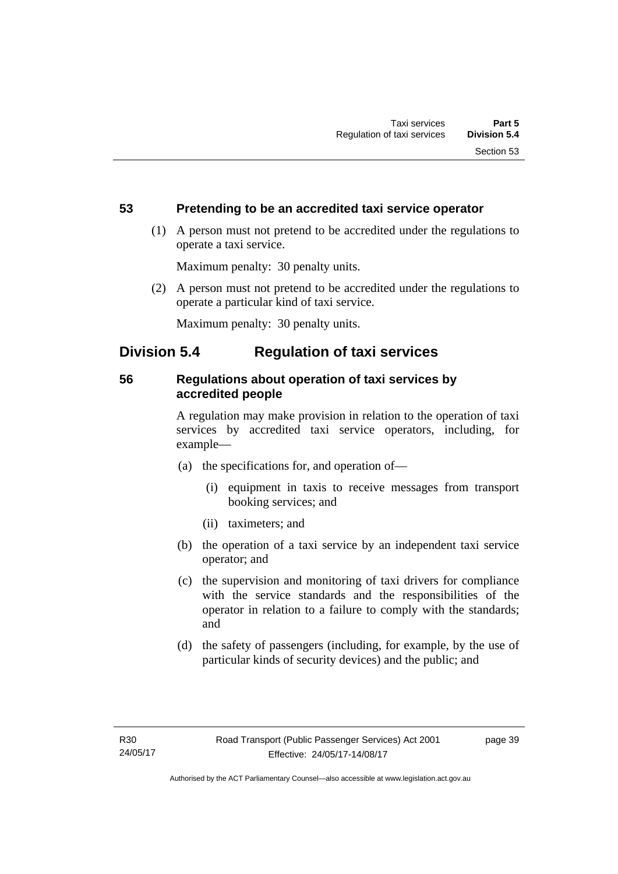# **53 Pretending to be an accredited taxi service operator**

 (1) A person must not pretend to be accredited under the regulations to operate a taxi service.

Maximum penalty: 30 penalty units.

 (2) A person must not pretend to be accredited under the regulations to operate a particular kind of taxi service.

Maximum penalty: 30 penalty units.

# **Division 5.4 Regulation of taxi services**

# **56 Regulations about operation of taxi services by accredited people**

A regulation may make provision in relation to the operation of taxi services by accredited taxi service operators, including, for example—

- (a) the specifications for, and operation of—
	- (i) equipment in taxis to receive messages from transport booking services; and
	- (ii) taximeters; and
- (b) the operation of a taxi service by an independent taxi service operator; and
- (c) the supervision and monitoring of taxi drivers for compliance with the service standards and the responsibilities of the operator in relation to a failure to comply with the standards; and
- (d) the safety of passengers (including, for example, by the use of particular kinds of security devices) and the public; and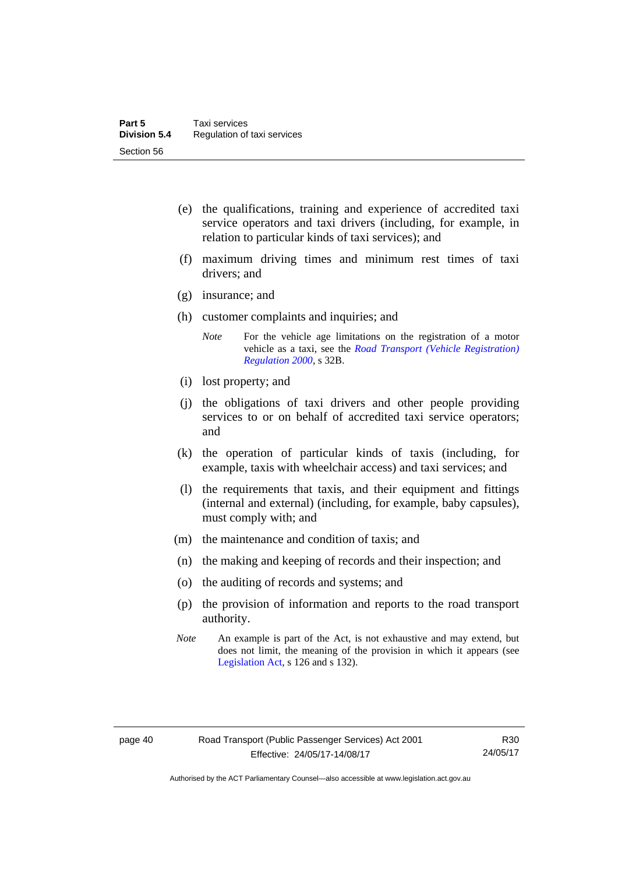- (e) the qualifications, training and experience of accredited taxi service operators and taxi drivers (including, for example, in relation to particular kinds of taxi services); and
- (f) maximum driving times and minimum rest times of taxi drivers; and
- (g) insurance; and
- (h) customer complaints and inquiries; and
	- *Note* For the vehicle age limitations on the registration of a motor vehicle as a taxi, see the *[Road Transport \(Vehicle Registration\)](http://www.legislation.act.gov.au/sl/2000-12)  [Regulation 2000](http://www.legislation.act.gov.au/sl/2000-12)*, s 32B.
- (i) lost property; and
- (j) the obligations of taxi drivers and other people providing services to or on behalf of accredited taxi service operators; and
- (k) the operation of particular kinds of taxis (including, for example, taxis with wheelchair access) and taxi services; and
- (l) the requirements that taxis, and their equipment and fittings (internal and external) (including, for example, baby capsules), must comply with; and
- (m) the maintenance and condition of taxis; and
- (n) the making and keeping of records and their inspection; and
- (o) the auditing of records and systems; and
- (p) the provision of information and reports to the road transport authority.
- *Note* An example is part of the Act, is not exhaustive and may extend, but does not limit, the meaning of the provision in which it appears (see [Legislation Act,](http://www.legislation.act.gov.au/a/2001-14) s 126 and s 132).

Authorised by the ACT Parliamentary Counsel—also accessible at www.legislation.act.gov.au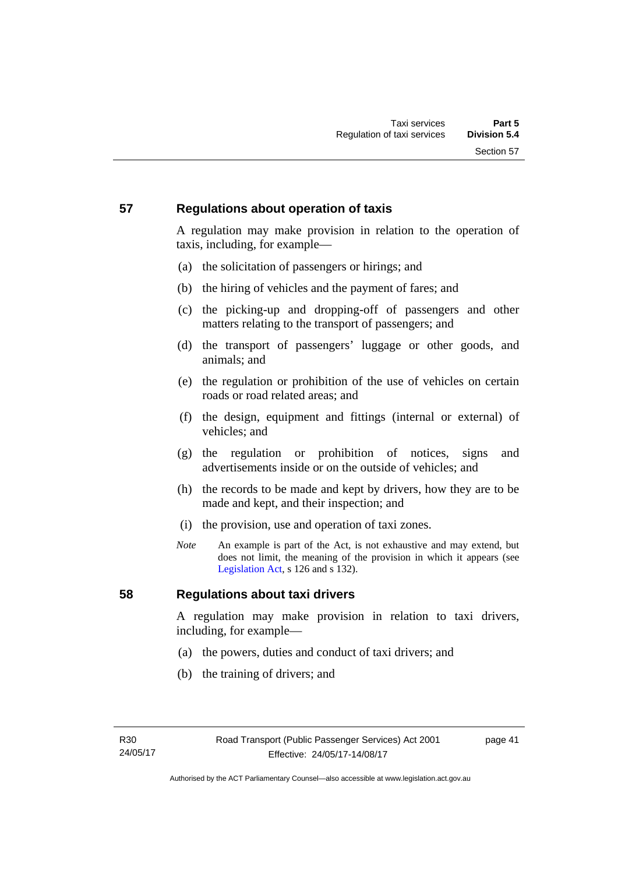# **57 Regulations about operation of taxis**

A regulation may make provision in relation to the operation of taxis, including, for example—

- (a) the solicitation of passengers or hirings; and
- (b) the hiring of vehicles and the payment of fares; and
- (c) the picking-up and dropping-off of passengers and other matters relating to the transport of passengers; and
- (d) the transport of passengers' luggage or other goods, and animals; and
- (e) the regulation or prohibition of the use of vehicles on certain roads or road related areas; and
- (f) the design, equipment and fittings (internal or external) of vehicles; and
- (g) the regulation or prohibition of notices, signs and advertisements inside or on the outside of vehicles; and
- (h) the records to be made and kept by drivers, how they are to be made and kept, and their inspection; and
- (i) the provision, use and operation of taxi zones.
- *Note* An example is part of the Act, is not exhaustive and may extend, but does not limit, the meaning of the provision in which it appears (see [Legislation Act,](http://www.legislation.act.gov.au/a/2001-14) s 126 and s 132).

# **58 Regulations about taxi drivers**

A regulation may make provision in relation to taxi drivers, including, for example—

- (a) the powers, duties and conduct of taxi drivers; and
- (b) the training of drivers; and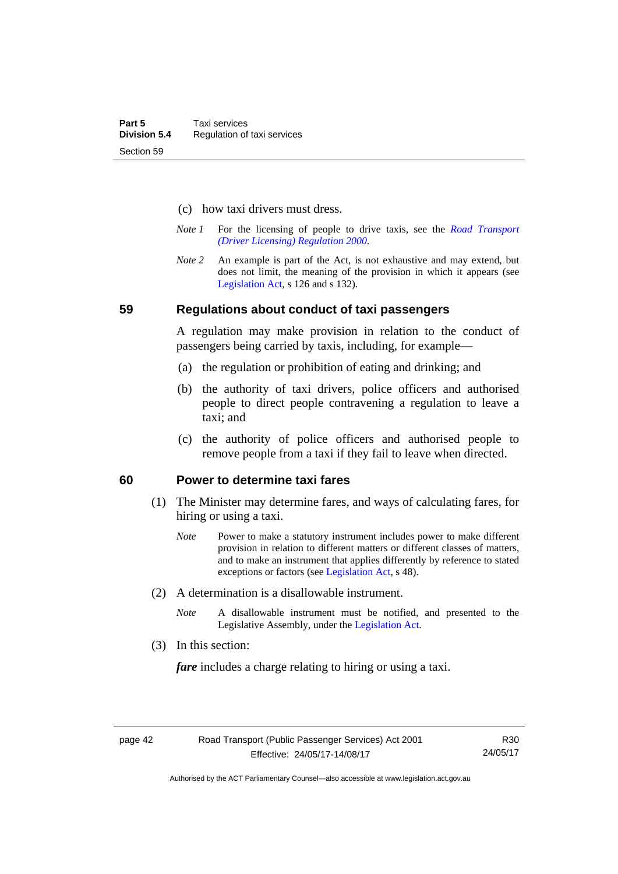- (c) how taxi drivers must dress.
- *Note 1* For the licensing of people to drive taxis, see the *[Road Transport](http://www.legislation.act.gov.au/sl/2000-14)  [\(Driver Licensing\) Regulation 2000](http://www.legislation.act.gov.au/sl/2000-14)*.
- *Note 2* An example is part of the Act, is not exhaustive and may extend, but does not limit, the meaning of the provision in which it appears (see [Legislation Act,](http://www.legislation.act.gov.au/a/2001-14) s 126 and s 132).

#### **59 Regulations about conduct of taxi passengers**

A regulation may make provision in relation to the conduct of passengers being carried by taxis, including, for example—

- (a) the regulation or prohibition of eating and drinking; and
- (b) the authority of taxi drivers, police officers and authorised people to direct people contravening a regulation to leave a taxi; and
- (c) the authority of police officers and authorised people to remove people from a taxi if they fail to leave when directed.

### **60 Power to determine taxi fares**

- (1) The Minister may determine fares, and ways of calculating fares, for hiring or using a taxi.
	- *Note* Power to make a statutory instrument includes power to make different provision in relation to different matters or different classes of matters, and to make an instrument that applies differently by reference to stated exceptions or factors (see [Legislation Act](http://www.legislation.act.gov.au/a/2001-14), s 48).
- (2) A determination is a disallowable instrument.
	- *Note* A disallowable instrument must be notified, and presented to the Legislative Assembly, under the [Legislation Act.](http://www.legislation.act.gov.au/a/2001-14)
- (3) In this section:

*fare* includes a charge relating to hiring or using a taxi.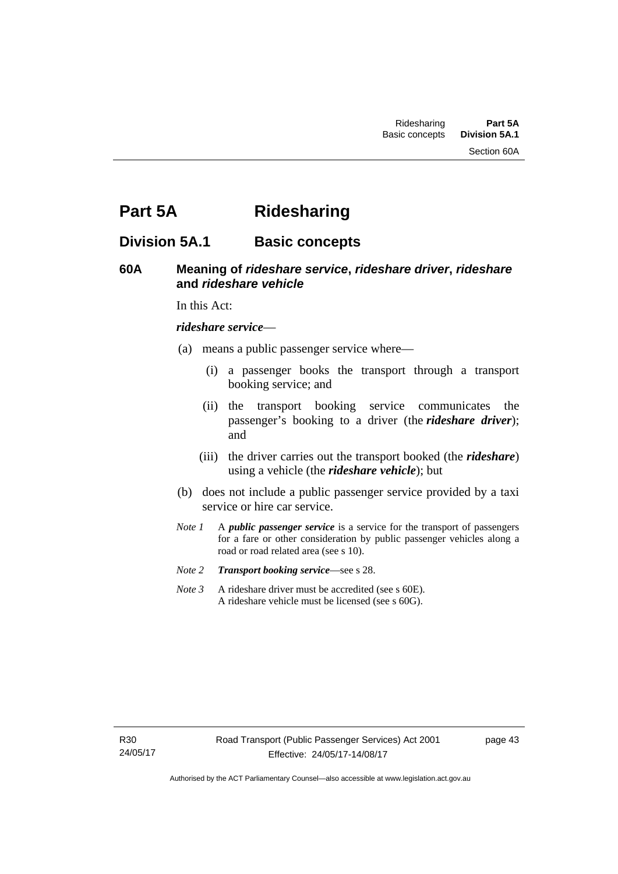Section 60A

# **Part 5A Ridesharing**

# **Division 5A.1 Basic concepts**

# **60A Meaning of** *rideshare service***,** *rideshare driver***,** *rideshare* **and** *rideshare vehicle*

In this Act:

#### *rideshare service*—

- (a) means a public passenger service where—
	- (i) a passenger books the transport through a transport booking service; and
	- (ii) the transport booking service communicates the passenger's booking to a driver (the *rideshare driver*); and
	- (iii) the driver carries out the transport booked (the *rideshare*) using a vehicle (the *rideshare vehicle*); but
- (b) does not include a public passenger service provided by a taxi service or hire car service.
- *Note 1* A *public passenger service* is a service for the transport of passengers for a fare or other consideration by public passenger vehicles along a road or road related area (see s 10).
- *Note 2 Transport booking service*—see s 28.
- *Note 3* A rideshare driver must be accredited (see s 60E). A rideshare vehicle must be licensed (see s 60G).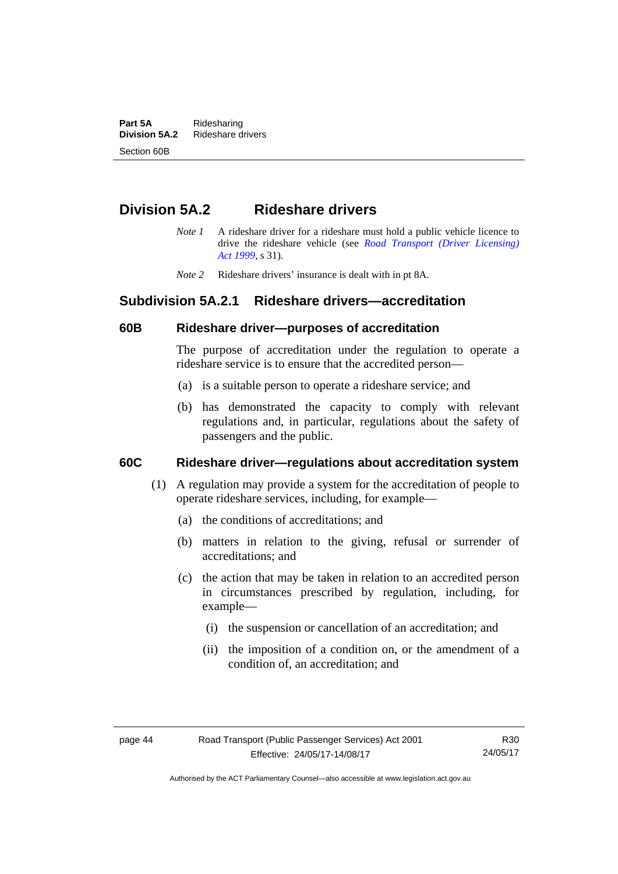**Part 5A** Ridesharing<br>**Division 5A.2** Rideshare d **Division 5A.2** Rideshare drivers Section 60B

# **Division 5A.2 Rideshare drivers**

- *Note 1* A rideshare driver for a rideshare must hold a public vehicle licence to drive the rideshare vehicle (see *[Road Transport \(Driver Licensing\)](http://www.legislation.act.gov.au/a/1999-78)  [Act 1999](http://www.legislation.act.gov.au/a/1999-78)*, s 31).
- *Note 2* Rideshare drivers' insurance is dealt with in pt 8A.

# **Subdivision 5A.2.1 Rideshare drivers—accreditation**

### **60B Rideshare driver—purposes of accreditation**

The purpose of accreditation under the regulation to operate a rideshare service is to ensure that the accredited person—

- (a) is a suitable person to operate a rideshare service; and
- (b) has demonstrated the capacity to comply with relevant regulations and, in particular, regulations about the safety of passengers and the public.

# **60C Rideshare driver—regulations about accreditation system**

- (1) A regulation may provide a system for the accreditation of people to operate rideshare services, including, for example—
	- (a) the conditions of accreditations; and
	- (b) matters in relation to the giving, refusal or surrender of accreditations; and
	- (c) the action that may be taken in relation to an accredited person in circumstances prescribed by regulation, including, for example—
		- (i) the suspension or cancellation of an accreditation; and
		- (ii) the imposition of a condition on, or the amendment of a condition of, an accreditation; and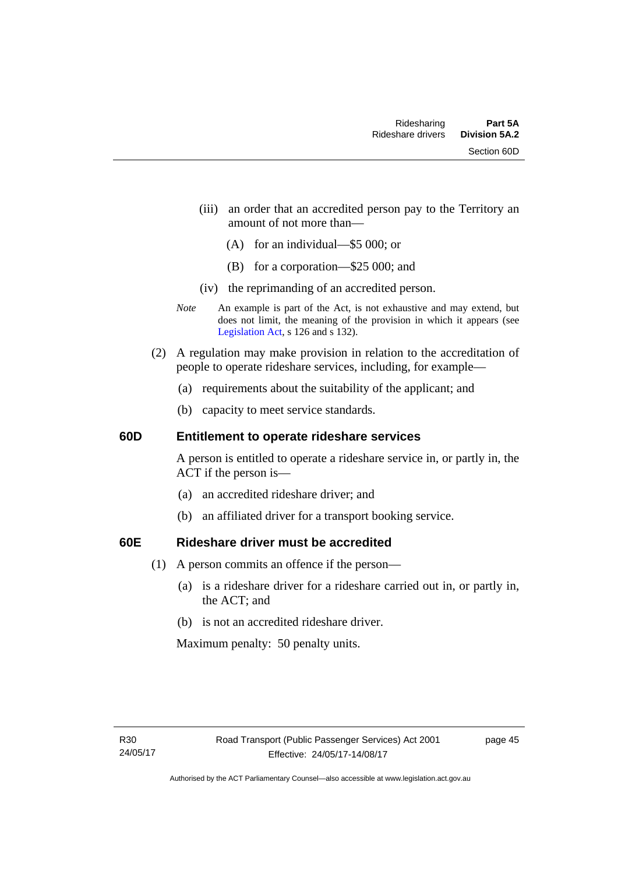- (iii) an order that an accredited person pay to the Territory an amount of not more than—
	- (A) for an individual—\$5 000; or
	- (B) for a corporation—\$25 000; and
- (iv) the reprimanding of an accredited person.
- *Note* An example is part of the Act, is not exhaustive and may extend, but does not limit, the meaning of the provision in which it appears (see [Legislation Act,](http://www.legislation.act.gov.au/a/2001-14) s 126 and s 132).
- (2) A regulation may make provision in relation to the accreditation of people to operate rideshare services, including, for example—
	- (a) requirements about the suitability of the applicant; and
	- (b) capacity to meet service standards.

### **60D Entitlement to operate rideshare services**

A person is entitled to operate a rideshare service in, or partly in, the ACT if the person is—

- (a) an accredited rideshare driver; and
- (b) an affiliated driver for a transport booking service.

# **60E Rideshare driver must be accredited**

- (1) A person commits an offence if the person—
	- (a) is a rideshare driver for a rideshare carried out in, or partly in, the ACT; and
	- (b) is not an accredited rideshare driver.

Maximum penalty: 50 penalty units.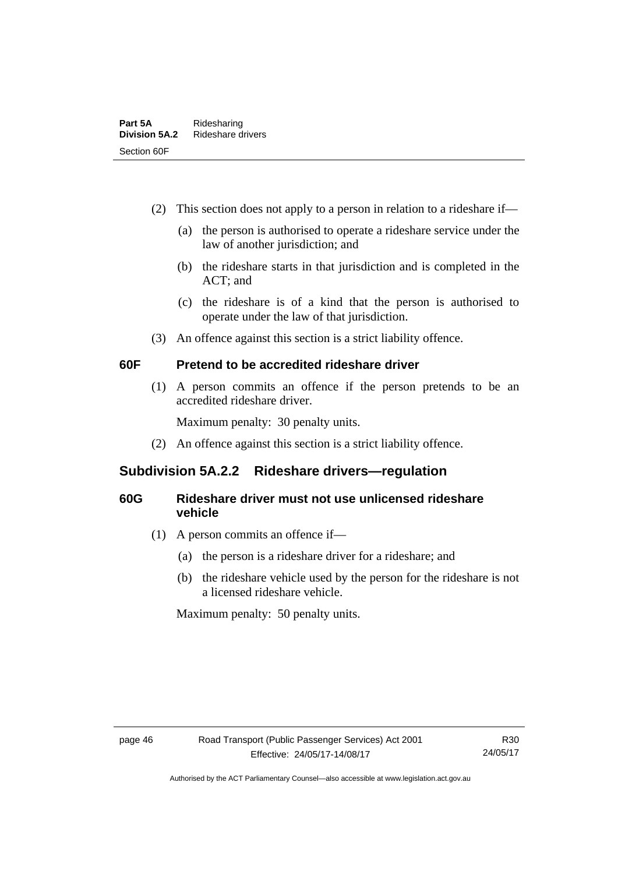- (2) This section does not apply to a person in relation to a rideshare if—
	- (a) the person is authorised to operate a rideshare service under the law of another jurisdiction; and
	- (b) the rideshare starts in that jurisdiction and is completed in the ACT; and
	- (c) the rideshare is of a kind that the person is authorised to operate under the law of that jurisdiction.
- (3) An offence against this section is a strict liability offence.

# **60F Pretend to be accredited rideshare driver**

(1) A person commits an offence if the person pretends to be an accredited rideshare driver.

Maximum penalty: 30 penalty units.

(2) An offence against this section is a strict liability offence.

# **Subdivision 5A.2.2 Rideshare drivers—regulation**

# **60G Rideshare driver must not use unlicensed rideshare vehicle**

- (1) A person commits an offence if—
	- (a) the person is a rideshare driver for a rideshare; and
	- (b) the rideshare vehicle used by the person for the rideshare is not a licensed rideshare vehicle.

Maximum penalty: 50 penalty units.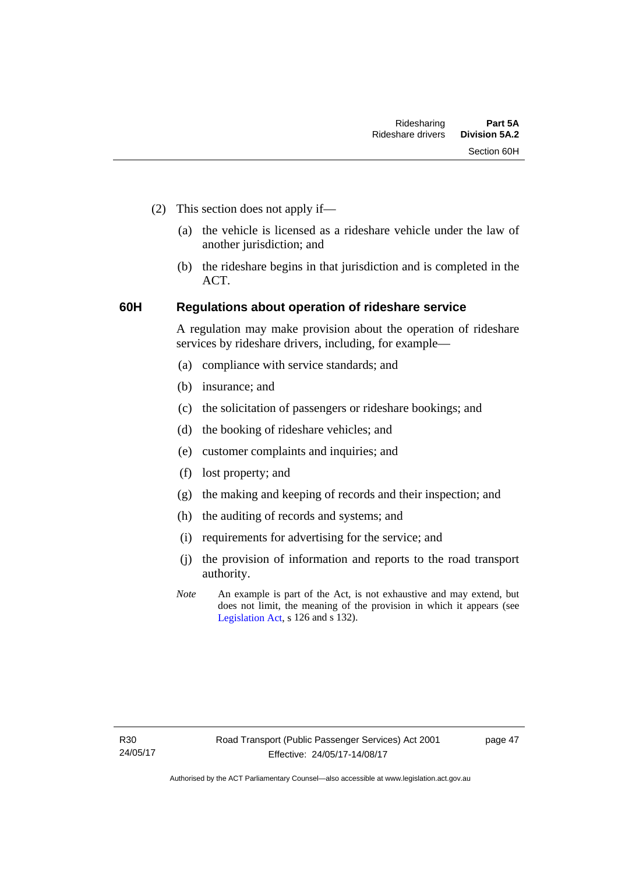- (2) This section does not apply if—
	- (a) the vehicle is licensed as a rideshare vehicle under the law of another jurisdiction; and
	- (b) the rideshare begins in that jurisdiction and is completed in the ACT.

# **60H Regulations about operation of rideshare service**

A regulation may make provision about the operation of rideshare services by rideshare drivers, including, for example—

- (a) compliance with service standards; and
- (b) insurance; and
- (c) the solicitation of passengers or rideshare bookings; and
- (d) the booking of rideshare vehicles; and
- (e) customer complaints and inquiries; and
- (f) lost property; and
- (g) the making and keeping of records and their inspection; and
- (h) the auditing of records and systems; and
- (i) requirements for advertising for the service; and
- (j) the provision of information and reports to the road transport authority.
- *Note* An example is part of the Act, is not exhaustive and may extend, but does not limit, the meaning of the provision in which it appears (see [Legislation Act,](http://www.legislation.act.gov.au/a/2001-14) s 126 and s 132).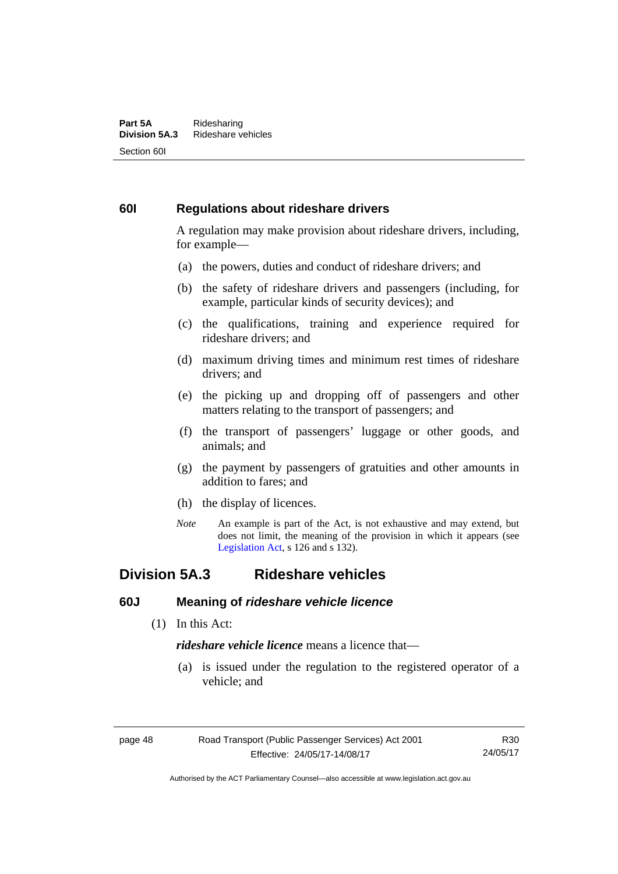#### **Part 5A** Ridesharing<br>**Division 5A.3** Rideshare ve **Division 5A.3** Rideshare vehicles Section 60I

# **60I Regulations about rideshare drivers**

A regulation may make provision about rideshare drivers, including, for example—

- (a) the powers, duties and conduct of rideshare drivers; and
- (b) the safety of rideshare drivers and passengers (including, for example, particular kinds of security devices); and
- (c) the qualifications, training and experience required for rideshare drivers; and
- (d) maximum driving times and minimum rest times of rideshare drivers; and
- (e) the picking up and dropping off of passengers and other matters relating to the transport of passengers; and
- (f) the transport of passengers' luggage or other goods, and animals; and
- (g) the payment by passengers of gratuities and other amounts in addition to fares; and
- (h) the display of licences.
- *Note* An example is part of the Act, is not exhaustive and may extend, but does not limit, the meaning of the provision in which it appears (see [Legislation Act,](http://www.legislation.act.gov.au/a/2001-14) s 126 and s 132).

# **Division 5A.3 Rideshare vehicles**

# **60J Meaning of** *rideshare vehicle licence*

(1) In this Act:

*rideshare vehicle licence* means a licence that—

 (a) is issued under the regulation to the registered operator of a vehicle; and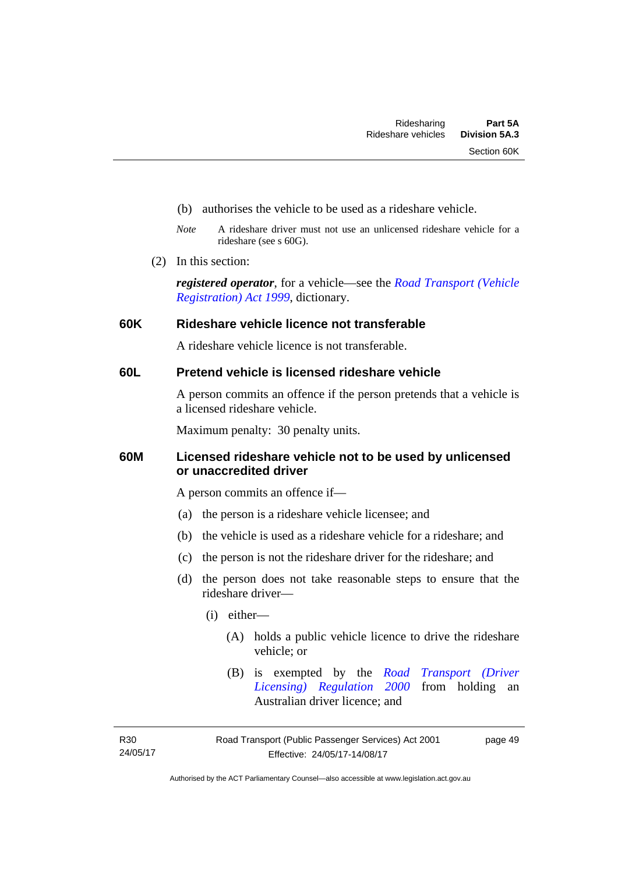- (b) authorises the vehicle to be used as a rideshare vehicle.
- *Note* A rideshare driver must not use an unlicensed rideshare vehicle for a rideshare (see s 60G).
- (2) In this section:

*registered operator*, for a vehicle—see the *[Road Transport \(Vehicle](http://www.legislation.act.gov.au/a/1999-81)  [Registration\) Act 1999](http://www.legislation.act.gov.au/a/1999-81)*, dictionary.

### **60K Rideshare vehicle licence not transferable**

A rideshare vehicle licence is not transferable.

# **60L Pretend vehicle is licensed rideshare vehicle**

A person commits an offence if the person pretends that a vehicle is a licensed rideshare vehicle.

Maximum penalty: 30 penalty units.

# **60M Licensed rideshare vehicle not to be used by unlicensed or unaccredited driver**

A person commits an offence if—

- (a) the person is a rideshare vehicle licensee; and
- (b) the vehicle is used as a rideshare vehicle for a rideshare; and
- (c) the person is not the rideshare driver for the rideshare; and
- (d) the person does not take reasonable steps to ensure that the rideshare driver—
	- (i) either—
		- (A) holds a public vehicle licence to drive the rideshare vehicle; or
		- (B) is exempted by the *[Road Transport \(Driver](http://www.legislation.act.gov.au/sl/2000-14/default.asp)  [Licensing\) Regulation 2000](http://www.legislation.act.gov.au/sl/2000-14/default.asp)* from holding an Australian driver licence; and

R30 24/05/17 page 49

Authorised by the ACT Parliamentary Counsel—also accessible at www.legislation.act.gov.au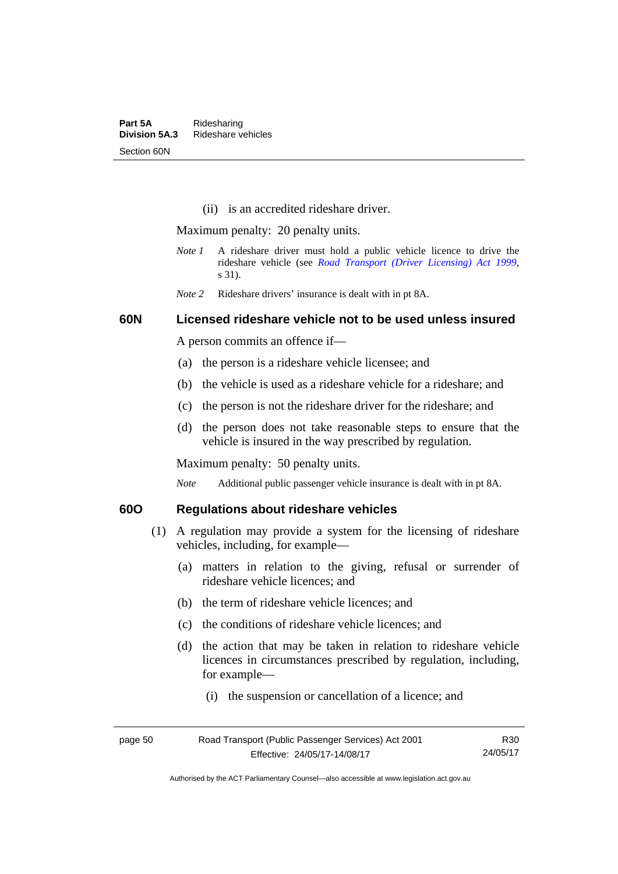(ii) is an accredited rideshare driver.

Maximum penalty: 20 penalty units.

- *Note 1* A rideshare driver must hold a public vehicle licence to drive the rideshare vehicle (see *[Road Transport \(Driver Licensing\) Act 1999](http://www.legislation.act.gov.au/a/1999-78)*, s 31).
- *Note 2* Rideshare drivers' insurance is dealt with in pt 8A.

### **60N Licensed rideshare vehicle not to be used unless insured**

A person commits an offence if—

- (a) the person is a rideshare vehicle licensee; and
- (b) the vehicle is used as a rideshare vehicle for a rideshare; and
- (c) the person is not the rideshare driver for the rideshare; and
- (d) the person does not take reasonable steps to ensure that the vehicle is insured in the way prescribed by regulation.

Maximum penalty: 50 penalty units.

*Note* Additional public passenger vehicle insurance is dealt with in pt 8A.

# **60O Regulations about rideshare vehicles**

- (1) A regulation may provide a system for the licensing of rideshare vehicles, including, for example—
	- (a) matters in relation to the giving, refusal or surrender of rideshare vehicle licences; and
	- (b) the term of rideshare vehicle licences; and
	- (c) the conditions of rideshare vehicle licences; and
	- (d) the action that may be taken in relation to rideshare vehicle licences in circumstances prescribed by regulation, including, for example—
		- (i) the suspension or cancellation of a licence; and

| page 50 | Road Transport (Public Passenger Services) Act 2001 | R30      |
|---------|-----------------------------------------------------|----------|
|         | Effective: 24/05/17-14/08/17                        | 24/05/17 |

Authorised by the ACT Parliamentary Counsel—also accessible at www.legislation.act.gov.au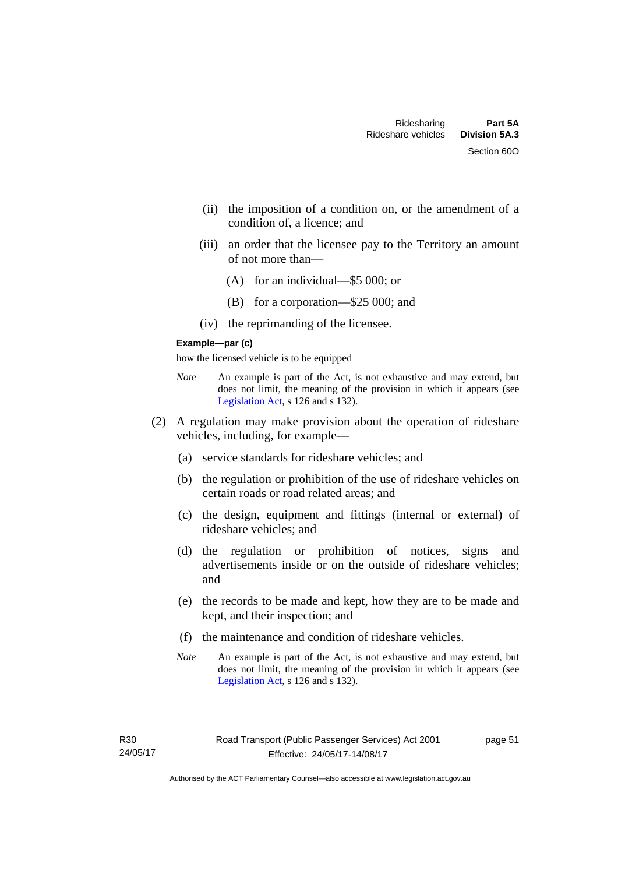- (ii) the imposition of a condition on, or the amendment of a condition of, a licence; and
- (iii) an order that the licensee pay to the Territory an amount of not more than—
	- (A) for an individual—\$5 000; or
	- (B) for a corporation—\$25 000; and
- (iv) the reprimanding of the licensee.

#### **Example—par (c)**

how the licensed vehicle is to be equipped

- *Note* An example is part of the Act, is not exhaustive and may extend, but does not limit, the meaning of the provision in which it appears (see [Legislation Act,](http://www.legislation.act.gov.au/a/2001-14) s 126 and s 132).
- (2) A regulation may make provision about the operation of rideshare vehicles, including, for example—
	- (a) service standards for rideshare vehicles; and
	- (b) the regulation or prohibition of the use of rideshare vehicles on certain roads or road related areas; and
	- (c) the design, equipment and fittings (internal or external) of rideshare vehicles; and
	- (d) the regulation or prohibition of notices, signs and advertisements inside or on the outside of rideshare vehicles; and
	- (e) the records to be made and kept, how they are to be made and kept, and their inspection; and
	- (f) the maintenance and condition of rideshare vehicles.
	- *Note* An example is part of the Act, is not exhaustive and may extend, but does not limit, the meaning of the provision in which it appears (see [Legislation Act,](http://www.legislation.act.gov.au/a/2001-14) s 126 and s 132).

page 51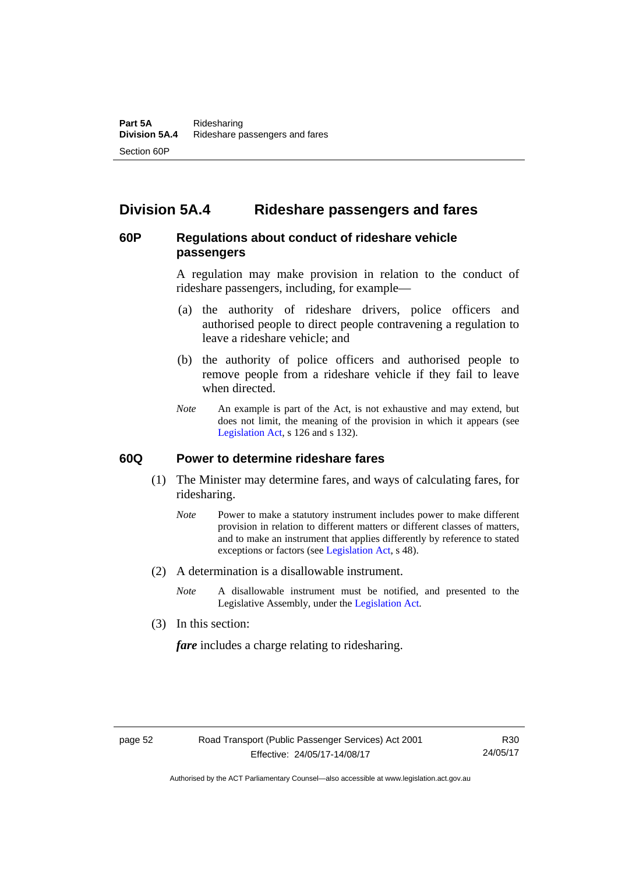# **Division 5A.4 Rideshare passengers and fares**

# **60P Regulations about conduct of rideshare vehicle passengers**

A regulation may make provision in relation to the conduct of rideshare passengers, including, for example—

- (a) the authority of rideshare drivers, police officers and authorised people to direct people contravening a regulation to leave a rideshare vehicle; and
- (b) the authority of police officers and authorised people to remove people from a rideshare vehicle if they fail to leave when directed.
- *Note* An example is part of the Act, is not exhaustive and may extend, but does not limit, the meaning of the provision in which it appears (see [Legislation Act,](http://www.legislation.act.gov.au/a/2001-14) s 126 and s 132).

#### **60Q Power to determine rideshare fares**

- (1) The Minister may determine fares, and ways of calculating fares, for ridesharing.
	- *Note* Power to make a statutory instrument includes power to make different provision in relation to different matters or different classes of matters, and to make an instrument that applies differently by reference to stated exceptions or factors (see [Legislation Act](http://www.legislation.act.gov.au/a/2001-14), s 48).
- (2) A determination is a disallowable instrument.
	- *Note* A disallowable instrument must be notified, and presented to the Legislative Assembly, under the [Legislation Act.](http://www.legislation.act.gov.au/a/2001-14)
- (3) In this section:

*fare* includes a charge relating to ridesharing.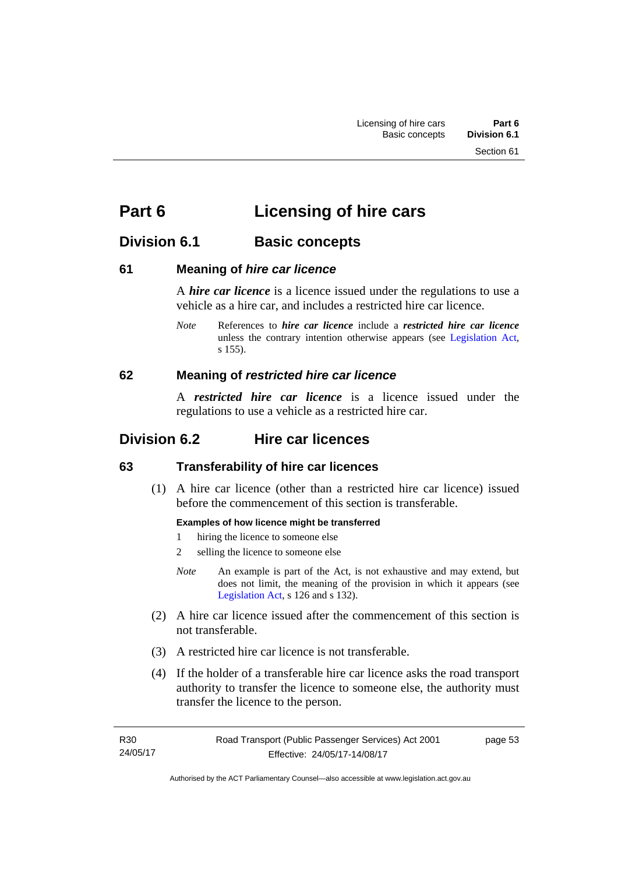# **Part 6 Licensing of hire cars**

# **Division 6.1 Basic concepts**

# **61 Meaning of** *hire car licence*

A *hire car licence* is a licence issued under the regulations to use a vehicle as a hire car, and includes a restricted hire car licence.

*Note* References to *hire car licence* include a *restricted hire car licence* unless the contrary intention otherwise appears (see [Legislation Act,](http://www.legislation.act.gov.au/a/2001-14) s 155).

# **62 Meaning of** *restricted hire car licence*

A *restricted hire car licence* is a licence issued under the regulations to use a vehicle as a restricted hire car.

# **Division 6.2 Hire car licences**

# **63 Transferability of hire car licences**

 (1) A hire car licence (other than a restricted hire car licence) issued before the commencement of this section is transferable.

#### **Examples of how licence might be transferred**

- 1 hiring the licence to someone else
- 2 selling the licence to someone else
- *Note* An example is part of the Act, is not exhaustive and may extend, but does not limit, the meaning of the provision in which it appears (see [Legislation Act,](http://www.legislation.act.gov.au/a/2001-14) s 126 and s 132).
- (2) A hire car licence issued after the commencement of this section is not transferable.
- (3) A restricted hire car licence is not transferable.
- (4) If the holder of a transferable hire car licence asks the road transport authority to transfer the licence to someone else, the authority must transfer the licence to the person.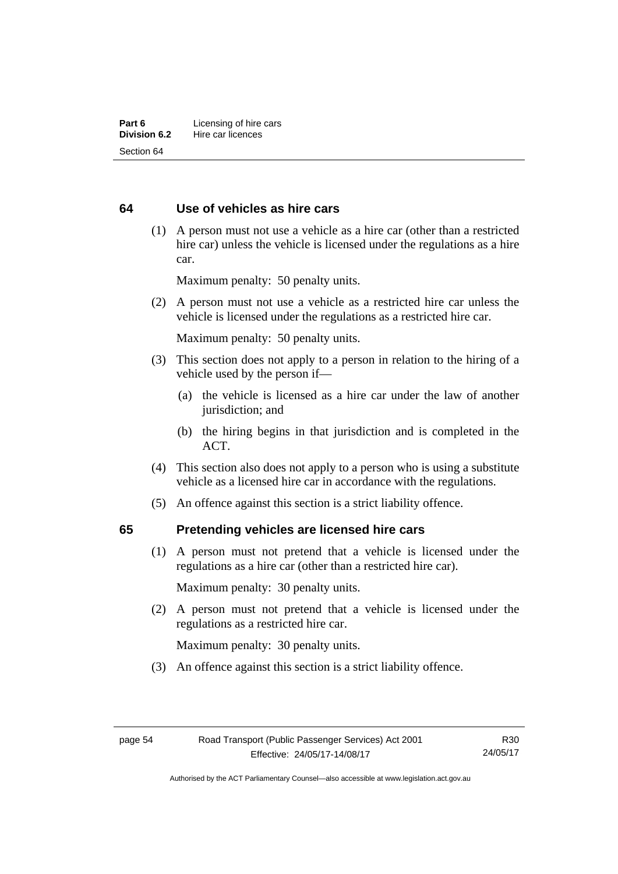# **64 Use of vehicles as hire cars**

 (1) A person must not use a vehicle as a hire car (other than a restricted hire car) unless the vehicle is licensed under the regulations as a hire car.

Maximum penalty: 50 penalty units.

 (2) A person must not use a vehicle as a restricted hire car unless the vehicle is licensed under the regulations as a restricted hire car.

Maximum penalty: 50 penalty units.

- (3) This section does not apply to a person in relation to the hiring of a vehicle used by the person if—
	- (a) the vehicle is licensed as a hire car under the law of another jurisdiction; and
	- (b) the hiring begins in that jurisdiction and is completed in the ACT.
- (4) This section also does not apply to a person who is using a substitute vehicle as a licensed hire car in accordance with the regulations.
- (5) An offence against this section is a strict liability offence.

#### **65 Pretending vehicles are licensed hire cars**

(1) A person must not pretend that a vehicle is licensed under the regulations as a hire car (other than a restricted hire car).

Maximum penalty: 30 penalty units.

 (2) A person must not pretend that a vehicle is licensed under the regulations as a restricted hire car.

Maximum penalty: 30 penalty units.

(3) An offence against this section is a strict liability offence.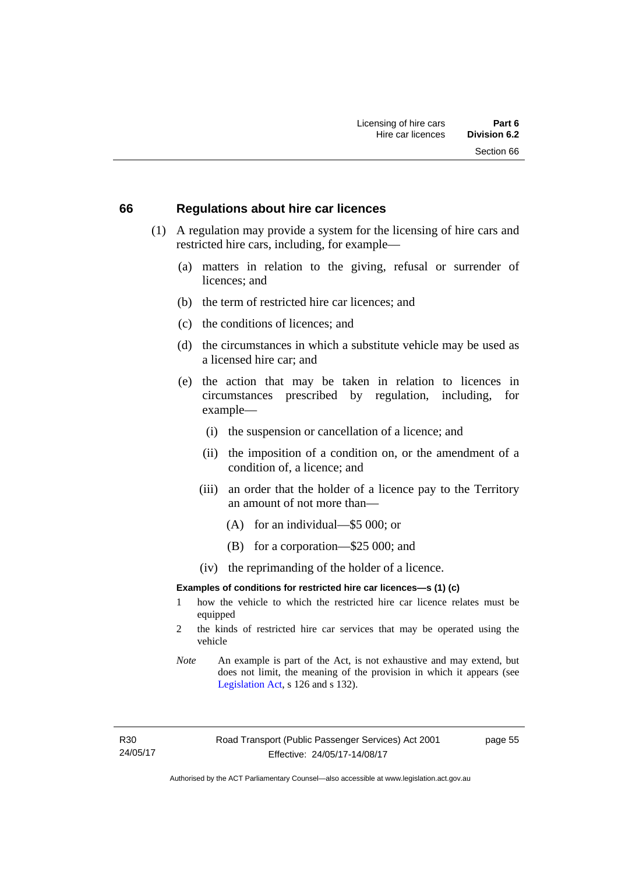#### **66 Regulations about hire car licences**

- (1) A regulation may provide a system for the licensing of hire cars and restricted hire cars, including, for example—
	- (a) matters in relation to the giving, refusal or surrender of licences; and
	- (b) the term of restricted hire car licences; and
	- (c) the conditions of licences; and
	- (d) the circumstances in which a substitute vehicle may be used as a licensed hire car; and
	- (e) the action that may be taken in relation to licences in circumstances prescribed by regulation, including, for example—
		- (i) the suspension or cancellation of a licence; and
		- (ii) the imposition of a condition on, or the amendment of a condition of, a licence; and
		- (iii) an order that the holder of a licence pay to the Territory an amount of not more than—
			- (A) for an individual—\$5 000; or
			- (B) for a corporation—\$25 000; and
		- (iv) the reprimanding of the holder of a licence.

#### **Examples of conditions for restricted hire car licences—s (1) (c)**

- 1 how the vehicle to which the restricted hire car licence relates must be equipped
- 2 the kinds of restricted hire car services that may be operated using the vehicle
- *Note* An example is part of the Act, is not exhaustive and may extend, but does not limit, the meaning of the provision in which it appears (see [Legislation Act,](http://www.legislation.act.gov.au/a/2001-14) s 126 and s 132).

R30 24/05/17 page 55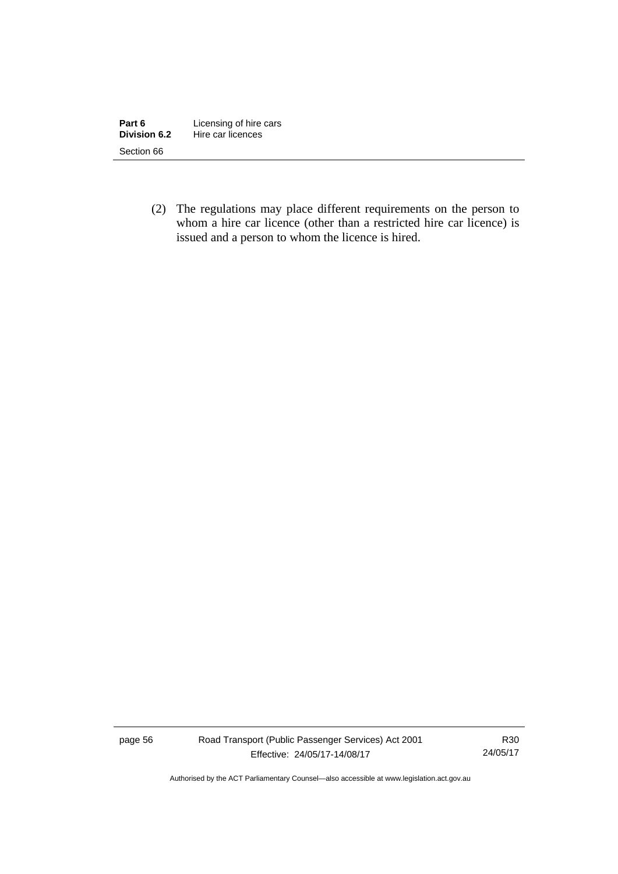| Part 6       | Licensing of hire cars |
|--------------|------------------------|
| Division 6.2 | Hire car licences      |
| Section 66   |                        |

 (2) The regulations may place different requirements on the person to whom a hire car licence (other than a restricted hire car licence) is issued and a person to whom the licence is hired.

page 56 Road Transport (Public Passenger Services) Act 2001 Effective: 24/05/17-14/08/17

R30 24/05/17

Authorised by the ACT Parliamentary Counsel—also accessible at www.legislation.act.gov.au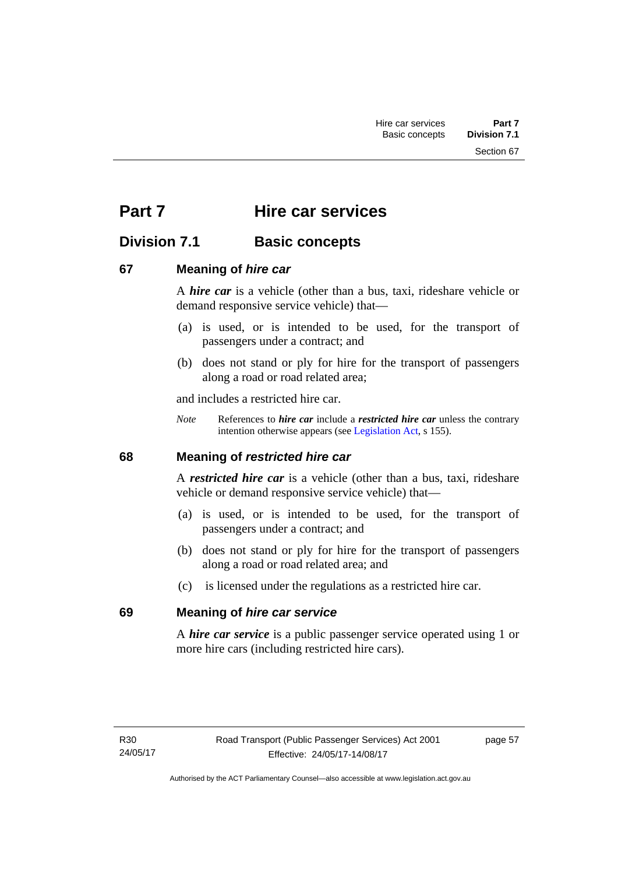Section 67

# **Part 7 Hire car services**

# **Division 7.1 Basic concepts**

# **67 Meaning of** *hire car*

A *hire car* is a vehicle (other than a bus, taxi, rideshare vehicle or demand responsive service vehicle) that—

- (a) is used, or is intended to be used, for the transport of passengers under a contract; and
- (b) does not stand or ply for hire for the transport of passengers along a road or road related area;

and includes a restricted hire car.

*Note* References to *hire car* include a *restricted hire car* unless the contrary intention otherwise appears (see [Legislation Act](http://www.legislation.act.gov.au/a/2001-14), s 155).

# **68 Meaning of** *restricted hire car*

A *restricted hire car* is a vehicle (other than a bus, taxi, rideshare vehicle or demand responsive service vehicle) that—

- (a) is used, or is intended to be used, for the transport of passengers under a contract; and
- (b) does not stand or ply for hire for the transport of passengers along a road or road related area; and
- (c) is licensed under the regulations as a restricted hire car.

# **69 Meaning of** *hire car service*

A *hire car service* is a public passenger service operated using 1 or more hire cars (including restricted hire cars).

page 57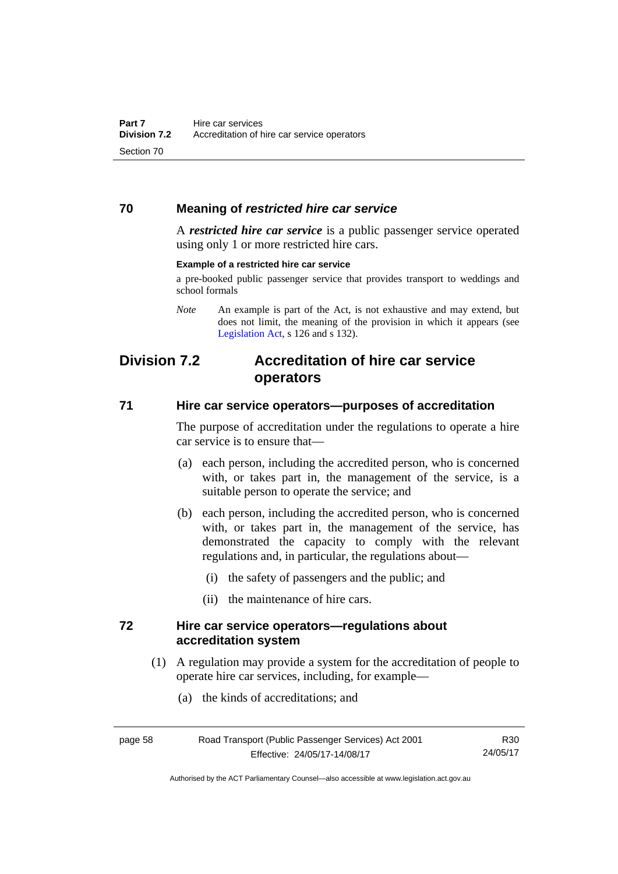# **70 Meaning of** *restricted hire car service*

A *restricted hire car service* is a public passenger service operated using only 1 or more restricted hire cars.

#### **Example of a restricted hire car service**

a pre-booked public passenger service that provides transport to weddings and school formals

# **Division 7.2 Accreditation of hire car service operators**

### **71 Hire car service operators—purposes of accreditation**

The purpose of accreditation under the regulations to operate a hire car service is to ensure that—

- (a) each person, including the accredited person, who is concerned with, or takes part in, the management of the service, is a suitable person to operate the service; and
- (b) each person, including the accredited person, who is concerned with, or takes part in, the management of the service, has demonstrated the capacity to comply with the relevant regulations and, in particular, the regulations about—
	- (i) the safety of passengers and the public; and
	- (ii) the maintenance of hire cars.

### **72 Hire car service operators—regulations about accreditation system**

- (1) A regulation may provide a system for the accreditation of people to operate hire car services, including, for example—
	- (a) the kinds of accreditations; and

| page 58 |  |  |
|---------|--|--|
|         |  |  |

*Note* An example is part of the Act, is not exhaustive and may extend, but does not limit, the meaning of the provision in which it appears (see [Legislation Act,](http://www.legislation.act.gov.au/a/2001-14) s 126 and s 132).

R30 24/05/17

Authorised by the ACT Parliamentary Counsel—also accessible at www.legislation.act.gov.au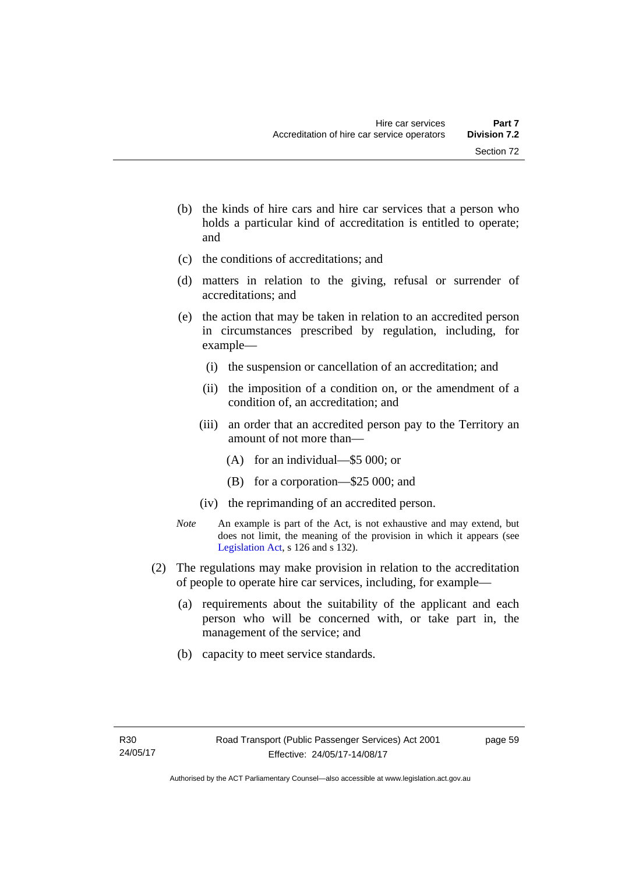- (b) the kinds of hire cars and hire car services that a person who holds a particular kind of accreditation is entitled to operate; and
- (c) the conditions of accreditations; and
- (d) matters in relation to the giving, refusal or surrender of accreditations; and
- (e) the action that may be taken in relation to an accredited person in circumstances prescribed by regulation, including, for example—
	- (i) the suspension or cancellation of an accreditation; and
	- (ii) the imposition of a condition on, or the amendment of a condition of, an accreditation; and
	- (iii) an order that an accredited person pay to the Territory an amount of not more than—
		- (A) for an individual—\$5 000; or
		- (B) for a corporation—\$25 000; and
	- (iv) the reprimanding of an accredited person.
- *Note* An example is part of the Act, is not exhaustive and may extend, but does not limit, the meaning of the provision in which it appears (see [Legislation Act,](http://www.legislation.act.gov.au/a/2001-14) s 126 and s 132).
- (2) The regulations may make provision in relation to the accreditation of people to operate hire car services, including, for example—
	- (a) requirements about the suitability of the applicant and each person who will be concerned with, or take part in, the management of the service; and
	- (b) capacity to meet service standards.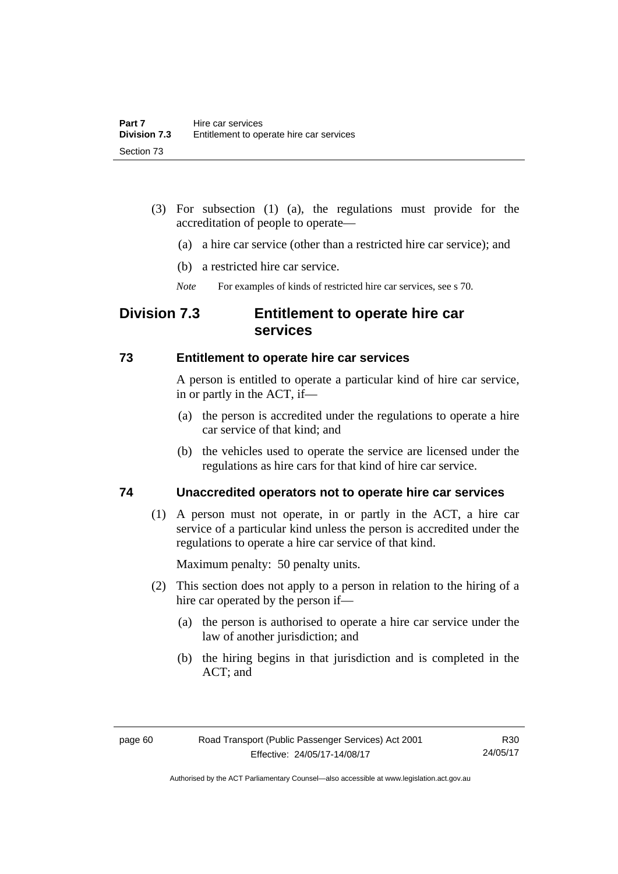- (3) For subsection (1) (a), the regulations must provide for the accreditation of people to operate—
	- (a) a hire car service (other than a restricted hire car service); and
	- (b) a restricted hire car service.
	- *Note* For examples of kinds of restricted hire car services, see s 70.

# **Division 7.3 Entitlement to operate hire car services**

### **73 Entitlement to operate hire car services**

A person is entitled to operate a particular kind of hire car service, in or partly in the ACT, if—

- (a) the person is accredited under the regulations to operate a hire car service of that kind; and
- (b) the vehicles used to operate the service are licensed under the regulations as hire cars for that kind of hire car service.

# **74 Unaccredited operators not to operate hire car services**

(1) A person must not operate, in or partly in the ACT, a hire car service of a particular kind unless the person is accredited under the regulations to operate a hire car service of that kind.

Maximum penalty: 50 penalty units.

- (2) This section does not apply to a person in relation to the hiring of a hire car operated by the person if—
	- (a) the person is authorised to operate a hire car service under the law of another jurisdiction; and
	- (b) the hiring begins in that jurisdiction and is completed in the ACT; and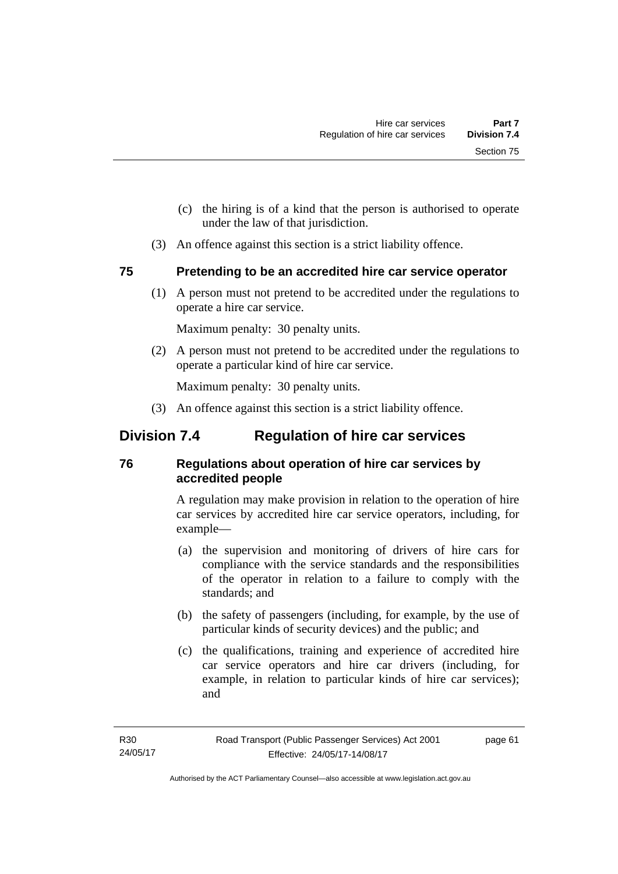- (c) the hiring is of a kind that the person is authorised to operate under the law of that jurisdiction.
- (3) An offence against this section is a strict liability offence.

# **75 Pretending to be an accredited hire car service operator**

(1) A person must not pretend to be accredited under the regulations to operate a hire car service.

Maximum penalty: 30 penalty units.

 (2) A person must not pretend to be accredited under the regulations to operate a particular kind of hire car service.

Maximum penalty: 30 penalty units.

(3) An offence against this section is a strict liability offence.

# **Division 7.4 Regulation of hire car services**

# **76 Regulations about operation of hire car services by accredited people**

A regulation may make provision in relation to the operation of hire car services by accredited hire car service operators, including, for example—

- (a) the supervision and monitoring of drivers of hire cars for compliance with the service standards and the responsibilities of the operator in relation to a failure to comply with the standards; and
- (b) the safety of passengers (including, for example, by the use of particular kinds of security devices) and the public; and
- (c) the qualifications, training and experience of accredited hire car service operators and hire car drivers (including, for example, in relation to particular kinds of hire car services); and

page 61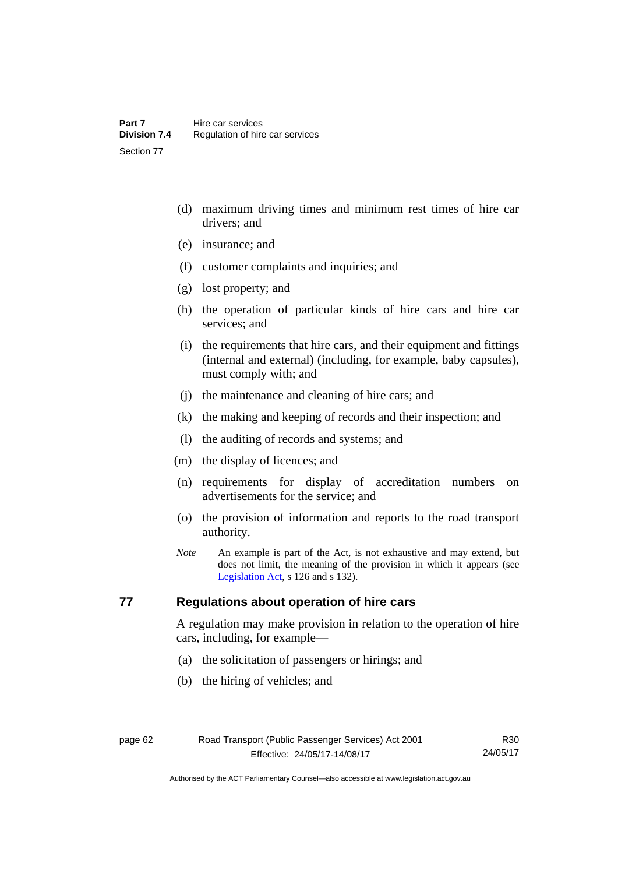- (d) maximum driving times and minimum rest times of hire car drivers; and
- (e) insurance; and
- (f) customer complaints and inquiries; and
- (g) lost property; and
- (h) the operation of particular kinds of hire cars and hire car services; and
- (i) the requirements that hire cars, and their equipment and fittings (internal and external) (including, for example, baby capsules), must comply with; and
- (j) the maintenance and cleaning of hire cars; and
- (k) the making and keeping of records and their inspection; and
- (l) the auditing of records and systems; and
- (m) the display of licences; and
- (n) requirements for display of accreditation numbers on advertisements for the service; and
- (o) the provision of information and reports to the road transport authority.
- *Note* An example is part of the Act, is not exhaustive and may extend, but does not limit, the meaning of the provision in which it appears (see [Legislation Act,](http://www.legislation.act.gov.au/a/2001-14) s 126 and s 132).

# **77 Regulations about operation of hire cars**

A regulation may make provision in relation to the operation of hire cars, including, for example—

- (a) the solicitation of passengers or hirings; and
- (b) the hiring of vehicles; and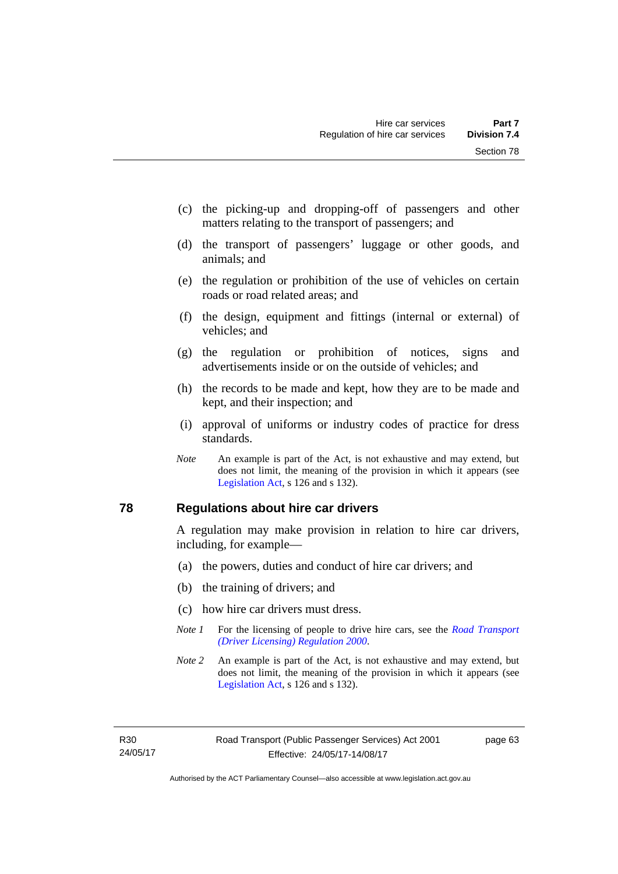- (c) the picking-up and dropping-off of passengers and other matters relating to the transport of passengers; and
- (d) the transport of passengers' luggage or other goods, and animals; and
- (e) the regulation or prohibition of the use of vehicles on certain roads or road related areas; and
- (f) the design, equipment and fittings (internal or external) of vehicles; and
- (g) the regulation or prohibition of notices, signs and advertisements inside or on the outside of vehicles; and
- (h) the records to be made and kept, how they are to be made and kept, and their inspection; and
- (i) approval of uniforms or industry codes of practice for dress standards.
- *Note* An example is part of the Act, is not exhaustive and may extend, but does not limit, the meaning of the provision in which it appears (see [Legislation Act,](http://www.legislation.act.gov.au/a/2001-14) s 126 and s 132).

## **78 Regulations about hire car drivers**

A regulation may make provision in relation to hire car drivers, including, for example—

- (a) the powers, duties and conduct of hire car drivers; and
- (b) the training of drivers; and
- (c) how hire car drivers must dress.
- *Note 1* For the licensing of people to drive hire cars, see the *Road Transport [\(Driver Licensing\) Regulation 2000](http://www.legislation.act.gov.au/sl/2000-14)*.
- *Note 2* An example is part of the Act, is not exhaustive and may extend, but does not limit, the meaning of the provision in which it appears (see [Legislation Act,](http://www.legislation.act.gov.au/a/2001-14) s 126 and s 132).

page 63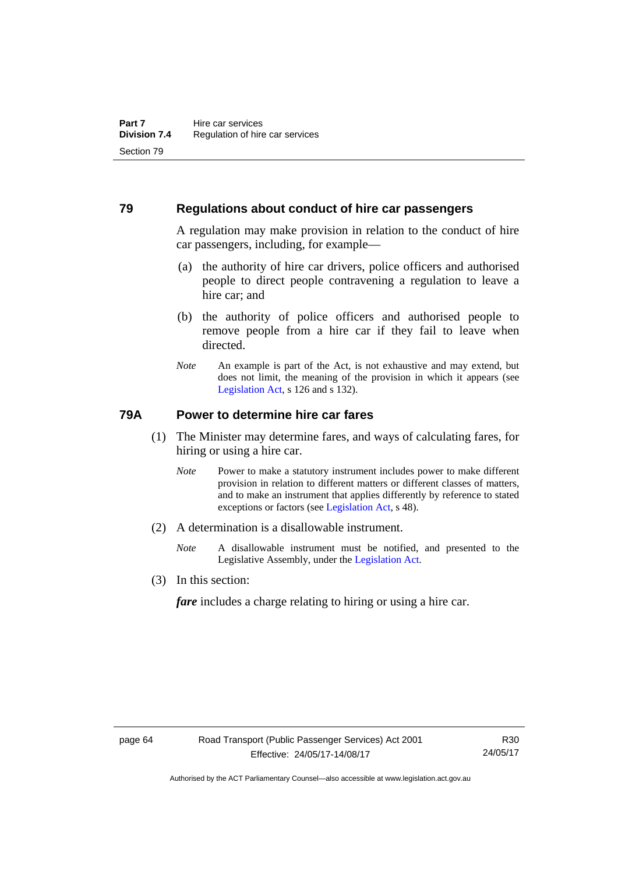### **79 Regulations about conduct of hire car passengers**

A regulation may make provision in relation to the conduct of hire car passengers, including, for example—

- (a) the authority of hire car drivers, police officers and authorised people to direct people contravening a regulation to leave a hire car; and
- (b) the authority of police officers and authorised people to remove people from a hire car if they fail to leave when directed.
- *Note* An example is part of the Act, is not exhaustive and may extend, but does not limit, the meaning of the provision in which it appears (see [Legislation Act,](http://www.legislation.act.gov.au/a/2001-14) s 126 and s 132).

## **79A Power to determine hire car fares**

- (1) The Minister may determine fares, and ways of calculating fares, for hiring or using a hire car.
	- *Note* Power to make a statutory instrument includes power to make different provision in relation to different matters or different classes of matters, and to make an instrument that applies differently by reference to stated exceptions or factors (see [Legislation Act](http://www.legislation.act.gov.au/a/2001-14), s 48).
- (2) A determination is a disallowable instrument.
	- *Note* A disallowable instrument must be notified, and presented to the Legislative Assembly, under the [Legislation Act.](http://www.legislation.act.gov.au/a/2001-14)
- (3) In this section:

*fare* includes a charge relating to hiring or using a hire car.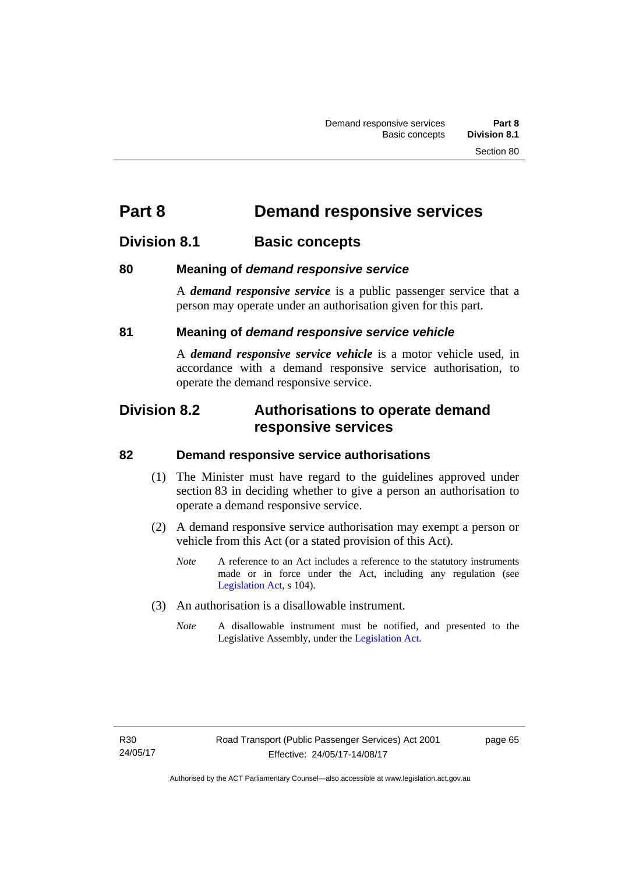# **Part 8 Demand responsive services**

## **Division 8.1 Basic concepts**

## **80 Meaning of** *demand responsive service*

A *demand responsive service* is a public passenger service that a person may operate under an authorisation given for this part.

## **81 Meaning of** *demand responsive service vehicle*

A *demand responsive service vehicle* is a motor vehicle used, in accordance with a demand responsive service authorisation, to operate the demand responsive service.

## **Division 8.2 Authorisations to operate demand responsive services**

## **82 Demand responsive service authorisations**

- (1) The Minister must have regard to the guidelines approved under section 83 in deciding whether to give a person an authorisation to operate a demand responsive service.
- (2) A demand responsive service authorisation may exempt a person or vehicle from this Act (or a stated provision of this Act).
	- *Note* A reference to an Act includes a reference to the statutory instruments made or in force under the Act, including any regulation (see [Legislation Act,](http://www.legislation.act.gov.au/a/2001-14) s 104).
- (3) An authorisation is a disallowable instrument.
	- *Note* A disallowable instrument must be notified, and presented to the Legislative Assembly, under the [Legislation Act.](http://www.legislation.act.gov.au/a/2001-14)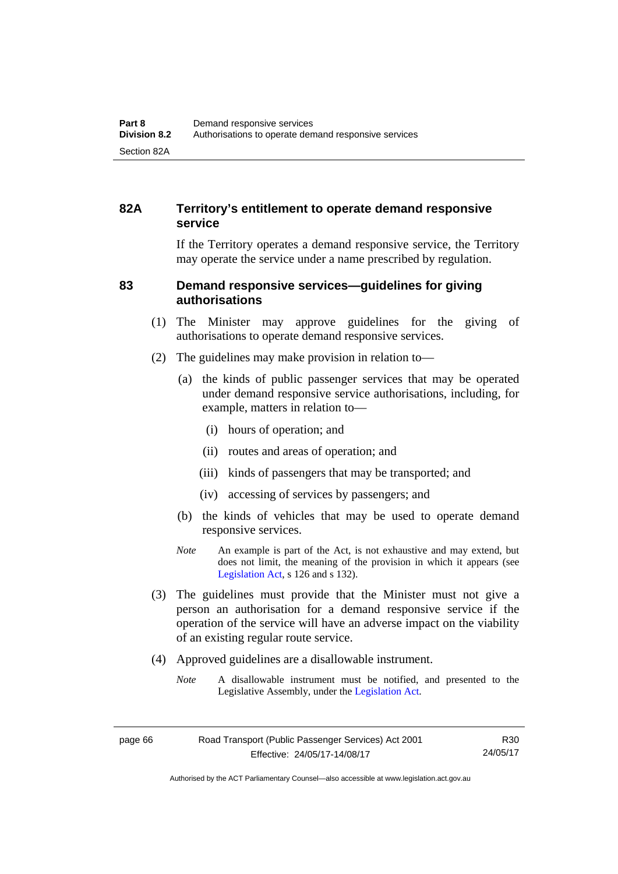## **82A Territory's entitlement to operate demand responsive service**

If the Territory operates a demand responsive service, the Territory may operate the service under a name prescribed by regulation.

## **83 Demand responsive services—guidelines for giving authorisations**

- (1) The Minister may approve guidelines for the giving of authorisations to operate demand responsive services.
- (2) The guidelines may make provision in relation to—
	- (a) the kinds of public passenger services that may be operated under demand responsive service authorisations, including, for example, matters in relation to—
		- (i) hours of operation; and
		- (ii) routes and areas of operation; and
		- (iii) kinds of passengers that may be transported; and
		- (iv) accessing of services by passengers; and
	- (b) the kinds of vehicles that may be used to operate demand responsive services.
	- *Note* An example is part of the Act, is not exhaustive and may extend, but does not limit, the meaning of the provision in which it appears (see [Legislation Act,](http://www.legislation.act.gov.au/a/2001-14) s 126 and s 132).
- (3) The guidelines must provide that the Minister must not give a person an authorisation for a demand responsive service if the operation of the service will have an adverse impact on the viability of an existing regular route service.
- (4) Approved guidelines are a disallowable instrument.
	- *Note* A disallowable instrument must be notified, and presented to the Legislative Assembly, under the [Legislation Act.](http://www.legislation.act.gov.au/a/2001-14)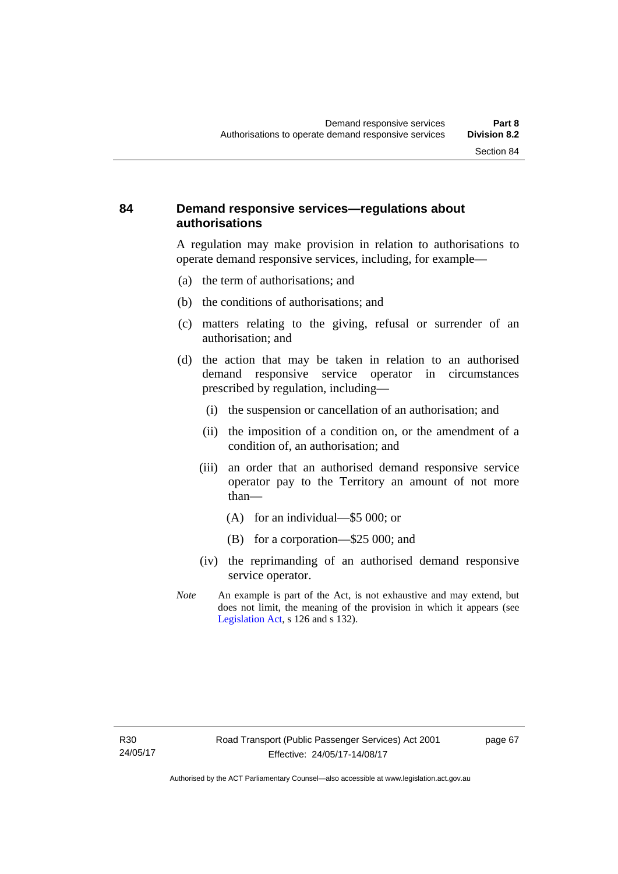## **84 Demand responsive services—regulations about authorisations**

A regulation may make provision in relation to authorisations to operate demand responsive services, including, for example—

- (a) the term of authorisations; and
- (b) the conditions of authorisations; and
- (c) matters relating to the giving, refusal or surrender of an authorisation; and
- (d) the action that may be taken in relation to an authorised demand responsive service operator in circumstances prescribed by regulation, including—
	- (i) the suspension or cancellation of an authorisation; and
	- (ii) the imposition of a condition on, or the amendment of a condition of, an authorisation; and
	- (iii) an order that an authorised demand responsive service operator pay to the Territory an amount of not more than—
		- (A) for an individual—\$5 000; or
		- (B) for a corporation—\$25 000; and
	- (iv) the reprimanding of an authorised demand responsive service operator.
- *Note* An example is part of the Act, is not exhaustive and may extend, but does not limit, the meaning of the provision in which it appears (see [Legislation Act,](http://www.legislation.act.gov.au/a/2001-14) s 126 and s 132).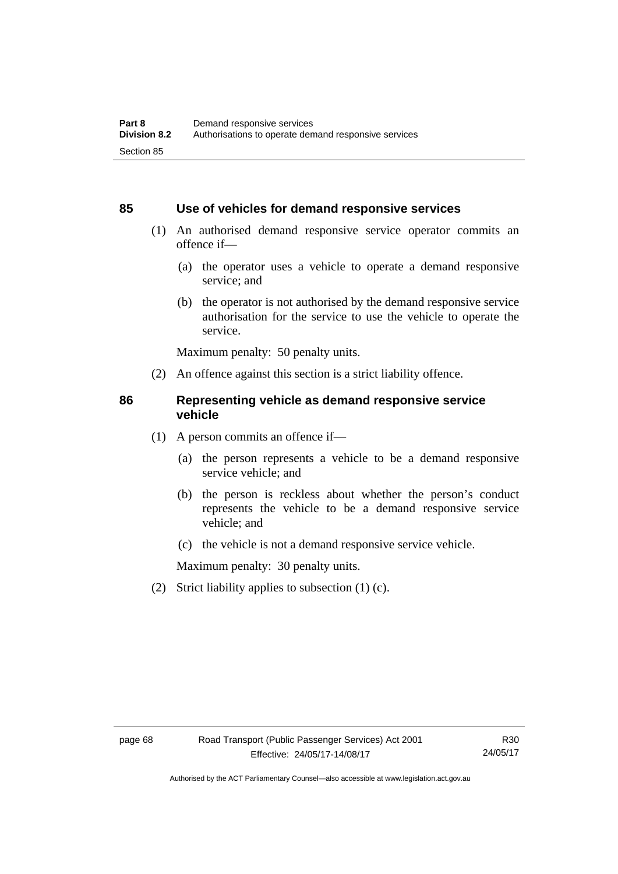### **85 Use of vehicles for demand responsive services**

- (1) An authorised demand responsive service operator commits an offence if—
	- (a) the operator uses a vehicle to operate a demand responsive service; and
	- (b) the operator is not authorised by the demand responsive service authorisation for the service to use the vehicle to operate the service.

Maximum penalty: 50 penalty units.

(2) An offence against this section is a strict liability offence.

#### **86 Representing vehicle as demand responsive service vehicle**

- (1) A person commits an offence if—
	- (a) the person represents a vehicle to be a demand responsive service vehicle; and
	- (b) the person is reckless about whether the person's conduct represents the vehicle to be a demand responsive service vehicle; and
	- (c) the vehicle is not a demand responsive service vehicle.

Maximum penalty: 30 penalty units.

(2) Strict liability applies to subsection (1) (c).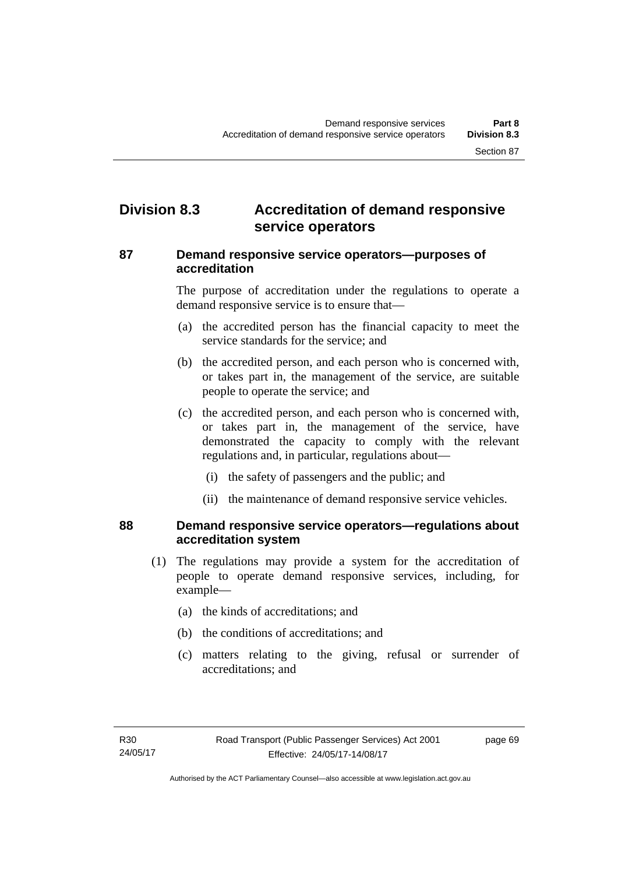## **Division 8.3 Accreditation of demand responsive service operators**

### **87 Demand responsive service operators—purposes of accreditation**

The purpose of accreditation under the regulations to operate a demand responsive service is to ensure that—

- (a) the accredited person has the financial capacity to meet the service standards for the service; and
- (b) the accredited person, and each person who is concerned with, or takes part in, the management of the service, are suitable people to operate the service; and
- (c) the accredited person, and each person who is concerned with, or takes part in, the management of the service, have demonstrated the capacity to comply with the relevant regulations and, in particular, regulations about—
	- (i) the safety of passengers and the public; and
	- (ii) the maintenance of demand responsive service vehicles.

## **88 Demand responsive service operators—regulations about accreditation system**

- (1) The regulations may provide a system for the accreditation of people to operate demand responsive services, including, for example—
	- (a) the kinds of accreditations; and
	- (b) the conditions of accreditations; and
	- (c) matters relating to the giving, refusal or surrender of accreditations; and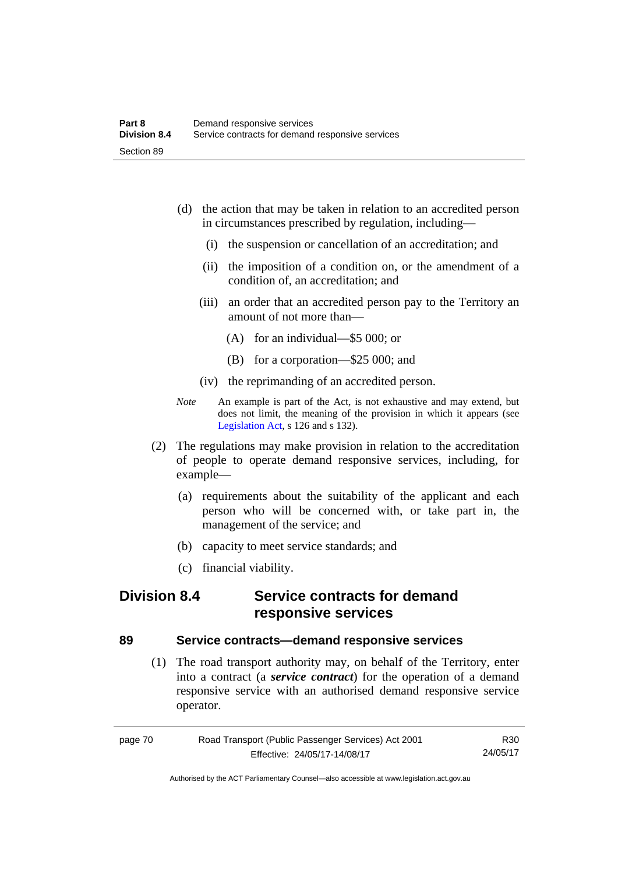- (d) the action that may be taken in relation to an accredited person in circumstances prescribed by regulation, including—
	- (i) the suspension or cancellation of an accreditation; and
	- (ii) the imposition of a condition on, or the amendment of a condition of, an accreditation; and
	- (iii) an order that an accredited person pay to the Territory an amount of not more than—
		- (A) for an individual—\$5 000; or
		- (B) for a corporation—\$25 000; and
	- (iv) the reprimanding of an accredited person.
- *Note* An example is part of the Act, is not exhaustive and may extend, but does not limit, the meaning of the provision in which it appears (see [Legislation Act,](http://www.legislation.act.gov.au/a/2001-14) s 126 and s 132).
- (2) The regulations may make provision in relation to the accreditation of people to operate demand responsive services, including, for example—
	- (a) requirements about the suitability of the applicant and each person who will be concerned with, or take part in, the management of the service; and
	- (b) capacity to meet service standards; and
	- (c) financial viability.

## **Division 8.4 Service contracts for demand responsive services**

## **89 Service contracts—demand responsive services**

 (1) The road transport authority may, on behalf of the Territory, enter into a contract (a *service contract*) for the operation of a demand responsive service with an authorised demand responsive service operator.

| page 70 | Road Transport (Public Passenger Services) Act 2001 |          |
|---------|-----------------------------------------------------|----------|
|         | Effective: 24/05/17-14/08/17                        | 24/05/17 |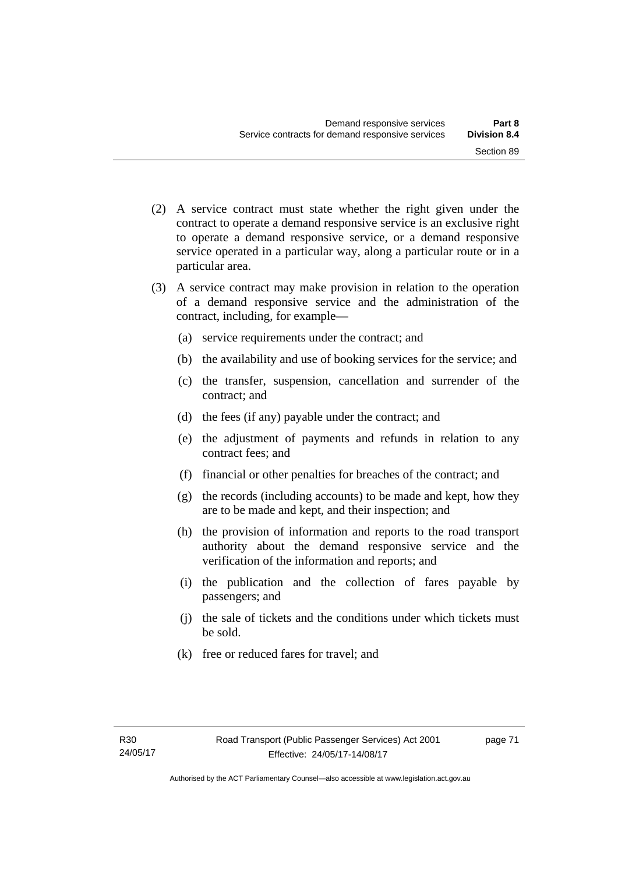- (2) A service contract must state whether the right given under the contract to operate a demand responsive service is an exclusive right to operate a demand responsive service, or a demand responsive service operated in a particular way, along a particular route or in a particular area.
- (3) A service contract may make provision in relation to the operation of a demand responsive service and the administration of the contract, including, for example—
	- (a) service requirements under the contract; and
	- (b) the availability and use of booking services for the service; and
	- (c) the transfer, suspension, cancellation and surrender of the contract; and
	- (d) the fees (if any) payable under the contract; and
	- (e) the adjustment of payments and refunds in relation to any contract fees; and
	- (f) financial or other penalties for breaches of the contract; and
	- (g) the records (including accounts) to be made and kept, how they are to be made and kept, and their inspection; and
	- (h) the provision of information and reports to the road transport authority about the demand responsive service and the verification of the information and reports; and
	- (i) the publication and the collection of fares payable by passengers; and
	- (j) the sale of tickets and the conditions under which tickets must be sold.
	- (k) free or reduced fares for travel; and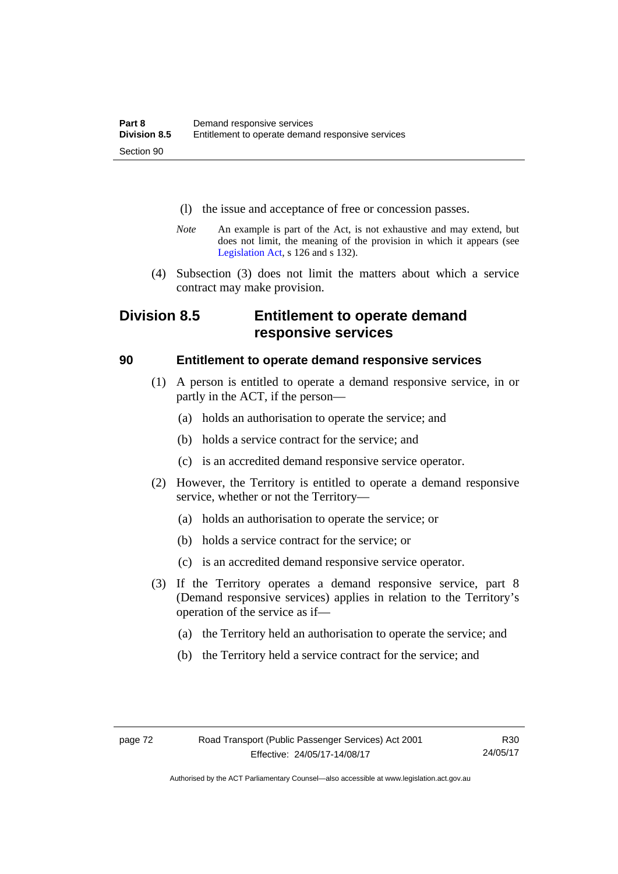- (l) the issue and acceptance of free or concession passes.
- *Note* An example is part of the Act, is not exhaustive and may extend, but does not limit, the meaning of the provision in which it appears (see [Legislation Act,](http://www.legislation.act.gov.au/a/2001-14) s 126 and s 132).
- (4) Subsection (3) does not limit the matters about which a service contract may make provision.

## **Division 8.5 Entitlement to operate demand responsive services**

## **90 Entitlement to operate demand responsive services**

- (1) A person is entitled to operate a demand responsive service, in or partly in the ACT, if the person—
	- (a) holds an authorisation to operate the service; and
	- (b) holds a service contract for the service; and
	- (c) is an accredited demand responsive service operator.
- (2) However, the Territory is entitled to operate a demand responsive service, whether or not the Territory—
	- (a) holds an authorisation to operate the service; or
	- (b) holds a service contract for the service; or
	- (c) is an accredited demand responsive service operator.
- (3) If the Territory operates a demand responsive service, part 8 (Demand responsive services) applies in relation to the Territory's operation of the service as if—
	- (a) the Territory held an authorisation to operate the service; and
	- (b) the Territory held a service contract for the service; and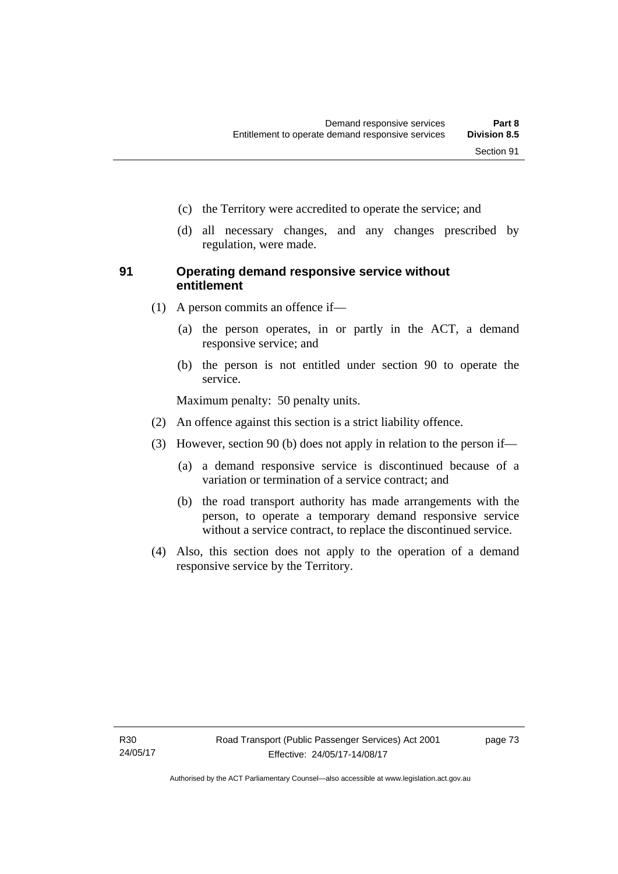- (c) the Territory were accredited to operate the service; and
- (d) all necessary changes, and any changes prescribed by regulation, were made.

## **91 Operating demand responsive service without entitlement**

- (1) A person commits an offence if—
	- (a) the person operates, in or partly in the ACT, a demand responsive service; and
	- (b) the person is not entitled under section 90 to operate the service.

Maximum penalty: 50 penalty units.

- (2) An offence against this section is a strict liability offence.
- (3) However, section 90 (b) does not apply in relation to the person if—
	- (a) a demand responsive service is discontinued because of a variation or termination of a service contract; and
	- (b) the road transport authority has made arrangements with the person, to operate a temporary demand responsive service without a service contract, to replace the discontinued service.
- (4) Also, this section does not apply to the operation of a demand responsive service by the Territory.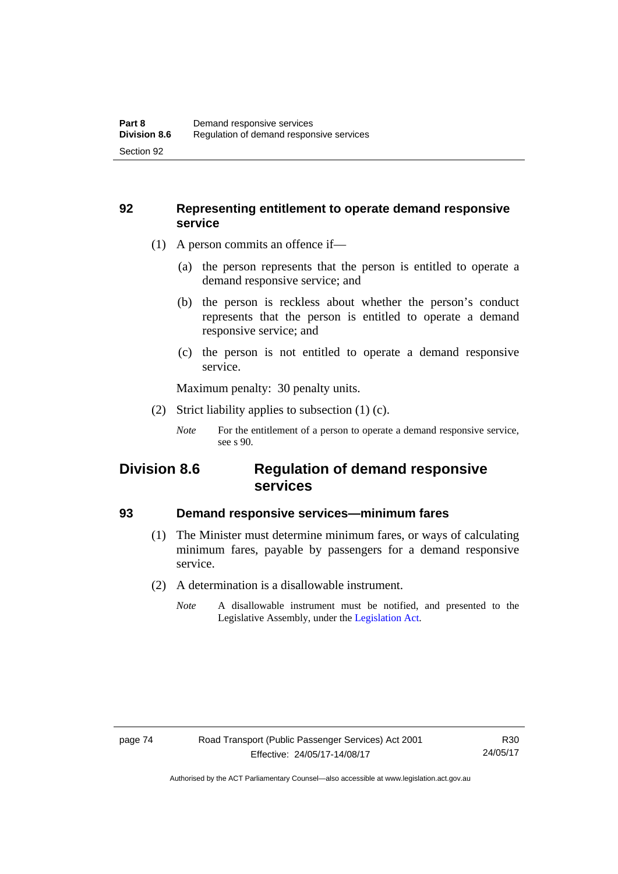## **92 Representing entitlement to operate demand responsive service**

- (1) A person commits an offence if—
	- (a) the person represents that the person is entitled to operate a demand responsive service; and
	- (b) the person is reckless about whether the person's conduct represents that the person is entitled to operate a demand responsive service; and
	- (c) the person is not entitled to operate a demand responsive service.

Maximum penalty: 30 penalty units.

(2) Strict liability applies to subsection (1) (c).

## **Division 8.6 Regulation of demand responsive services**

## **93 Demand responsive services—minimum fares**

- (1) The Minister must determine minimum fares, or ways of calculating minimum fares, payable by passengers for a demand responsive service.
- (2) A determination is a disallowable instrument.
	- *Note* A disallowable instrument must be notified, and presented to the Legislative Assembly, under the [Legislation Act.](http://www.legislation.act.gov.au/a/2001-14)

*Note* For the entitlement of a person to operate a demand responsive service, see s 90.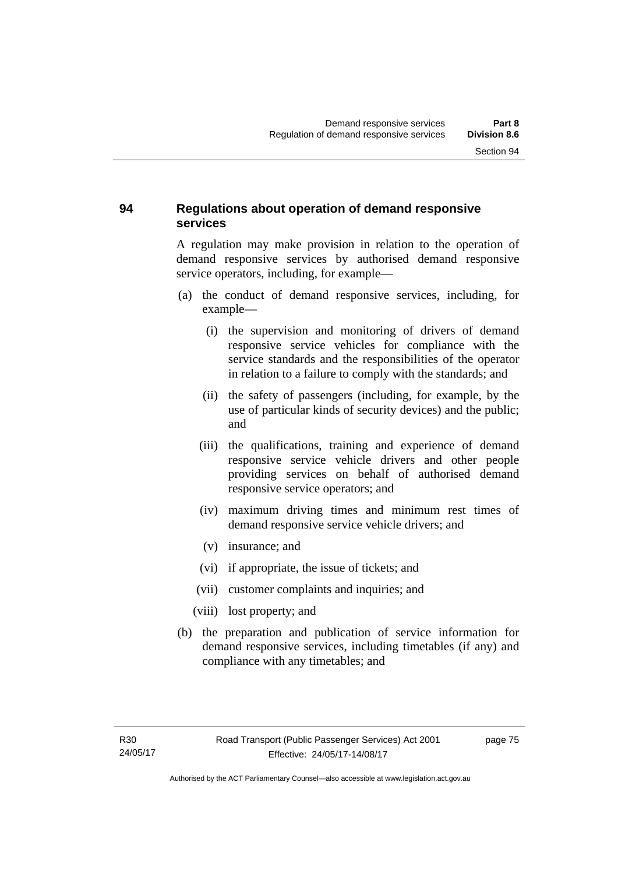## **94 Regulations about operation of demand responsive services**

A regulation may make provision in relation to the operation of demand responsive services by authorised demand responsive service operators, including, for example—

- (a) the conduct of demand responsive services, including, for example—
	- (i) the supervision and monitoring of drivers of demand responsive service vehicles for compliance with the service standards and the responsibilities of the operator in relation to a failure to comply with the standards; and
	- (ii) the safety of passengers (including, for example, by the use of particular kinds of security devices) and the public; and
	- (iii) the qualifications, training and experience of demand responsive service vehicle drivers and other people providing services on behalf of authorised demand responsive service operators; and
	- (iv) maximum driving times and minimum rest times of demand responsive service vehicle drivers; and
	- (v) insurance; and
	- (vi) if appropriate, the issue of tickets; and
	- (vii) customer complaints and inquiries; and
	- (viii) lost property; and
- (b) the preparation and publication of service information for demand responsive services, including timetables (if any) and compliance with any timetables; and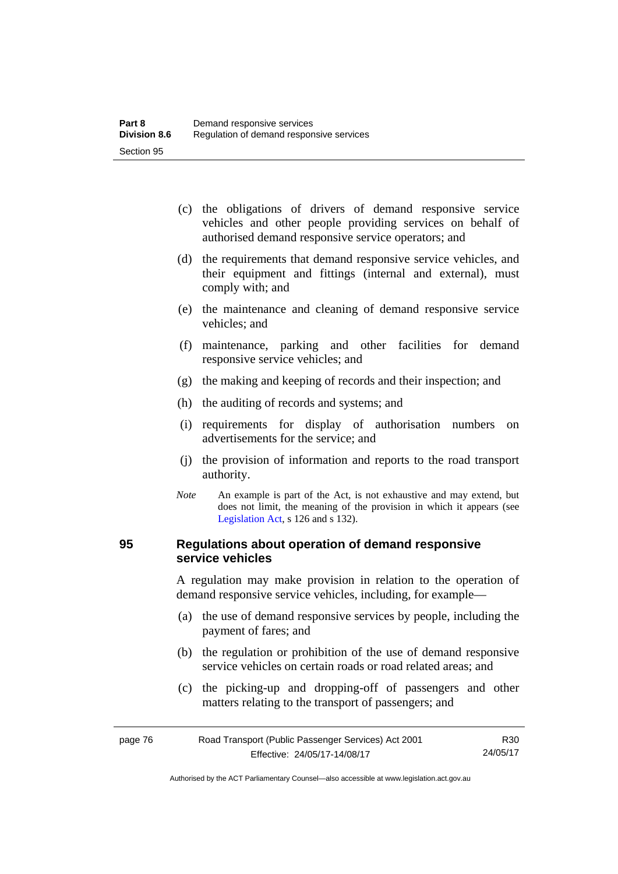- (c) the obligations of drivers of demand responsive service vehicles and other people providing services on behalf of authorised demand responsive service operators; and
- (d) the requirements that demand responsive service vehicles, and their equipment and fittings (internal and external), must comply with; and
- (e) the maintenance and cleaning of demand responsive service vehicles; and
- (f) maintenance, parking and other facilities for demand responsive service vehicles; and
- (g) the making and keeping of records and their inspection; and
- (h) the auditing of records and systems; and
- (i) requirements for display of authorisation numbers on advertisements for the service; and
- (j) the provision of information and reports to the road transport authority.
- *Note* An example is part of the Act, is not exhaustive and may extend, but does not limit, the meaning of the provision in which it appears (see [Legislation Act,](http://www.legislation.act.gov.au/a/2001-14) s 126 and s 132).

## **95 Regulations about operation of demand responsive service vehicles**

A regulation may make provision in relation to the operation of demand responsive service vehicles, including, for example—

- (a) the use of demand responsive services by people, including the payment of fares; and
- (b) the regulation or prohibition of the use of demand responsive service vehicles on certain roads or road related areas; and
- (c) the picking-up and dropping-off of passengers and other matters relating to the transport of passengers; and

| page 76 | Road Transport (Public Passenger Services) Act 2001 |          |
|---------|-----------------------------------------------------|----------|
|         | Effective: 24/05/17-14/08/17                        | 24/05/17 |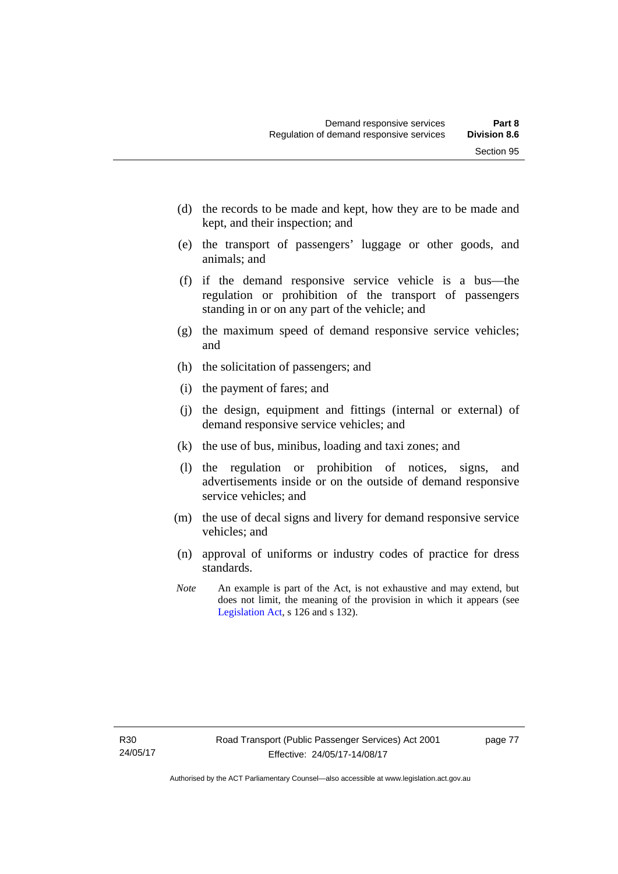- (d) the records to be made and kept, how they are to be made and kept, and their inspection; and
- (e) the transport of passengers' luggage or other goods, and animals; and
- (f) if the demand responsive service vehicle is a bus—the regulation or prohibition of the transport of passengers standing in or on any part of the vehicle; and
- (g) the maximum speed of demand responsive service vehicles; and
- (h) the solicitation of passengers; and
- (i) the payment of fares; and
- (j) the design, equipment and fittings (internal or external) of demand responsive service vehicles; and
- (k) the use of bus, minibus, loading and taxi zones; and
- (l) the regulation or prohibition of notices, signs, and advertisements inside or on the outside of demand responsive service vehicles; and
- (m) the use of decal signs and livery for demand responsive service vehicles; and
- (n) approval of uniforms or industry codes of practice for dress standards.
- *Note* An example is part of the Act, is not exhaustive and may extend, but does not limit, the meaning of the provision in which it appears (see [Legislation Act,](http://www.legislation.act.gov.au/a/2001-14) s 126 and s 132).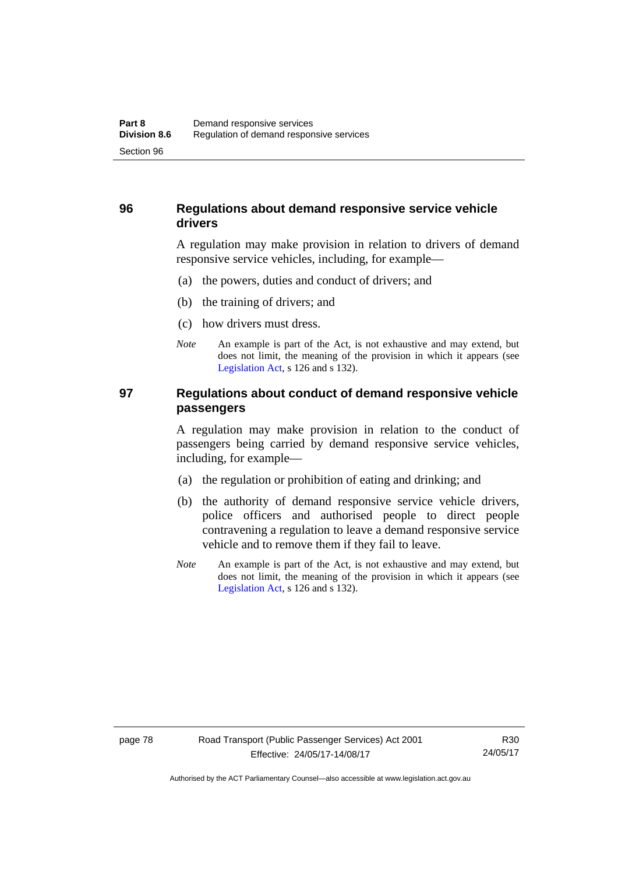## **96 Regulations about demand responsive service vehicle drivers**

A regulation may make provision in relation to drivers of demand responsive service vehicles, including, for example—

- (a) the powers, duties and conduct of drivers; and
- (b) the training of drivers; and
- (c) how drivers must dress.
- *Note* An example is part of the Act, is not exhaustive and may extend, but does not limit, the meaning of the provision in which it appears (see [Legislation Act,](http://www.legislation.act.gov.au/a/2001-14) s 126 and s 132).

## **97 Regulations about conduct of demand responsive vehicle passengers**

A regulation may make provision in relation to the conduct of passengers being carried by demand responsive service vehicles, including, for example—

- (a) the regulation or prohibition of eating and drinking; and
- (b) the authority of demand responsive service vehicle drivers, police officers and authorised people to direct people contravening a regulation to leave a demand responsive service vehicle and to remove them if they fail to leave.
- *Note* An example is part of the Act, is not exhaustive and may extend, but does not limit, the meaning of the provision in which it appears (see [Legislation Act,](http://www.legislation.act.gov.au/a/2001-14) s 126 and s 132).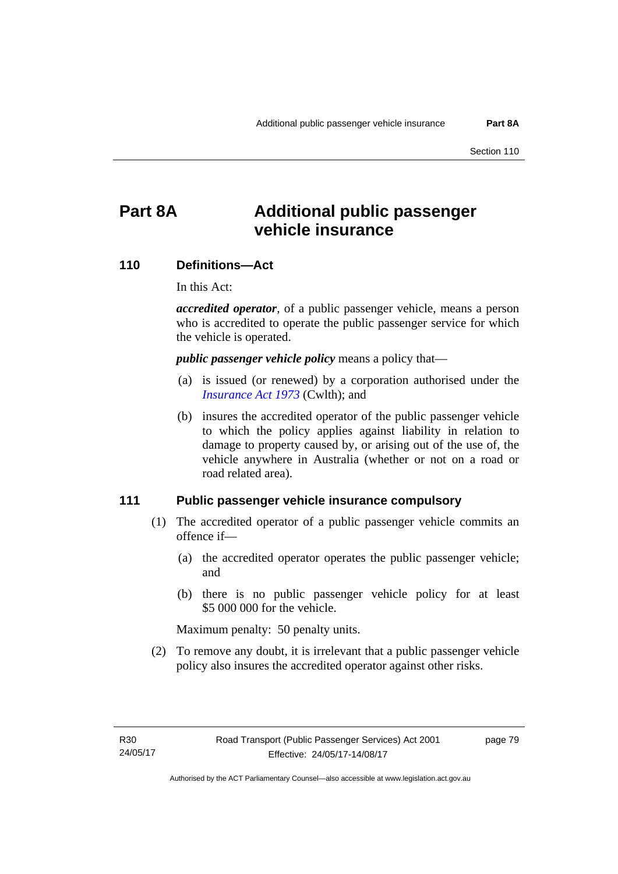# **Part 8A Additional public passenger vehicle insurance**

#### **110 Definitions—Act**

In this Act:

*accredited operator*, of a public passenger vehicle, means a person who is accredited to operate the public passenger service for which the vehicle is operated.

*public passenger vehicle policy* means a policy that—

- (a) is issued (or renewed) by a corporation authorised under the *[Insurance Act 1973](http://www.comlaw.gov.au/Details/C2013C00019)* (Cwlth); and
- (b) insures the accredited operator of the public passenger vehicle to which the policy applies against liability in relation to damage to property caused by, or arising out of the use of, the vehicle anywhere in Australia (whether or not on a road or road related area).

#### **111 Public passenger vehicle insurance compulsory**

- (1) The accredited operator of a public passenger vehicle commits an offence if—
	- (a) the accredited operator operates the public passenger vehicle; and
	- (b) there is no public passenger vehicle policy for at least \$5 000 000 for the vehicle.

Maximum penalty: 50 penalty units.

 (2) To remove any doubt, it is irrelevant that a public passenger vehicle policy also insures the accredited operator against other risks.

page 79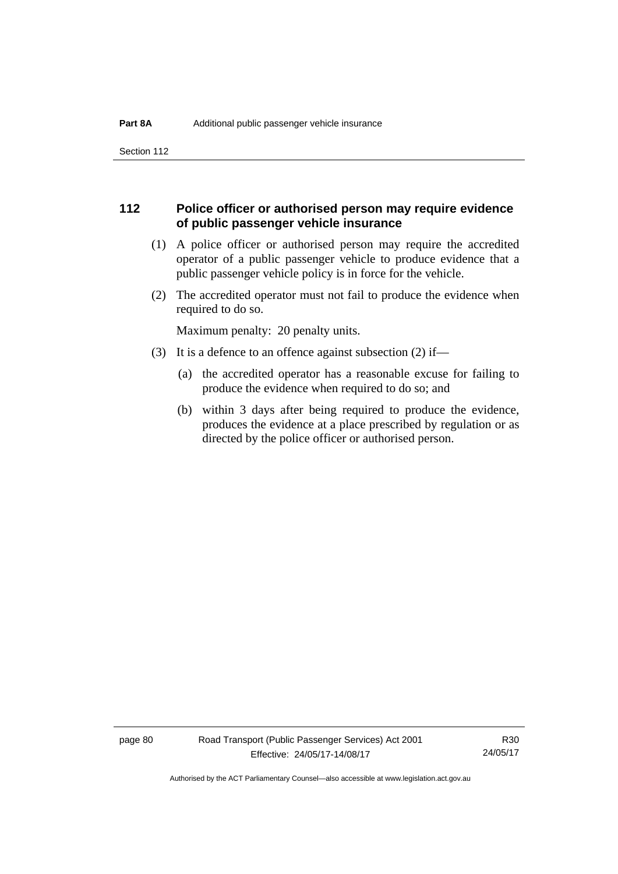Section 112

## **112 Police officer or authorised person may require evidence of public passenger vehicle insurance**

- (1) A police officer or authorised person may require the accredited operator of a public passenger vehicle to produce evidence that a public passenger vehicle policy is in force for the vehicle.
- (2) The accredited operator must not fail to produce the evidence when required to do so.

Maximum penalty: 20 penalty units.

- (3) It is a defence to an offence against subsection (2) if—
	- (a) the accredited operator has a reasonable excuse for failing to produce the evidence when required to do so; and
	- (b) within 3 days after being required to produce the evidence, produces the evidence at a place prescribed by regulation or as directed by the police officer or authorised person.

page 80 Road Transport (Public Passenger Services) Act 2001 Effective: 24/05/17-14/08/17

R30 24/05/17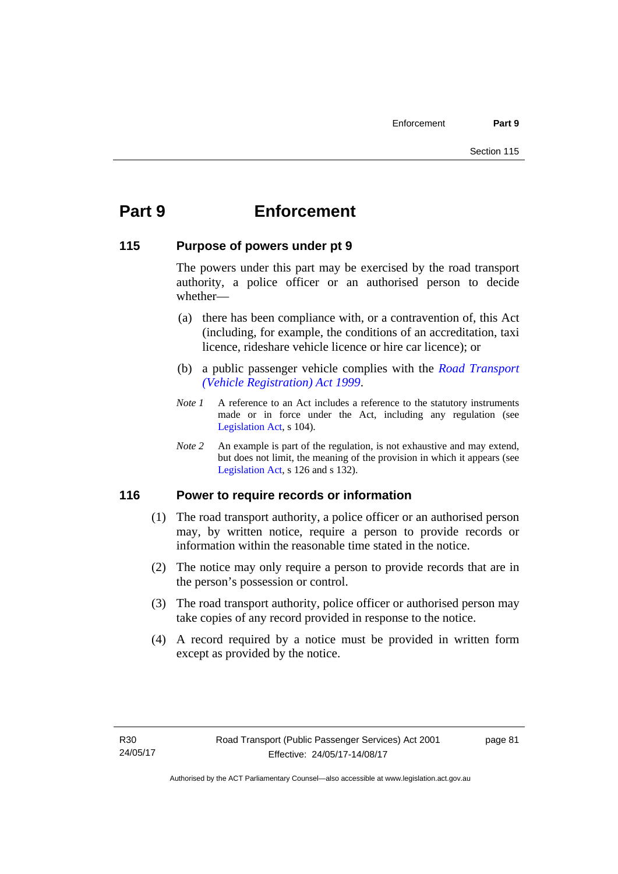# **Part 9 Enforcement**

### **115 Purpose of powers under pt 9**

The powers under this part may be exercised by the road transport authority, a police officer or an authorised person to decide whether—

- (a) there has been compliance with, or a contravention of, this Act (including, for example, the conditions of an accreditation, taxi licence, rideshare vehicle licence or hire car licence); or
- (b) a public passenger vehicle complies with the *[Road Transport](http://www.legislation.act.gov.au/a/1999-81)  [\(Vehicle Registration\) Act 1999](http://www.legislation.act.gov.au/a/1999-81)*.
- *Note 1* A reference to an Act includes a reference to the statutory instruments made or in force under the Act, including any regulation (see [Legislation Act,](http://www.legislation.act.gov.au/a/2001-14) s 104).
- *Note 2* An example is part of the regulation, is not exhaustive and may extend, but does not limit, the meaning of the provision in which it appears (see [Legislation Act,](http://www.legislation.act.gov.au/a/2001-14) s 126 and s 132).

## **116 Power to require records or information**

- (1) The road transport authority, a police officer or an authorised person may, by written notice, require a person to provide records or information within the reasonable time stated in the notice.
- (2) The notice may only require a person to provide records that are in the person's possession or control.
- (3) The road transport authority, police officer or authorised person may take copies of any record provided in response to the notice.
- (4) A record required by a notice must be provided in written form except as provided by the notice.

page 81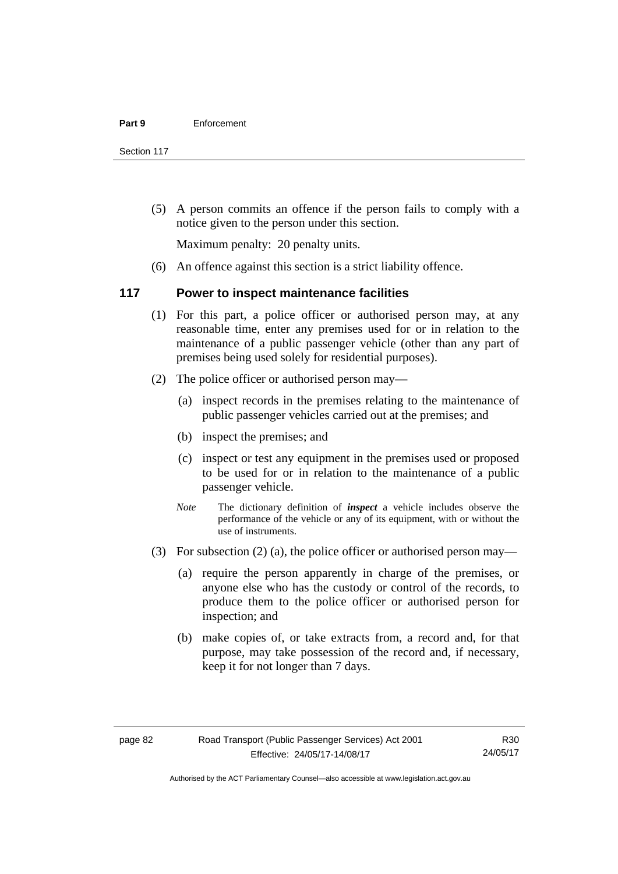Section 117

 (5) A person commits an offence if the person fails to comply with a notice given to the person under this section.

Maximum penalty: 20 penalty units.

(6) An offence against this section is a strict liability offence.

#### **117 Power to inspect maintenance facilities**

- (1) For this part, a police officer or authorised person may, at any reasonable time, enter any premises used for or in relation to the maintenance of a public passenger vehicle (other than any part of premises being used solely for residential purposes).
- (2) The police officer or authorised person may—
	- (a) inspect records in the premises relating to the maintenance of public passenger vehicles carried out at the premises; and
	- (b) inspect the premises; and
	- (c) inspect or test any equipment in the premises used or proposed to be used for or in relation to the maintenance of a public passenger vehicle.
	- *Note* The dictionary definition of *inspect* a vehicle includes observe the performance of the vehicle or any of its equipment, with or without the use of instruments.
- (3) For subsection (2) (a), the police officer or authorised person may—
	- (a) require the person apparently in charge of the premises, or anyone else who has the custody or control of the records, to produce them to the police officer or authorised person for inspection; and
	- (b) make copies of, or take extracts from, a record and, for that purpose, may take possession of the record and, if necessary, keep it for not longer than 7 days.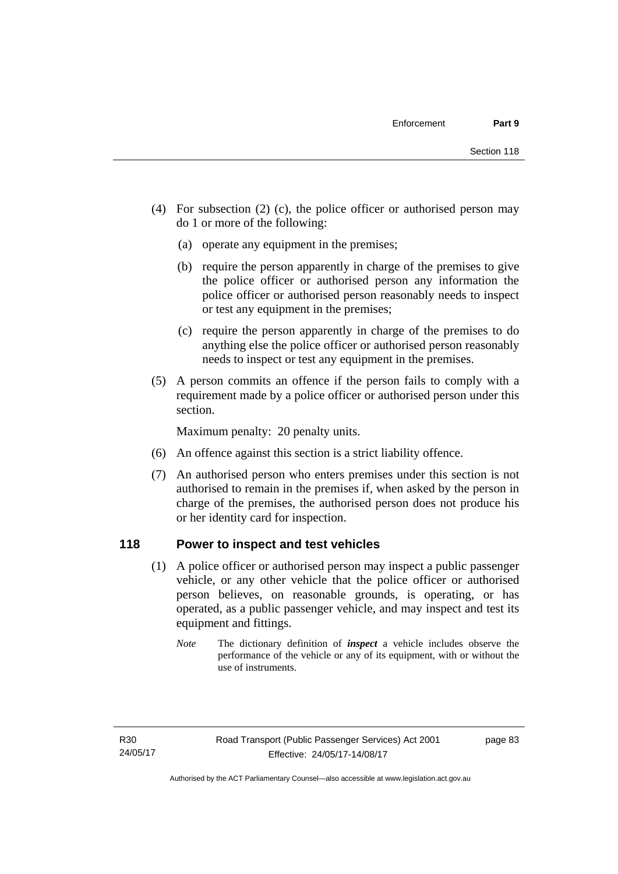- (4) For subsection (2) (c), the police officer or authorised person may do 1 or more of the following:
	- (a) operate any equipment in the premises;
	- (b) require the person apparently in charge of the premises to give the police officer or authorised person any information the police officer or authorised person reasonably needs to inspect or test any equipment in the premises;
	- (c) require the person apparently in charge of the premises to do anything else the police officer or authorised person reasonably needs to inspect or test any equipment in the premises.
- (5) A person commits an offence if the person fails to comply with a requirement made by a police officer or authorised person under this section.

Maximum penalty: 20 penalty units.

- (6) An offence against this section is a strict liability offence.
- (7) An authorised person who enters premises under this section is not authorised to remain in the premises if, when asked by the person in charge of the premises, the authorised person does not produce his or her identity card for inspection.

## **118 Power to inspect and test vehicles**

- (1) A police officer or authorised person may inspect a public passenger vehicle, or any other vehicle that the police officer or authorised person believes, on reasonable grounds, is operating, or has operated, as a public passenger vehicle, and may inspect and test its equipment and fittings.
	- *Note* The dictionary definition of *inspect* a vehicle includes observe the performance of the vehicle or any of its equipment, with or without the use of instruments.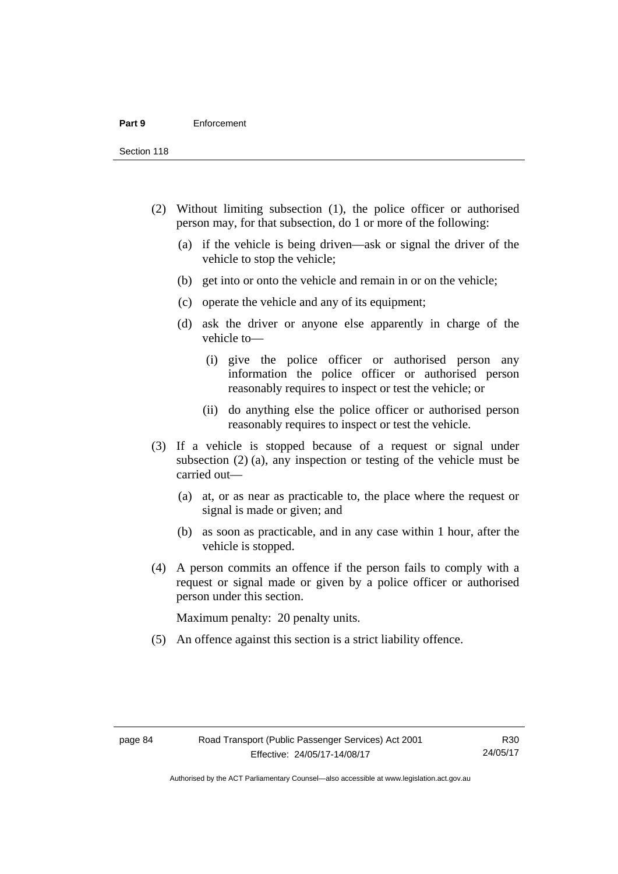Section 118

- (2) Without limiting subsection (1), the police officer or authorised person may, for that subsection, do 1 or more of the following:
	- (a) if the vehicle is being driven—ask or signal the driver of the vehicle to stop the vehicle;
	- (b) get into or onto the vehicle and remain in or on the vehicle;
	- (c) operate the vehicle and any of its equipment;
	- (d) ask the driver or anyone else apparently in charge of the vehicle to—
		- (i) give the police officer or authorised person any information the police officer or authorised person reasonably requires to inspect or test the vehicle; or
		- (ii) do anything else the police officer or authorised person reasonably requires to inspect or test the vehicle.
- (3) If a vehicle is stopped because of a request or signal under subsection (2) (a), any inspection or testing of the vehicle must be carried out—
	- (a) at, or as near as practicable to, the place where the request or signal is made or given; and
	- (b) as soon as practicable, and in any case within 1 hour, after the vehicle is stopped.
- (4) A person commits an offence if the person fails to comply with a request or signal made or given by a police officer or authorised person under this section.

Maximum penalty: 20 penalty units.

(5) An offence against this section is a strict liability offence.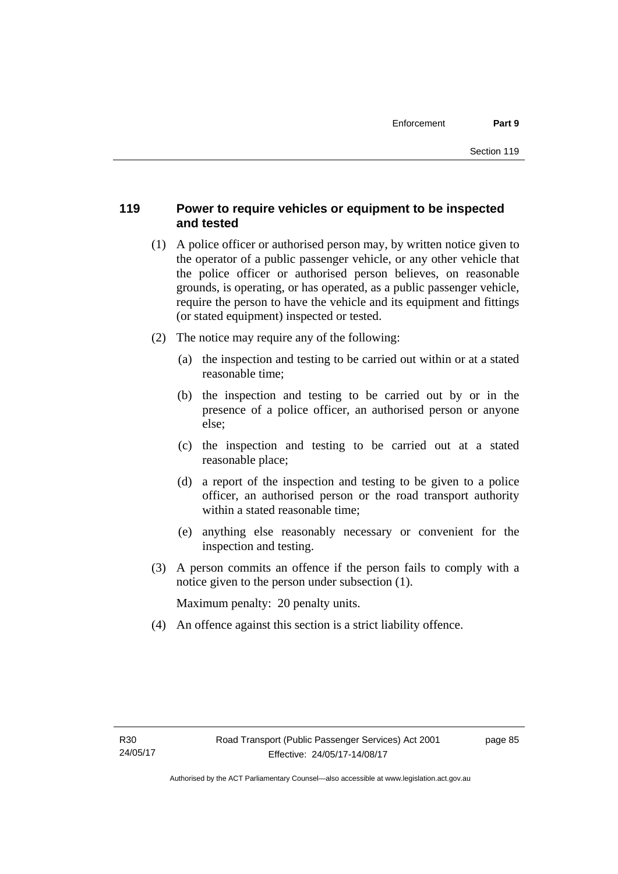## **119 Power to require vehicles or equipment to be inspected and tested**

- (1) A police officer or authorised person may, by written notice given to the operator of a public passenger vehicle, or any other vehicle that the police officer or authorised person believes, on reasonable grounds, is operating, or has operated, as a public passenger vehicle, require the person to have the vehicle and its equipment and fittings (or stated equipment) inspected or tested.
- (2) The notice may require any of the following:
	- (a) the inspection and testing to be carried out within or at a stated reasonable time;
	- (b) the inspection and testing to be carried out by or in the presence of a police officer, an authorised person or anyone else;
	- (c) the inspection and testing to be carried out at a stated reasonable place;
	- (d) a report of the inspection and testing to be given to a police officer, an authorised person or the road transport authority within a stated reasonable time;
	- (e) anything else reasonably necessary or convenient for the inspection and testing.
- (3) A person commits an offence if the person fails to comply with a notice given to the person under subsection (1).

Maximum penalty: 20 penalty units.

(4) An offence against this section is a strict liability offence.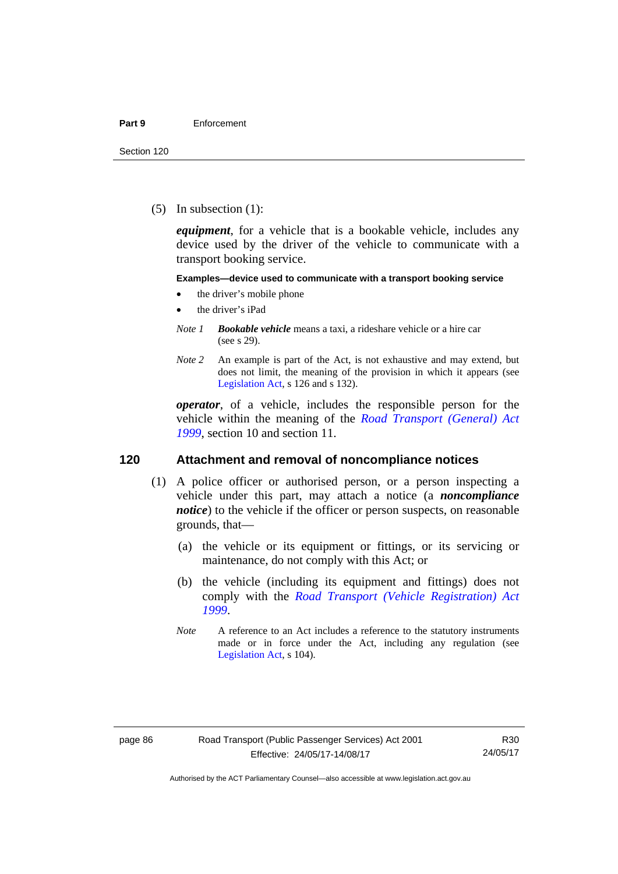(5) In subsection (1):

*equipment*, for a vehicle that is a bookable vehicle, includes any device used by the driver of the vehicle to communicate with a transport booking service.

#### **Examples—device used to communicate with a transport booking service**

- the driver's mobile phone
- the driver's iPad
- *Note 1 Bookable vehicle* means a taxi, a rideshare vehicle or a hire car (see s 29).
- *Note 2* An example is part of the Act, is not exhaustive and may extend, but does not limit, the meaning of the provision in which it appears (see [Legislation Act,](http://www.legislation.act.gov.au/a/2001-14) s 126 and s 132).

*operator*, of a vehicle, includes the responsible person for the vehicle within the meaning of the *[Road Transport \(General\) Act](http://www.legislation.act.gov.au/a/1999-77)  [1999](http://www.legislation.act.gov.au/a/1999-77)*, section 10 and section 11.

#### **120 Attachment and removal of noncompliance notices**

- (1) A police officer or authorised person, or a person inspecting a vehicle under this part, may attach a notice (a *noncompliance notice*) to the vehicle if the officer or person suspects, on reasonable grounds, that—
	- (a) the vehicle or its equipment or fittings, or its servicing or maintenance, do not comply with this Act; or
	- (b) the vehicle (including its equipment and fittings) does not comply with the *[Road Transport \(Vehicle Registration\) Act](http://www.legislation.act.gov.au/a/1999-81)  [1999](http://www.legislation.act.gov.au/a/1999-81)*.
	- *Note* A reference to an Act includes a reference to the statutory instruments made or in force under the Act, including any regulation (see [Legislation Act,](http://www.legislation.act.gov.au/a/2001-14) s 104).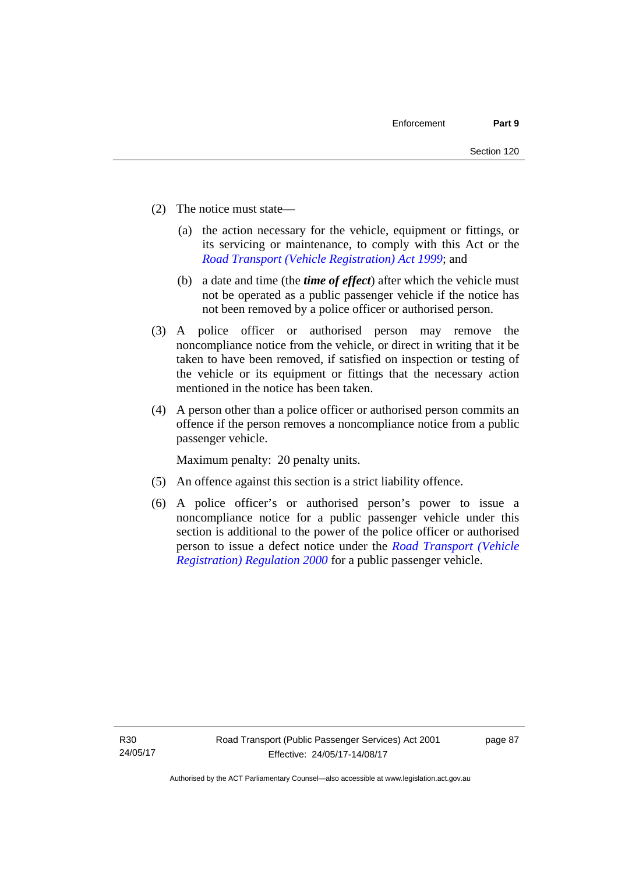- (2) The notice must state—
	- (a) the action necessary for the vehicle, equipment or fittings, or its servicing or maintenance, to comply with this Act or the *[Road Transport \(Vehicle Registration\) Act 1999](http://www.legislation.act.gov.au/a/1999-81)*; and
	- (b) a date and time (the *time of effect*) after which the vehicle must not be operated as a public passenger vehicle if the notice has not been removed by a police officer or authorised person.
- (3) A police officer or authorised person may remove the noncompliance notice from the vehicle, or direct in writing that it be taken to have been removed, if satisfied on inspection or testing of the vehicle or its equipment or fittings that the necessary action mentioned in the notice has been taken.
- (4) A person other than a police officer or authorised person commits an offence if the person removes a noncompliance notice from a public passenger vehicle.

Maximum penalty: 20 penalty units.

- (5) An offence against this section is a strict liability offence.
- (6) A police officer's or authorised person's power to issue a noncompliance notice for a public passenger vehicle under this section is additional to the power of the police officer or authorised person to issue a defect notice under the *[Road Transport \(Vehicle](http://www.legislation.act.gov.au/sl/2000-12)  [Registration\) Regulation 2000](http://www.legislation.act.gov.au/sl/2000-12)* for a public passenger vehicle.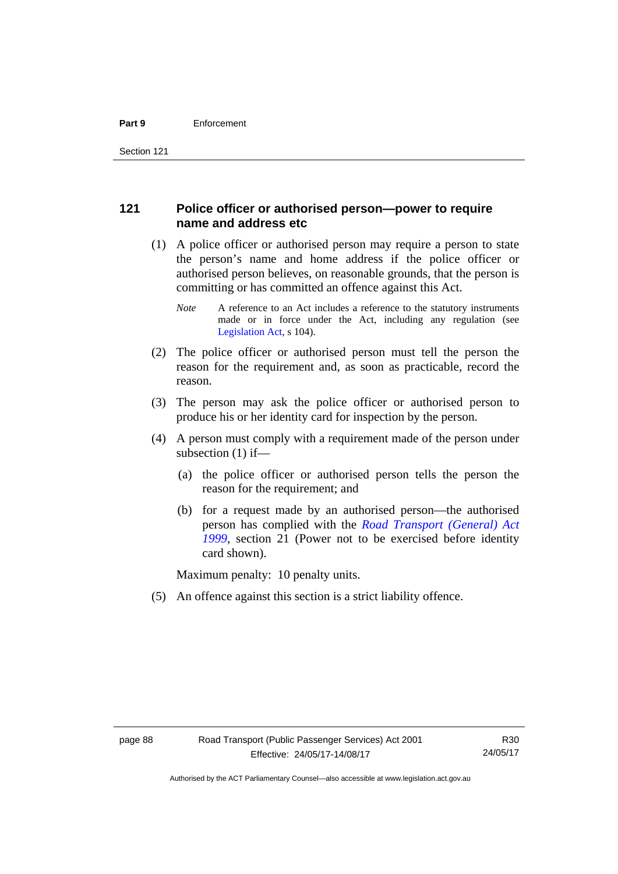## **121 Police officer or authorised person—power to require name and address etc**

- (1) A police officer or authorised person may require a person to state the person's name and home address if the police officer or authorised person believes, on reasonable grounds, that the person is committing or has committed an offence against this Act.
	- *Note* A reference to an Act includes a reference to the statutory instruments made or in force under the Act, including any regulation (see [Legislation Act,](http://www.legislation.act.gov.au/a/2001-14) s 104).
- (2) The police officer or authorised person must tell the person the reason for the requirement and, as soon as practicable, record the reason.
- (3) The person may ask the police officer or authorised person to produce his or her identity card for inspection by the person.
- (4) A person must comply with a requirement made of the person under subsection (1) if—
	- (a) the police officer or authorised person tells the person the reason for the requirement; and
	- (b) for a request made by an authorised person—the authorised person has complied with the *[Road Transport \(General\) Act](http://www.legislation.act.gov.au/a/1999-77)  [1999](http://www.legislation.act.gov.au/a/1999-77)*, section 21 (Power not to be exercised before identity card shown).

Maximum penalty: 10 penalty units.

(5) An offence against this section is a strict liability offence.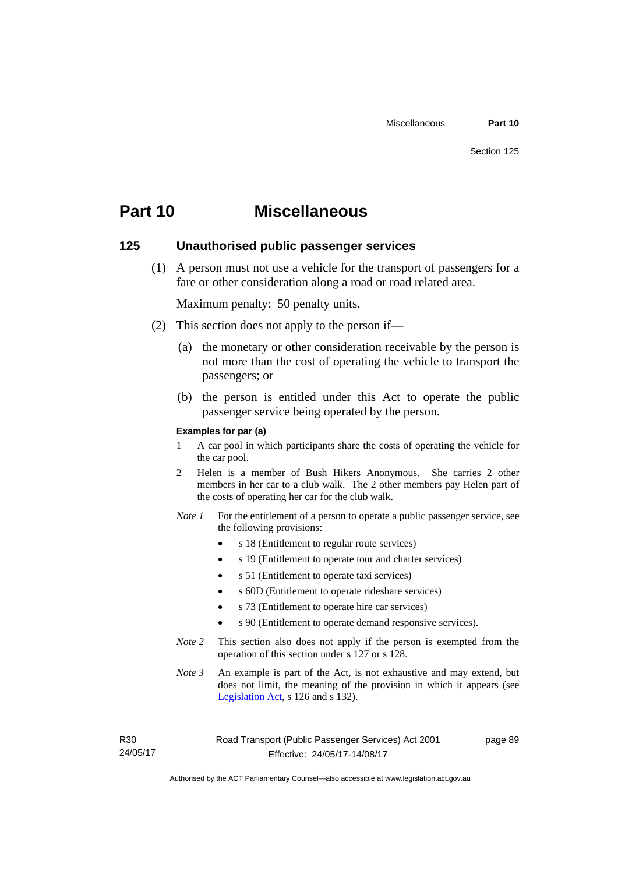## **Part 10 Miscellaneous**

#### **125 Unauthorised public passenger services**

 (1) A person must not use a vehicle for the transport of passengers for a fare or other consideration along a road or road related area.

Maximum penalty: 50 penalty units.

- (2) This section does not apply to the person if—
	- (a) the monetary or other consideration receivable by the person is not more than the cost of operating the vehicle to transport the passengers; or
	- (b) the person is entitled under this Act to operate the public passenger service being operated by the person.

#### **Examples for par (a)**

- 1 A car pool in which participants share the costs of operating the vehicle for the car pool.
- 2 Helen is a member of Bush Hikers Anonymous. She carries 2 other members in her car to a club walk. The 2 other members pay Helen part of the costs of operating her car for the club walk.
- *Note 1* For the entitlement of a person to operate a public passenger service, see the following provisions:
	- s 18 (Entitlement to regular route services)
	- s 19 (Entitlement to operate tour and charter services)
	- s 51 (Entitlement to operate taxi services)
	- s 60D (Entitlement to operate rideshare services)
	- s 73 (Entitlement to operate hire car services)
	- s 90 (Entitlement to operate demand responsive services).
- *Note 2* This section also does not apply if the person is exempted from the operation of this section under s 127 or s 128.
- *Note 3* An example is part of the Act, is not exhaustive and may extend, but does not limit, the meaning of the provision in which it appears (see [Legislation Act,](http://www.legislation.act.gov.au/a/2001-14) s 126 and s 132).

R30 24/05/17 page 89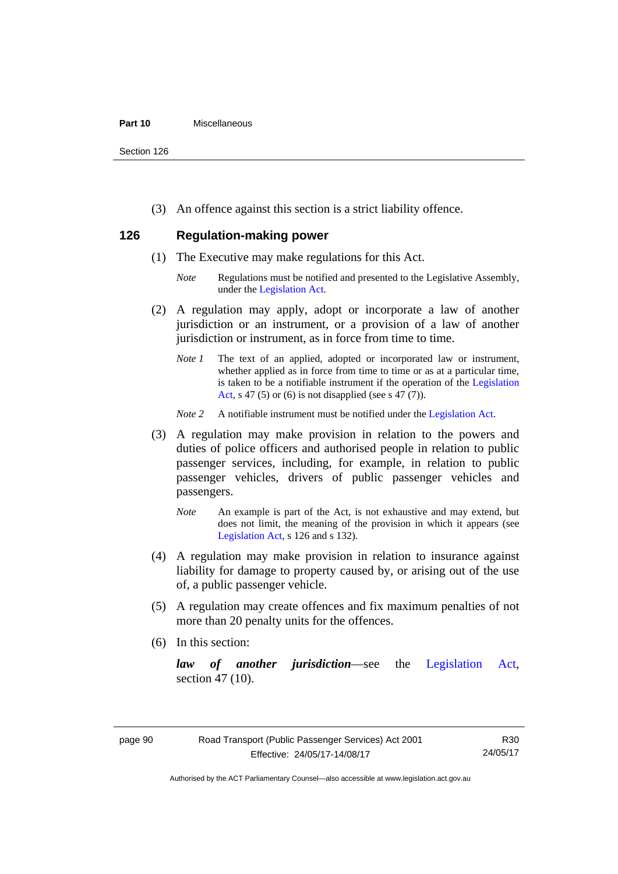#### **Part 10** Miscellaneous

Section 126

(3) An offence against this section is a strict liability offence.

## **126 Regulation-making power**

- (1) The Executive may make regulations for this Act.
	- *Note* Regulations must be notified and presented to the Legislative Assembly, under the [Legislation Act.](http://www.legislation.act.gov.au/a/2001-14)
- (2) A regulation may apply, adopt or incorporate a law of another jurisdiction or an instrument, or a provision of a law of another jurisdiction or instrument, as in force from time to time.
	- *Note 1* The text of an applied, adopted or incorporated law or instrument, whether applied as in force from time to time or as at a particular time, is taken to be a notifiable instrument if the operation of the [Legislation](http://www.legislation.act.gov.au/a/2001-14)  [Act](http://www.legislation.act.gov.au/a/2001-14), s 47 (5) or (6) is not disapplied (see s 47 (7)).
	- *Note 2* A notifiable instrument must be notified under the [Legislation Act](http://www.legislation.act.gov.au/a/2001-14).
- (3) A regulation may make provision in relation to the powers and duties of police officers and authorised people in relation to public passenger services, including, for example, in relation to public passenger vehicles, drivers of public passenger vehicles and passengers.
	- *Note* An example is part of the Act, is not exhaustive and may extend, but does not limit, the meaning of the provision in which it appears (see [Legislation Act,](http://www.legislation.act.gov.au/a/2001-14) s 126 and s 132).
- (4) A regulation may make provision in relation to insurance against liability for damage to property caused by, or arising out of the use of, a public passenger vehicle.
- (5) A regulation may create offences and fix maximum penalties of not more than 20 penalty units for the offences.
- (6) In this section:

*law of another jurisdiction*—see the [Legislation Act](http://www.legislation.act.gov.au/a/2001-14), section 47 (10).

R30 24/05/17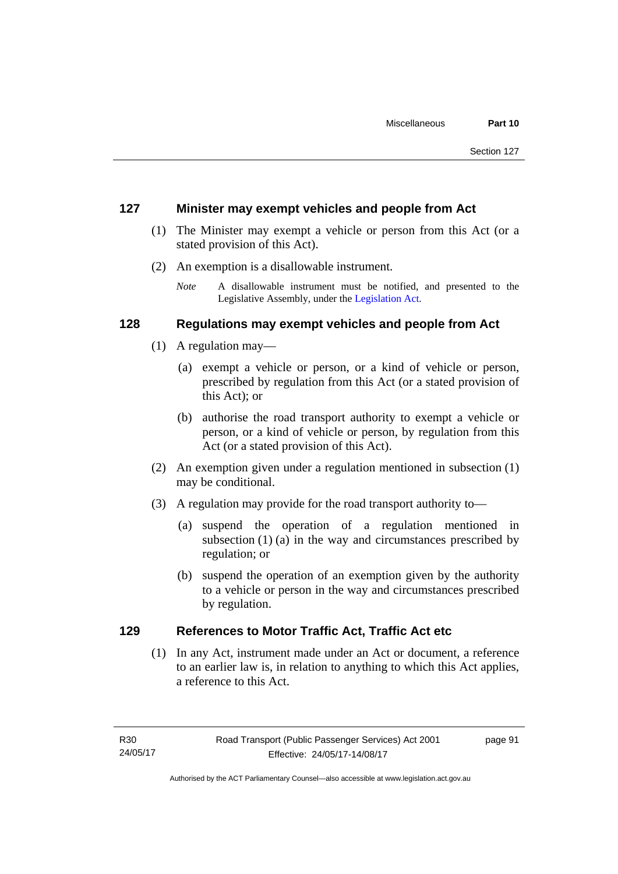### **127 Minister may exempt vehicles and people from Act**

- (1) The Minister may exempt a vehicle or person from this Act (or a stated provision of this Act).
- (2) An exemption is a disallowable instrument.
	- *Note* A disallowable instrument must be notified, and presented to the Legislative Assembly, under the [Legislation Act.](http://www.legislation.act.gov.au/a/2001-14)

## **128 Regulations may exempt vehicles and people from Act**

- (1) A regulation may—
	- (a) exempt a vehicle or person, or a kind of vehicle or person, prescribed by regulation from this Act (or a stated provision of this Act); or
	- (b) authorise the road transport authority to exempt a vehicle or person, or a kind of vehicle or person, by regulation from this Act (or a stated provision of this Act).
- (2) An exemption given under a regulation mentioned in subsection (1) may be conditional.
- (3) A regulation may provide for the road transport authority to—
	- (a) suspend the operation of a regulation mentioned in subsection (1) (a) in the way and circumstances prescribed by regulation; or
	- (b) suspend the operation of an exemption given by the authority to a vehicle or person in the way and circumstances prescribed by regulation.

## **129 References to Motor Traffic Act, Traffic Act etc**

(1) In any Act, instrument made under an Act or document, a reference to an earlier law is, in relation to anything to which this Act applies, a reference to this Act.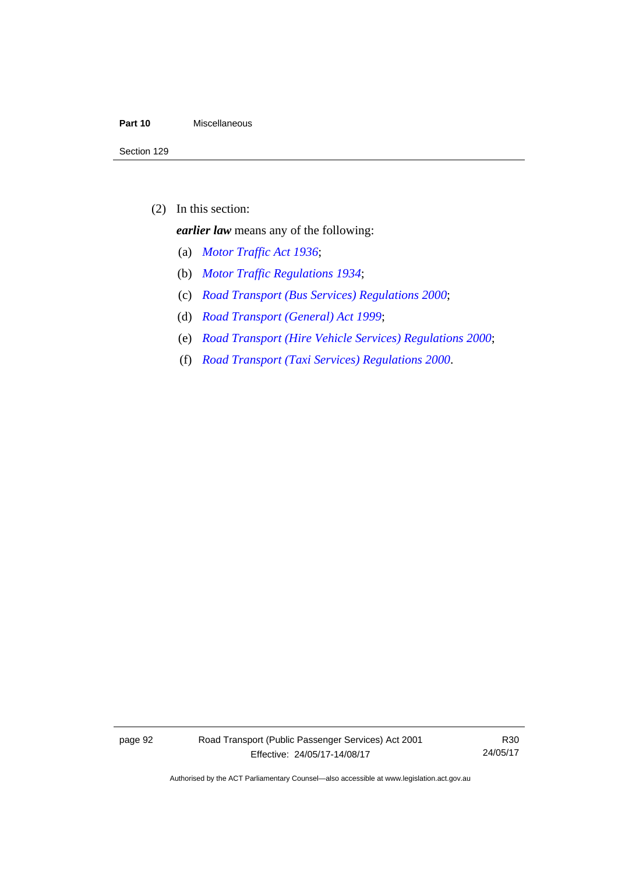#### **Part 10** Miscellaneous

(2) In this section:

*earlier law* means any of the following:

- (a) *[Motor Traffic Act 1936](http://www.legislation.act.gov.au/a/1936-45)*;
- (b) *[Motor Traffic Regulations 1934](http://www.legislation.act.gov.au/sl/1934-6)*;
- (c) *[Road Transport \(Bus Services\) Regulations 2000](http://www.legislation.act.gov.au/sl/2000-9)*;
- (d) *[Road Transport \(General\) Act 1999](http://www.legislation.act.gov.au/a/1999-77)*;
- (e) *[Road Transport \(Hire Vehicle Services\) Regulations 2000](http://www.legislation.act.gov.au/sl/2000-4)*;
- (f) *[Road Transport \(Taxi Services\) Regulations 2000](http://www.legislation.act.gov.au/sl/2000-5)*.

page 92 Road Transport (Public Passenger Services) Act 2001 Effective: 24/05/17-14/08/17

R30 24/05/17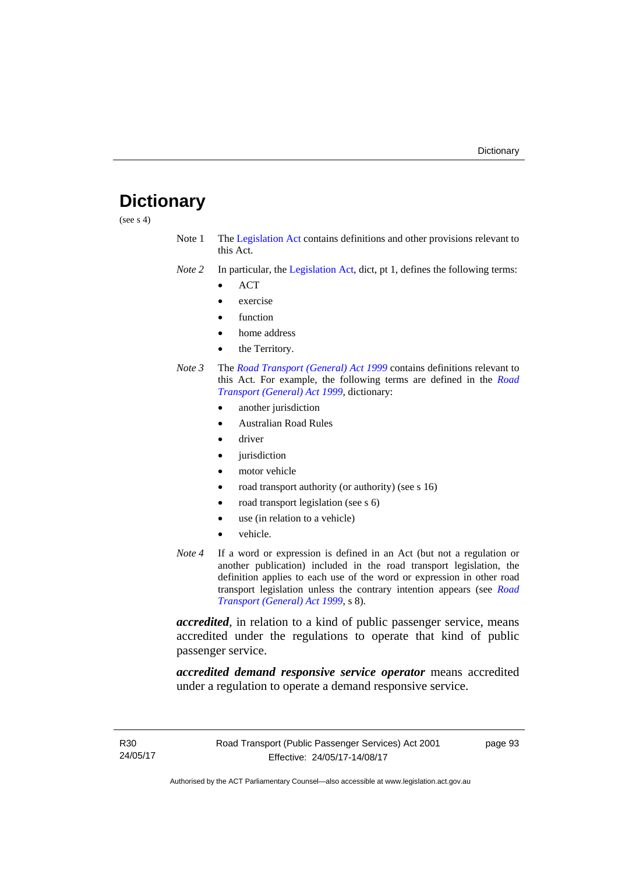# **Dictionary**

(see s 4)

- Note 1 The [Legislation Act](http://www.legislation.act.gov.au/a/2001-14) contains definitions and other provisions relevant to this Act.
- *Note 2* In particular, the [Legislation Act,](http://www.legislation.act.gov.au/a/2001-14) dict, pt 1, defines the following terms:
	- ACT
	- exercise
	- function
	- home address
	- the Territory.
- *Note 3* The *[Road Transport \(General\) Act 1999](http://www.legislation.act.gov.au/a/1999-77)* contains definitions relevant to this Act. For example, the following terms are defined in the *[Road](http://www.legislation.act.gov.au/a/1999-77)  [Transport \(General\) Act 1999](http://www.legislation.act.gov.au/a/1999-77)*, dictionary:
	- another jurisdiction
	- Australian Road Rules
	- driver
	- jurisdiction
	- motor vehicle
	- road transport authority (or authority) (see s 16)
	- road transport legislation (see s 6)
	- use (in relation to a vehicle)
	- vehicle.
- *Note 4* If a word or expression is defined in an Act (but not a regulation or another publication) included in the road transport legislation, the definition applies to each use of the word or expression in other road transport legislation unless the contrary intention appears (see *[Road](http://www.legislation.act.gov.au/a/1999-77)  [Transport \(General\) Act 1999](http://www.legislation.act.gov.au/a/1999-77)*, s 8).

*accredited*, in relation to a kind of public passenger service, means accredited under the regulations to operate that kind of public passenger service.

*accredited demand responsive service operator* means accredited under a regulation to operate a demand responsive service.

page 93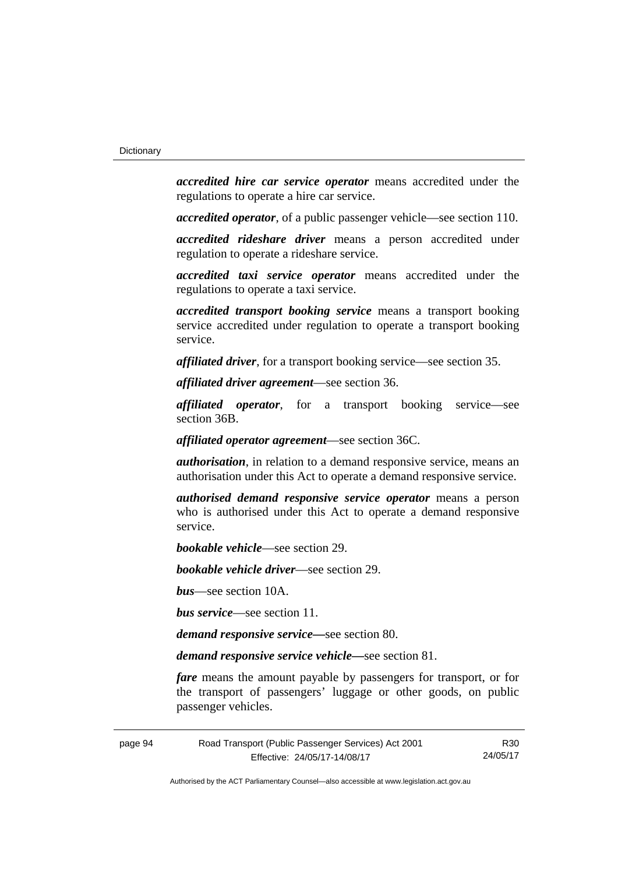*accredited hire car service operator* means accredited under the regulations to operate a hire car service.

*accredited operator*, of a public passenger vehicle—see section 110.

*accredited rideshare driver* means a person accredited under regulation to operate a rideshare service.

*accredited taxi service operator* means accredited under the regulations to operate a taxi service.

*accredited transport booking service* means a transport booking service accredited under regulation to operate a transport booking service.

*affiliated driver*, for a transport booking service—see section 35.

*affiliated driver agreement*—see section 36.

*affiliated operator*, for a transport booking service—see section 36B.

*affiliated operator agreement*—see section 36C.

*authorisation*, in relation to a demand responsive service, means an authorisation under this Act to operate a demand responsive service.

*authorised demand responsive service operator* means a person who is authorised under this Act to operate a demand responsive service.

*bookable vehicle*—see section 29.

*bookable vehicle driver*—see section 29.

*bus*—see section 10A.

*bus service*—see section 11.

*demand responsive service—*see section 80.

*demand responsive service vehicle—*see section 81.

*fare* means the amount payable by passengers for transport, or for the transport of passengers' luggage or other goods, on public passenger vehicles.

page 94 Road Transport (Public Passenger Services) Act 2001 Effective: 24/05/17-14/08/17

R30 24/05/17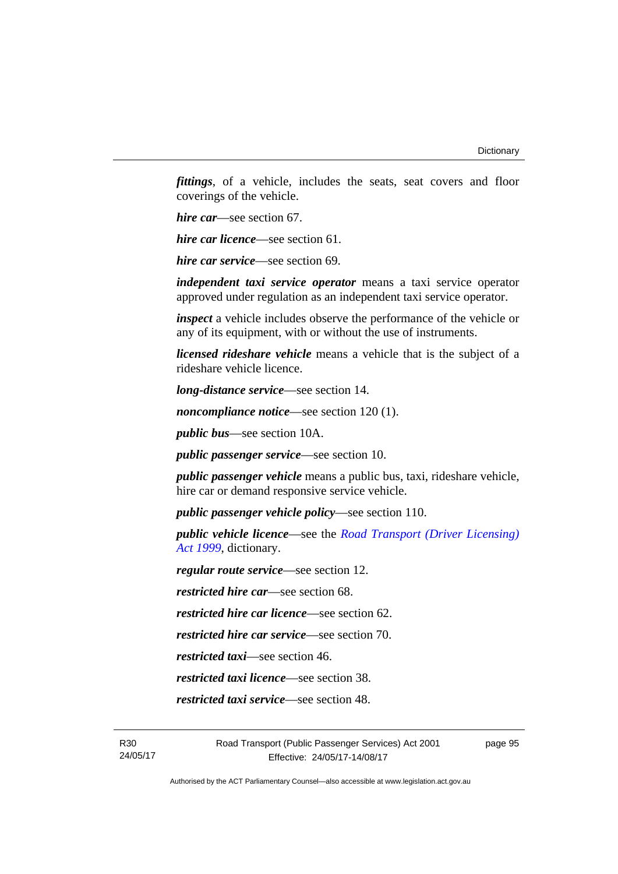*fittings*, of a vehicle, includes the seats, seat covers and floor coverings of the vehicle.

*hire car*—see section 67.

*hire car licence*—see section 61.

*hire car service*—see section 69.

*independent taxi service operator* means a taxi service operator approved under regulation as an independent taxi service operator.

*inspect* a vehicle includes observe the performance of the vehicle or any of its equipment, with or without the use of instruments.

*licensed rideshare vehicle* means a vehicle that is the subject of a rideshare vehicle licence.

*long-distance service*—see section 14.

*noncompliance notice*—see section 120 (1).

*public bus*—see section 10A.

*public passenger service*—see section 10.

*public passenger vehicle* means a public bus, taxi, rideshare vehicle, hire car or demand responsive service vehicle.

*public passenger vehicle policy*—see section 110.

*public vehicle licence*—see the *[Road Transport \(Driver Licensing\)](http://www.legislation.act.gov.au/a/1999-78)  [Act 1999](http://www.legislation.act.gov.au/a/1999-78)*, dictionary.

*regular route service*—see section 12.

*restricted hire car*—see section 68.

*restricted hire car licence*—see section 62.

*restricted hire car service*—see section 70.

*restricted taxi*—see section 46.

*restricted taxi licence*—see section 38.

*restricted taxi service*—see section 48.

page 95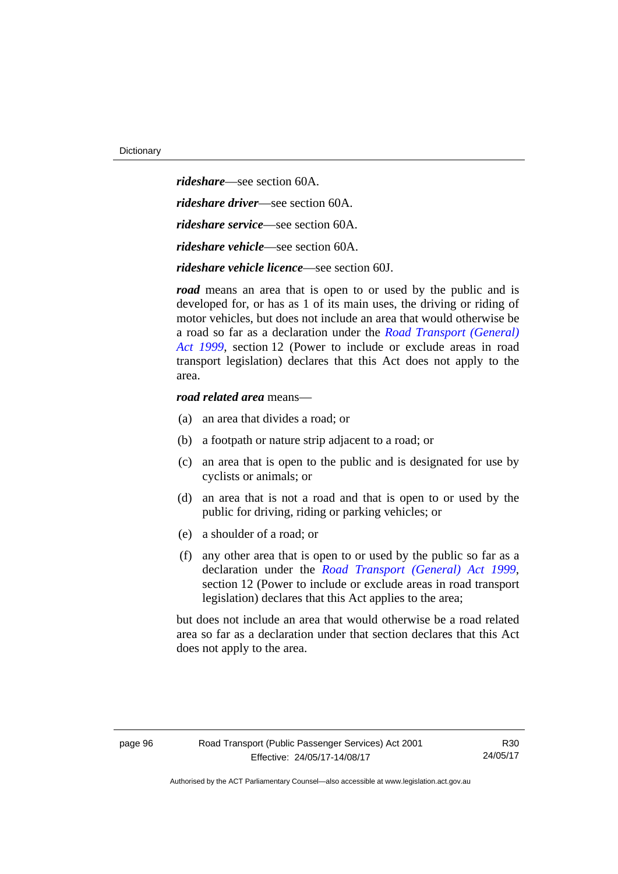*rideshare*—see section 60A. *rideshare driver*—see section 60A. *rideshare service*—see section 60A. *rideshare vehicle*—see section 60A. *rideshare vehicle licence*—see section 60J.

*road* means an area that is open to or used by the public and is developed for, or has as 1 of its main uses, the driving or riding of motor vehicles, but does not include an area that would otherwise be a road so far as a declaration under the *[Road Transport \(General\)](http://www.legislation.act.gov.au/a/1999-77)  [Act 1999](http://www.legislation.act.gov.au/a/1999-77)*, section 12 (Power to include or exclude areas in road transport legislation) declares that this Act does not apply to the area.

#### *road related area* means—

- (a) an area that divides a road; or
- (b) a footpath or nature strip adjacent to a road; or
- (c) an area that is open to the public and is designated for use by cyclists or animals; or
- (d) an area that is not a road and that is open to or used by the public for driving, riding or parking vehicles; or
- (e) a shoulder of a road; or
- (f) any other area that is open to or used by the public so far as a declaration under the *[Road Transport \(General\) Act 1999](http://www.legislation.act.gov.au/a/1999-77)*, section 12 (Power to include or exclude areas in road transport legislation) declares that this Act applies to the area;

but does not include an area that would otherwise be a road related area so far as a declaration under that section declares that this Act does not apply to the area.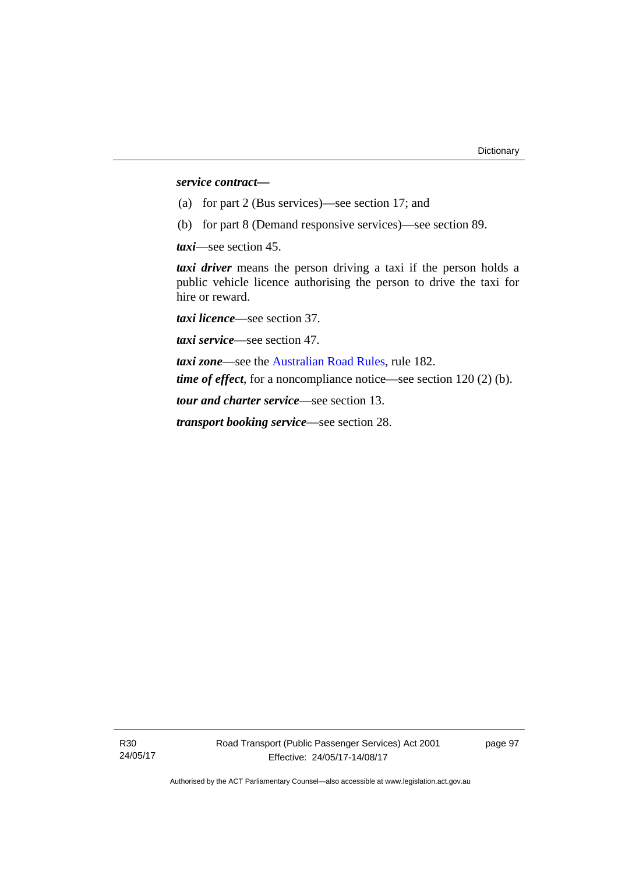#### *service contract—*

- (a) for part 2 (Bus services)—see section 17; and
- (b) for part 8 (Demand responsive services)—see section 89.

*taxi*—see section 45.

*taxi driver* means the person driving a taxi if the person holds a public vehicle licence authorising the person to drive the taxi for hire or reward.

*taxi licence*—see section 37.

*taxi service*—see section 47.

*taxi zone*—see the [Australian Road Rules](http://www.legislation.act.gov.au//ni/db_37271/default.asp), rule 182. *time of effect*, for a noncompliance notice—see section 120 (2) (b).

*tour and charter service*—see section 13.

*transport booking service*—see section 28.

page 97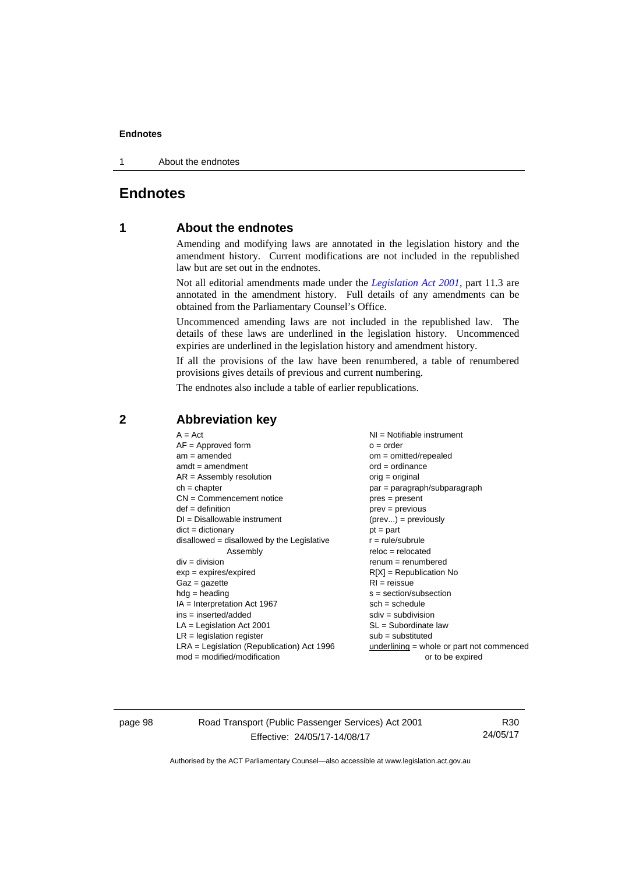#### **Endnotes**

1 About the endnotes

## **Endnotes**

## **1 About the endnotes**

Amending and modifying laws are annotated in the legislation history and the amendment history. Current modifications are not included in the republished law but are set out in the endnotes.

Not all editorial amendments made under the *[Legislation Act 2001](http://www.legislation.act.gov.au/a/2001-14/default.asp)*, part 11.3 are annotated in the amendment history. Full details of any amendments can be obtained from the Parliamentary Counsel's Office.

Uncommenced amending laws are not included in the republished law. The details of these laws are underlined in the legislation history. Uncommenced expiries are underlined in the legislation history and amendment history.

If all the provisions of the law have been renumbered, a table of renumbered provisions gives details of previous and current numbering.

The endnotes also include a table of earlier republications.

|  | $A = Act$<br>$AF =$ Approved form<br>$am = amended$<br>$amdt = amendment$<br>$AR = Assembly$ resolution<br>$ch = chapter$<br>$CN =$ Commencement notice<br>$def = definition$<br>$DI = Disallowable instrument$<br>$dict = dictionary$<br>disallowed = disallowed by the Legislative<br>Assembly<br>$div =$ division<br>$exp = expires/expired$<br>$Gaz = gazette$<br>$hdg = heading$<br>$IA = Interpretation Act 1967$<br>$ins = inserted/added$<br>$LA =$ Legislation Act 2001<br>$LR =$ legislation register<br>$LRA =$ Legislation (Republication) Act 1996 | $NI =$ Notifiable instrument<br>$o = order$<br>$om = omitted/repealed$<br>$ord = ordinance$<br>$orig = original$<br>$par = paragraph/subparagraph$<br>$pres = present$<br>$prev = previous$<br>$(\text{prev}) = \text{previously}$<br>$pt = part$<br>$r = rule/subrule$<br>$reloc = relocated$<br>$remum = renumbered$<br>$R[X]$ = Republication No<br>$RI = reissue$<br>$s = section/subsection$<br>$sch = schedule$<br>$sdiv = subdivision$<br>$SL = Subordinate$ law<br>$sub =$ substituted<br>$underlining = whole or part not commenced$ |
|--|-----------------------------------------------------------------------------------------------------------------------------------------------------------------------------------------------------------------------------------------------------------------------------------------------------------------------------------------------------------------------------------------------------------------------------------------------------------------------------------------------------------------------------------------------------------------|-----------------------------------------------------------------------------------------------------------------------------------------------------------------------------------------------------------------------------------------------------------------------------------------------------------------------------------------------------------------------------------------------------------------------------------------------------------------------------------------------------------------------------------------------|
|  | $mod = modified/modification$                                                                                                                                                                                                                                                                                                                                                                                                                                                                                                                                   | or to be expired                                                                                                                                                                                                                                                                                                                                                                                                                                                                                                                              |

#### **2 Abbreviation key**

page 98 Road Transport (Public Passenger Services) Act 2001 Effective: 24/05/17-14/08/17

R30 24/05/17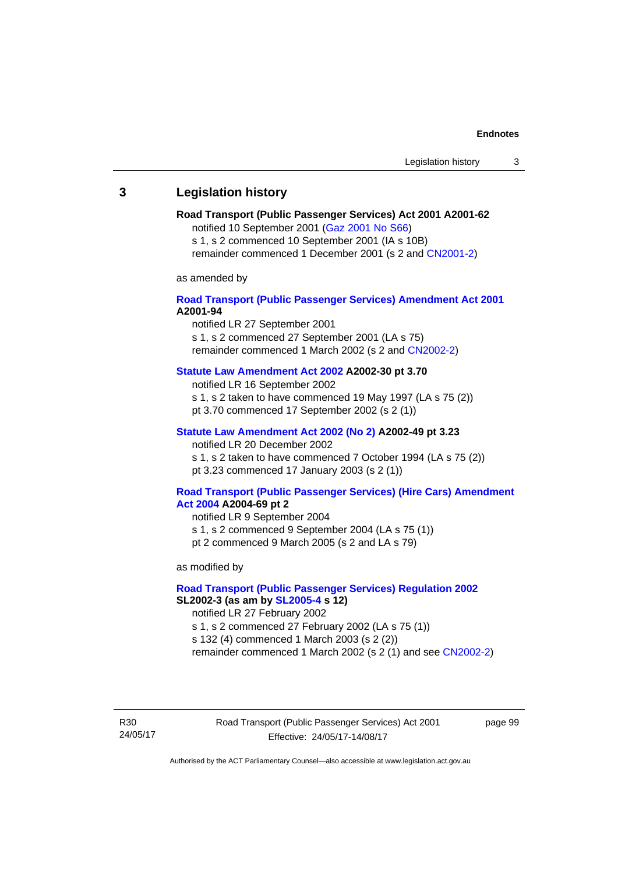# **3 Legislation history**

# **Road Transport (Public Passenger Services) Act 2001 A2001-62**

notified 10 September 2001 [\(Gaz 2001 No S66\)](http://www.legislation.act.gov.au/gaz/2001-S66/default.asp)

s 1, s 2 commenced 10 September 2001 (IA s 10B) remainder commenced 1 December 2001 (s 2 and [CN2001-2\)](http://www.legislation.act.gov.au/cn/2001-2/default.asp)

as amended by

# **[Road Transport \(Public Passenger Services\) Amendment Act 2001](http://www.legislation.act.gov.au/a/2001-94) A2001-94**

notified LR 27 September 2001

s 1, s 2 commenced 27 September 2001 (LA s 75) remainder commenced 1 March 2002 (s 2 and [CN2002-2\)](http://www.legislation.act.gov.au/cn/2002-2/default.asp)

# **[Statute Law Amendment Act 2002](http://www.legislation.act.gov.au/a/2002-30) A2002-30 pt 3.70**

notified LR 16 September 2002

- s 1, s 2 taken to have commenced 19 May 1997 (LA s 75 (2))
- pt 3.70 commenced 17 September 2002 (s 2 (1))

# **[Statute Law Amendment Act 2002 \(No 2\)](http://www.legislation.act.gov.au/a/2002-49) A2002-49 pt 3.23**

notified LR 20 December 2002 s 1, s 2 taken to have commenced 7 October 1994 (LA s 75 (2)) pt 3.23 commenced 17 January 2003 (s 2 (1))

#### **[Road Transport \(Public Passenger Services\) \(Hire Cars\) Amendment](http://www.legislation.act.gov.au/a/2004-69)  [Act 2004](http://www.legislation.act.gov.au/a/2004-69) A2004-69 pt 2**

notified LR 9 September 2004 s 1, s 2 commenced 9 September 2004 (LA s 75 (1)) pt 2 commenced 9 March 2005 (s 2 and LA s 79)

as modified by

# **[Road Transport \(Public Passenger Services\) Regulation 2002](http://www.legislation.act.gov.au/sl/2002-3) SL2002-3 (as am by [SL2005-4](http://www.legislation.act.gov.au/sl/2005-4) s 12)**

notified LR 27 February 2002

s 1, s 2 commenced 27 February 2002 (LA s 75 (1))

s 132 (4) commenced 1 March 2003 (s 2 (2))

remainder commenced 1 March 2002 (s 2 (1) and see [CN2002-2](http://www.legislation.act.gov.au/cn/2002-2/default.asp))

R30 24/05/17 Road Transport (Public Passenger Services) Act 2001 Effective: 24/05/17-14/08/17

page 99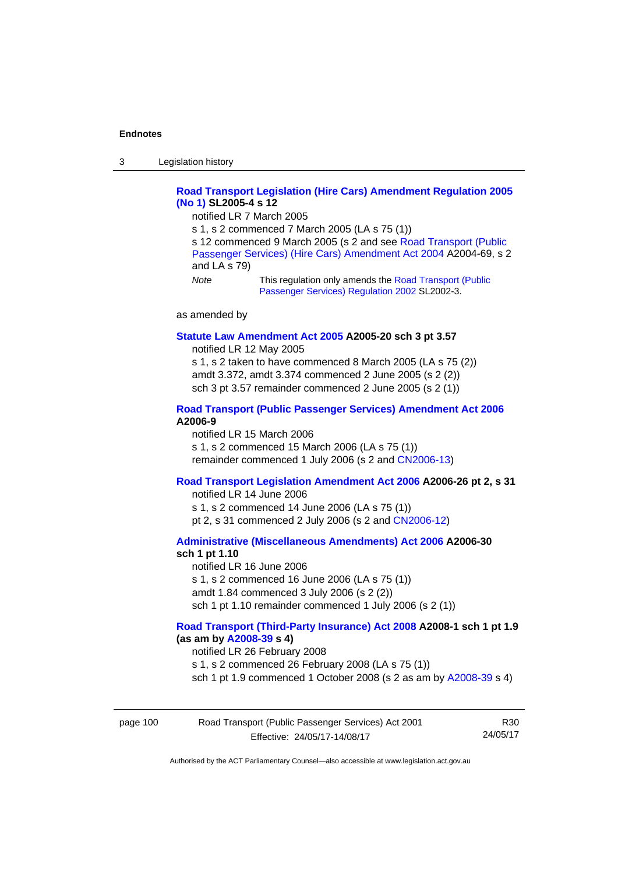3 Legislation history

# **[Road Transport Legislation \(Hire Cars\) Amendment Regulation 2005](http://www.legislation.act.gov.au/sl/2005-4)  [\(No 1\)](http://www.legislation.act.gov.au/sl/2005-4) SL2005-4 s 12**

notified LR 7 March 2005

s 1, s 2 commenced 7 March 2005 (LA s 75 (1))

s 12 commenced 9 March 2005 (s 2 and see [Road Transport \(Public](http://www.legislation.act.gov.au/a/2004-69)  [Passenger Services\) \(Hire Cars\) Amendment Act 2004](http://www.legislation.act.gov.au/a/2004-69) A2004-69, s 2 and LA s 79)

*Note* This regulation only amends the [Road Transport \(Public](http://www.legislation.act.gov.au/sl/2002-3)  [Passenger Services\) Regulation 2002](http://www.legislation.act.gov.au/sl/2002-3) SL2002-3.

as amended by

#### **[Statute Law Amendment Act 2005](http://www.legislation.act.gov.au/a/2005-20) A2005-20 sch 3 pt 3.57**

notified LR 12 May 2005

s 1, s 2 taken to have commenced 8 March 2005 (LA s 75 (2)) amdt 3.372, amdt 3.374 commenced 2 June 2005 (s 2 (2)) sch 3 pt 3.57 remainder commenced 2 June 2005 (s 2 (1))

### **[Road Transport \(Public Passenger Services\) Amendment Act 2006](http://www.legislation.act.gov.au/a/2006-9) A2006-9**

notified LR 15 March 2006 s 1, s 2 commenced 15 March 2006 (LA s 75 (1)) remainder commenced 1 July 2006 (s 2 and [CN2006-13](http://www.legislation.act.gov.au/cn/2006-13/default.asp))

# **[Road Transport Legislation Amendment Act 2006](http://www.legislation.act.gov.au/a/2006-26) A2006-26 pt 2, s 31**

notified LR 14 June 2006 s 1, s 2 commenced 14 June 2006 (LA s 75 (1)) pt 2, s 31 commenced 2 July 2006 (s 2 and [CN2006-12](http://www.legislation.act.gov.au/cn/2006-12/default.asp))

**[Administrative \(Miscellaneous Amendments\) Act 2006](http://www.legislation.act.gov.au/a/2006-30) A2006-30 sch 1 pt 1.10** 

notified LR 16 June 2006 s 1, s 2 commenced 16 June 2006 (LA s 75 (1)) amdt 1.84 commenced 3 July 2006 (s 2 (2)) sch 1 pt 1.10 remainder commenced 1 July 2006 (s 2 (1))

# **[Road Transport \(Third-Party Insurance\) Act 2008](http://www.legislation.act.gov.au/a/2008-1) A2008-1 sch 1 pt 1.9 (as am by [A2008-39](http://www.legislation.act.gov.au/a/2008-39) s 4)**

notified LR 26 February 2008

s 1, s 2 commenced 26 February 2008 (LA s 75 (1))

sch 1 pt 1.9 commenced 1 October 2008 (s 2 as am by [A2008-39](http://www.legislation.act.gov.au/a/2008-39) s 4)

| page 100 | Road Transport (Public Passenger Services) Act 2001 | R30      |
|----------|-----------------------------------------------------|----------|
|          | Effective: 24/05/17-14/08/17                        | 24/05/17 |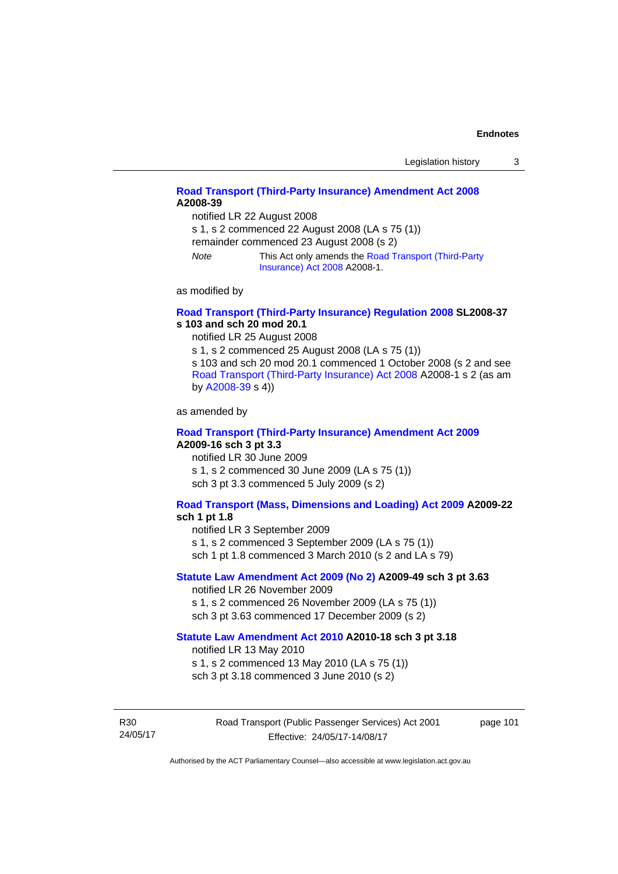# **[Road Transport \(Third-Party Insurance\) Amendment Act 2008](http://www.legislation.act.gov.au/a/2008-39) A2008-39**

notified LR 22 August 2008

s 1, s 2 commenced 22 August 2008 (LA s 75 (1))

remainder commenced 23 August 2008 (s 2)

*Note* This Act only amends the [Road Transport \(Third-Party](http://www.legislation.act.gov.au/a/2008-1)  [Insurance\) Act 2008](http://www.legislation.act.gov.au/a/2008-1) A2008-1.

as modified by

# **[Road Transport \(Third-Party Insurance\) Regulation 2008](http://www.legislation.act.gov.au/sl/2008-37) SL2008-37 s 103 and sch 20 mod 20.1**

notified LR 25 August 2008

s 1, s 2 commenced 25 August 2008 (LA s 75 (1)) s 103 and sch 20 mod 20.1 commenced 1 October 2008 (s 2 and see [Road Transport \(Third-Party Insurance\) Act 2008](http://www.legislation.act.gov.au/a/2008-1) A2008-1 s 2 (as am by [A2008-39](http://www.legislation.act.gov.au/a/2008-39) s 4))

as amended by

#### **[Road Transport \(Third-Party Insurance\) Amendment Act 2009](http://www.legislation.act.gov.au/a/2009-16) A2009-16 sch 3 pt 3.3**

notified LR 30 June 2009 s 1, s 2 commenced 30 June 2009 (LA s 75 (1)) sch 3 pt 3.3 commenced 5 July 2009 (s 2)

# **[Road Transport \(Mass, Dimensions and Loading\) Act 2009](http://www.legislation.act.gov.au/a/2009-22/default.asp) A2009-22**

### **sch 1 pt 1.8**

notified LR 3 September 2009

s 1, s 2 commenced 3 September 2009 (LA s 75 (1))

sch 1 pt 1.8 commenced 3 March 2010 (s 2 and LA s 79)

# **[Statute Law Amendment Act 2009 \(No 2\)](http://www.legislation.act.gov.au/a/2009-49) A2009-49 sch 3 pt 3.63**

notified LR 26 November 2009 s 1, s 2 commenced 26 November 2009 (LA s 75 (1)) sch 3 pt 3.63 commenced 17 December 2009 (s 2)

#### **[Statute Law Amendment Act 2010](http://www.legislation.act.gov.au/a/2010-18) A2010-18 sch 3 pt 3.18**

notified LR 13 May 2010

s 1, s 2 commenced 13 May 2010 (LA s 75 (1))

sch 3 pt 3.18 commenced 3 June 2010 (s 2)

R30 24/05/17 Road Transport (Public Passenger Services) Act 2001 Effective: 24/05/17-14/08/17

page 101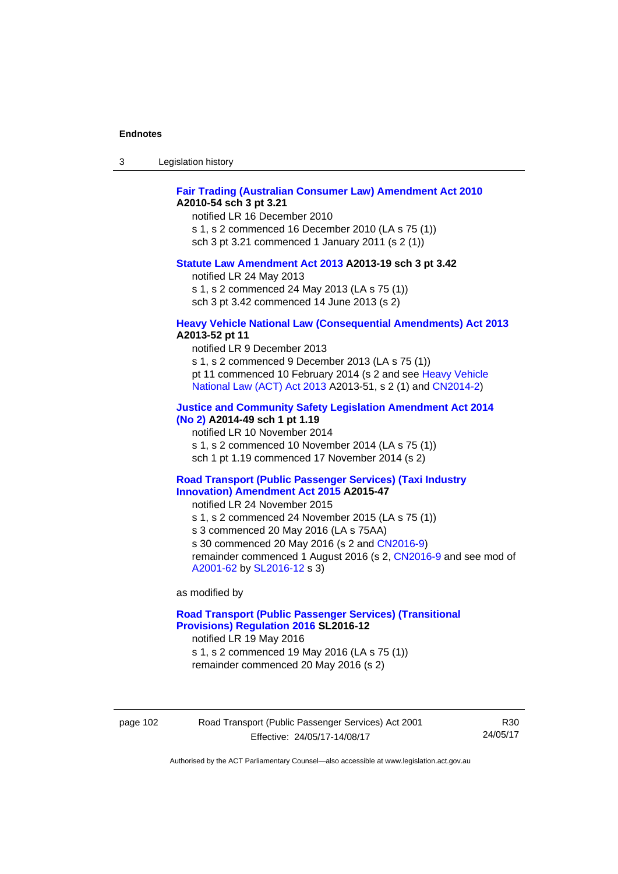| -3 | Legislation history |  |
|----|---------------------|--|
|----|---------------------|--|

# **[Fair Trading \(Australian Consumer Law\) Amendment Act 2010](http://www.legislation.act.gov.au/a/2010-54) A2010-54 sch 3 pt 3.21**

notified LR 16 December 2010 s 1, s 2 commenced 16 December 2010 (LA s 75 (1)) sch 3 pt 3.21 commenced 1 January 2011 (s 2 (1))

#### **[Statute Law Amendment Act 2013](http://www.legislation.act.gov.au/a/2013-19) A2013-19 sch 3 pt 3.42**

notified LR 24 May 2013

s 1, s 2 commenced 24 May 2013 (LA s 75 (1))

sch 3 pt 3.42 commenced 14 June 2013 (s 2)

#### **[Heavy Vehicle National Law \(Consequential Amendments\) Act 2013](http://www.legislation.act.gov.au/a/2013-52) A2013-52 pt 11**

notified LR 9 December 2013

s 1, s 2 commenced 9 December 2013 (LA s 75 (1)) pt 11 commenced 10 February 2014 (s 2 and see [Heavy Vehicle](http://www.legislation.act.gov.au/a/2013-51/default.asp)  [National Law \(ACT\) Act 2013](http://www.legislation.act.gov.au/a/2013-51/default.asp) A2013-51, s 2 (1) and [CN2014-2](http://www.legislation.act.gov.au/cn/2014-2/default.asp))

# **[Justice and Community Safety Legislation Amendment Act 2014](http://www.legislation.act.gov.au/a/2014-49)**

**[\(No 2\)](http://www.legislation.act.gov.au/a/2014-49) A2014-49 sch 1 pt 1.19** 

notified LR 10 November 2014

s 1, s 2 commenced 10 November 2014 (LA s 75 (1))

sch 1 pt 1.19 commenced 17 November 2014 (s 2)

#### **[Road Transport \(Public Passenger Services\) \(Taxi Industry](http://www.legislation.act.gov.au/a/2015-47/default.asp)  [Innovation\) Amendment Act 2015](http://www.legislation.act.gov.au/a/2015-47/default.asp) A2015-47**

notified LR 24 November 2015

s 1, s 2 commenced 24 November 2015 (LA s 75 (1))

s 3 commenced 20 May 2016 (LA s 75AA)

s 30 commenced 20 May 2016 (s 2 and [CN2016-9](http://www.legislation.act.gov.au/cn/2016-9/default.asp))

remainder commenced 1 August 2016 (s 2, [CN2016-9](http://www.legislation.act.gov.au/cn/2016-9/default.asp) and see mod of [A2001-62](http://www.legislation.act.gov.au/a/2001-62/default.asp) by [SL2016-12](http://www.legislation.act.gov.au/sl/2016-12/default.asp) s 3)

as modified by

# **[Road Transport \(Public Passenger Services\) \(Transitional](http://www.legislation.act.gov.au/sl/2016-12/default.asp)  [Provisions\) Regulation 2016](http://www.legislation.act.gov.au/sl/2016-12/default.asp) SL2016-12**

notified LR 19 May 2016

s 1, s 2 commenced 19 May 2016 (LA s 75 (1)) remainder commenced 20 May 2016 (s 2)

page 102 Road Transport (Public Passenger Services) Act 2001 Effective: 24/05/17-14/08/17

R30 24/05/17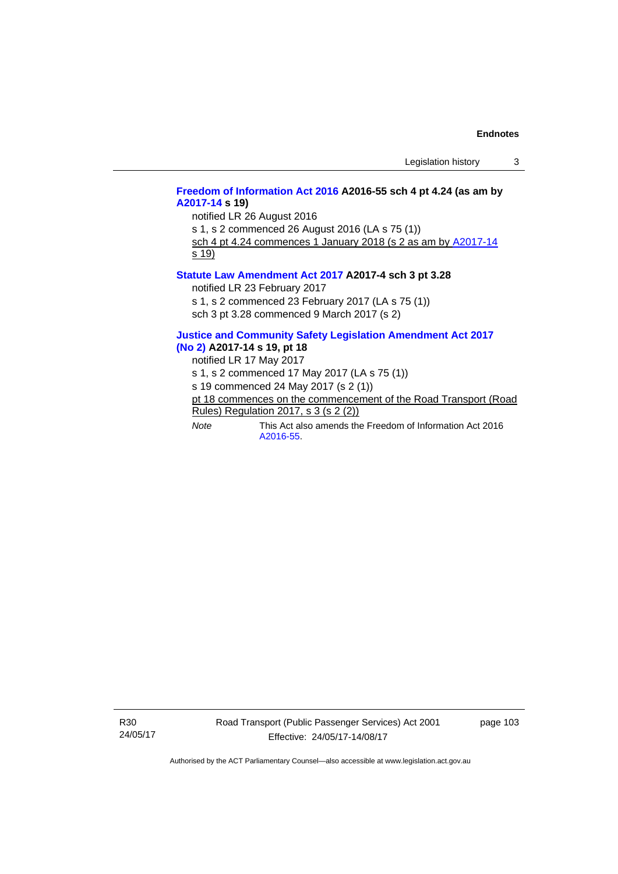# **[Freedom of Information Act 2016](http://www.legislation.act.gov.au/a/2016-55/default.asp) A2016-55 sch 4 pt 4.24 (as am by [A2017-14](http://www.legislation.act.gov.au/a/2017-14) s 19)**

notified LR 26 August 2016

s 1, s 2 commenced 26 August 2016 (LA s 75 (1)) sch 4 pt 4.24 commences 1 January 2018 (s 2 as am by [A2017-14](http://www.legislation.act.gov.au/a/2017-14)

s 19)

### **[Statute Law Amendment Act 2017](http://www.legislation.act.gov.au/a/2017-4/default.asp) A2017-4 sch 3 pt 3.28**

notified LR 23 February 2017

s 1, s 2 commenced 23 February 2017 (LA s 75 (1))

sch 3 pt 3.28 commenced 9 March 2017 (s 2)

### **[Justice and Community Safety Legislation Amendment Act 2017](http://www.legislation.act.gov.au/a/2017-14/default.asp)  [\(No 2\)](http://www.legislation.act.gov.au/a/2017-14/default.asp) A2017-14 s 19, pt 18**

notified LR 17 May 2017

s 1, s 2 commenced 17 May 2017 (LA s 75 (1))

s 19 commenced 24 May 2017 (s 2 (1))

- pt 18 commences on the commencement of the Road Transport (Road Rules) Regulation 2017, s 3 (s 2 (2))
- *Note* This Act also amends the Freedom of Information Act 2016 [A2016-55](http://www.legislation.act.gov.au/a/2016-55/default.asp).

R30 24/05/17 page 103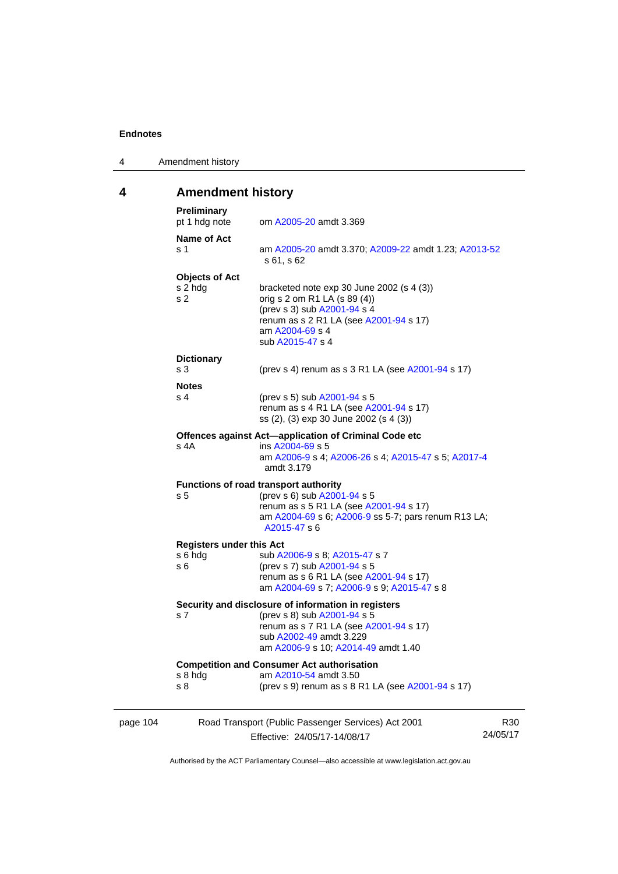4 Amendment history

# **4 Amendment history**

| page 104 |                                                    | Road Transport (Public Passenger Services) Act 2001<br>Effective: 24/05/17-14/08/17                                                                                                            | R30<br>24/05/17 |
|----------|----------------------------------------------------|------------------------------------------------------------------------------------------------------------------------------------------------------------------------------------------------|-----------------|
|          | s 8 hdg<br>s 8                                     | <b>Competition and Consumer Act authorisation</b><br>am A2010-54 amdt 3.50<br>(prev s 9) renum as s 8 R1 LA (see A2001-94 s 17)                                                                |                 |
|          | s <sub>7</sub>                                     | Security and disclosure of information in registers<br>(prev s 8) sub A2001-94 s 5<br>renum as s 7 R1 LA (see A2001-94 s 17)<br>sub A2002-49 amdt 3.229<br>am A2006-9 s 10; A2014-49 amdt 1.40 |                 |
|          | <b>Registers under this Act</b><br>s 6 hda<br>s 6  | sub A2006-9 s 8; A2015-47 s 7<br>(prev s 7) sub A2001-94 s 5<br>renum as s 6 R1 LA (see A2001-94 s 17)<br>am A2004-69 s 7; A2006-9 s 9; A2015-47 s 8                                           |                 |
|          | s <sub>5</sub>                                     | <b>Functions of road transport authority</b><br>(prev s 6) sub A2001-94 s 5<br>renum as s 5 R1 LA (see A2001-94 s 17)<br>am A2004-69 s 6; A2006-9 ss 5-7; pars renum R13 LA;<br>A2015-47 s 6   |                 |
|          | s 4A                                               | Offences against Act-application of Criminal Code etc<br>ins A2004-69 s 5<br>am A2006-9 s 4; A2006-26 s 4; A2015-47 s 5; A2017-4<br>amdt 3.179                                                 |                 |
|          | <b>Notes</b><br>s 4                                | (prev s 5) sub A2001-94 s 5<br>renum as s 4 R1 LA (see A2001-94 s 17)<br>ss (2), (3) exp 30 June 2002 (s 4 (3))                                                                                |                 |
|          | <b>Dictionary</b><br>s <sub>3</sub>                | (prev s 4) renum as s 3 R1 LA (see A2001-94 s 17)                                                                                                                                              |                 |
|          | <b>Objects of Act</b><br>s 2 hdg<br>s <sub>2</sub> | bracketed note exp 30 June 2002 (s 4 (3))<br>orig s 2 om R1 LA (s 89 (4))<br>(prev s 3) sub A2001-94 s 4<br>renum as s 2 R1 LA (see A2001-94 s 17)<br>am A2004-69 s 4<br>sub A2015-47 s 4      |                 |
|          | Name of Act<br>s 1                                 | am A2005-20 amdt 3.370; A2009-22 amdt 1.23; A2013-52<br>s 61, s 62                                                                                                                             |                 |
|          | <b>Preliminary</b><br>pt 1 hdg note                | om A2005-20 amdt 3.369                                                                                                                                                                         |                 |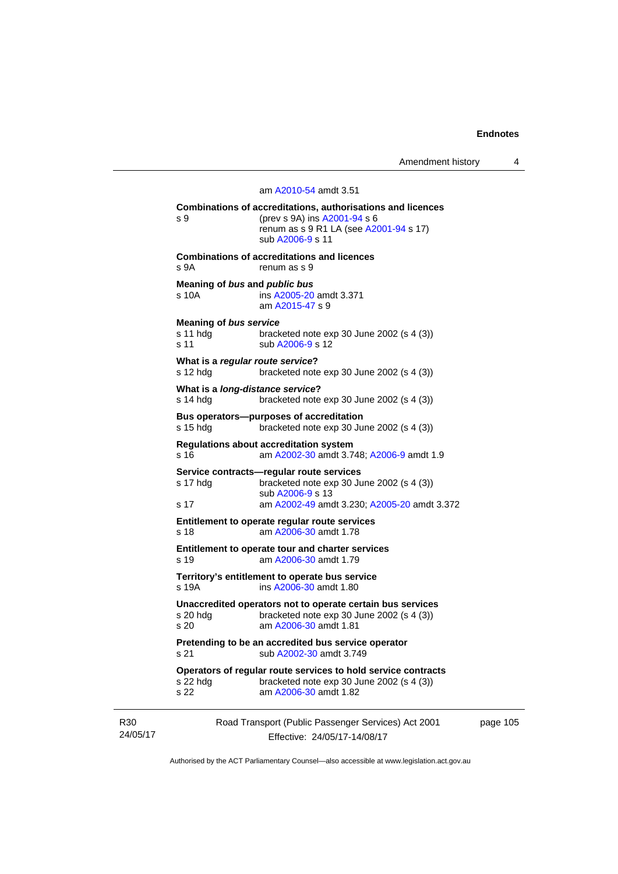Amendment history 4

# Road Transport (Public Passenger Services) Act 2001 am [A2010-54](http://www.legislation.act.gov.au/a/2010-54) amdt 3.51 **Combinations of accreditations, authorisations and licences**  s 9 (prev s 9A) ins [A2001-94](http://www.legislation.act.gov.au/a/2001-94) s 6 renum as s 9 R1 LA (see [A2001-94](http://www.legislation.act.gov.au/a/2001-94) s 17) sub [A2006-9](http://www.legislation.act.gov.au/a/2006-9) s 11 **Combinations of accreditations and licences**  s 9A renum as s 9 **Meaning of** *bus* **and** *public bus* s 10A ins [A2005-20](http://www.legislation.act.gov.au/a/2005-20) amdt 3.371 am [A2015-47](http://www.legislation.act.gov.au/a/2015-47) s 9 **Meaning of** *bus service* s 11 hdg bracketed note exp 30 June 2002 (s 4 (3)) s 11 sub [A2006-9](http://www.legislation.act.gov.au/a/2006-9) s 12 **What is a** *regular route service***?**  s 12 hdg bracketed note exp 30 June 2002 (s 4 (3)) **What is a** *long-distance service***?**  s 14 hdg bracketed note exp 30 June 2002 (s 4 (3)) **Bus operators—purposes of accreditation**  s 15 hdg bracketed note exp 30 June 2002 (s 4 (3)) **Regulations about accreditation system**  s 16 am [A2002-30](http://www.legislation.act.gov.au/a/2002-30) amdt 3.748; [A2006-9](http://www.legislation.act.gov.au/a/2006-9) amdt 1.9 **Service contracts—regular route services**  s 17 hdg bracketed note exp 30 June 2002 (s 4 (3)) sub [A2006-9](http://www.legislation.act.gov.au/a/2006-9) s 13 s 17 am [A2002-49](http://www.legislation.act.gov.au/a/2002-49) amdt 3.230; [A2005-20](http://www.legislation.act.gov.au/a/2005-20) amdt 3.372 **Entitlement to operate regular route services**  s 18 am [A2006-30](http://www.legislation.act.gov.au/a/2006-30) amdt 1.78 **Entitlement to operate tour and charter services**  s 19 am [A2006-30](http://www.legislation.act.gov.au/a/2006-30) amdt 1.79 **Territory's entitlement to operate bus service**  s 19A ins [A2006-30](http://www.legislation.act.gov.au/a/2006-30) amdt 1.80 **Unaccredited operators not to operate certain bus services**  bracketed note exp 30 June 2002 (s  $4$  (3)) s 20 am [A2006-30](http://www.legislation.act.gov.au/a/2006-30) amdt 1.81 **Pretending to be an accredited bus service operator**  s 21 sub [A2002-30](http://www.legislation.act.gov.au/a/2002-30) amdt 3.749 **Operators of regular route services to hold service contracts**  s 22 hdg bracketed note exp 30 June 2002 (s 4 (3)) s 22 am [A2006-30](http://www.legislation.act.gov.au/a/2006-30) amdt 1.82

R30 24/05/17

Effective: 24/05/17-14/08/17

page 105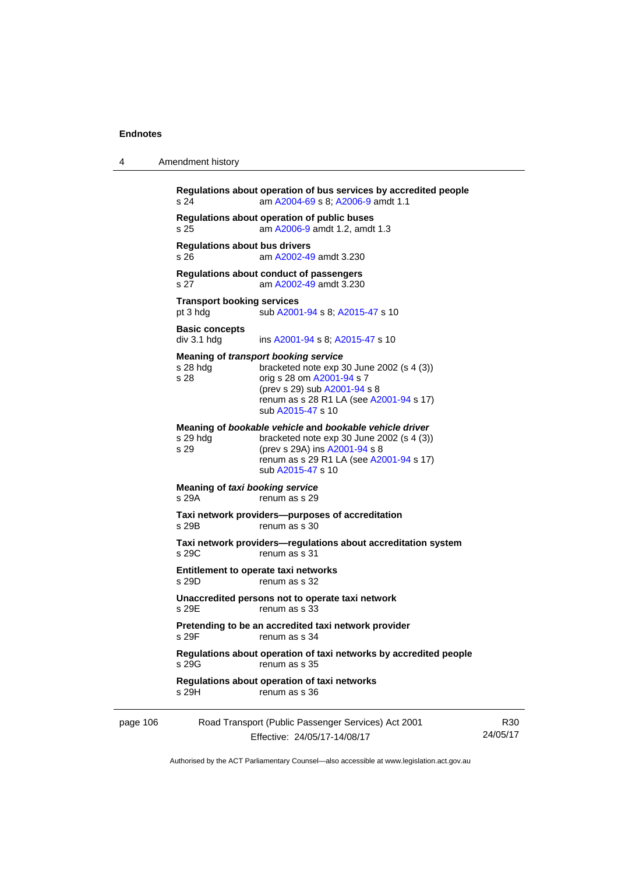4 Amendment history

|          | s 24                                          | Regulations about operation of bus services by accredited people<br>am A2004-69 s 8; A2006-9 amdt 1.1                                                                                                                   |                 |
|----------|-----------------------------------------------|-------------------------------------------------------------------------------------------------------------------------------------------------------------------------------------------------------------------------|-----------------|
|          | s 25                                          | Regulations about operation of public buses<br>am A2006-9 amdt 1.2, amdt 1.3                                                                                                                                            |                 |
|          | <b>Regulations about bus drivers</b><br>s 26  | am A2002-49 amdt 3.230                                                                                                                                                                                                  |                 |
|          | s 27                                          | Regulations about conduct of passengers<br>am A2002-49 amdt 3.230                                                                                                                                                       |                 |
|          | <b>Transport booking services</b><br>pt 3 hdg | sub A2001-94 s 8; A2015-47 s 10                                                                                                                                                                                         |                 |
|          | <b>Basic concepts</b><br>div 3.1 hdg          | ins A2001-94 s 8; A2015-47 s 10                                                                                                                                                                                         |                 |
|          | s 28 hdg<br>s 28                              | <b>Meaning of transport booking service</b><br>bracketed note $exp 30$ June 2002 (s 4 (3))<br>orig s 28 om A2001-94 s 7<br>(prev s 29) sub A2001-94 s 8<br>renum as s 28 R1 LA (see A2001-94 s 17)<br>sub A2015-47 s 10 |                 |
|          | s 29 hdg<br>s 29                              | Meaning of bookable vehicle and bookable vehicle driver<br>bracketed note $exp 30$ June 2002 (s 4 (3))<br>(prev s 29A) ins A2001-94 s 8<br>renum as s 29 R1 LA (see A2001-94 s 17)<br>sub A2015-47 s 10                 |                 |
|          | Meaning of taxi booking service<br>s 29A      | renum as s 29                                                                                                                                                                                                           |                 |
|          | s 29B                                         | Taxi network providers--purposes of accreditation<br>renum as s 30                                                                                                                                                      |                 |
|          | s 29C                                         | Taxi network providers-regulations about accreditation system<br>renum as s 31                                                                                                                                          |                 |
|          | s 29D                                         | Entitlement to operate taxi networks<br>renum as s 32                                                                                                                                                                   |                 |
|          | s 29E                                         | Unaccredited persons not to operate taxi network<br>renum as s 33                                                                                                                                                       |                 |
|          | s 29F                                         | Pretending to be an accredited taxi network provider<br>renum as s 34                                                                                                                                                   |                 |
|          | s 29G                                         | Regulations about operation of taxi networks by accredited people<br>renum as s 35                                                                                                                                      |                 |
|          | s 29H                                         | Regulations about operation of taxi networks<br>renum as s 36                                                                                                                                                           |                 |
| page 106 |                                               | Road Transport (Public Passenger Services) Act 2001<br>Effective: 24/05/17-14/08/17                                                                                                                                     | R30<br>24/05/17 |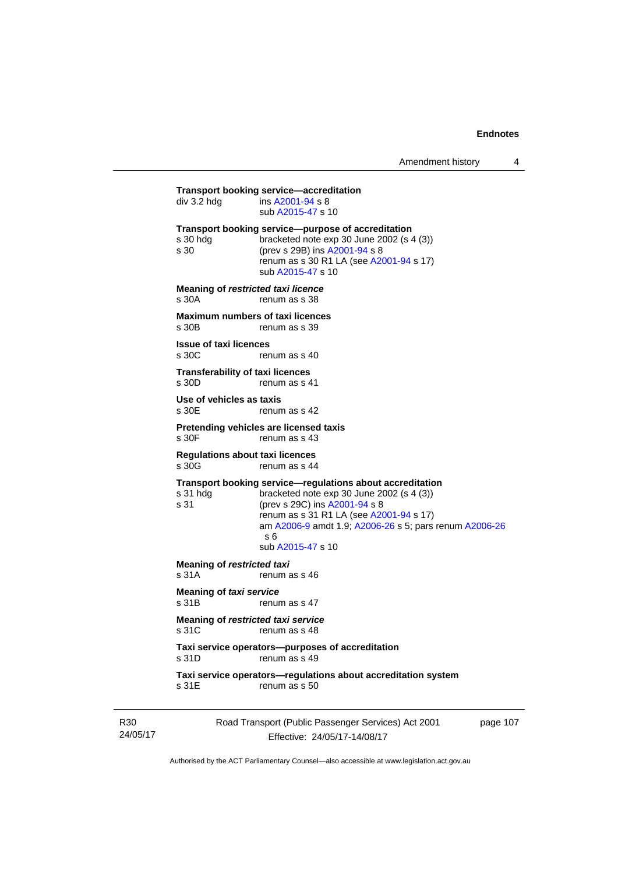**Transport booking service—accreditation**<br>div 3.2 hdg ins A2001-94 s 8  $\overline{a}$  ins [A2001-94](http://www.legislation.act.gov.au/a/2001-94) s 8 sub [A2015-47](http://www.legislation.act.gov.au/a/2015-47) s 10 **Transport booking service—purpose of accreditation**  s 30 hdg bracketed note exp 30 June 2002 (s 4 (3)) s 30 (prev s 29B) ins [A2001-94](http://www.legislation.act.gov.au/a/2001-94) s 8 renum as s 30 R1 LA (see [A2001-94](http://www.legislation.act.gov.au/a/2001-94) s 17) sub [A2015-47](http://www.legislation.act.gov.au/a/2015-47) s 10 **Meaning of** *restricted taxi licence*  s 30A renum as s 38 **Maximum numbers of taxi licences**<br>s 30B renum as s 39 renum as s 39 **Issue of taxi licences**  s 30C renum as s 40 **Transferability of taxi licences**  s 30D renum as s 41 **Use of vehicles as taxis**  s 30E renum as s 42 **Pretending vehicles are licensed taxis**  renum as s 43 **Regulations about taxi licences**  s 30G renum as s 44 **Transport booking service—regulations about accreditation**  s 31 hdg bracketed note exp 30 June 2002 (s 4 (3))<br>s 31 (prev s 29C) ins  $\frac{\text{A2001-94 s}}{8}$ (prev s 29C) ins [A2001-94](http://www.legislation.act.gov.au/a/2001-94) s 8 renum as s 31 R1 LA (see [A2001-94](http://www.legislation.act.gov.au/a/2001-94) s 17) am [A2006-9](http://www.legislation.act.gov.au/a/2006-9) amdt 1.9; [A2006-26](http://www.legislation.act.gov.au/a/2006-26) s 5; pars renum [A2006-26](http://www.legislation.act.gov.au/a/2006-26) s 6 sub [A2015-47](http://www.legislation.act.gov.au/a/2015-47) s 10 **Meaning of** *restricted taxi*<br>s 31A renum a renum as s 46 **Meaning of** *taxi service*  s 31B renum as s 47 **Meaning of** *restricted taxi service*  s 31C renum as s 48 **Taxi service operators—purposes of accreditation**  s 31D renum as s 49 **Taxi service operators—regulations about accreditation system**  s 31E renum as s 50

R30 24/05/17 Road Transport (Public Passenger Services) Act 2001 Effective: 24/05/17-14/08/17

page 107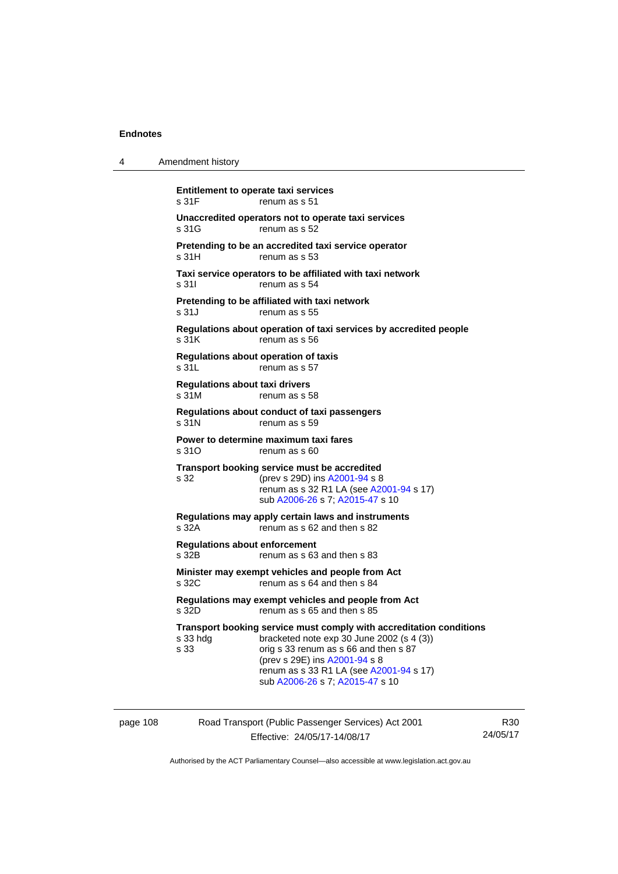| 4        | Amendment history                                                                                                                                                                                                                                                                            |
|----------|----------------------------------------------------------------------------------------------------------------------------------------------------------------------------------------------------------------------------------------------------------------------------------------------|
|          | <b>Entitlement to operate taxi services</b><br>s 31F<br>renum as s 51                                                                                                                                                                                                                        |
|          | Unaccredited operators not to operate taxi services<br>s 31G<br>renum as s 52                                                                                                                                                                                                                |
|          | Pretending to be an accredited taxi service operator<br>s 31H<br>renum as s 53                                                                                                                                                                                                               |
|          | Taxi service operators to be affiliated with taxi network<br>s 31l<br>renum as s 54                                                                                                                                                                                                          |
|          | Pretending to be affiliated with taxi network<br>s 31J<br>renum as s 55                                                                                                                                                                                                                      |
|          | Regulations about operation of taxi services by accredited people<br>s 31K<br>renum as s 56                                                                                                                                                                                                  |
|          | <b>Regulations about operation of taxis</b><br>s 31L<br>renum as s 57                                                                                                                                                                                                                        |
|          | Regulations about taxi drivers<br>s 31M<br>renum as s 58                                                                                                                                                                                                                                     |
|          | Regulations about conduct of taxi passengers<br>s 31N<br>renum as s 59                                                                                                                                                                                                                       |
|          | Power to determine maximum taxi fares<br>s 31O<br>renum as s 60                                                                                                                                                                                                                              |
|          | Transport booking service must be accredited<br>s 32<br>(prev s 29D) ins A2001-94 s 8<br>renum as s 32 R1 LA (see A2001-94 s 17)<br>sub A2006-26 s 7; A2015-47 s 10                                                                                                                          |
|          | Regulations may apply certain laws and instruments<br>s 32A<br>renum as s 62 and then s 82                                                                                                                                                                                                   |
|          | <b>Regulations about enforcement</b><br>s 32B<br>renum as s 63 and then s 83                                                                                                                                                                                                                 |
|          | Minister may exempt vehicles and people from Act<br>s 32C<br>renum as s 64 and then s 84                                                                                                                                                                                                     |
|          | Regulations may exempt vehicles and people from Act<br>s 32D<br>renum as s 65 and then s 85                                                                                                                                                                                                  |
|          | Transport booking service must comply with accreditation conditions<br>bracketed note exp 30 June 2002 (s 4 (3))<br>s 33 hdg<br>s 33<br>orig s 33 renum as s 66 and then s 87<br>(prev s 29E) ins A2001-94 s 8<br>renum as s 33 R1 LA (see A2001-94 s 17)<br>sub A2006-26 s 7; A2015-47 s 10 |
| page 108 | Road Transport (Public Passenger Services) Act 2001                                                                                                                                                                                                                                          |

Effective: 24/05/17-14/08/17

R30 24/05/17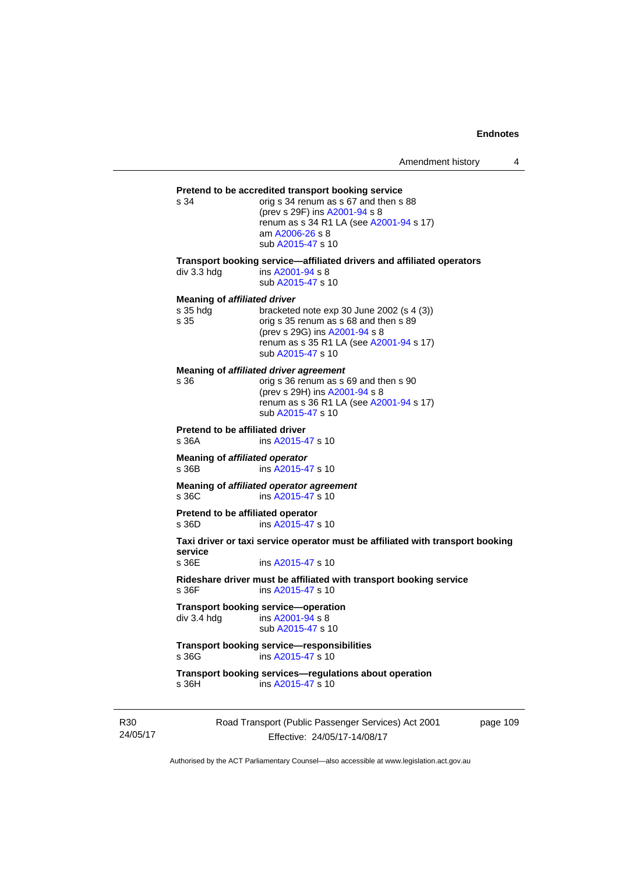# **Pretend to be accredited transport booking service**<br>s 34 corig s 34 renum as s 67 and then s

orig s 34 renum as s 67 and then s 88 (prev s 29F) ins [A2001-94](http://www.legislation.act.gov.au/a/2001-94) s 8 renum as s 34 R1 LA (see [A2001-94](http://www.legislation.act.gov.au/a/2001-94) s 17) am [A2006-26](http://www.legislation.act.gov.au/a/2006-26) s 8 sub [A2015-47](http://www.legislation.act.gov.au/a/2015-47) s 10

**Transport booking service—affiliated drivers and affiliated operators** 

div 3.3 hdg ins [A2001-94](http://www.legislation.act.gov.au/a/2001-94) s 8 sub [A2015-47](http://www.legislation.act.gov.au/a/2015-47) s 10

#### **Meaning of** *affiliated driver*

| orig s 35 renum as s 68 and then s 89   |
|-----------------------------------------|
|                                         |
| renum as s 35 R1 LA (see A2001-94 s 17) |
|                                         |
|                                         |

**Meaning of** *affiliated driver agreement*

| s 36 | orig s 36 renum as s 69 and then s 90   |
|------|-----------------------------------------|
|      | (prev s 29H) ins A2001-94 s 8           |
|      | renum as s 36 R1 LA (see A2001-94 s 17) |
|      | sub A2015-47 s 10                       |
|      |                                         |

**Pretend to be affiliated driver** 

s 36A ins [A2015-47](http://www.legislation.act.gov.au/a/2015-47) s 10

**Meaning of** *affiliated operator* s 36B ins [A2015-47](http://www.legislation.act.gov.au/a/2015-47) s 10

**Meaning of** *affiliated operator agreement*<br>s 36C ins A2015-47 s 10 ins [A2015-47](http://www.legislation.act.gov.au/a/2015-47) s 10

**Pretend to be affiliated operator**  s 36D ins [A2015-47](http://www.legislation.act.gov.au/a/2015-47) s 10

**Taxi driver or taxi service operator must be affiliated with transport booking service** 

ins [A2015-47](http://www.legislation.act.gov.au/a/2015-47) s 10

**Rideshare driver must be affiliated with transport booking service**  s 36F ins [A2015-47](http://www.legislation.act.gov.au/a/2015-47) s 10

**Transport booking service—operation**<br>div 3.4 hdg ins A2001-94 s 8  $\overline{a}$  ins [A2001-94](http://www.legislation.act.gov.au/a/2001-94) s 8 sub [A2015-47](http://www.legislation.act.gov.au/a/2015-47) s 10

**Transport booking service—responsibilities**  s 36G ins [A2015-47](http://www.legislation.act.gov.au/a/2015-47) s 10

**Transport booking services—regulations about operation**  s 36H ins [A2015-47](http://www.legislation.act.gov.au/a/2015-47) s 10

R30 24/05/17 Road Transport (Public Passenger Services) Act 2001 Effective: 24/05/17-14/08/17

page 109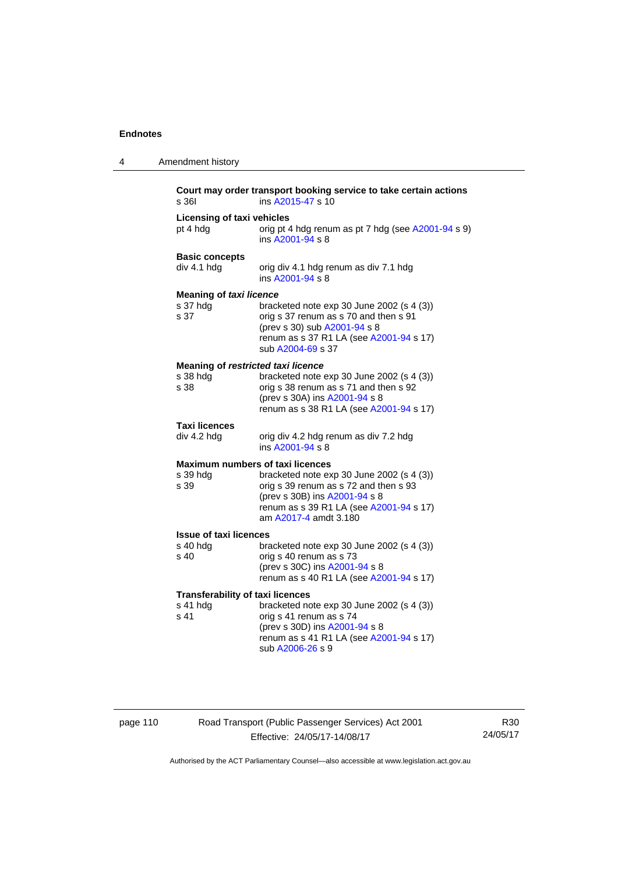| 4 | Amendment history                                           |                                                                                                                                                                                         |
|---|-------------------------------------------------------------|-----------------------------------------------------------------------------------------------------------------------------------------------------------------------------------------|
|   | s 361                                                       | Court may order transport booking service to take certain actions<br>ins A2015-47 s 10                                                                                                  |
|   | <b>Licensing of taxi vehicles</b><br>pt 4 hdg               | orig pt 4 hdg renum as pt 7 hdg (see A2001-94 s 9)<br>ins A2001-94 s 8                                                                                                                  |
|   | <b>Basic concepts</b><br>div 4.1 hdg                        | orig div 4.1 hdg renum as div 7.1 hdg<br>ins A2001-94 s 8                                                                                                                               |
|   | <b>Meaning of taxi licence</b><br>s 37 hdg<br>s 37          | bracketed note $exp 30$ June 2002 (s 4 (3))<br>orig s 37 renum as s 70 and then s 91<br>(prev s 30) sub A2001-94 s 8<br>renum as s 37 R1 LA (see A2001-94 s 17)<br>sub A2004-69 s 37    |
|   | Meaning of restricted taxi licence<br>s 38 hdg<br>s 38      | bracketed note exp 30 June 2002 (s 4 (3))<br>orig s 38 renum as s 71 and then s 92<br>(prev s 30A) ins A2001-94 s 8<br>renum as s 38 R1 LA (see A2001-94 s 17)                          |
|   | <b>Taxi licences</b><br>div 4.2 hdg                         | orig div 4.2 hdg renum as div 7.2 hdg<br>ins A2001-94 s 8                                                                                                                               |
|   | Maximum numbers of taxi licences<br>s 39 hdg<br>s 39        | bracketed note exp 30 June 2002 (s 4 (3))<br>orig s 39 renum as s 72 and then s 93<br>(prev s 30B) ins A2001-94 s 8<br>renum as s 39 R1 LA (see A2001-94 s 17)<br>am A2017-4 amdt 3.180 |
|   | <b>Issue of taxi licences</b><br>s 40 hdg<br>s 40           | bracketed note $exp 30$ June 2002 (s 4 (3))<br>orig s 40 renum as s 73<br>(prev s 30C) ins A2001-94 s 8<br>renum as s 40 R1 LA (see A2001-94 s 17)                                      |
|   | <b>Transferability of taxi licences</b><br>s 41 hdg<br>s 41 | bracketed note exp 30 June 2002 (s 4 (3))<br>orig s 41 renum as s 74<br>(prev s 30D) ins A2001-94 s 8<br>renum as s 41 R1 LA (see A2001-94 s 17)<br>sub A2006-26 s 9                    |

# page 110 Road Transport (Public Passenger Services) Act 2001 Effective: 24/05/17-14/08/17

R30 24/05/17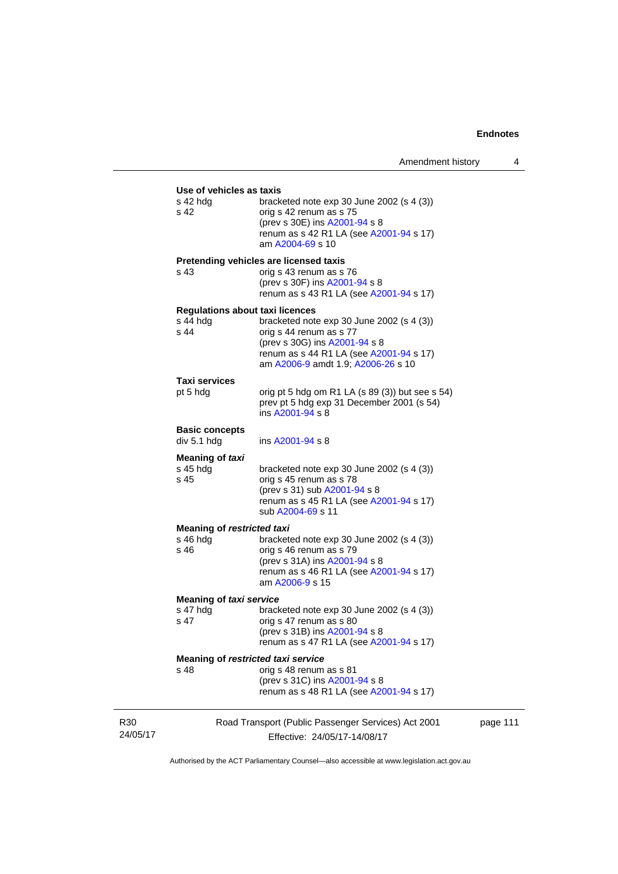|                 | Use of vehicles as taxis                                   |                                                                                                                                                                                          |
|-----------------|------------------------------------------------------------|------------------------------------------------------------------------------------------------------------------------------------------------------------------------------------------|
|                 | s 42 hda<br>s 42                                           | bracketed note exp 30 June 2002 (s 4 (3))<br>orig s 42 renum as s 75<br>(prev s 30E) ins A2001-94 s 8<br>renum as s 42 R1 LA (see A2001-94 s 17)<br>am A2004-69 s 10                     |
|                 | s 43                                                       | Pretending vehicles are licensed taxis<br>orig s 43 renum as s 76<br>(prev s 30F) ins A2001-94 s 8<br>renum as s 43 R1 LA (see A2001-94 s 17)                                            |
|                 | <b>Regulations about taxi licences</b><br>s 44 hda<br>s 44 | bracketed note $exp 30$ June 2002 (s 4 (3))<br>orig s 44 renum as s 77<br>(prev s 30G) ins A2001-94 s 8<br>renum as s 44 R1 LA (see A2001-94 s 17)<br>am A2006-9 amdt 1.9; A2006-26 s 10 |
|                 | Taxi services<br>pt 5 hdg                                  | orig pt 5 hdg om R1 LA (s 89 (3)) but see s 54)<br>prev pt 5 hdg exp 31 December 2001 (s 54)<br>ins A2001-94 s 8                                                                         |
|                 | <b>Basic concepts</b><br>div 5.1 hdg                       | ins $A2001 - 94$ s $8$                                                                                                                                                                   |
|                 | <b>Meaning of taxi</b><br>s 45 hdg<br>s 45                 | bracketed note $exp 30$ June 2002 (s 4 (3))<br>orig s 45 renum as s 78<br>(prev s 31) sub A2001-94 s 8<br>renum as s 45 R1 LA (see A2001-94 s 17)<br>sub A2004-69 s 11                   |
|                 | <b>Meaning of restricted taxi</b><br>s 46 hdg<br>s 46      | bracketed note $exp 30$ June 2002 (s 4 (3))<br>orig s 46 renum as s 79<br>(prev s 31A) ins A2001-94 s 8<br>renum as s 46 R1 LA (see A2001-94 s 17)<br>am A2006-9 s 15                    |
|                 | <b>Meaning of taxi service</b>                             |                                                                                                                                                                                          |
|                 | s 47 hdg<br>s 47                                           | bracketed note $exp 30$ June 2002 (s 4 (3))<br>orig s 47 renum as s 80<br>(prev s 31B) ins A2001-94 s 8<br>renum as s 47 R1 LA (see A2001-94 s 17)                                       |
|                 | Meaning of restricted taxi service<br>s 48                 | orig s 48 renum as s 81<br>(prev s 31C) ins A2001-94 s 8<br>renum as s 48 R1 LA (see A2001-94 s 17)                                                                                      |
| R30<br>24/05/17 |                                                            | Road Transport (Public Passenger Services) Act 2001<br>Effective: 24/05/17-14/08/17                                                                                                      |

page 111

Authorised by the ACT Parliamentary Counsel—also accessible at www.legislation.act.gov.au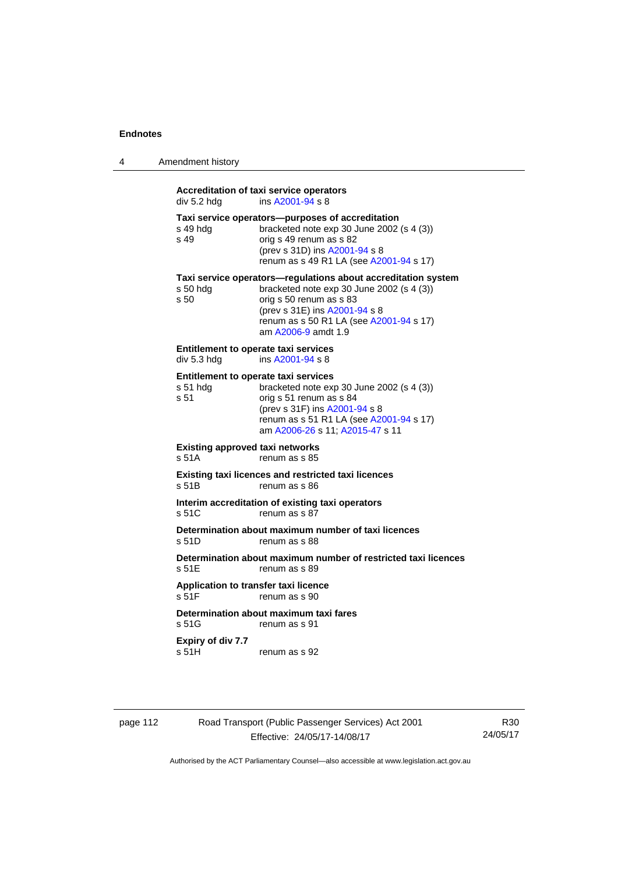| Amendment history |
|-------------------|
|                   |

# **Accreditation of taxi service operators**   $div 5.2$  hdg ins  $A2001 - 94$  s 8 **Taxi service operators—purposes of accreditation**  s 49 hdg bracketed note exp 30 June 2002 (s 4 (3)) s 49 orig s 49 renum as s 82 (prev s 31D) ins [A2001-94](http://www.legislation.act.gov.au/a/2001-94) s 8 renum as s 49 R1 LA (see [A2001-94](http://www.legislation.act.gov.au/a/2001-94) s 17) **Taxi service operators—regulations about accreditation system**<br>s 50 hdg bracketed note exp 30 June 2002 (s 4 (3)) bracketed note exp 30 June 2002 (s 4  $(3)$ ) s 50 orig s 50 renum as s 83 (prev s 31E) ins [A2001-94](http://www.legislation.act.gov.au/a/2001-94) s 8 renum as s 50 R1 LA (see [A2001-94](http://www.legislation.act.gov.au/a/2001-94) s 17) am [A2006-9](http://www.legislation.act.gov.au/a/2006-9) amdt 1.9 **Entitlement to operate taxi services**<br>div 5.3 hdg ins A2001-94 s 8 ins  $A2001 - 94$  s 8 **Entitlement to operate taxi services**  s 51 hdg bracketed note exp 30 June 2002 (s 4 (3)) s 51 orig s 51 renum as s 84 (prev s 31F) ins [A2001-94](http://www.legislation.act.gov.au/a/2001-94) s 8 renum as s 51 R1 LA (see [A2001-94](http://www.legislation.act.gov.au/a/2001-94) s 17) am [A2006-26](http://www.legislation.act.gov.au/a/2006-26) s 11; [A2015-47](http://www.legislation.act.gov.au/a/2015-47) s 11 **Existing approved taxi networks**  s 51A renum as s 85 **Existing taxi licences and restricted taxi licences**  s 51B renum as s 86 **Interim accreditation of existing taxi operators**  s 51C renum as s 87 **Determination about maximum number of taxi licences**  s 51D renum as s 88 **Determination about maximum number of restricted taxi licences**  s 51E renum as s 89 **Application to transfer taxi licence**  s 51F renum as s 90 **Determination about maximum taxi fares**  s 51G renum as s 91 **Expiry of div 7.7**  s 51H renum as s 92

page 112 Road Transport (Public Passenger Services) Act 2001 Effective: 24/05/17-14/08/17

R30 24/05/17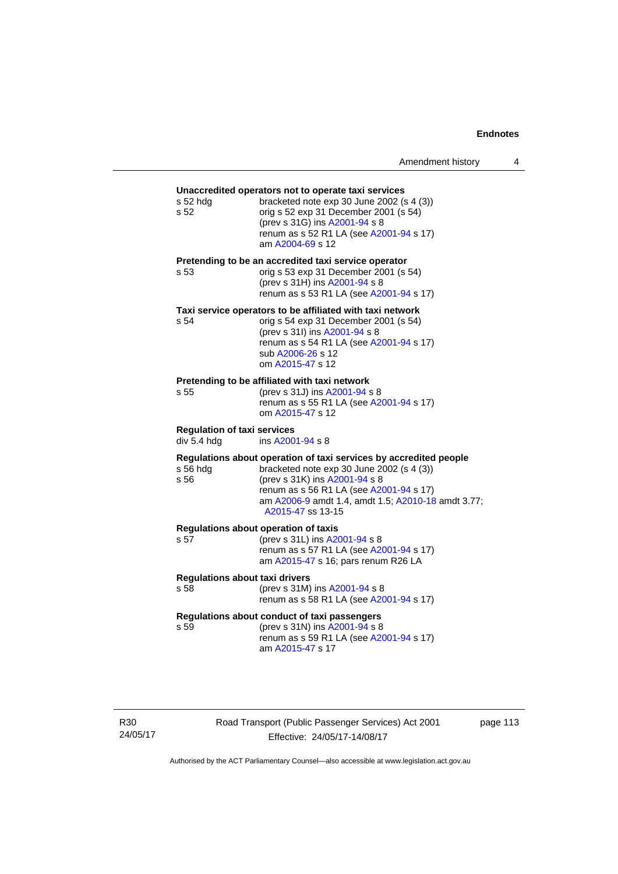# **Unaccredited operators not to operate taxi services**  s 52 hdg bracketed note exp 30 June 2002 (s 4 (3)) s 52 orig s 52 exp 31 December 2001 (s 54) (prev s 31G) ins [A2001-94](http://www.legislation.act.gov.au/a/2001-94) s 8 renum as s 52 R1 LA (see [A2001-94](http://www.legislation.act.gov.au/a/2001-94) s 17) am [A2004-69](http://www.legislation.act.gov.au/a/2004-69) s 12 **Pretending to be an accredited taxi service operator**  s 53 orig s 53 exp 31 December 2001 (s 54) (prev s 31H) ins [A2001-94](http://www.legislation.act.gov.au/a/2001-94) s 8 renum as s 53 R1 LA (see [A2001-94](http://www.legislation.act.gov.au/a/2001-94) s 17) **Taxi service operators to be affiliated with taxi network**  s 54 orig s 54 exp 31 December 2001 (s 54) (prev s 31I) ins [A2001-94](http://www.legislation.act.gov.au/a/2001-94) s 8 renum as s 54 R1 LA (see [A2001-94](http://www.legislation.act.gov.au/a/2001-94) s 17) sub [A2006-26](http://www.legislation.act.gov.au/a/2006-26) s 12 om [A2015-47](http://www.legislation.act.gov.au/a/2015-47) s 12 **Pretending to be affiliated with taxi network**  s 55 (prev s 31J) ins [A2001-94](http://www.legislation.act.gov.au/a/2001-94) s 8 renum as s 55 R1 LA (see [A2001-94](http://www.legislation.act.gov.au/a/2001-94) s 17) om [A2015-47](http://www.legislation.act.gov.au/a/2015-47) s 12 **Regulation of taxi services**  div 5.4 hdg ins [A2001-94](http://www.legislation.act.gov.au/a/2001-94) s 8 **Regulations about operation of taxi services by accredited people**  s 56 hdg bracketed note exp 30 June 2002 (s 4 (3)) s 56 (prev s 31K) ins [A2001-94](http://www.legislation.act.gov.au/a/2001-94) s 8 renum as s 56 R1 LA (see [A2001-94](http://www.legislation.act.gov.au/a/2001-94) s 17) am [A2006-9](http://www.legislation.act.gov.au/a/2006-9) amdt 1.4, amdt 1.5; [A2010-18](http://www.legislation.act.gov.au/a/2010-18) amdt 3.77; [A2015-47](http://www.legislation.act.gov.au/a/2015-47) ss 13-15 **Regulations about operation of taxis**  (prev s 31L) ins [A2001-94](http://www.legislation.act.gov.au/a/2001-94) s 8 renum as s 57 R1 LA (see [A2001-94](http://www.legislation.act.gov.au/a/2001-94) s 17) am [A2015-47](http://www.legislation.act.gov.au/a/2015-47) s 16; pars renum R26 LA **Regulations about taxi drivers**  s 58 (prev s 31M) ins [A2001-94](http://www.legislation.act.gov.au/a/2001-94) s 8 renum as s 58 R1 LA (see [A2001-94](http://www.legislation.act.gov.au/a/2001-94) s 17) **Regulations about conduct of taxi passengers**  s 59 (prev s 31N) ins [A2001-94](http://www.legislation.act.gov.au/a/2001-94) s 8 renum as s 59 R1 LA (see [A2001-94](http://www.legislation.act.gov.au/a/2001-94) s 17) am [A2015-47](http://www.legislation.act.gov.au/a/2015-47) s 17

Road Transport (Public Passenger Services) Act 2001 Effective: 24/05/17-14/08/17

page 113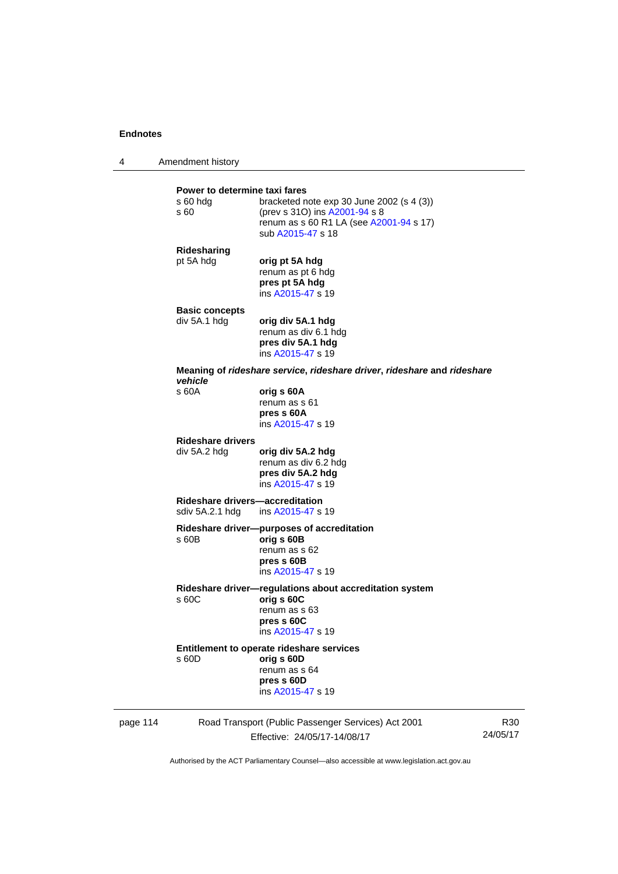4 Amendment history

|          | Power to determine taxi fares<br>s 60 hdg<br>s 60 | bracketed note $exp 30$ June 2002 (s 4 (3))<br>(prev s 310) ins A2001-94 s 8<br>renum as s 60 R1 LA (see A2001-94 s 17)<br>sub A2015-47 s 18 |
|----------|---------------------------------------------------|----------------------------------------------------------------------------------------------------------------------------------------------|
|          | Ridesharing<br>pt 5A hdg                          | orig pt 5A hdg<br>renum as pt 6 hdg<br>pres pt 5A hdg<br>ins A2015-47 s 19                                                                   |
|          | <b>Basic concepts</b><br>div 5A.1 hdg             | orig div 5A.1 hdg<br>renum as div 6.1 hdg<br>pres div 5A.1 hdg<br>ins A2015-47 s 19                                                          |
|          | vehicle                                           | Meaning of rideshare service, rideshare driver, rideshare and rideshare                                                                      |
|          | s 60A                                             | orig s 60A<br>renum as s 61<br>pres s 60A<br>ins A2015-47 s 19                                                                               |
|          | <b>Rideshare drivers</b><br>div 5A.2 hdg          | orig div 5A.2 hdg<br>renum as div 6.2 hdg<br>pres div 5A.2 hdg<br>ins A2015-47 s 19                                                          |
|          | Rideshare drivers—accreditation                   | sdiv 5A.2.1 hdg ins A2015-47 s 19                                                                                                            |
|          | s 60B                                             | Rideshare driver--purposes of accreditation<br>orig s 60B<br>renum as s 62<br>pres s 60B<br>ins A2015-47 s 19                                |
|          | s 60C                                             | Rideshare driver-regulations about accreditation system<br>orig s 60C<br>renum as s 63<br>pres s 60C<br>ins A2015-47 s 19                    |
|          | s 60D                                             | Entitlement to operate rideshare services<br>orig s 60D<br>renum as s 64<br>pres s 60D<br>ins A2015-47 s 19                                  |
| page 114 |                                                   | Road Transport (Public Passenger Services) Act 2001                                                                                          |

Effective: 24/05/17-14/08/17

R30 24/05/17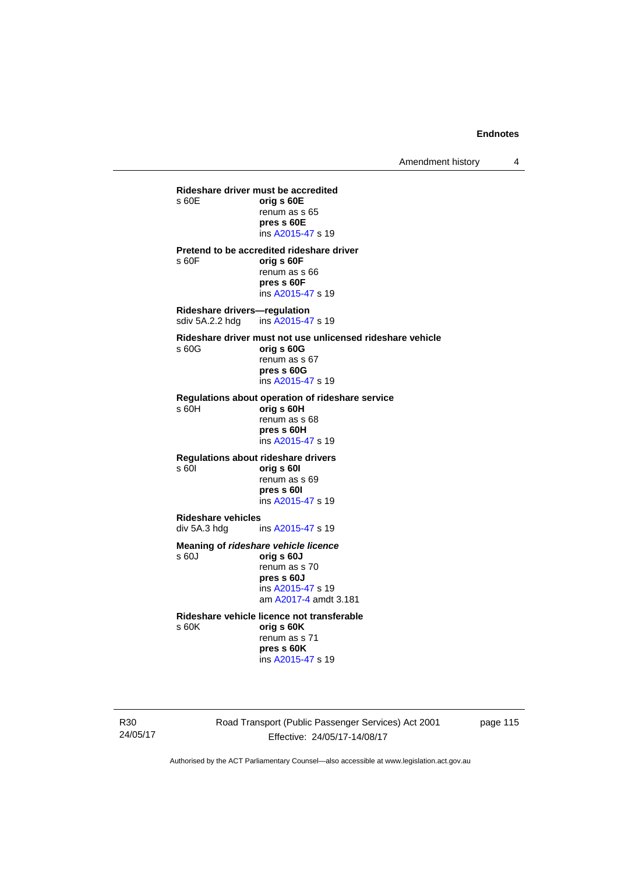Amendment history 4

**Rideshare driver must be accredited**  s 60E **orig s 60E**  renum as s 65 **pres s 60E**  ins [A2015-47](http://www.legislation.act.gov.au/a/2015-47) s 19 **Pretend to be accredited rideshare driver**  s 60F **orig s 60F**  renum as s 66 **pres s 60F**  ins [A2015-47](http://www.legislation.act.gov.au/a/2015-47) s 19 **Rideshare drivers—regulation**  sdiv 5A.2.2 hdg ins [A2015-47](http://www.legislation.act.gov.au/a/2015-47) s 19 **Rideshare driver must not use unlicensed rideshare vehicle** s 60G **orig s 60G**  renum as s 67 **pres s 60G**  ins [A2015-47](http://www.legislation.act.gov.au/a/2015-47) s 19 **Regulations about operation of rideshare service** s 60H **orig s 60H**  renum as s 68 **pres s 60H**  ins [A2015-47](http://www.legislation.act.gov.au/a/2015-47) s 19 **Regulations about rideshare drivers** s 60I **orig s 60I**  renum as s 69 **pres s 60I**  ins [A2015-47](http://www.legislation.act.gov.au/a/2015-47) s 19 **Rideshare vehicles**  ins [A2015-47](http://www.legislation.act.gov.au/a/2015-47) s 19 **Meaning of** *rideshare vehicle licence*  s 60J **orig s 60J**  renum as s 70 **pres s 60J**  ins [A2015-47](http://www.legislation.act.gov.au/a/2015-47) s 19 am [A2017-4](http://www.legislation.act.gov.au/a/2017-4/default.asp) amdt 3.181 **Rideshare vehicle licence not transferable**  s 60K **orig s 60K**  renum as s 71

**pres s 60K**  ins [A2015-47](http://www.legislation.act.gov.au/a/2015-47) s 19

R30 24/05/17 Road Transport (Public Passenger Services) Act 2001 Effective: 24/05/17-14/08/17

page 115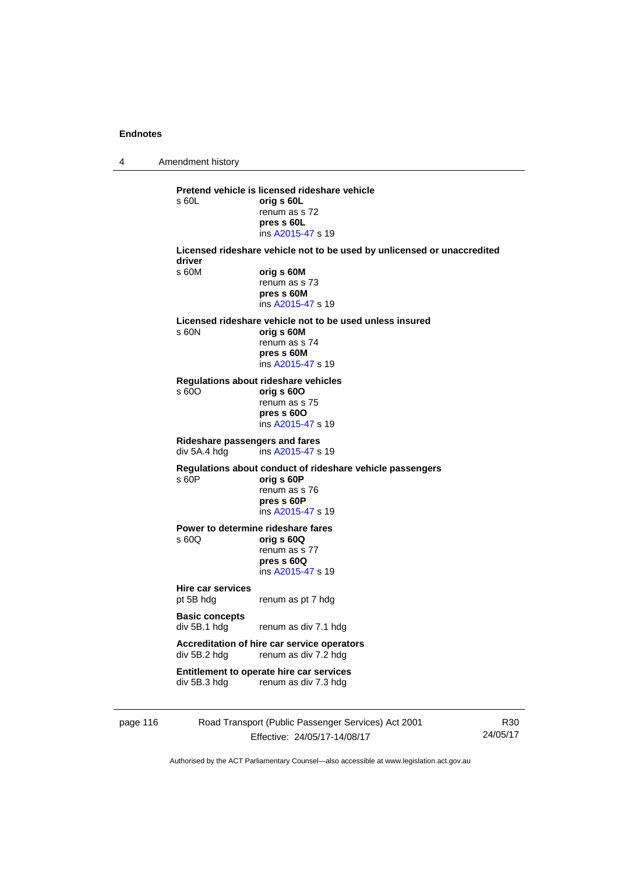4 Amendment history page 116 Road Transport (Public Passenger Services) Act 2001 **Pretend vehicle is licensed rideshare vehicle**  s 60L **orig s 60L**  renum as s 72 **pres s 60L**  ins [A2015-47](http://www.legislation.act.gov.au/a/2015-47) s 19 **Licensed rideshare vehicle not to be used by unlicensed or unaccredited driver**  s 60M **orig s 60M**  renum as s 73 **pres s 60M**  ins [A2015-47](http://www.legislation.act.gov.au/a/2015-47) s 19 **Licensed rideshare vehicle not to be used unless insured**  s 60N **orig s 60M**  renum as s 74 **pres s 60M**  ins [A2015-47](http://www.legislation.act.gov.au/a/2015-47) s 19 **Regulations about rideshare vehicles**  s 60O **orig s 60O**  renum as s 75 **pres s 60O**  ins [A2015-47](http://www.legislation.act.gov.au/a/2015-47) s 19 **Rideshare passengers and fares**   $ins$  [A2015-47](http://www.legislation.act.gov.au/a/2015-47) s 19 **Regulations about conduct of rideshare vehicle passengers**  s 60P **orig s 60P**  renum as s 76 **pres s 60P**  ins [A2015-47](http://www.legislation.act.gov.au/a/2015-47) s 19 **Power to determine rideshare fares**<br>  $\frac{60Q}{q}$  orig **s** 60Q s 60Q **orig s 60Q**  renum as s 77 **pres s 60Q**  ins [A2015-47](http://www.legislation.act.gov.au/a/2015-47) s 19 **Hire car services**  pt 5B hdg renum as pt 7 hdg **Basic concepts**  div 5B.1 hdg renum as div 7.1 hdg **Accreditation of hire car service operators**  div 5B.2 hdg renum as div 7.2 hdg **Entitlement to operate hire car services**  div 5B.3 hdg renum as div 7.3 hdg

Effective: 24/05/17-14/08/17

R30 24/05/17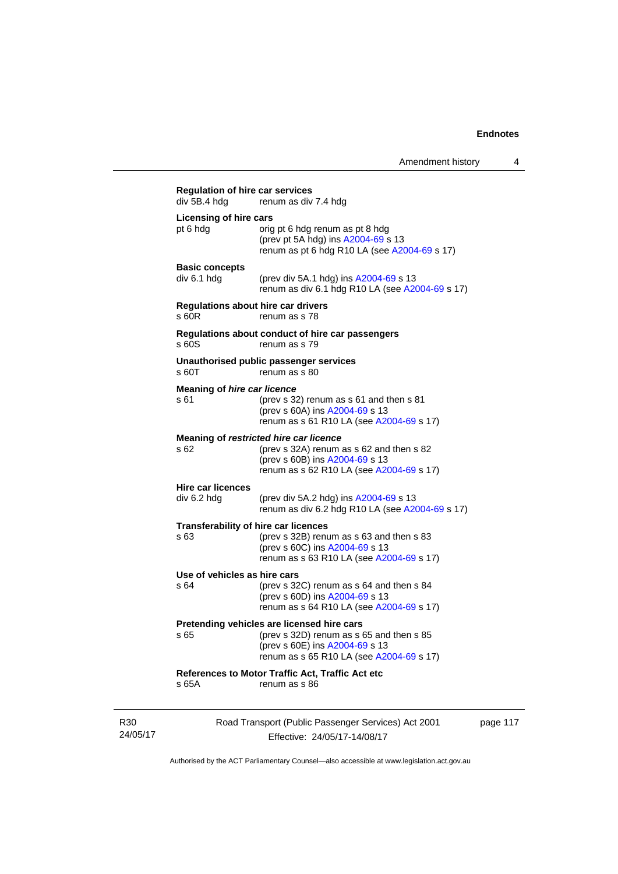| div 5B.4 hdg                               | renum as div 7.4 hdg                                                                                                                                                  |
|--------------------------------------------|-----------------------------------------------------------------------------------------------------------------------------------------------------------------------|
| <b>Licensing of hire cars</b><br>pt 6 hdg  | orig pt 6 hdg renum as pt 8 hdg<br>(prev pt 5A hdg) ins A2004-69 s 13<br>renum as pt 6 hdg R10 LA (see A2004-69 s 17)                                                 |
| <b>Basic concepts</b><br>div 6.1 hdg       | (prev div 5A.1 hdg) ins A2004-69 s 13<br>renum as div 6.1 hdg R10 LA (see A2004-69 s 17)                                                                              |
| $s$ 60 $R$                                 | Regulations about hire car drivers<br>renum as s 78                                                                                                                   |
| s 60S                                      | Regulations about conduct of hire car passengers<br>renum as s 79                                                                                                     |
| s 60T                                      | Unauthorised public passenger services<br>renum as s 80                                                                                                               |
| <b>Meaning of hire car licence</b><br>s 61 | (prev s 32) renum as s 61 and then s 81<br>(prev s 60A) ins A2004-69 s 13<br>renum as s 61 R10 LA (see A2004-69 s 17)                                                 |
| s 62                                       | Meaning of restricted hire car licence<br>(prev s 32A) renum as s 62 and then s 82<br>(prev s 60B) ins A2004-69 s 13<br>renum as s 62 R10 LA (see A2004-69 s 17)      |
| <b>Hire car licences</b><br>div 6.2 hdg    | (prev div 5A.2 hdg) ins A2004-69 s 13<br>renum as div 6.2 hdg R10 LA (see A2004-69 s 17)                                                                              |
| s 63                                       | <b>Transferability of hire car licences</b><br>(prev s 32B) renum as s 63 and then s 83<br>(prev s 60C) ins A2004-69 s 13<br>renum as s 63 R10 LA (see A2004-69 s 17) |
| Use of vehicles as hire cars<br>s64        | (prev s 32C) renum as s 64 and then s 84<br>(prev s 60D) ins A2004-69 s 13<br>renum as s 64 R10 LA (see A2004-69 s 17)                                                |
| s 65                                       | Pretending vehicles are licensed hire cars<br>(prev s 32D) renum as s 65 and then s 85<br>(prev s 60E) ins A2004-69 s 13<br>renum as s 65 R10 LA (see A2004-69 s 17)  |
| s 65A                                      | References to Motor Traffic Act, Traffic Act etc<br>renum as s 86                                                                                                     |

R30 24/05/17 Road Transport (Public Passenger Services) Act 2001 Effective: 24/05/17-14/08/17

page 117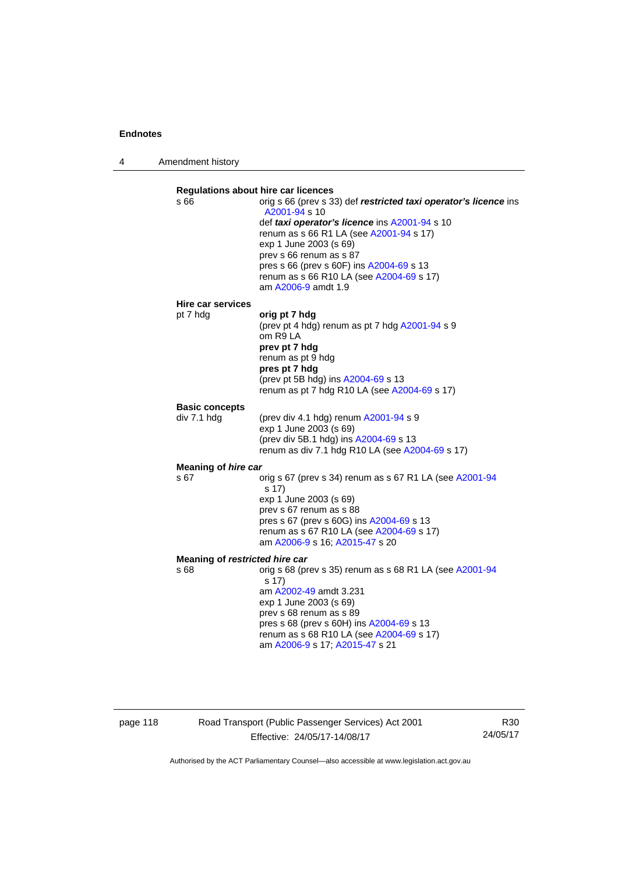4 Amendment history

| s 66                           | <b>Regulations about hire car licences</b><br>orig s 66 (prev s 33) def restricted taxi operator's licence ins<br>A2001-94 s 10<br>def taxi operator's licence ins A2001-94 s 10<br>renum as s 66 R1 LA (see A2001-94 s 17)<br>exp 1 June 2003 (s 69)<br>prev s 66 renum as s 87<br>pres s 66 (prev s 60F) ins A2004-69 s 13<br>renum as s 66 R10 LA (see A2004-69 s 17)<br>am A2006-9 amdt 1.9 |
|--------------------------------|-------------------------------------------------------------------------------------------------------------------------------------------------------------------------------------------------------------------------------------------------------------------------------------------------------------------------------------------------------------------------------------------------|
| Hire car services              |                                                                                                                                                                                                                                                                                                                                                                                                 |
| pt 7 hdg                       | orig pt 7 hdg<br>(prev pt 4 hdg) renum as pt 7 hdg A2001-94 s 9<br>om R9 LA<br>prev pt 7 hdg<br>renum as pt 9 hdg<br>pres pt 7 hdg<br>(prev pt 5B hdg) ins A2004-69 s 13<br>renum as pt 7 hdg R10 LA (see A2004-69 s 17)                                                                                                                                                                        |
| <b>Basic concepts</b>          |                                                                                                                                                                                                                                                                                                                                                                                                 |
| div 7.1 hdg                    | (prev div 4.1 hdg) renum A2001-94 s 9<br>exp 1 June 2003 (s 69)<br>(prev div 5B.1 hdg) ins A2004-69 s 13<br>renum as div 7.1 hdg R10 LA (see A2004-69 s 17)                                                                                                                                                                                                                                     |
| Meaning of hire car            |                                                                                                                                                                                                                                                                                                                                                                                                 |
| s 67                           | orig s 67 (prev s 34) renum as s 67 R1 LA (see A2001-94<br>s 17)<br>exp 1 June 2003 (s 69)<br>prev s 67 renum as s 88<br>pres s 67 (prev s 60G) ins A2004-69 s 13<br>renum as s 67 R10 LA (see A2004-69 s 17)<br>am A2006-9 s 16; A2015-47 s 20                                                                                                                                                 |
| Meaning of restricted hire car |                                                                                                                                                                                                                                                                                                                                                                                                 |
| s 68                           | orig s 68 (prev s 35) renum as s 68 R1 LA (see A2001-94<br>s 17)<br>am A2002-49 amdt 3.231<br>exp 1 June 2003 (s 69)<br>prev s 68 renum as s 89<br>pres s 68 (prev s 60H) ins A2004-69 s 13<br>renum as s 68 R10 LA (see A2004-69 s 17)<br>am A2006-9 s 17; A2015-47 s 21                                                                                                                       |

page 118 Road Transport (Public Passenger Services) Act 2001 Effective: 24/05/17-14/08/17

R30 24/05/17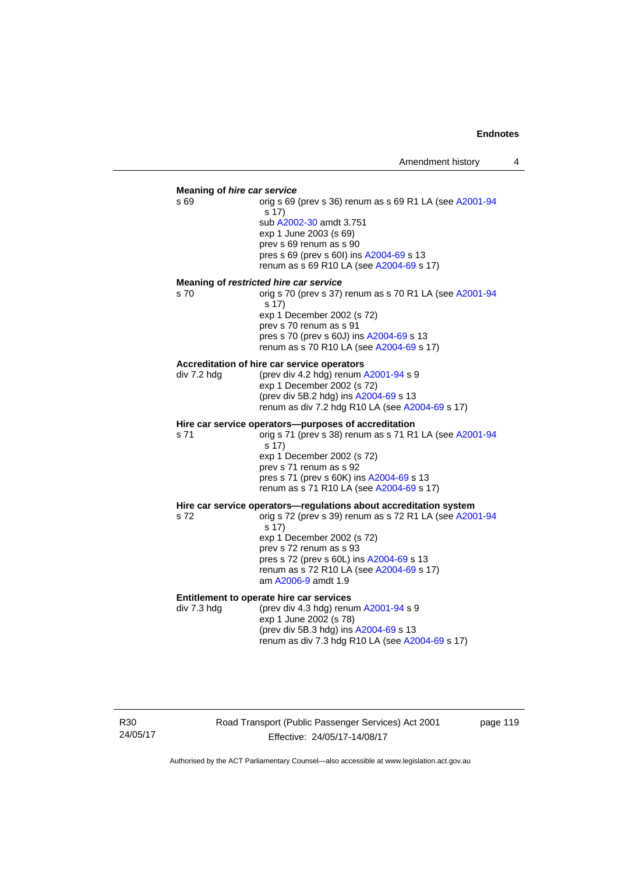#### **Meaning of** *hire car service*

s 69 orig s 69 (prev s 36) renum as s 69 R1 LA (see [A2001-94](http://www.legislation.act.gov.au/a/2001-94) s 17) sub [A2002-30](http://www.legislation.act.gov.au/a/2002-30) amdt 3.751 exp 1 June 2003 (s 69) prev s 69 renum as s 90 pres s 69 (prev s 60I) ins [A2004-69](http://www.legislation.act.gov.au/a/2004-69) s 13 renum as s 69 R10 LA (see [A2004-69](http://www.legislation.act.gov.au/a/2004-69) s 17)

#### **Meaning of** *restricted hire car service*

s 70 orig s 70 (prev s 37) renum as s 70 R1 LA (see [A2001-94](http://www.legislation.act.gov.au/a/2001-94) s 17) exp 1 December 2002 (s 72) prev s 70 renum as s 91 pres s 70 (prev s 60J) ins [A2004-69](http://www.legislation.act.gov.au/a/2004-69) s 13 renum as s 70 R10 LA (see [A2004-69](http://www.legislation.act.gov.au/a/2004-69) s 17)

#### **Accreditation of hire car service operators**

div 7.2 hdg (prev div 4.2 hdg) renum [A2001-94](http://www.legislation.act.gov.au/a/2001-94) s 9 exp 1 December 2002 (s 72) (prev div 5B.2 hdg) ins [A2004-69](http://www.legislation.act.gov.au/a/2004-69) s 13 renum as div 7.2 hdg R10 LA (see [A2004-69](http://www.legislation.act.gov.au/a/2004-69) s 17)

#### **Hire car service operators—purposes of accreditation**

s 71 orig s 71 (prev s 38) renum as s 71 R1 LA (see [A2001-94](http://www.legislation.act.gov.au/a/2001-94) s 17) exp 1 December 2002 (s 72) prev s 71 renum as s 92 pres s 71 (prev s 60K) ins [A2004-69](http://www.legislation.act.gov.au/a/2004-69) s 13 renum as s 71 R10 LA (see [A2004-69](http://www.legislation.act.gov.au/a/2004-69) s 17)

# **Hire car service operators—regulations about accreditation system s 72**<br>s 72<br>**compared 39** renum as s 72 R1 LA (see A200

orig s 72 (prev s 39) renum as s 72 R1 LA (see [A2001-94](http://www.legislation.act.gov.au/a/2001-94) s 17) exp 1 December 2002 (s 72) prev s 72 renum as s 93 pres s 72 (prev s 60L) ins [A2004-69](http://www.legislation.act.gov.au/a/2004-69) s 13 renum as s 72 R10 LA (see [A2004-69](http://www.legislation.act.gov.au/a/2004-69) s 17) am [A2006-9](http://www.legislation.act.gov.au/a/2006-9) amdt 1.9

#### **Entitlement to operate hire car services**

div 7.3 hdg (prev div 4.3 hdg) renum [A2001-94](http://www.legislation.act.gov.au/a/2001-94) s 9 exp 1 June 2002 (s 78) (prev div 5B.3 hdg) ins [A2004-69](http://www.legislation.act.gov.au/a/2004-69) s 13 renum as div 7.3 hdg R10 LA (see [A2004-69](http://www.legislation.act.gov.au/a/2004-69) s 17)

R30 24/05/17 Road Transport (Public Passenger Services) Act 2001 Effective: 24/05/17-14/08/17

page 119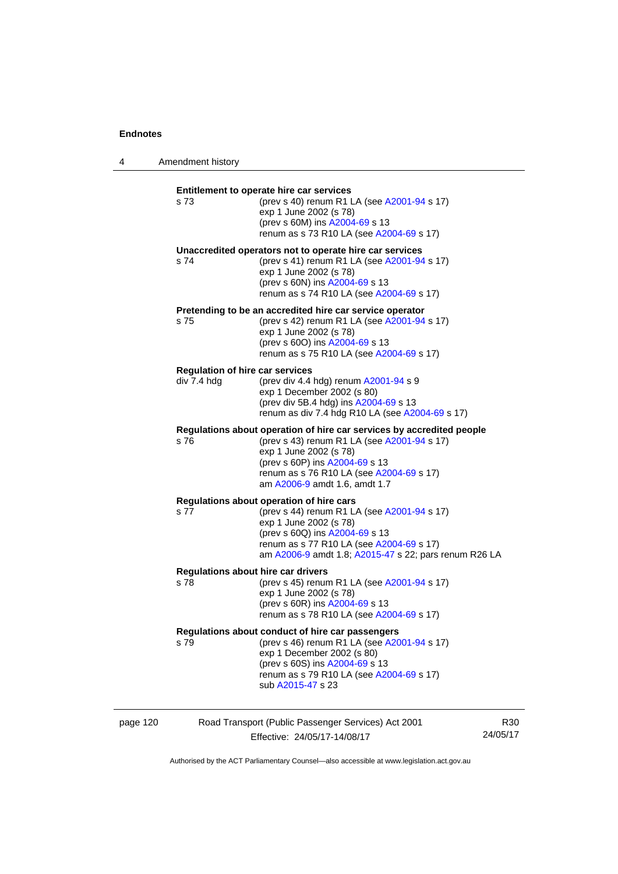4 Amendment history

| s 73        | Entitlement to operate hire car services<br>(prev s 40) renum R1 LA (see A2001-94 s 17)<br>exp 1 June 2002 (s 78)<br>(prev s 60M) ins A2004-69 s 13<br>renum as s 73 R10 LA (see A2004-69 s 17)                                                               |
|-------------|---------------------------------------------------------------------------------------------------------------------------------------------------------------------------------------------------------------------------------------------------------------|
| s 74        | Unaccredited operators not to operate hire car services<br>(prev s 41) renum R1 LA (see A2001-94 s 17)<br>exp 1 June 2002 (s 78)<br>(prev s 60N) ins A2004-69 s 13<br>renum as s 74 R10 LA (see A2004-69 s 17)                                                |
| s 75        | Pretending to be an accredited hire car service operator<br>(prev s 42) renum R1 LA (see A2001-94 s 17)<br>exp 1 June 2002 (s 78)<br>(prev s 600) ins A2004-69 s 13<br>renum as s 75 R10 LA (see A2004-69 s 17)                                               |
| div 7.4 hdg | <b>Regulation of hire car services</b><br>(prev div 4.4 hdg) renum A2001-94 s 9<br>exp 1 December 2002 (s 80)<br>(prev div 5B.4 hdg) ins A2004-69 s 13<br>renum as div 7.4 hdg R10 LA (see A2004-69 s 17)                                                     |
| s 76        | Regulations about operation of hire car services by accredited people<br>(prev s 43) renum R1 LA (see A2001-94 s 17)<br>exp 1 June 2002 (s 78)<br>(prev s 60P) ins A2004-69 s 13<br>renum as s 76 R10 LA (see A2004-69 s 17)<br>am A2006-9 amdt 1.6, amdt 1.7 |
| s 77        | Regulations about operation of hire cars<br>(prev s 44) renum R1 LA (see A2001-94 s 17)<br>exp 1 June 2002 (s 78)<br>(prev s 60Q) ins A2004-69 s 13<br>renum as s 77 R10 LA (see A2004-69 s 17)<br>am A2006-9 amdt 1.8; A2015-47 s 22; pars renum R26 LA      |
| s 78        | Regulations about hire car drivers<br>(prev s 45) renum R1 LA (see A2001-94 s 17)<br>exp 1 June 2002 (s 78)<br>(prev s 60R) ins A2004-69 s 13<br>renum as s 78 R10 LA (see A2004-69 s 17)                                                                     |
| s 79        | Regulations about conduct of hire car passengers<br>(prev s 46) renum R1 LA (see A2001-94 s 17)<br>exp 1 December 2002 (s 80)<br>(prev s 60S) ins A2004-69 s 13<br>renum as s 79 R10 LA (see A2004-69 s 17)<br>sub A2015-47 s 23                              |
|             |                                                                                                                                                                                                                                                               |

page 120 Road Transport (Public Passenger Services) Act 2001 Effective: 24/05/17-14/08/17 R30 24/05/17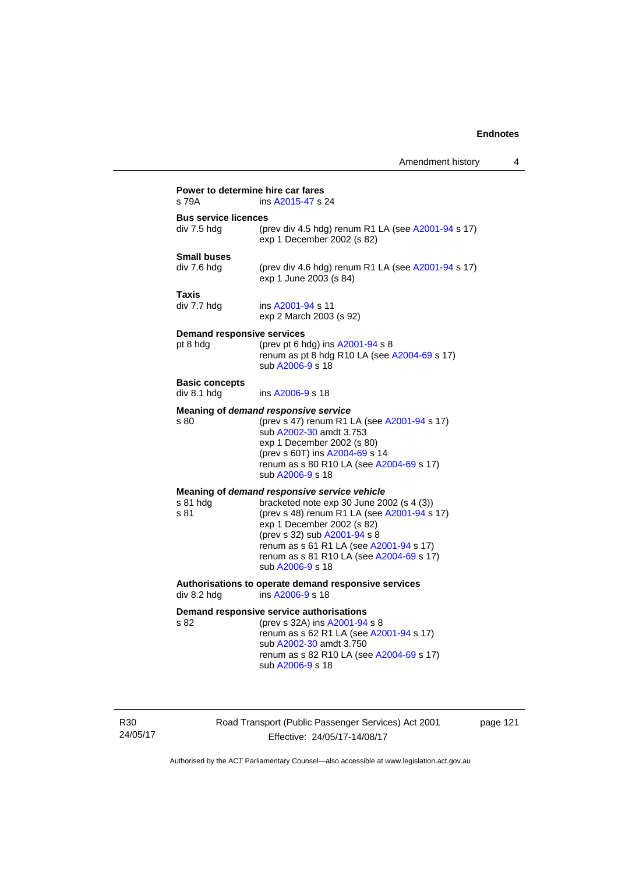| s 79A                                | ins A2015-47 s 24                                                                                                                                                                                                                                                 |
|--------------------------------------|-------------------------------------------------------------------------------------------------------------------------------------------------------------------------------------------------------------------------------------------------------------------|
| <b>Bus service licences</b>          |                                                                                                                                                                                                                                                                   |
| div 7.5 hdg                          | (prev div 4.5 hdg) renum R1 LA (see A2001-94 s 17)<br>exp 1 December 2002 (s 82)                                                                                                                                                                                  |
| <b>Small buses</b>                   |                                                                                                                                                                                                                                                                   |
| div 7.6 hdg                          | (prev div 4.6 hdg) renum R1 LA (see A2001-94 s 17)<br>exp 1 June 2003 (s 84)                                                                                                                                                                                      |
| <b>Taxis</b>                         |                                                                                                                                                                                                                                                                   |
| div 7.7 hdg                          | ins A2001-94 s 11<br>exp 2 March 2003 (s 92)                                                                                                                                                                                                                      |
| <b>Demand responsive services</b>    |                                                                                                                                                                                                                                                                   |
| pt 8 hdg                             | (prev pt 6 hdg) ins A2001-94 s 8<br>renum as pt 8 hdg R10 LA (see A2004-69 s 17)<br>sub A2006-9 s 18                                                                                                                                                              |
| <b>Basic concepts</b><br>div 8.1 hdg | ins A2006-9 s 18                                                                                                                                                                                                                                                  |
|                                      |                                                                                                                                                                                                                                                                   |
| s 80                                 | Meaning of demand responsive service<br>(prev s 47) renum R1 LA (see A2001-94 s 17)<br>sub A2002-30 amdt 3.753<br>exp 1 December 2002 (s 80)<br>(prev s 60T) ins A2004-69 s 14<br>renum as s 80 R10 LA (see A2004-69 s 17)<br>sub A2006-9 s 18                    |
|                                      | Meaning of demand responsive service vehicle                                                                                                                                                                                                                      |
| s 81 hdg<br>s 81                     | bracketed note exp 30 June 2002 (s 4 (3))<br>(prev s 48) renum R1 LA (see A2001-94 s 17)<br>exp 1 December 2002 (s 82)<br>(prev s 32) sub A2001-94 s 8<br>renum as s 61 R1 LA (see A2001-94 s 17)<br>renum as s 81 R10 LA (see A2004-69 s 17)<br>sub A2006-9 s 18 |
| div 8.2 hdg                          | Authorisations to operate demand responsive services<br>ins A2006-9 s 18                                                                                                                                                                                          |
|                                      | Demand responsive service authorisations                                                                                                                                                                                                                          |
| s 82                                 | (prev s 32A) ins A2001-94 s 8<br>renum as s 62 R1 LA (see A2001-94 s 17)<br>sub A2002-30 amdt 3.750<br>renum as s 82 R10 LA (see A2004-69 s 17)<br>sub A2006-9 s 18                                                                                               |

R30 24/05/17 Road Transport (Public Passenger Services) Act 2001 Effective: 24/05/17-14/08/17

page 121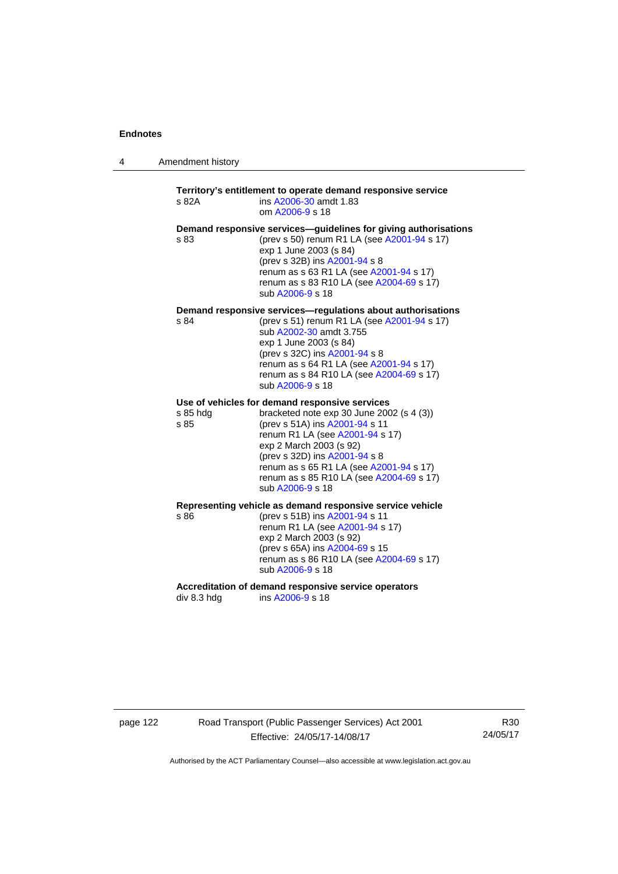| 4 | Amendment history |  |
|---|-------------------|--|
|---|-------------------|--|

### **Territory's entitlement to operate demand responsive service**  s 82A ins [A2006-30](http://www.legislation.act.gov.au/a/2006-30) amdt 1.83 om [A2006-9](http://www.legislation.act.gov.au/a/2006-9) s 18 **Demand responsive services—guidelines for giving authorisations**  s 83 (prev s 50) renum R1 LA (see [A2001-94](http://www.legislation.act.gov.au/a/2001-94) s 17) exp 1 June 2003 (s 84) (prev s 32B) ins [A2001-94](http://www.legislation.act.gov.au/a/2001-94) s 8 renum as s 63 R1 LA (see [A2001-94](http://www.legislation.act.gov.au/a/2001-94) s 17) renum as s 83 R10 LA (see [A2004-69](http://www.legislation.act.gov.au/a/2004-69) s 17) sub [A2006-9](http://www.legislation.act.gov.au/a/2006-9) s 18 **Demand responsive services—regulations about authorisations**  s 84 (prev s 51) renum R1 LA (see [A2001-94](http://www.legislation.act.gov.au/a/2001-94) s 17) sub [A2002-30](http://www.legislation.act.gov.au/a/2002-30) amdt 3.755 exp 1 June 2003 (s 84) (prev s 32C) ins [A2001-94](http://www.legislation.act.gov.au/a/2001-94) s 8 renum as s 64 R1 LA (see [A2001-94](http://www.legislation.act.gov.au/a/2001-94) s 17) renum as s 84 R10 LA (see [A2004-69](http://www.legislation.act.gov.au/a/2004-69) s 17) sub [A2006-9](http://www.legislation.act.gov.au/a/2006-9) s 18 **Use of vehicles for demand responsive services**  s 85 hdg bracketed note exp 30 June 2002 (s 4 (3)) s 85 (prev s 51A) ins [A2001-94](http://www.legislation.act.gov.au/a/2001-94) s 11 renum R1 LA (see [A2001-94](http://www.legislation.act.gov.au/a/2001-94) s 17) exp 2 March 2003 (s 92) (prev s 32D) ins [A2001-94](http://www.legislation.act.gov.au/a/2001-94) s 8 renum as s 65 R1 LA (see [A2001-94](http://www.legislation.act.gov.au/a/2001-94) s 17) renum as s 85 R10 LA (see [A2004-69](http://www.legislation.act.gov.au/a/2004-69) s 17) sub [A2006-9](http://www.legislation.act.gov.au/a/2006-9) s 18 **Representing vehicle as demand responsive service vehicle**  (prev s 51B) ins [A2001-94](http://www.legislation.act.gov.au/a/2001-94) s 11 renum R1 LA (see [A2001-94](http://www.legislation.act.gov.au/a/2001-94) s 17) exp 2 March 2003 (s 92) (prev s 65A) ins [A2004-69](http://www.legislation.act.gov.au/a/2004-69) s 15 renum as s 86 R10 LA (see [A2004-69](http://www.legislation.act.gov.au/a/2004-69) s 17) sub [A2006-9](http://www.legislation.act.gov.au/a/2006-9) s 18

Accreditation of demand responsive service operators<br>div 8.3 hdg ins A2006-9 s 18 ins [A2006-9](http://www.legislation.act.gov.au/a/2006-9) s 18

page 122 Road Transport (Public Passenger Services) Act 2001 Effective: 24/05/17-14/08/17

R30 24/05/17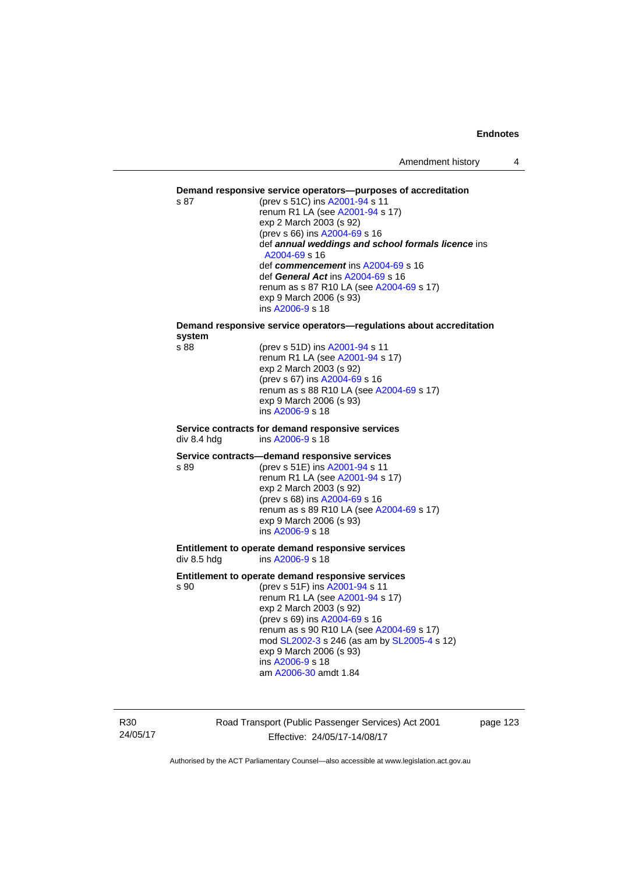#### **Demand responsive service operators—purposes of accreditation**

s 87 (prev s 51C) ins [A2001-94](http://www.legislation.act.gov.au/a/2001-94) s 11 renum R1 LA (see [A2001-94](http://www.legislation.act.gov.au/a/2001-94) s 17) exp 2 March 2003 (s 92) (prev s 66) ins [A2004-69](http://www.legislation.act.gov.au/a/2004-69) s 16 def *annual weddings and school formals licence* ins [A2004-69](http://www.legislation.act.gov.au/a/2004-69) s 16 def *commencement* ins [A2004-69](http://www.legislation.act.gov.au/a/2004-69) s 16 def *General Act* ins [A2004-69](http://www.legislation.act.gov.au/a/2004-69) s 16 renum as s 87 R10 LA (see [A2004-69](http://www.legislation.act.gov.au/a/2004-69) s 17) exp 9 March 2006 (s 93) ins [A2006-9](http://www.legislation.act.gov.au/a/2006-9) s 18

# **Demand responsive service operators—regulations about accreditation system**

(prev s 51D) ins [A2001-94](http://www.legislation.act.gov.au/a/2001-94) s 11 renum R1 LA (see [A2001-94](http://www.legislation.act.gov.au/a/2001-94) s 17) exp 2 March 2003 (s 92) (prev s 67) ins [A2004-69](http://www.legislation.act.gov.au/a/2004-69) s 16 renum as s 88 R10 LA (see [A2004-69](http://www.legislation.act.gov.au/a/2004-69) s 17) exp 9 March 2006 (s 93) ins [A2006-9](http://www.legislation.act.gov.au/a/2006-9) s 18

#### **Service contracts for demand responsive services**  div 8.4 hdg ins [A2006-9](http://www.legislation.act.gov.au/a/2006-9) s 18

#### **Service contracts—demand responsive services**

s 89 (prev s 51E) ins [A2001-94](http://www.legislation.act.gov.au/a/2001-94) s 11 renum R1 LA (see [A2001-94](http://www.legislation.act.gov.au/a/2001-94) s 17) exp 2 March 2003 (s 92) (prev s 68) ins [A2004-69](http://www.legislation.act.gov.au/a/2004-69) s 16 renum as s 89 R10 LA (see [A2004-69](http://www.legislation.act.gov.au/a/2004-69) s 17) exp 9 March 2006 (s 93) ins [A2006-9](http://www.legislation.act.gov.au/a/2006-9) s 18

#### **Entitlement to operate demand responsive services**  div 8.5 hdg ins [A2006-9](http://www.legislation.act.gov.au/a/2006-9) s 18

#### **Entitlement to operate demand responsive services**

s 90 (prev s 51F) ins [A2001-94](http://www.legislation.act.gov.au/a/2001-94) s 11 renum R1 LA (see [A2001-94](http://www.legislation.act.gov.au/a/2001-94) s 17) exp 2 March 2003 (s 92) (prev s 69) ins [A2004-69](http://www.legislation.act.gov.au/a/2004-69) s 16 renum as s 90 R10 LA (see [A2004-69](http://www.legislation.act.gov.au/a/2004-69) s 17) mod [SL2002-3](http://www.legislation.act.gov.au/sl/2002-3) s 246 (as am by [SL2005-4](http://www.legislation.act.gov.au/sl/2005-4) s 12) exp 9 March 2006 (s 93) ins [A2006-9](http://www.legislation.act.gov.au/a/2006-9) s 18 am [A2006-30](http://www.legislation.act.gov.au/a/2006-30) amdt 1.84

R30 24/05/17 Road Transport (Public Passenger Services) Act 2001 Effective: 24/05/17-14/08/17

page 123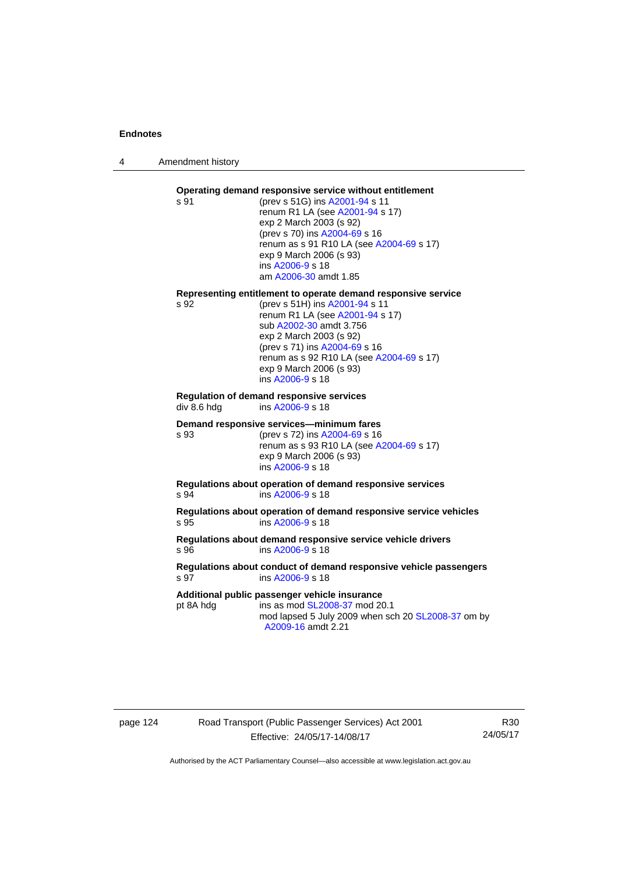4 Amendment history

#### **Operating demand responsive service without entitlement**  s 91 (prev s 51G) ins [A2001-94](http://www.legislation.act.gov.au/a/2001-94) s 11

renum R1 LA (see [A2001-94](http://www.legislation.act.gov.au/a/2001-94) s 17) exp 2 March 2003 (s 92) (prev s 70) ins [A2004-69](http://www.legislation.act.gov.au/a/2004-69) s 16 renum as s 91 R10 LA (see [A2004-69](http://www.legislation.act.gov.au/a/2004-69) s 17) exp 9 March 2006 (s 93) ins [A2006-9](http://www.legislation.act.gov.au/a/2006-9) s 18 am [A2006-30](http://www.legislation.act.gov.au/a/2006-30) amdt 1.85

#### **Representing entitlement to operate demand responsive service**

s 92 (prev s 51H) ins [A2001-94](http://www.legislation.act.gov.au/a/2001-94) s 11 renum R1 LA (see [A2001-94](http://www.legislation.act.gov.au/a/2001-94) s 17) sub [A2002-30](http://www.legislation.act.gov.au/a/2002-30) amdt 3.756 exp 2 March 2003 (s 92) (prev s 71) ins [A2004-69](http://www.legislation.act.gov.au/a/2004-69) s 16 renum as s 92 R10 LA (see [A2004-69](http://www.legislation.act.gov.au/a/2004-69) s 17) exp 9 March 2006 (s 93) ins [A2006-9](http://www.legislation.act.gov.au/a/2006-9) s 18

# **Regulation of demand responsive services**

div 8.6 hdg ins [A2006-9](http://www.legislation.act.gov.au/a/2006-9) s 18

#### **Demand responsive services—minimum fares**

s 93 (prev s 72) ins [A2004-69](http://www.legislation.act.gov.au/a/2004-69) s 16 renum as s 93 R10 LA (see [A2004-69](http://www.legislation.act.gov.au/a/2004-69) s 17) exp 9 March 2006 (s 93) ins [A2006-9](http://www.legislation.act.gov.au/a/2006-9) s 18

**Regulations about operation of demand responsive services**  s 94 ins [A2006-9](http://www.legislation.act.gov.au/a/2006-9) s 18

**Regulations about operation of demand responsive service vehicles**  s 95 ins [A2006-9](http://www.legislation.act.gov.au/a/2006-9) s 18

**Regulations about demand responsive service vehicle drivers**  s 96 ins [A2006-9](http://www.legislation.act.gov.au/a/2006-9) s 18

#### **Regulations about conduct of demand responsive vehicle passengers**  ins [A2006-9](http://www.legislation.act.gov.au/a/2006-9) s 18

**Additional public passenger vehicle insurance** 

pt 8A hdg ins as mod [SL2008-37](http://www.legislation.act.gov.au/sl/2008-37) mod 20.1 mod lapsed 5 July 2009 when sch 20 [SL2008-37](http://www.legislation.act.gov.au/sl/2008-37) om by [A2009-16](http://www.legislation.act.gov.au/a/2009-16) amdt 2.21

# page 124 Road Transport (Public Passenger Services) Act 2001 Effective: 24/05/17-14/08/17

R30 24/05/17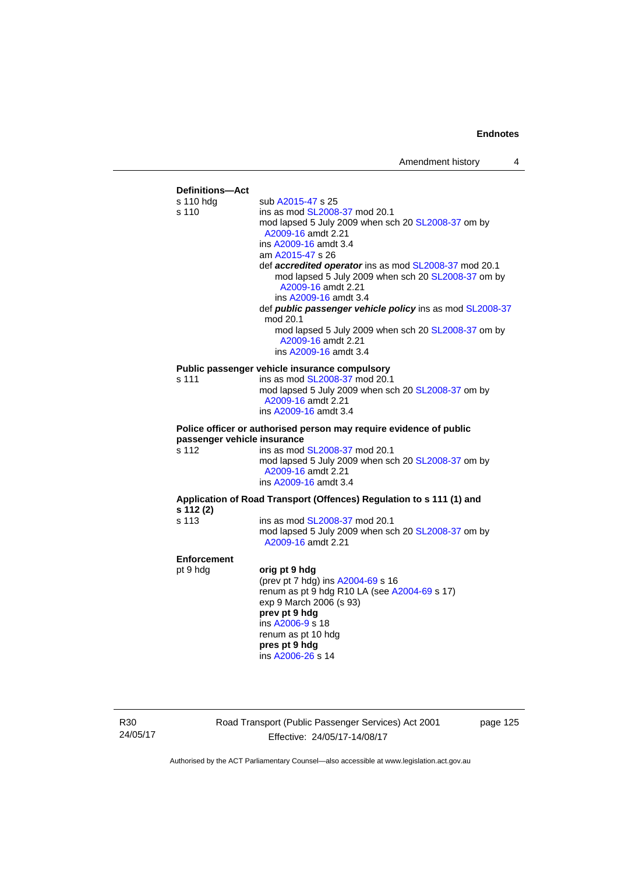

R30 24/05/17 Road Transport (Public Passenger Services) Act 2001 Effective: 24/05/17-14/08/17

page 125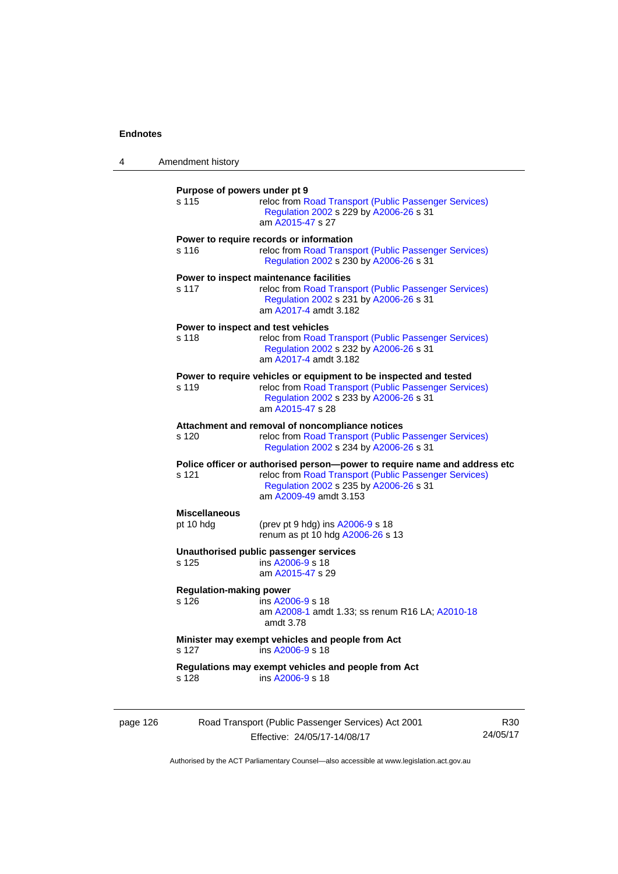| 4        | Amendment history                                                                                                                                            |                                                                                                                                                                                                         |                 |  |  |
|----------|--------------------------------------------------------------------------------------------------------------------------------------------------------------|---------------------------------------------------------------------------------------------------------------------------------------------------------------------------------------------------------|-----------------|--|--|
|          | Purpose of powers under pt 9<br>s 115<br>reloc from Road Transport (Public Passenger Services)<br>Regulation 2002 s 229 by A2006-26 s 31<br>am A2015-47 s 27 |                                                                                                                                                                                                         |                 |  |  |
|          | s 116                                                                                                                                                        | Power to require records or information<br>reloc from Road Transport (Public Passenger Services)<br>Regulation 2002 s 230 by A2006-26 s 31                                                              |                 |  |  |
|          | s 117                                                                                                                                                        | Power to inspect maintenance facilities<br>reloc from Road Transport (Public Passenger Services)<br>Regulation 2002 s 231 by A2006-26 s 31<br>am A2017-4 amdt 3.182                                     |                 |  |  |
|          | s 118                                                                                                                                                        | Power to inspect and test vehicles<br>reloc from Road Transport (Public Passenger Services)<br>Regulation 2002 s 232 by A2006-26 s 31<br>am A2017-4 amdt 3.182                                          |                 |  |  |
|          | s 119                                                                                                                                                        | Power to require vehicles or equipment to be inspected and tested<br>reloc from Road Transport (Public Passenger Services)<br>Regulation 2002 s 233 by A2006-26 s 31<br>am A2015-47 s 28                |                 |  |  |
|          | s 120                                                                                                                                                        | Attachment and removal of noncompliance notices<br>reloc from Road Transport (Public Passenger Services)<br>Regulation 2002 s 234 by A2006-26 s 31                                                      |                 |  |  |
|          | s 121                                                                                                                                                        | Police officer or authorised person--power to require name and address etc<br>reloc from Road Transport (Public Passenger Services)<br>Regulation 2002 s 235 by A2006-26 s 31<br>am A2009-49 amdt 3.153 |                 |  |  |
|          | <b>Miscellaneous</b><br>pt 10 hdg                                                                                                                            | (prev pt 9 hdg) ins A2006-9 s 18<br>renum as pt 10 hdg A2006-26 s 13                                                                                                                                    |                 |  |  |
|          | s 125                                                                                                                                                        | Unauthorised public passenger services<br>ins A2006-9 s 18<br>am A2015-47 s 29                                                                                                                          |                 |  |  |
|          | <b>Regulation-making power</b><br>s 126                                                                                                                      | ins A2006-9 s 18<br>am A2008-1 amdt 1.33; ss renum R16 LA; A2010-18<br>amdt 3.78                                                                                                                        |                 |  |  |
|          | s 127                                                                                                                                                        | Minister may exempt vehicles and people from Act<br>ins A2006-9 s 18                                                                                                                                    |                 |  |  |
|          | s 128                                                                                                                                                        | Regulations may exempt vehicles and people from Act<br>ins A2006-9 s 18                                                                                                                                 |                 |  |  |
| page 126 |                                                                                                                                                              | Road Transport (Public Passenger Services) Act 2001<br>Effective: 24/05/17-14/08/17                                                                                                                     | R30<br>24/05/17 |  |  |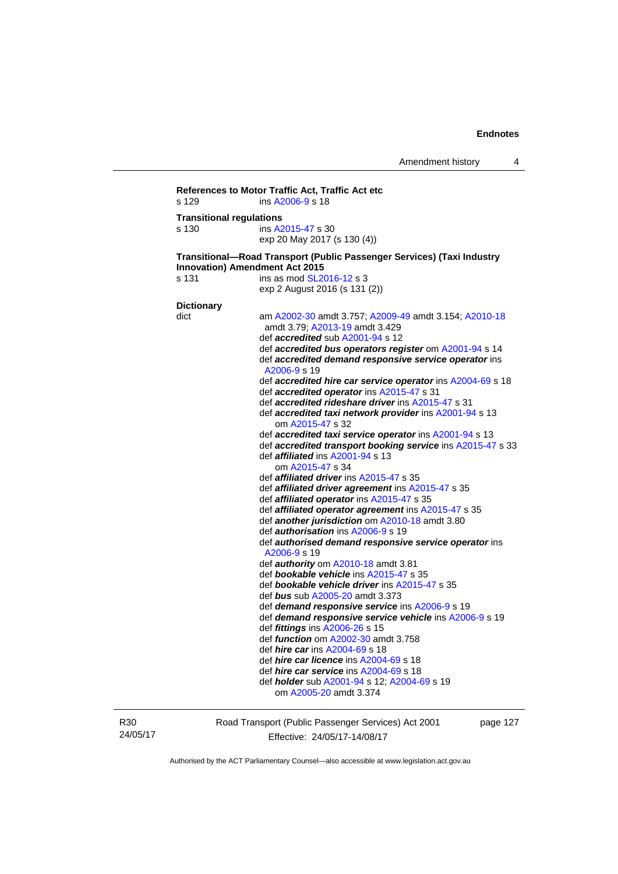```
References to Motor Traffic Act, Traffic Act etc 
s 129 ins A2006-9 s 18 
Transitional regulations 
s 130 ins A2015-47 s 30 
                   exp 20 May 2017 (s 130 (4)) 
Transitional—Road Transport (Public Passenger Services) (Taxi Industry 
Innovation) Amendment Act 2015 
s 131 ins as mod SL2016-12 s 3
                   exp 2 August 2016 (s 131 (2)) 
Dictionary 
dict am A2002-30 amdt 3.757; A2009-49 amdt 3.154; A2010-18
                    amdt 3.79; A2013-19 amdt 3.429 
                    def accredited sub A2001-94 s 12 
                    def accredited bus operators register om A2001-94 s 14 
                    def accredited demand responsive service operator ins 
                    A2006-9 s 19 
                    def accredited hire car service operator ins A2004-69 s 18 
                    def accredited operator ins A2015-47 s 31 
                    def accredited rideshare driver ins A2015-47 s 31 
                    def accredited taxi network provider ins A2001-94 s 13 
                        om A2015-47 s 32 
                    def accredited taxi service operator ins A2001-94 s 13 
                    def accredited transport booking service ins A2015-47 s 33 
                    def affiliated ins A2001-94 s 13 
                       om A2015-47 s 34 
                    def affiliated driver ins A2015-47 s 35 
                    def affiliated driver agreement ins A2015-47 s 35 
                    def affiliated operator ins A2015-47 s 35 
                    def affiliated operator agreement ins A2015-47 s 35 
                    def another jurisdiction om A2010-18 amdt 3.80 
                    def authorisation ins A2006-9 s 19 
                    def authorised demand responsive service operator ins 
                    A2006-9 s 19 
                    def authority om A2010-18 amdt 3.81 
                    def bookable vehicle ins A2015-47 s 35 
                    def bookable vehicle driver ins A2015-47 s 35 
                    def bus sub A2005-20 amdt 3.373 
                    def demand responsive service ins A2006-9 s 19 
                    def demand responsive service vehicle ins A2006-9 s 19 
                    def fittings ins A2006-26 s 15 
                    def function om A2002-30 amdt 3.758 
                    def hire car ins A2004-69 s 18 
                    def hire car licence ins A2004-69 s 18 
                    def hire car service ins A2004-69 s 18 
                    def holder sub A2001-94 s 12; A2004-69 s 19 
                       om A2005-20 amdt 3.374
```
R30 24/05/17 Road Transport (Public Passenger Services) Act 2001 Effective: 24/05/17-14/08/17

page 127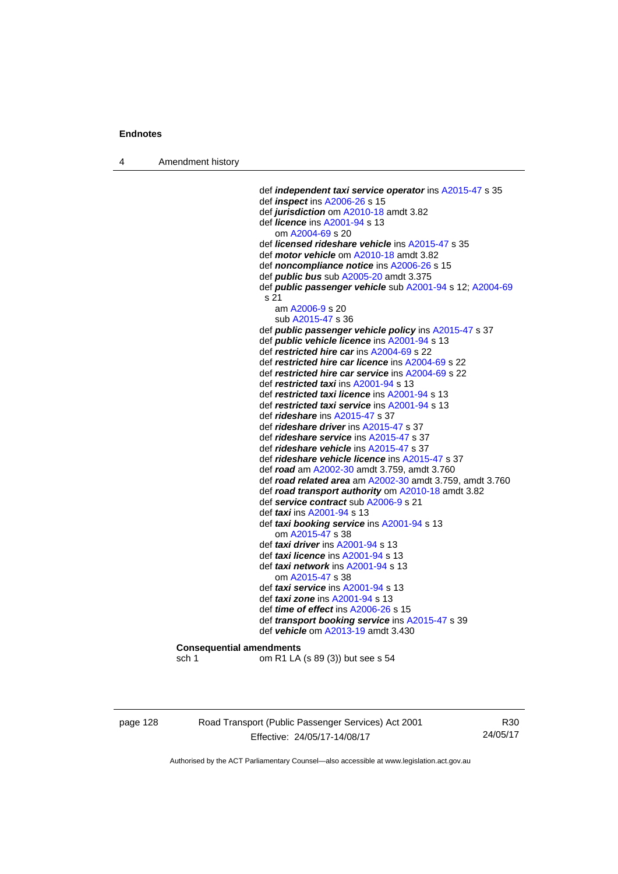4 Amendment history

 def *independent taxi service operator* ins [A2015-47](http://www.legislation.act.gov.au/a/2015-47) s 35 def *inspect* ins [A2006-26](http://www.legislation.act.gov.au/a/2006-26) s 15 def *jurisdiction* om [A2010-18](http://www.legislation.act.gov.au/a/2010-18) amdt 3.82 def *licence* ins [A2001-94](http://www.legislation.act.gov.au/a/2001-94) s 13 om [A2004-69](http://www.legislation.act.gov.au/a/2004-69) s 20 def *licensed rideshare vehicle* ins [A2015-47](http://www.legislation.act.gov.au/a/2015-47) s 35 def *motor vehicle* om [A2010-18](http://www.legislation.act.gov.au/a/2010-18) amdt 3.82 def *noncompliance notice* ins [A2006-26](http://www.legislation.act.gov.au/a/2006-26) s 15 def *public bus* sub [A2005-20](http://www.legislation.act.gov.au/a/2005-20) amdt 3.375 def *public passenger vehicle* sub [A2001-94](http://www.legislation.act.gov.au/a/2001-94) s 12; [A2004-69](http://www.legislation.act.gov.au/a/2004-69) s 21 am [A2006-9](http://www.legislation.act.gov.au/a/2006-9) s 20 sub [A2015-47](http://www.legislation.act.gov.au/a/2015-47) s 36 def *public passenger vehicle policy* ins [A2015-47](http://www.legislation.act.gov.au/a/2015-47) s 37 def *public vehicle licence* ins [A2001-94](http://www.legislation.act.gov.au/a/2001-94) s 13 def *restricted hire car* ins [A2004-69](http://www.legislation.act.gov.au/a/2004-69) s 22 def *restricted hire car licence* ins [A2004-69](http://www.legislation.act.gov.au/a/2004-69) s 22 def *restricted hire car service* ins [A2004-69](http://www.legislation.act.gov.au/a/2004-69) s 22 def *restricted taxi* ins [A2001-94](http://www.legislation.act.gov.au/a/2001-94) s 13 def *restricted taxi licence* ins [A2001-94](http://www.legislation.act.gov.au/a/2001-94) s 13 def *restricted taxi service* ins [A2001-94](http://www.legislation.act.gov.au/a/2001-94) s 13 def *rideshare* ins [A2015-47](http://www.legislation.act.gov.au/a/2015-47) s 37 def *rideshare driver* ins [A2015-47](http://www.legislation.act.gov.au/a/2015-47) s 37 def *rideshare service* ins [A2015-47](http://www.legislation.act.gov.au/a/2015-47) s 37 def *rideshare vehicle* ins [A2015-47](http://www.legislation.act.gov.au/a/2015-47) s 37 def *rideshare vehicle licence* ins [A2015-47](http://www.legislation.act.gov.au/a/2015-47) s 37 def *road* am [A2002-30](http://www.legislation.act.gov.au/a/2002-30) amdt 3.759, amdt 3.760 def *road related area* am [A2002-30](http://www.legislation.act.gov.au/a/2002-30) amdt 3.759, amdt 3.760 def *road transport authority* om [A2010-18](http://www.legislation.act.gov.au/a/2010-18) amdt 3.82 def *service contract* sub [A2006-9](http://www.legislation.act.gov.au/a/2006-9) s 21 def *taxi* ins [A2001-94](http://www.legislation.act.gov.au/a/2001-94) s 13 def *taxi booking service* ins [A2001-94](http://www.legislation.act.gov.au/a/2001-94) s 13 om [A2015-47](http://www.legislation.act.gov.au/a/2015-47) s 38 def *taxi driver* ins [A2001-94](http://www.legislation.act.gov.au/a/2001-94) s 13 def *taxi licence* ins [A2001-94](http://www.legislation.act.gov.au/a/2001-94) s 13 def *taxi network* ins [A2001-94](http://www.legislation.act.gov.au/a/2001-94) s 13 om [A2015-47](http://www.legislation.act.gov.au/a/2015-47) s 38 def *taxi service* ins [A2001-94](http://www.legislation.act.gov.au/a/2001-94) s 13 def *taxi zone* ins [A2001-94](http://www.legislation.act.gov.au/a/2001-94) s 13 def *time of effect* ins [A2006-26](http://www.legislation.act.gov.au/a/2006-26) s 15 def *transport booking service* ins [A2015-47](http://www.legislation.act.gov.au/a/2015-47) s 39 def *vehicle* om [A2013-19](http://www.legislation.act.gov.au/a/2013-19) amdt 3.430 **Consequential amendments**  sch 1 om R1 LA (s 89 (3)) but see s 54

page 128 Road Transport (Public Passenger Services) Act 2001 Effective: 24/05/17-14/08/17

R30 24/05/17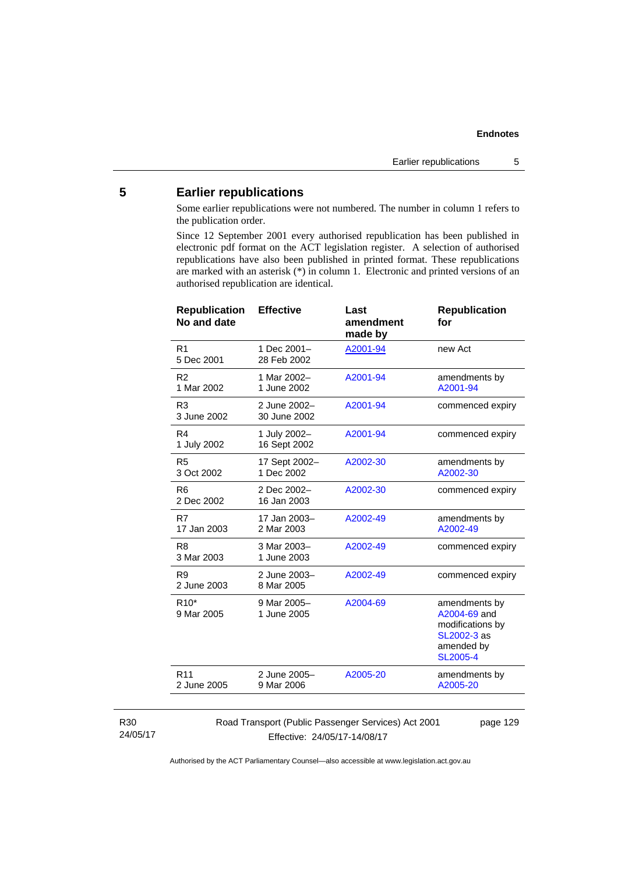# **5 Earlier republications**

Some earlier republications were not numbered. The number in column 1 refers to the publication order.

Since 12 September 2001 every authorised republication has been published in electronic pdf format on the ACT legislation register. A selection of authorised republications have also been published in printed format. These republications are marked with an asterisk (\*) in column 1. Electronic and printed versions of an authorised republication are identical.

| <b>Republication</b><br>No and date | <b>Effective</b>             | Last<br>amendment<br>made by | <b>Republication</b><br>for                                                                       |
|-------------------------------------|------------------------------|------------------------------|---------------------------------------------------------------------------------------------------|
| R <sub>1</sub><br>5 Dec 2001        | 1 Dec 2001-<br>28 Feb 2002   | A2001-94                     | new Act                                                                                           |
| R <sub>2</sub><br>1 Mar 2002        | 1 Mar 2002-<br>1 June 2002   | A2001-94                     | amendments by<br>A2001-94                                                                         |
| R <sub>3</sub><br>3 June 2002       | 2 June 2002-<br>30 June 2002 | A2001-94                     | commenced expiry                                                                                  |
| R4<br>1 July 2002                   | 1 July 2002-<br>16 Sept 2002 | A2001-94                     | commenced expiry                                                                                  |
| R <sub>5</sub><br>3 Oct 2002        | 17 Sept 2002-<br>1 Dec 2002  | A2002-30                     | amendments by<br>A2002-30                                                                         |
| R <sub>6</sub><br>2 Dec 2002        | 2 Dec 2002-<br>16 Jan 2003   | A2002-30                     | commenced expiry                                                                                  |
| R7<br>17 Jan 2003                   | 17 Jan 2003-<br>2 Mar 2003   | A2002-49                     | amendments by<br>A2002-49                                                                         |
| R <sub>8</sub><br>3 Mar 2003        | 3 Mar 2003-<br>1 June 2003   | A2002-49                     | commenced expiry                                                                                  |
| R <sub>9</sub><br>2 June 2003       | 2 June 2003-<br>8 Mar 2005   | A2002-49                     | commenced expiry                                                                                  |
| $R10*$<br>9 Mar 2005                | 9 Mar 2005-<br>1 June 2005   | A2004-69                     | amendments by<br>A2004-69 and<br>modifications by<br>SL2002-3 as<br>amended by<br><b>SL2005-4</b> |
| R <sub>11</sub><br>2 June 2005      | 2 June 2005-<br>9 Mar 2006   | A2005-20                     | amendments by<br>A2005-20                                                                         |
|                                     |                              |                              |                                                                                                   |

#### R30 24/05/17

Road Transport (Public Passenger Services) Act 2001 Effective: 24/05/17-14/08/17

page 129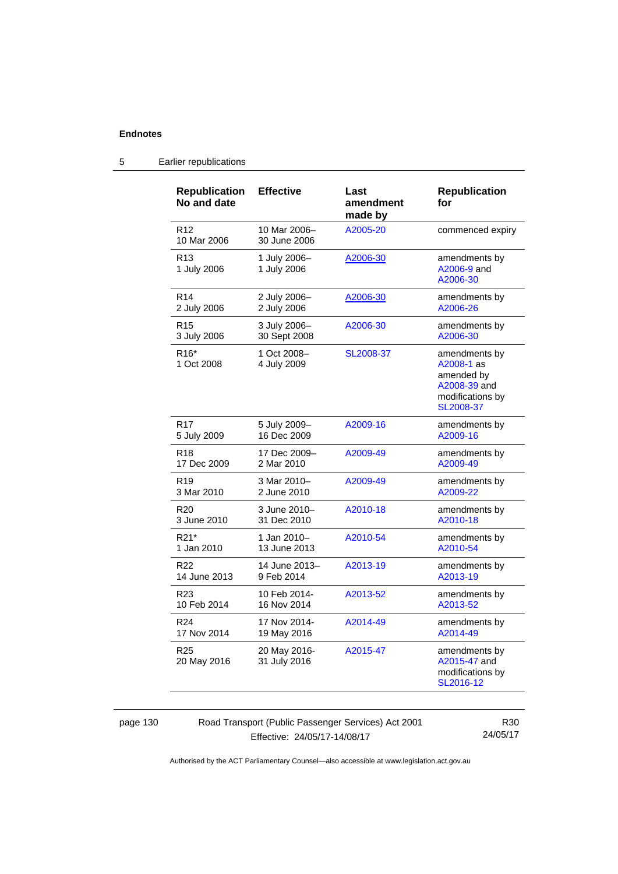| <b>Republication</b><br>No and date | <b>Effective</b>             | Last<br>amendment<br>made by | <b>Republication</b><br>for                                                                |
|-------------------------------------|------------------------------|------------------------------|--------------------------------------------------------------------------------------------|
| R <sub>12</sub><br>10 Mar 2006      | 10 Mar 2006-<br>30 June 2006 | A2005-20                     | commenced expiry                                                                           |
| R <sub>13</sub><br>1 July 2006      | 1 July 2006-<br>1 July 2006  | A2006-30                     | amendments by<br>A2006-9 and<br>A2006-30                                                   |
| R <sub>14</sub>                     | 2 July 2006-                 | A2006-30                     | amendments by                                                                              |
| 2 July 2006                         | 2 July 2006                  |                              | A2006-26                                                                                   |
| R <sub>15</sub>                     | 3 July 2006-                 | A2006-30                     | amendments by                                                                              |
| 3 July 2006                         | 30 Sept 2008                 |                              | A2006-30                                                                                   |
| R <sub>16</sub> *<br>1 Oct 2008     | 1 Oct 2008-<br>4 July 2009   | SL2008-37                    | amendments by<br>A2008-1 as<br>amended by<br>A2008-39 and<br>modifications by<br>SL2008-37 |
| R <sub>17</sub>                     | 5 July 2009-                 | A2009-16                     | amendments by                                                                              |
| 5 July 2009                         | 16 Dec 2009                  |                              | A2009-16                                                                                   |
| R <sub>18</sub>                     | 17 Dec 2009-                 | A2009-49                     | amendments by                                                                              |
| 17 Dec 2009                         | 2 Mar 2010                   |                              | A2009-49                                                                                   |
| R <sub>19</sub>                     | 3 Mar 2010-                  | A2009-49                     | amendments by                                                                              |
| 3 Mar 2010                          | 2 June 2010                  |                              | A2009-22                                                                                   |
| R <sub>20</sub>                     | 3 June 2010-                 | A2010-18                     | amendments by                                                                              |
| 3 June 2010                         | 31 Dec 2010                  |                              | A2010-18                                                                                   |
| R21*                                | 1 Jan 2010–                  | A2010-54                     | amendments by                                                                              |
| 1 Jan 2010                          | 13 June 2013                 |                              | A2010-54                                                                                   |
| R <sub>22</sub>                     | 14 June 2013-                | A2013-19                     | amendments by                                                                              |
| 14 June 2013                        | 9 Feb 2014                   |                              | A2013-19                                                                                   |
| R <sub>23</sub>                     | 10 Feb 2014-                 | A2013-52                     | amendments by                                                                              |
| 10 Feb 2014                         | 16 Nov 2014                  |                              | A2013-52                                                                                   |
| R <sub>24</sub>                     | 17 Nov 2014-                 | A2014-49                     | amendments by                                                                              |
| 17 Nov 2014                         | 19 May 2016                  |                              | A2014-49                                                                                   |
| R <sub>25</sub><br>20 May 2016      | 20 May 2016-<br>31 July 2016 | A2015-47                     | amendments by<br>A2015-47 and<br>modifications by<br>SL2016-12                             |

# 5 Earlier republications

page 130 Road Transport (Public Passenger Services) Act 2001 Effective: 24/05/17-14/08/17

R30 24/05/17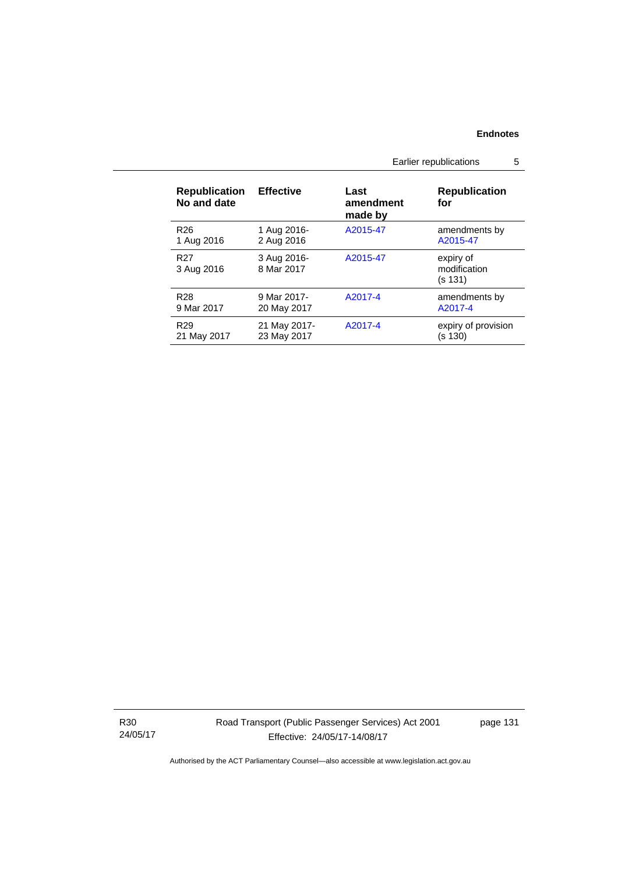|  |                                     |                             | Earlier republications       |                                      | 5 |
|--|-------------------------------------|-----------------------------|------------------------------|--------------------------------------|---|
|  | <b>Republication</b><br>No and date | <b>Effective</b>            | Last<br>amendment<br>made by | <b>Republication</b><br>for          |   |
|  | R <sub>26</sub><br>1 Aug 2016       | 1 Aug 2016-<br>2 Aug 2016   | A2015-47                     | amendments by<br>A2015-47            |   |
|  | R <sub>27</sub><br>3 Aug 2016       | 3 Aug 2016-<br>8 Mar 2017   | A2015-47                     | expiry of<br>modification<br>(s 131) |   |
|  | R <sub>28</sub><br>9 Mar 2017       | 9 Mar 2017-<br>20 May 2017  | A2017-4                      | amendments by<br>A2017-4             |   |
|  | R <sub>29</sub><br>21 May 2017      | 21 May 2017-<br>23 May 2017 | A2017-4                      | expiry of provision<br>(s 130)       |   |

R30 24/05/17 Road Transport (Public Passenger Services) Act 2001 Effective: 24/05/17-14/08/17

page 131